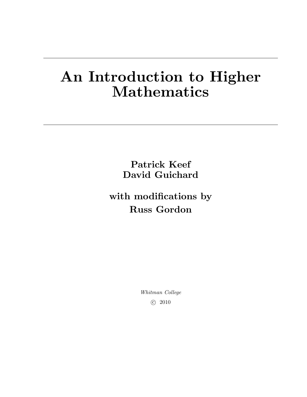# **An Introduction to Higher Mathematics**

**Patrick Keef David Guichard**

**with modifications by Russ Gordon**

> *Whitman College* c 2010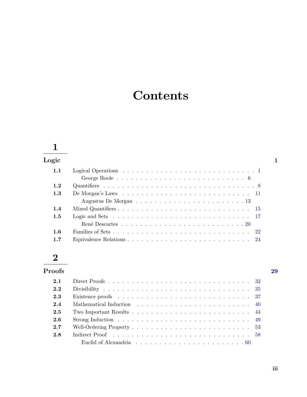# **Contents**

# **1**

| Logic   |                                                                                      |  |
|---------|--------------------------------------------------------------------------------------|--|
| 1.1     |                                                                                      |  |
|         | George Boole $\ldots \ldots \ldots \ldots \ldots \ldots \ldots \ldots \ldots \ldots$ |  |
| 1.2     |                                                                                      |  |
| 1.3     |                                                                                      |  |
|         |                                                                                      |  |
| 1.4     |                                                                                      |  |
| $1.5\,$ |                                                                                      |  |
|         |                                                                                      |  |
| 1.6     |                                                                                      |  |
|         |                                                                                      |  |

# **2**

### **Proofs [29](#page-32-0)**

| 2.1<br>2.2<br>2.3<br>2.4<br>2.5<br>-2.6<br>2.7 | Existence proofs $\ldots \ldots \ldots \ldots \ldots \ldots \ldots \ldots \ldots \ldots \ldots 37$                                                                                                                             |  |
|------------------------------------------------|--------------------------------------------------------------------------------------------------------------------------------------------------------------------------------------------------------------------------------|--|
|                                                |                                                                                                                                                                                                                                |  |
| 2.8                                            |                                                                                                                                                                                                                                |  |
|                                                | Euclid of Alexandria entering entering to the contract of the Euclidean Solution of the Euclidean Solution of the Euclidean Solution of the Euclidean Solution of the Euclidean Solution of the Euclidean Solution of the Eucl |  |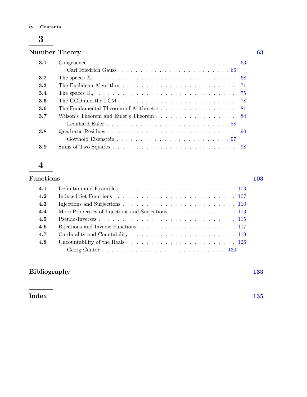# **3**

# **Number Theory [63](#page-66-0)**

| 3.1 |                                                                                      |  |
|-----|--------------------------------------------------------------------------------------|--|
|     |                                                                                      |  |
| 3.2 |                                                                                      |  |
| 3.3 | The Euclidean Algorithm $\ldots \ldots \ldots \ldots \ldots \ldots \ldots \ldots$ 71 |  |
| 3.4 |                                                                                      |  |
| 3.5 |                                                                                      |  |
| 3.6 | The Fundamental Theorem of Arithmetic 81                                             |  |
| 3.7 | Wilson's Theorem and Euler's Theorem 84                                              |  |
|     |                                                                                      |  |
| 3.8 |                                                                                      |  |
|     |                                                                                      |  |
| 3.9 |                                                                                      |  |

# **4**

# **Functions [103](#page-106-0) 4.1** Definition and Examples . . . . . . . . . . . . . . . . . . . . . . . . [103](#page-106-0) **4.2** Induced Set Functions . . . . . . . . . . . . . . . . . . . . . . . . . [107](#page-110-0) **4.3** Injections and Surjections . . . . . . . . . . . . . . . . . . . . . . . . [110](#page-113-0) **4.4** More Properties of Injections and Surjections . . . . . . . . . . . . . . [113](#page-116-0) **4.5** Pseudo-Inverses . . . . . . . . . . . . . . . . . . . . . . . . . . . . . [115](#page-118-0) **4.6** Bijections and Inverse Functions . . . . . . . . . . . . . . . . . . . . [117](#page-120-0) **4.7** Cardinality and Countability . . . . . . . . . . . . . . . . . . . . . . [119](#page-122-0) **4.8** Uncountability of the Reals . . . . . . . . . . . . . . . . . . . . . . . [126](#page-129-0) Georg Cantor . . . . . . . . . . . . . . . . . . . . . . . . . . [130](#page-133-0)

# **Bibliography [133](#page-136-0)**

## **Index [135](#page-138-0)**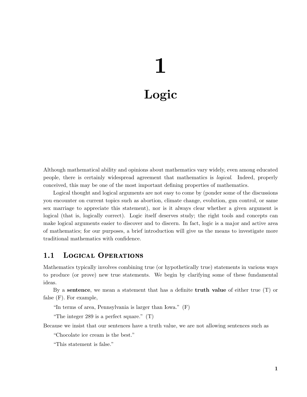# <span id="page-4-0"></span>**1**

# **Logic**

Although mathematical ability and opinions about mathematics vary widely, even among educated people, there is certainly widespread agreement that mathematics is *logical*. Indeed, properly conceived, this may be one of the most important defining properties of mathematics.

Logical thought and logical arguments are not easy to come by (ponder some of the discussions you encounter on current topics such as abortion, climate change, evolution, gun control, or same sex marriage to appreciate this statement), nor is it always clear whether a given argument is logical (that is, logically correct). Logic itself deserves study; the right tools and concepts can make logical arguments easier to discover and to discern. In fact, logic is a major and active area of mathematics; for our purposes, a brief introduction will give us the means to investigate more traditional mathematics with confidence.

## 1.1 Logical Operations

Mathematics typically involves combining true (or hypothetically true) statements in various ways to produce (or prove) new true statements. We begin by clarifying some of these fundamental ideas.

By a **sentence**, we mean a statement that has a definite **truth value** of either true (T) or false (F). For example,

"In terms of area, Pennsylvania is larger than Iowa." (F)

"The integer 289 is a perfect square."  $(T)$ 

Because we insist that our sentences have a truth value, we are not allowing sentences such as

"Chocolate ice cream is the best."

"This statement is false."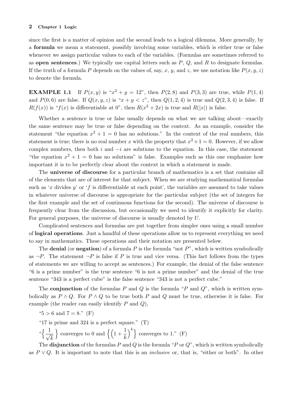since the first is a matter of opinion and the second leads to a logical dilemma. More generally, by a **formula** we mean a statement, possibly involving some variables, which is either true or false whenever we assign particular values to each of the variables. (Formulas are sometimes referred to as **open sentences**.) We typically use capital letters such as *P*, *Q*, and *R* to designate formulas. If the truth of a formula P depends on the values of, say, x, y, and z, we use notation like  $P(x, y, z)$ to denote the formula.

**EXAMPLE 1.1** If  $P(x, y)$  is " $x^2 + y = 12$ ", then  $P(2, 8)$  and  $P(3, 3)$  are true, while  $P(1, 4)$ and  $P(0,6)$  are false. If  $Q(x,y,z)$  is " $x + y < z$ ", then  $Q(1,2,4)$  is true and  $Q(2,3,4)$  is false. If *R*(*f*(*x*)) is "*f*(*x*) is differentiable at 0", then  $R(x^2 + 2x)$  is true and  $R(|x|)$  is false.

Whether a sentence is true or false usually depends on what we are talking about—exactly the same sentence may be true or false depending on the context. As an example, consider the statement "the equation  $x^2 + 1 = 0$  has no solutions." In the context of the real numbers, this statement is true; there is no real number *x* with the property that  $x^2 + 1 = 0$ . However, if we allow complex numbers, then both *i* and *−i* are solutions to the equation. In this case, the statement "the equation  $x^2 + 1 = 0$  has no solutions" is false. Examples such as this one emphasize how important it is to be perfectly clear about the context in which a statement is made.

The **universe of discourse** for a particular branch of mathematics is a set that contains all of the elements that are of interest for that subject. When we are studying mathematical formulas such as '*x* divides *y*' or '*f* is differentiable at each point', the variables are assumed to take values in whatever universe of discourse is appropriate for the particular subject (the set of integers for the first example and the set of continuous functions for the second). The universe of discourse is frequently clear from the discussion, but occasionally we need to identify it explicitly for clarity. For general purposes, the universe of discourse is usually denoted by *U*.

Complicated sentences and formulas are put together from simpler ones using a small number of **logical operations**. Just a handful of these operations allow us to represent everything we need to say in mathematics. These operations and their notation are presented below.

The **denial** (or **negation**) of a formula *P* is the formula "not *P*", which is written symbolically as  $\neg P$ . The statement  $\neg P$  is false if *P* is true and vice versa. (This fact follows from the types of statements we are willing to accept as sentences.) For example, the denial of the false sentence "6 is a prime number" is the true sentence "6 is not a prime number" and the denial of the true sentence "343 is a perfect cube" is the false sentence "343 is not a perfect cube."

The **conjunction** of the formulas  $P$  and  $Q$  is the formula " $P$  and  $Q$ ", which is written symbolically as  $P \wedge Q$ . For  $P \wedge Q$  to be true both P and Q must be true, otherwise it is false. For example (the reader can easily identify *P* and *Q*),

" $5 > 6$  and  $7 = 8$ ." (F)

"17 is prime and  $324$  is a perfect square." (T)

$$
^u \left\{ \frac{1}{\sqrt{k}} \right\}
$$
 converges to 0 and  $\left\{ \left( 1 + \frac{1}{k} \right)^k \right\}$  converges to 1." (F)

The **disjunction** of the formulas *P* and *Q* is the formula "*P* or *Q*", which is written symbolically as  $P \vee Q$ . It is important to note that this is an *inclusive* or, that is, "either or both". In other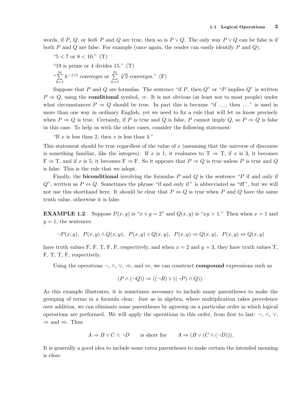words, if *P*, *Q*, or *both P* and *Q* are true, then so is  $P \vee Q$ . The only way  $P \vee Q$  can be false is if both *P* and *Q* are false. For example (once again, the reader can easily identify *P* and *Q*),

\n
$$
45 < 7
$$
 or  $8 < 10$ .\n

\n\n The image shows a function  $4$  divides  $15$ .\n

\n\n The equation  $4 \times 19 = 10$ .\n

\n\n The equation  $4 \times 19 = 10$ .\n

\n\n The equation  $4 \times 19 = 10$ .\n

\n\n The equation  $4 \times 19 = 10$ .\n

\n\n The equation  $4 \times 19 = 10$ .\n

\n\n The equation  $4 \times 19 = 10$ .\n

\n\n The equation  $4 \times 19 = 10$ .\n

\n\n The equation  $4 \times 19 = 10$ .\n

\n\n The equation  $4 \times 19 = 10$ .\n

\n\n The equation  $4 \times 19 = 10$ .\n

\n\n The equation  $4 \times 19 = 10$ .\n

\n\n The equation  $4 \times 19 = 10$ .\n

\n\n The equation  $4 \times 19 = 10$ .\n

\n\n The equation  $4 \times 19 = 10$ .\n

\n\n The equation  $4 \times 19 = 10$ .\n

\n\n The equation  $4 \times 19 = 10$ .\n

\n\n The equation  $4 \times 19 = 10$ .\n

\n\n The equation  $4 \times 19 = 10$ .\n

\n\n The equation  $4 \times 19 = 10$ .\n

\n\n The equation  $4 \times 19 = 10$ .\n

\n\n The equation  $4 \times 19 = 10$ .\n

\n\n The equation  $4 \times 19 = 10$ .\n

\n\n

Suppose that *P* and *Q* are formulas. The sentence "if *P*, then  $Q$ " or "*P* implies  $Q$ " is written  $P \Rightarrow Q$ , using the **conditional** symbol,  $\Rightarrow$ . It is not obvious (at least not to most people) under what circumstances  $P \Rightarrow Q$  should be true. In part this is because "if ..., then ..." is used in more than one way in ordinary English, yet we need to fix a rule that will let us know precisely when  $P \Rightarrow Q$  is true. Certainly, if *P* is true and *Q* is false, *P* cannot imply *Q*, so  $P \Rightarrow Q$  is false in this case. To help us with the other cases, consider the following statement:

"If  $x$  is less than 2, then  $x$  is less than 4."

This statement should be true regardless of the value of *x* (assuming that the universe of discourse is something familiar, like the integers). If *x* is 1, it evaluates to  $T \Rightarrow T$ , if *x* is 3, it becomes  $F \Rightarrow T$ , and if *x* is 5, it becomes  $F \Rightarrow F$ . So it appears that  $P \Rightarrow Q$  is true unless P is true and Q is false. This is the rule that we adopt.

Finally, the **biconditional** involving the formulas *P* and *Q* is the sentence "*P* if and only if  $Q$ ", written as  $P \Leftrightarrow Q$ . Sometimes the phrase "if and only if" is abbreviated as "iff", but we will not use this shorthand here. It should be clear that  $P \Leftrightarrow Q$  is true when *P* and *Q* have the same truth value, otherwise it is false.

**EXAMPLE 1.2** Suppose  $P(x, y)$  is " $x + y = 2$ " and  $Q(x, y)$  is " $xy > 1$ ." Then when  $x = 1$  and  $y = 1$ , the sentences

$$
\neg P(x,y), P(x,y) \land Q(x,y), P(x,y) \lor Q(x,y), P(x,y) \Rightarrow Q(x,y), P(x,y) \Leftrightarrow Q(x,y)
$$

have truth values F, F, T, F, F, respectively, and when  $x = 2$  and  $y = 3$ , they have truth values T, F, T, T, F, respectively.

Using the operations  $\neg$ ,  $\wedge$ ,  $\vee$ ,  $\Rightarrow$ , and  $\Leftrightarrow$ , we can construct **compound** expressions such as

$$
(P \land (\neg Q)) \Rightarrow ((\neg R) \lor ((\neg P) \land Q)).
$$

As this example illustrates, it is sometimes necessary to include many parentheses to make the grouping of terms in a formula clear. Just as in algebra, where multiplication takes precedence over addition, we can eliminate some parentheses by agreeing on a particular order in which logical operations are performed. We will apply the operations in this order, from first to last: *¬*, *∧*, *∨*, *⇒* and *⇔*. Thus

$$
A \Rightarrow B \lor C \land \neg D
$$
 is short for  $A \Rightarrow (B \lor (C \land (\neg D))).$ 

It is generally a good idea to include some extra parentheses to make certain the intended meaning is clear.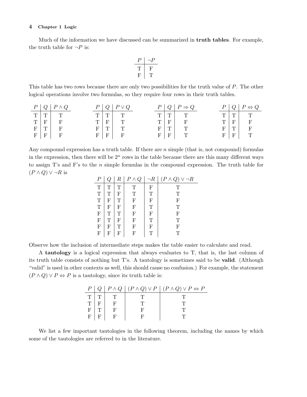Much of the information we have discussed can be summarized in **truth tables**. For example, the truth table for  $\neg P$  is:

$$
\begin{array}{c|c}\nP & \neg P \\
\hline\nT & F \\
F & T\n\end{array}
$$

This table has two rows because there are only two possibilities for the truth value of *P*. The other logical operations involve two formulas, so they require four rows in their truth tables.

|                                                         | $\begin{array}{c c c} P & Q & P \wedge Q \\ \hline \hline \mbox{T} & \mbox{T} & \mbox{T} \\ \mbox{T} & \mbox{F} & \mbox{F} \end{array}$ |     | $P \mid Q \mid P \vee Q$ |              |                             | $P \mid Q \mid P \Rightarrow Q$ |                    |                                                            | $P \mid Q \mid P \Leftrightarrow Q$ |
|---------------------------------------------------------|-----------------------------------------------------------------------------------------------------------------------------------------|-----|--------------------------|--------------|-----------------------------|---------------------------------|--------------------|------------------------------------------------------------|-------------------------------------|
|                                                         |                                                                                                                                         |     | $T$ $T$ $T$              |              |                             | $T$ $T$ $T$                     |                    |                                                            | $T$ $T$ $T$                         |
|                                                         |                                                                                                                                         |     | T F T                    |              |                             | T F F                           | $\mathbf T$        |                                                            | $ F $ F                             |
|                                                         | $\begin{bmatrix} F & T & F \end{bmatrix}$                                                                                               |     | F T T                    | $\mathbf{F}$ | T                           | $\mathbf{T}$                    |                    | $\frac{1}{\mathrm{F}} \left  \frac{1}{\mathrm{T}} \right $ | $\Gamma$                            |
| $\begin{bmatrix} \mathbf{F} & \mathbf{F} \end{bmatrix}$ | $\mathbf{F}$                                                                                                                            | F F | $\mathbf{F}$             |              | $\frac{1}{F}$ $\frac{1}{F}$ | T                               | $\bar{\mathrm{F}}$ |                                                            | $ F $ T                             |

Any compound expression has a truth table. If there are *n* simple (that is, not compound) formulas in the expression, then there will be  $2^n$  rows in the table because there are this many different ways to assign T's and F's to the *n* simple formulas in the compound expression. The truth table for (*P ∧ Q*) *∨ ¬R* is

| $\boldsymbol{P}$        | Į              | $\, R \,$               | $P \wedge Q$              | $\neg R$                  | $(P \wedge Q) \vee \neg R$ |
|-------------------------|----------------|-------------------------|---------------------------|---------------------------|----------------------------|
| $\mathbf T$             | Т              | Т                       | $\mathbf T$               | $\mathbf{F}$              | Ͳ                          |
| $\mathbf T$             | T              | $\overline{F}$          | $\overline{T}$            | $\overline{T}$            | T                          |
| $\mathbf T$             | $\overline{F}$ | T                       | $\overline{\mathrm{F}}$   | $\mathbf{F}$              | F                          |
| $\mathbf T$             | $\mathbf{F}$   | $\overline{F}$          | $\overline{\mathrm{F}}$   | $\overline{T}$            | T                          |
| $\frac{F}{F}$           | T              | $\overline{T}$          | $\overline{\mathrm{F}}$   | $\mathbf{F}$              | F                          |
|                         | $\overline{T}$ | $\overline{F}$          | $\boldsymbol{\mathrm{F}}$ | T                         | T                          |
|                         | $\mathbf{F}$   | $\overline{T}$          | ${\bf F}$                 | $\boldsymbol{\mathrm{F}}$ | F                          |
| $\overline{\mathrm{F}}$ | $\mathbf{F}$   | $\overline{\mathrm{F}}$ | F                         | T                         | Ͳ                          |
|                         |                |                         |                           |                           |                            |

Observe how the inclusion of intermediate steps makes the table easier to calculate and read.

A **tautology** is a logical expression that always evaluates to T, that is, the last column of its truth table consists of nothing but T's. A tautology is sometimes said to be **valid**. (Although "valid" is used in other contexts as well, this should cause no confusion.) For example, the statement  $(P \land Q) \lor P \Leftrightarrow P$  is a tautology, since its truth table is:

|              |  | $P   Q   P \wedge Q   (P \wedge Q) \vee P   (P \wedge Q) \vee P \Leftrightarrow P$ |
|--------------|--|------------------------------------------------------------------------------------|
| T   T        |  |                                                                                    |
| $T +$        |  |                                                                                    |
| $\mathbf{F}$ |  |                                                                                    |
| $\mathbf F$  |  |                                                                                    |

We list a few important tautologies in the following theorem, including the names by which some of the tautologies are referred to in the literature.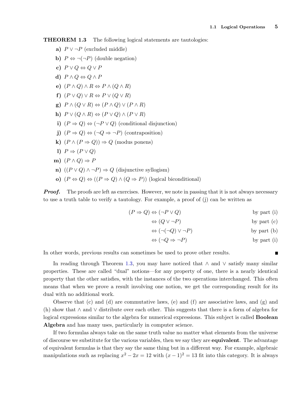<span id="page-8-0"></span>**THEOREM 1.3** The following logical statements are tautologies:

- **a)**  $P \vee \neg P$  (excluded middle)
- **b)**  $P \Leftrightarrow \neg(\neg P)$  (double negation)
- **c**)  $P \lor Q \Leftrightarrow Q \lor P$
- **d**)  $P \land Q \Leftrightarrow Q \land P$
- **e**)  $(P \land Q) \land R$  ⇔  $P \land (Q \land R)$
- **f**)  $(P \vee Q) \vee R \Leftrightarrow P \vee (Q \vee R)$
- **g**)  $P \wedge (Q \vee R) \Leftrightarrow (P \wedge Q) \vee (P \wedge R)$
- **h)**  $P \vee (Q \wedge R) \Leftrightarrow (P \vee Q) \wedge (P \vee R)$
- **i**)  $(P \Rightarrow Q) \Leftrightarrow (\neg P \lor Q)$  (conditional disjunction)
- **j**)  $(P \Rightarrow Q) \Leftrightarrow (\neg Q \Rightarrow \neg P)$  (contraposition)
- **k**)  $(P \land (P \Rightarrow Q)) \Rightarrow Q \text{ (modus ponens)}$
- **l)**  $P$  ⇒  $(P ∨ Q)$
- **m**)  $(P \land Q) ⇒ P$
- **n**)  $((P \lor Q) \land \neg P) \Rightarrow Q$  (disjunctive syllogism)
- **o**)  $(P \Leftrightarrow Q) \Leftrightarrow ((P \Rightarrow Q) \land (Q \Rightarrow P))$  (logical biconditional)

*Proof.* The proofs are left as exercises. However, we note in passing that it is not always necessary to use a truth table to verify a tautology. For example, a proof of (j) can be written as

$$
(P \Rightarrow Q) \Leftrightarrow (\neg P \lor Q) \qquad \qquad \text{by part (i)}
$$

$$
\Leftrightarrow (Q \lor \neg P) \qquad \qquad \text{by part (c)}
$$

$$
\Leftrightarrow (\neg(\neg Q) \lor \neg P) \qquad \qquad \text{by part (b)}
$$

$$
\Leftrightarrow (\neg Q \Rightarrow \neg P) \qquad \text{by part (i)}
$$

п

In other words, previous results can sometimes be used to prove other results.

In reading through Theorem 1.3, you may have noticed that *∧* and *∨* satisfy many similar properties. These are called "dual" notions—for any property of one, there is a nearly identical property that the other satisfies, with the instances of the two operations interchanged. This often means that when we prove a result involving one notion, we get the corresponding result for its dual with no additional work.

Observe that (c) and (d) are commutative laws, (e) and (f) are associative laws, and (g) and (h) show that *∧* and *∨* distribute over each other. This suggests that there is a form of algebra for logical expressions similar to the algebra for numerical expressions. This subject is called **Boolean Algebra** and has many uses, particularly in computer science.

If two formulas always take on the same truth value no matter what elements from the universe of discourse we substitute for the various variables, then we say they are **equivalent**. The advantage of equivalent formulas is that they say the same thing but in a different way. For example, algebraic manipulations such as replacing  $x^2 - 2x = 12$  with  $(x - 1)^2 = 13$  fit into this category. It is always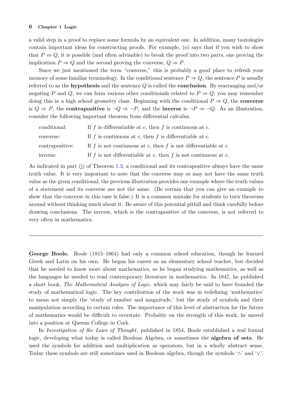<span id="page-9-0"></span>a valid step in a proof to replace some formula by an equivalent one. In addition, many tautologies contain important ideas for constructing proofs. For example, (o) says that if you wish to show that  $P \Leftrightarrow Q$ , it is possible (and often advisable) to break the proof into two parts, one proving the implication  $P \Rightarrow Q$  and the second proving the converse,  $Q \Rightarrow P$ .

Since we just mentioned the term "converse," this is probably a good place to refresh your memory of some familiar terminology. In the conditional sentence  $P \Rightarrow Q$ , the sentence P is usually referred to as the **hypothesis** and the sentence *Q* is called the **conclusion**. By rearranging and/or negating *P* and *Q*, we can form various other conditionals related to  $P \Rightarrow Q$ ; you may remember doing this in a high school geometry class. Beginning with the conditional  $P \Rightarrow Q$ , the **converse** is  $Q \Rightarrow P$ , the **contrapositive** is  $\neg Q \Rightarrow \neg P$ , and the **inverse** is  $\neg P \Rightarrow \neg Q$ . As an illustration, consider the following important theorem from differential calculus.

| conditional:    | If f is differentiable at c, then f is continuous at c.                   |
|-----------------|---------------------------------------------------------------------------|
| converse:       | If f is continuous at c, then f is differentiable at c.                   |
| contrapositive: | If f is not continuous at c, then f is not differentiable at c.           |
| inverse:        | If $f$ is not differentiable at $c$ , then $f$ is not continuous at $c$ . |

As indicated in part (j) of Theorem [1.3,](#page-8-0) a conditional and its contrapositive always have the same truth value. It is very important to note that the converse may or may not have the same truth value as the given conditional; the previous illustration provides one example where the truth values of a statement and its converse are not the same. (Be certain that you can give an example to show that the converse in this case is false.) It is a common mistake for students to turn theorems around without thinking much about it. Be aware of this potential pitfall and think carefully before drawing conclusions. The inverse, which is the contrapositive of the converse, is not referred to very often in mathematics.

**George Boole.** Boole (1815–1864) had only a common school education, though he learned Greek and Latin on his own. He began his career as an elementary school teacher, but decided that he needed to know more about mathematics, so he began studying mathematics, as well as the languages he needed to read contemporary literature in mathematics. In 1847, he published a short book, *The Mathematical Analysis of Logic*, which may fairly be said to have founded the study of mathematical logic. The key contribution of the work was in redefining 'mathematics' to mean not simply the 'study of number and magnitude,' but the study of symbols and their manipulation according to certain rules. The importance of this level of abstraction for the future of mathematics would be difficult to overstate. Probably on the strength of this work, he moved into a position at Queens College in Cork.

In *Investigation of the Laws of Thought*, published in 1854, Boole established a real formal logic, developing what today is called Boolean Algebra, or sometimes the **algebra of sets**. He used the symbols for addition and multiplication as operators, but in a wholly abstract sense. Today these symbols are still sometimes used in Boolean algebra, though the symbols '*∧*' and '*∨*',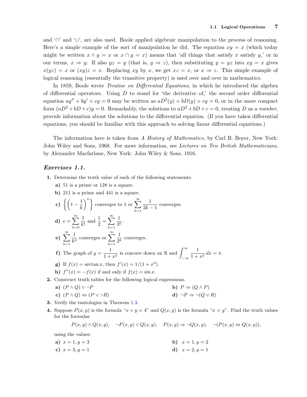and '*∩*' and '*∪*', are also used. Boole applied algebraic manipulation to the process of reasoning. Here's a simple example of the sort of manipulation he did. The equation  $xy = x$  (which today might be written  $x \wedge y = x$  or  $x \cap y = x$ ) means that 'all things that satisfy *x* satisfy *y*,' or in our terms,  $x \Rightarrow y$ . If also  $yz = y$  (that is,  $y \Rightarrow z$ ), then substituting  $y = yz$  into  $xy = x$  gives  $x(yz) = x$  or  $(xy)z = x$ . Replacing *xy* by *x*, we get  $xz = x$ , or  $x \Rightarrow z$ . This simple example of logical reasoning (essentially the transitive property) is used over and over in mathematics.

In 1859, Boole wrote *Treatise on Differential Equations*, in which he introduced the algebra of differential operators. Using *D* to stand for 'the derivative of,' the second order differential equation  $ay'' + by' + cy = 0$  may be written as  $aD^2(y) + bD(y) + cy = 0$ , or in the more compact form  $(aD^2 + bD + c)y = 0$ . Remarkably, the solutions to  $aD^2 + bD + c = 0$ , treating *D* as a *number*, provide information about the solutions to the differential equation. (If you have taken differential equations, you should be familiar with this approach to solving linear differential equations.)

The information here is taken from *A History of Mathematics,* by Carl B. Boyer, New York: John Wiley and Sons, 1968. For more information, see *Lectures on Ten British Mathematicians*, by Alexander Macfarlane, New York: John Wiley & Sons, 1916.

#### *Exercises 1.1.*

- **1.** Determine the truth value of each of the following statements.
	- **a)** 51 is a prime or 128 is a square.
	- **b)** 211 is a prime and 441 is a square.

\n- **c)** 
$$
\left\{ \left( 1 - \frac{1}{k} \right)^k \right\}
$$
 converges to 1 or  $\sum_{k=1}^{\infty} \frac{1}{2k-1}$  converges.
\n- **d)**  $e = \sum_{k=0}^{\infty} \frac{1}{k!}$  and  $\frac{1}{2} = \sum_{k=1}^{\infty} \frac{1}{3^k}$ .
\n- **e)**  $\sum_{k=1}^{\infty} \frac{1}{k^2}$  converges or  $\sum_{k=1}^{\infty} \frac{1}{2^k}$  converges.
\n- **f)** The graph of  $y = \frac{1}{1+x^2}$  is concave down on  $\mathbb{R}$  and  $\int_{-\infty}^{\infty} \frac{1}{1+x^2} \, dx = \pi$ .
\n- **g)** If  $f(x) = \arctan x$ , then  $f'(x) = 1/(1+x^2)$ .
\n

**h**)  $f''(x) = -f(x)$  if and only if  $f(x) = \sin x$ .

**2.** Construct truth tables for the following logical expressions.

- **a)**  $(P \land Q) \lor \neg P$  **b)**  $P \Rightarrow (Q \land P)$ **c**)  $(P \land Q) \Leftrightarrow (P \lor \neg R)$  **d**)  $\neg P \Rightarrow \neg(Q \lor R)$
- **3.** Verify the tautologies in Theorem [1.3.](#page-8-0)
- **4.** Suppose  $P(x, y)$  is the formula " $x + y = 4$ " and  $Q(x, y)$  is the formula " $x < y$ ". Find the truth values for the formulas

$$
P(x,y) \land Q(x,y), \quad \neg P(x,y) \lor Q(x,y), \quad P(x,y) \Rightarrow \neg Q(x,y), \quad \neg (P(x,y) \Leftrightarrow Q(x,y)),
$$

using the values:

- **a**)  $x = 1, y = 3$  **b**)  $x = 1, y = 2$
- **c**)  $x = 3, y = 1$  **d**)  $x = 2, y = 1$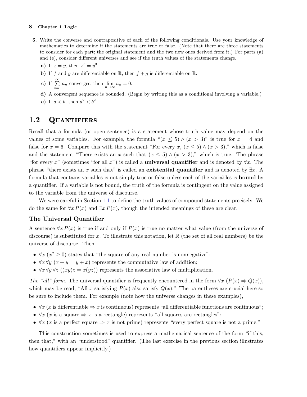- <span id="page-11-0"></span>**5.** Write the converse and contrapositive of each of the following conditionals. Use your knowledge of mathematics to determine if the statements are true or false. (Note that there are three statements to consider for each part; the original statement and the two new ones derived from it.) For parts (a) and (e), consider different universes and see if the truth values of the statements change.
	- **a**) If  $x = y$ , then  $x^3 = y^3$ .
	- **b)** If *f* and *g* are differentiable on  $\mathbb{R}$ , then  $f + g$  is differentiable on  $\mathbb{R}$ .
	- **c)** If  $\sum_{n=1}^{\infty} a_n$  converges, then  $\lim_{n \to \infty} a_n = 0$ .
	- **d)** A convergent sequence is bounded. (Begin by writing this as a conditional involving a variable.)
	- **e**) If  $a < b$ , then  $a^2 < b^2$ .

# 1.2 **QUANTIFIERS**

Recall that a formula (or open sentence) is a statement whose truth value may depend on the values of some variables. For example, the formula " $(x \leq 5) \wedge (x > 3)$ " is true for  $x = 4$  and false for  $x = 6$ . Compare this with the statement "For every  $x, (x \le 5) \wedge (x > 3)$ ," which is false and the statement "There exists an *x* such that  $(x \leq 5) \wedge (x > 3)$ ," which is true. The phrase "for every *x*" (sometimes "for all *x*") is called a **universal quantifier** and is denoted by *∀x*. The phrase "there exists an *x* such that" is called an **existential quantifier** and is denoted by *∃x*. A formula that contains variables is not simply true or false unless each of the variables is **bound** by a quantifier. If a variable is not bound, the truth of the formula is contingent on the value assigned to the variable from the universe of discourse.

We were careful in Section [1.1](#page-4-0) to define the truth values of compound statements precisely. We do the same for  $\forall x P(x)$  and  $\exists x P(x)$ , though the intended meanings of these are clear.

### **The Universal Quantifier**

A sentence  $\forall x P(x)$  is true if and only if  $P(x)$  is true no matter what value (from the universe of discourse) is substituted for x. To illustrate this notation, let  $\mathbb R$  (the set of all real numbers) be the universe of discourse. Then

- $\forall x \ (x^2 \geq 0)$  states that "the square of any real number is nonnegative";
- $\forall x \forall y \ (x + y = y + x)$  represents the commutative law of addition;
- $\forall x \forall y \forall z$  ((*xy*) $z = x(yz)$ ) represents the associative law of multiplication.

*The "all" form.* The universal quantifier is frequently encountered in the form  $\forall x \ (P(x) \Rightarrow Q(x))$ , which may be read, "All *x* satisfying  $P(x)$  also satisfy  $Q(x)$ ." The parentheses are crucial here so be sure to include them. For example (note how the universe changes in these examples),

- *∀x* (*x* is differentiable *⇒ x* is continuous) represents "all differentiable functions are continuous";
- $\forall x$  (*x* is a square  $\Rightarrow$  *x* is a rectangle) represents "all squares are rectangles";
- $\forall x$  (*x* is a perfect square  $\Rightarrow$  *x* is not prime) represents "every perfect square is not a prime."

This construction sometimes is used to express a mathematical sentence of the form "if this, then that," with an "understood" quantifier. (The last exercise in the previous section illustrates how quantifiers appear implicitly.)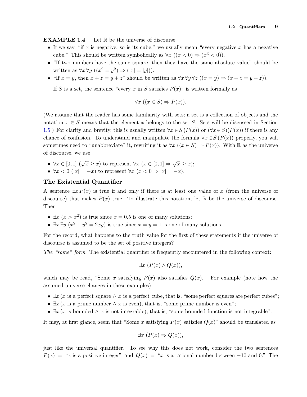**EXAMPLE 1.4** Let R be the universe of discourse.

- *•* If we say, "if *x* is negative, so is its cube," we usually mean "every negative *x* has a negative cube." This should be written symbolically as  $\forall x \ ((x < 0) \Rightarrow (x^3 < 0)).$
- "If two numbers have the same square, then they have the same absolute value" should be written as  $\forall x \forall y \ ((x^2 = y^2) \Rightarrow (|x| = |y|)).$
- "If  $x = y$ , then  $x + z = y + z$ " should be written as  $\forall x \forall y \forall z$   $((x = y) \Rightarrow (x + z = y + z))$ .

If *S* is a set, the sentence "every *x* in *S* satisfies  $P(x)$ " is written formally as

$$
\forall x \ ((x \in S) \Rightarrow P(x)).
$$

(We assume that the reader has some familiarity with sets; a set is a collection of objects and the notation  $x \in S$  means that the element x belongs to the set S. Sets will be discussed in Section [1.5](#page-20-0).) For clarity and brevity, this is usually written  $\forall x \in S(P(x))$  or  $(\forall x \in S)(P(x))$  if there is any chance of confusion. To understand and manipulate the formula  $\forall x \in S(P(x))$  properly, you will sometimes need to "unabbreviate" it, rewriting it as  $\forall x \ ((x \in S) \Rightarrow P(x))$ . With R as the universe of discourse, we use

- *•*  $\forall x \in [0,1]$  ( $\sqrt{x} \ge x$ ) to represent  $\forall x \ (x \in [0,1] \Rightarrow \sqrt{x} \ge x);$
- $\forall x < 0$  (|*x*| = −*x*) to represent  $\forall x$  (*x* < 0  $\Rightarrow$  |*x*| = −*x*).

#### **The Existential Quantifier**

A sentence *∃x P*(*x*) is true if and only if there is at least one value of *x* (from the universe of discourse) that makes  $P(x)$  true. To illustrate this notation, let  $\mathbb R$  be the universe of discourse. Then

- $\exists x \ (x > x^2)$  is true since  $x = 0.5$  is one of many solutions;
- $\exists x \exists y \ (x^2 + y^2 = 2xy)$  is true since  $x = y = 1$  is one of many solutions.

For the record, what happens to the truth value for the first of these statements if the universe of discourse is assumed to be the set of positive integers?

*The "some" form*. The existential quantifier is frequently encountered in the following context:

$$
\exists x \ (P(x) \land Q(x)),
$$

which may be read, "Some *x* satisfying  $P(x)$  also satisfies  $Q(x)$ ." For example (note how the assumed universe changes in these examples),

- $\exists x (x \text{ is a perfect square } \land x \text{ is a perfect cube, that is, "some perfect squares are perfect cubes";$
- $\exists x \ (x \text{ is a prime number } \land x \text{ is even}),$  that is, "some prime number is even";
- *∃x* (*x* is bounded *∧ x* is not integrable), that is, "some bounded function is not integrable".

It may, at first glance, seem that "Some *x* satisfying  $P(x)$  satisfies  $Q(x)$ " should be translated as

$$
\exists x \ (P(x) \Rightarrow Q(x)),
$$

just like the universal quantifier. To see why this does not work, consider the two sentences  $P(x) = x$  is a positive integer" and  $Q(x) = x$  is a rational number between  $-10$  and 0." The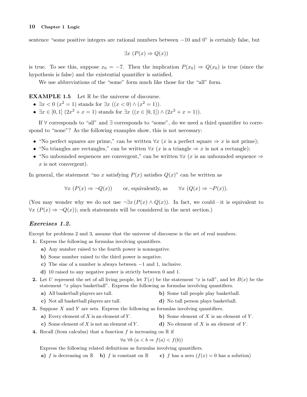sentence "some positive integers are rational numbers between *−*10 and 0" is certainly false, but

$$
\exists x \ (P(x) \Rightarrow Q(x))
$$

is true. To see this, suppose  $x_0 = -7$ . Then the implication  $P(x_0) \Rightarrow Q(x_0)$  is true (since the hypothesis is false) and the existential quantifier is satisfied.

We use abbreviations of the "some" form much like those for the "all" form.

**EXAMPLE 1.5** Let  $\mathbb R$  be the universe of discourse.

- *•* ∃*x* < 0 (*x*<sup>2</sup> = 1) stands for  $\exists x$  ((*x* < 0)  $\land$  (*x*<sup>2</sup> = 1)).
- *•* ∃*x* ∈ [0, 1] (2*x*<sup>2</sup> + *x* = 1) stands for ∃*x* ((*x* ∈ [0, 1])  $\wedge$  (2*x*<sup>2</sup> + *x* = 1)).

If *∀* corresponds to "all" and *∃* corresponds to "some", do we need a third quantifier to correspond to "none"? As the following examples show, this is not necessary:

- "No perfect squares are prime," can be written  $\forall x$  (*x* is a perfect square  $\Rightarrow$  *x* is not prime);
- "No triangles are rectangles," can be written  $\forall x$  (*x* is a triangle  $\Rightarrow$  *x* is not a rectangle);
- *•* "No unbounded sequences are convergent," can be written *∀x* (*x* is an unbounded sequence *⇒ x* is not convergent).

In general, the statement "no *x* satisfying  $P(x)$  satisfies  $Q(x)$ " can be written as

*∀x* ( $P(x)$   $\Rightarrow$  ¬ $Q(x)$ ) or, equivalently, as *∀x* ( $Q(x)$   $\Rightarrow$  ¬ $P(x)$ ).

(You may wonder why we do not use  $\neg \exists x (P(x) \land Q(x))$ ). In fact, we could—it is equivalent to *∀x*  $(P(x)$   $\Rightarrow$  ¬ $Q(x)$ ); such statements will be considered in the next section.)

#### *Exercises 1.2.*

Except for problems 2 and 3, assume that the universe of discourse is the set of real numbers.

**1.** Express the following as formulas involving quantifiers.

- **a)** Any number raised to the fourth power is nonnegative.
- **b)** Some number raised to the third power is negative.
- **c)** The sine of a number is always between *−*1 and 1, inclusive.
- **d)** 10 raised to any negative power is strictly between 0 and 1.
- **2.** Let *U* represent the set of all living people, let  $T(x)$  be the statement "*x* is tall", and let  $B(x)$  be the statement "*x* plays basketball". Express the following as formulas involving quantifiers.
	- **a)** All basketball players are tall. **b)** Some tall people play basketball.
	- **c)** Not all basketball players are tall. **d)** No tall person plays basketball.
- **3.** Suppose *X* and *Y* are sets. Express the following as formulas involving quantifiers.
	- **a)** Every element of *X* is an element of *Y* . **b)** Some element of *X* is an element of *Y* .
	- **c)** Some element of *X* is not an element of *Y* . **d)** No element of *X* is an element of *Y* .
- **4.** Recall (from calculus) that a function  $f$  is increasing on  $\mathbb R$  if

*∀a ∀b*  $(a < b \Rightarrow f(a) < f(b))$ 

Express the following related definitions as formulas involving quantifiers.

**a)** *f* is decreasing on R **b**) *f* is constant on R **c)** *f* has a zero  $(f(x) = 0$  has a solution)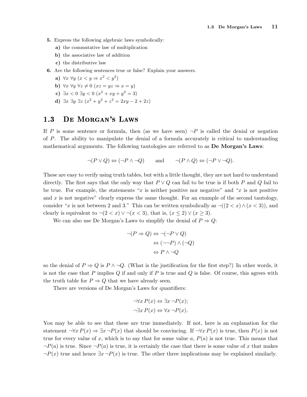- <span id="page-14-0"></span>**5.** Express the following algebraic laws symbolically:
	- **a)** the commutative law of multiplication
	- **b)** the associative law of addition
	- **c)** the distributive law
- **6.** Are the following sentences true or false? Explain your answers.
	- **a**)  $\forall x \forall y \ (x < y \Rightarrow x^2 < y^2)$
	- **b**)  $\forall x \forall y \forall z \neq 0 \ (xz = yz \Rightarrow x = y)$
	- **c)**  $\exists x < 0 \; \exists y < 0 \; (x^2 + xy + y^2 = 3)$
	- **d**)  $\exists x \exists y \exists z (x^2 + y^2 + z^2 = 2xy 2 + 2z)$

# 1.3 De Morgan's Laws

If *P* is some sentence or formula, then (as we have seen)  $\neg P$  is called the denial or negation of *P*. The ability to manipulate the denial of a formula accurately is critical to understanding mathematical arguments. The following tautologies are referred to as **De Morgan's Laws**:

$$
\neg (P \lor Q) \Leftrightarrow (\neg P \land \neg Q) \qquad \text{and} \qquad \neg (P \land Q) \Leftrightarrow (\neg P \lor \neg Q).
$$

These are easy to verify using truth tables, but with a little thought, they are not hard to understand directly. The first says that the only way that  $P \vee Q$  can fail to be true is if both *P* and *Q* fail to be true. For example, the statements "*x* is neither positive nor negative" and "*x* is not positive and  $x$  is not negative" clearly express the same thought. For an example of the second tautology, consider "*x* is not between 2 and 3." This can be written symbolically as  $\neg((2 \lt x) \land (x \lt 3))$ , and clearly is equivalent to  $\neg(2 < x) \lor \neg(x < 3)$ , that is,  $(x \leq 2) \lor (x \geq 3)$ .

We can also use De Morgan's Laws to simplify the denial of  $P \Rightarrow Q$ :

$$
\neg (P \Rightarrow Q) \Leftrightarrow \neg (\neg P \lor Q)
$$

$$
\Leftrightarrow (\neg \neg P) \land (\neg Q)
$$

$$
\Leftrightarrow P \land \neg Q
$$

so the denial of  $P \Rightarrow Q$  is  $P \land \neg Q$ . (What is the justification for the first step?) In other words, it is not the case that *P* implies *Q* if and only if *P* is true and *Q* is false. Of course, this agrees with the truth table for  $P \Rightarrow Q$  that we have already seen.

There are versions of De Morgan's Laws for quantifiers:

$$
\neg \forall x \, P(x) \Leftrightarrow \exists x \, \neg P(x);
$$
  

$$
\neg \exists x \, P(x) \Leftrightarrow \forall x \, \neg P(x).
$$

You may be able to see that these are true immediately. If not, here is an explanation for the statement  $\neg \forall x P(x) \Rightarrow \exists x \neg P(x)$  that should be convincing. If  $\neg \forall x P(x)$  is true, then  $P(x)$  is not true for every value of x, which is to say that for some value  $a, P(a)$  is not true. This means that  $\neg P(a)$  is true. Since  $\neg P(a)$  is true, it is certainly the case that there is some value of *x* that makes *¬P*(*x*) true and hence *∃x¬P*(*x*) is true. The other three implications may be explained similarly.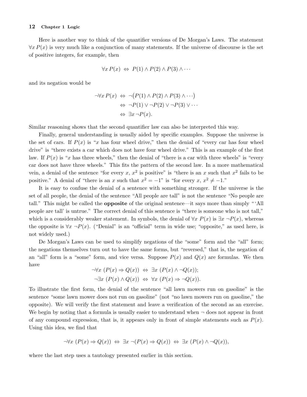Here is another way to think of the quantifier versions of De Morgan's Laws. The statement *∀x P*(*x*) is very much like a conjunction of many statements. If the universe of discourse is the set of positive integers, for example, then

$$
\forall x P(x) \Leftrightarrow P(1) \wedge P(2) \wedge P(3) \wedge \cdots
$$

and its negation would be

$$
\neg \forall x P(x) \Leftrightarrow \neg (P(1) \land P(2) \land P(3) \land \cdots)
$$

$$
\Leftrightarrow \neg P(1) \lor \neg P(2) \lor \neg P(3) \lor \cdots
$$

$$
\Leftrightarrow \exists x \neg P(x).
$$

Similar reasoning shows that the second quantifier law can also be interpreted this way.

Finally, general understanding is usually aided by specific examples. Suppose the universe is the set of cars. If  $P(x)$  is "x has four wheel drive," then the denial of "every car has four wheel drive" is "there exists a car which does not have four wheel drive." This is an example of the first law. If  $P(x)$  is "x has three wheels," then the denial of "there is a car with three wheels" is "every" car does not have three wheels." This fits the pattern of the second law. In a more mathematical vein, a denial of the sentence "for every  $x, x^2$  is positive" is "there is an  $x$  such that  $x^2$  fails to be positive." A denial of "there is an *x* such that  $x^2 = -1$ " is "for every  $x, x^2 \neq -1$ ."

It is easy to confuse the denial of a sentence with something stronger. If the universe is the set of all people, the denial of the sentence "All people are tall" is not the sentence "No people are tall." This might be called the **opposite** of the original sentence—it says more than simply " 'All people are tall' is untrue." The correct denial of this sentence is "there is someone who is not tall," which is a considerably weaker statement. In symbols, the denial of  $\forall x \ P(x)$  is  $\exists x \ \neg P(x)$ , whereas the opposite is  $\forall x \ \neg P(x)$ . ("Denial" is an "official" term in wide use; "opposite," as used here, is not widely used.)

De Morgan's Laws can be used to simplify negations of the "some" form and the "all" form; the negations themselves turn out to have the same forms, but "reversed," that is, the negation of an "all" form is a "some" form, and vice versa. Suppose  $P(x)$  and  $Q(x)$  are formulas. We then have

$$
\neg \forall x \ (P(x) \Rightarrow Q(x)) \Leftrightarrow \exists x \ (P(x) \land \neg Q(x));
$$
  

$$
\neg \exists x \ (P(x) \land Q(x)) \Leftrightarrow \forall x \ (P(x) \Rightarrow \neg Q(x)).
$$

To illustrate the first form, the denial of the sentence "all lawn mowers run on gasoline" is the sentence "some lawn mower does not run on gasoline" (not "no lawn mowers run on gasoline," the opposite). We will verify the first statement and leave a verification of the second as an exercise. We begin by noting that a formula is usually easier to understand when  $\neg$  does not appear in front of any compound expression, that is, it appears only in front of simple statements such as  $P(x)$ . Using this idea, we find that

$$
\neg \forall x \ (P(x) \Rightarrow Q(x)) \Leftrightarrow \exists x \ \neg (P(x) \Rightarrow Q(x)) \Leftrightarrow \exists x \ (P(x) \land \neg Q(x)),
$$

where the last step uses a tautology presented earlier in this section.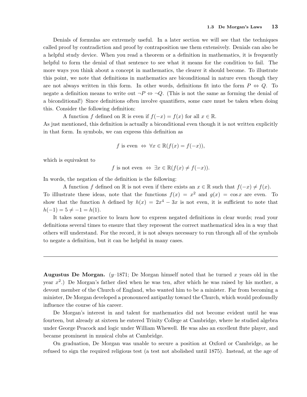<span id="page-16-0"></span>Denials of formulas are extremely useful. In a later section we will see that the techniques called proof by contradiction and proof by contraposition use them extensively. Denials can also be a helpful study device. When you read a theorem or a definition in mathematics, it is frequently helpful to form the denial of that sentence to see what it means for the condition to fail. The more ways you think about a concept in mathematics, the clearer it should become. To illustrate this point, we note that definitions in mathematics are biconditional in nature even though they are not always written in this form. In other words, definitions fit into the form  $P \Leftrightarrow Q$ . To negate a definition means to write out  $\neg P \Leftrightarrow \neg Q$ . (This is not the same as forming the denial of a biconditional!) Since definitions often involve quantifiers, some care must be taken when doing this. Consider the following definition:

A function *f* defined on R is even if  $f(-x) = f(x)$  for all  $x \in \mathbb{R}$ .

As just mentioned, this definition is actually a biconditional even though it is not written explicitly in that form. In symbols, we can express this definition as

$$
f
$$
 is even  $\Leftrightarrow \forall x \in \mathbb{R}(f(x) = f(-x)),$ 

which is equivalent to

f is not even 
$$
\Leftrightarrow \exists x \in \mathbb{R}(f(x) \neq f(-x)).
$$

In words, the negation of the definition is the following:

A function *f* defined on R is not even if there exists an  $x \in \mathbb{R}$  such that  $f(-x) \neq f(x)$ . To illustrate these ideas, note that the functions  $f(x) = x^2$  and  $g(x) = \cos x$  are even. To show that the function *h* defined by  $h(x) = 2x^4 - 3x$  is not even, it is sufficient to note that  $h(-1) = 5 \neq -1 = h(1).$ 

It takes some practice to learn how to express negated definitions in clear words; read your definitions several times to ensure that they represent the correct mathematical idea in a way that others will understand. For the record, it is not always necessary to run through all of the symbols to negate a definition, but it can be helpful in many cases.

**Augustus De Morgan.** (*y*–1871; De Morgan himself noted that he turned *x* years old in the year *x* 2 .) De Morgan's father died when he was ten, after which he was raised by his mother, a devout member of the Church of England, who wanted him to be a minister. Far from becoming a minister, De Morgan developed a pronounced antipathy toward the Church, which would profoundly influence the course of his career.

De Morgan's interest in and talent for mathematics did not become evident until he was fourteen, but already at sixteen he entered Trinity College at Cambridge, where he studied algebra under George Peacock and logic under William Whewell. He was also an excellent flute player, and became prominent in musical clubs at Cambridge.

On graduation, De Morgan was unable to secure a position at Oxford or Cambridge, as he refused to sign the required religious test (a test not abolished until 1875). Instead, at the age of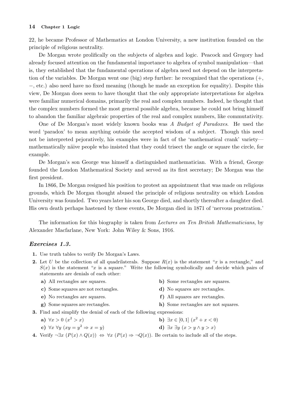22, he became Professor of Mathematics at London University, a new institution founded on the principle of religious neutrality.

De Morgan wrote prolifically on the subjects of algebra and logic. Peacock and Gregory had already focused attention on the fundamental importance to algebra of symbol manipulation—that is, they established that the fundamental operations of algebra need not depend on the interpretation of the variables. De Morgan went one (big) step further: he recognized that the operations  $(+,$ *−*, etc.) also need have no fixed meaning (though he made an exception for equality). Despite this view, De Morgan does seem to have thought that the only appropriate interpretations for algebra were familiar numerical domains, primarily the real and complex numbers. Indeed, he thought that the complex numbers formed the most general possible algebra, because he could not bring himself to abandon the familiar algebraic properties of the real and complex numbers, like commutativity.

One of De Morgan's most widely known books was *A Budget of Paradoxes*. He used the word 'paradox' to mean anything outside the accepted wisdom of a subject. Though this need not be interpreted pejoratively, his examples were in fact of the 'mathematical crank' variety mathematically näive people who insisted that they could trisect the angle or square the circle, for example.

De Morgan's son George was himself a distinguished mathematician. With a friend, George founded the London Mathematical Society and served as its first secretary; De Morgan was the first president.

In 1866, De Morgan resigned his position to protest an appointment that was made on religious grounds, which De Morgan thought abused the principle of religious neutrality on which London University was founded. Two years later his son George died, and shortly thereafter a daughter died. His own death perhaps hastened by these events, De Morgan died in 1871 of 'nervous prostration.'

The information for this biography is taken from *Lectures on Ten British Mathematicians*, by Alexander Macfarlane, New York: John Wiley & Sons, 1916.

#### *Exercises 1.3.*

- **1.** Use truth tables to verify De Morgan's Laws.
- **2.** Let *U* be the collection of all quadrilaterals. Suppose  $R(x)$  is the statement "*x* is a rectangle," and  $S(x)$  is the statement "*x* is a square." Write the following symbolically and decide which pairs of statements are denials of each other:
	- **a)** All rectangles are squares. **b)** Some rectangles are squares.
	- **c)** Some squares are not rectangles. **d)** No squares are rectangles.
	- **e**) No rectangles are squares. **f**) All squares are rectangles.
- 
- - **g)** Some squares are rectangles. **h)** Some rectangles are not squares.
- **3.** Find and simplify the denial of each of the following expressions:
	- **a**)  $\forall x > 0 \ (x^2 > x)$
	- **c**)  $\forall x \forall y (xy = y^2 \Rightarrow x = y)$
- **b)**  $\exists x \in [0,1]$   $(x^2 + x < 0)$ 
	- **d**)  $\exists x \exists y \ (x > y \land y > x)$
- **4.** Verify *¬∃x* (*P*(*x*) *∧ Q*(*x*)) *⇔ ∀x* (*P*(*x*) *⇒ ¬Q*(*x*)). Be certain to include all of the steps.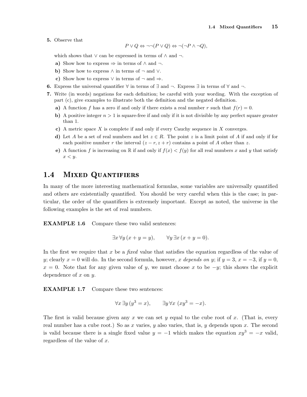<span id="page-18-0"></span>**5.** Observe that

$$
P \lor Q \Leftrightarrow \neg \neg (P \lor Q) \Leftrightarrow \neg (\neg P \land \neg Q),
$$

which shows that *∨* can be expressed in terms of *∧* and *¬*.

- **a**) Show how to express  $\Rightarrow$  in terms of  $\land$  and  $\neg$ .
- **b)** Show how to express *∧* in terms of *¬* and *∨*.
- **c**) Show how to express  $∨$  in terms of  $¬$  and  $⇒$ .
- **6.** Express the universal quantifier *∀* in terms of *∃* and *¬*. Express *∃* in terms of *∀* and *¬*.
- **7.** Write (in words) negations for each definition; be careful with your wording. With the exception of part (c), give examples to illustrate both the definition and the negated definition.
	- **a)** A function *f* has a zero if and only if there exists a real number *r* such that  $f(r) = 0$ .
	- **b)** A positive integer *n >* 1 is square-free if and only if it is not divisible by any perfect square greater than 1.
	- **c)** A metric space *X* is complete if and only if every Cauchy sequence in *X* converges.
	- **d**) Let *A* be a set of real numbers and let  $z \in R$ . The point *z* is a limit point of *A* if and only if for each positive number *r* the interval  $(z - r, z + r)$  contains a point of *A* other than *z*.
	- **e)** A function *f* is increasing on R if and only if  $f(x) < f(y)$  for all real numbers *x* and *y* that satisfy *x < y*.

# 1.4 Mixed Quantifiers

In many of the more interesting mathematical formulas, some variables are universally quantified and others are existentially quantified. You should be very careful when this is the case; in particular, the order of the quantifiers is extremely important. Except as noted, the universe in the following examples is the set of real numbers.

**EXAMPLE 1.6** Compare these two valid sentences:

$$
\exists x \forall y \, (x + y = y), \qquad \forall y \, \exists x \, (x + y = 0).
$$

In the first we require that *x* be a *fixed* value that satisfies the equation regardless of the value of *y*; clearly  $x = 0$  will do. In the second formula, however, *x* depends on *y*; if  $y = 3$ ,  $x = -3$ , if  $y = 0$ , *x* = 0. Note that for any given value of *y*, we must choose *x* to be *−y*; this shows the explicit dependence of *x* on *y*.

**EXAMPLE 1.7** Compare these two sentences:

$$
\forall x \exists y \left( y^3 = x \right), \qquad \exists y \forall x \left( xy^3 = -x \right).
$$

The first is valid because given any *x* we can set *y* equal to the cube root of *x*. (That is, every real number has a cube root.) So as *x* varies, *y* also varies, that is, *y* depends upon *x*. The second is valid because there is a single fixed value  $y = -1$  which makes the equation  $xy^3 = -x$  valid, regardless of the value of *x*.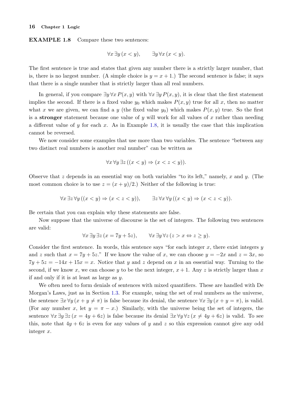#### **EXAMPLE 1.8** Compare these two sentences:

$$
\forall x \exists y \, (x < y), \qquad \exists y \, \forall x \, (x < y).
$$

The first sentence is true and states that given any number there is a strictly larger number, that is, there is no largest number. (A simple choice is  $y = x + 1$ .) The second sentence is false; it says that there is a single number that is strictly larger than all real numbers.

In general, if you compare  $\exists y \forall x P(x, y)$  with  $\forall x \exists y P(x, y)$ , it is clear that the first statement implies the second. If there is a fixed value  $y_0$  which makes  $P(x, y)$  true for all x, then no matter what *x* we are given, we can find a *y* (the fixed value  $y_0$ ) which makes  $P(x, y)$  true. So the first is a **stronger** statement because one value of *y* will work for all values of *x* rather than needing a different value of *y* for each *x*. As in Example 1.8, it is usually the case that this implication cannot be reversed.

We now consider some examples that use more than two variables. The sentence "between any two distinct real numbers is another real number" can be written as

$$
\forall x \,\forall y \,\exists z \,( (x < y) \Rightarrow (x < z < y)).
$$

Observe that *z* depends in an essential way on both variables "to its left," namely, *x* and *y*. (The most common choice is to use  $z = (x + y)/2$ .) Neither of the following is true:

$$
\forall x \exists z \forall y ((x < y) \Rightarrow (x < z < y)), \qquad \exists z \forall x \forall y ((x < y) \Rightarrow (x < z < y)).
$$

Be certain that you can explain why these statements are false.

Now suppose that the universe of discourse is the set of integers. The following two sentences are valid:

$$
\forall x \exists y \exists z (x = 7y + 5z), \qquad \forall x \exists y \forall z (z > x \Leftrightarrow z \ge y).
$$

Consider the first sentence. In words, this sentence says "for each integer *x*, there exist integers *y* and *z* such that  $x = 7y + 5z$ ." If we know the value of *x*, we can choose  $y = -2x$  and  $z = 3x$ , so  $7y + 5z = -14x + 15x = x$ . Notice that *y* and *z* depend on *x* in an essential way. Turning to the second, if we know x, we can choose y to be the next integer,  $x + 1$ . Any z is strictly larger than x if and only if it is at least as large as *y*.

We often need to form denials of sentences with mixed quantifiers. These are handled with De Morgan's Laws, just as in Section [1.3](#page-14-0). For example, using the set of real numbers as the universe, the sentence  $\exists x \forall y (x + y \neq \pi)$  is false because its denial, the sentence  $\forall x \exists y (x + y = \pi)$ , is valid. (For any number *x*, let  $y = \pi - x$ .) Similarly, with the universe being the set of integers, the sentence  $\forall x \exists y \exists z (x = 4y + 6z)$  is false because its denial  $\exists x \forall y \forall z (x \neq 4y + 6z)$  is valid. To see this, note that  $4y + 6z$  is even for any values of y and z so this expression cannot give any odd integer *x*.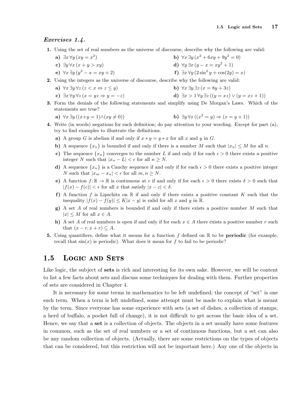### <span id="page-20-0"></span>*Exercises 1.4.*

- **1.** Using the set of real numbers as the universe of discourse, describe why the following are valid:
	- **a**)  $∃x ∀y (xy = x^2)$ **b)**  $\forall x \exists y (x^2 + 6xy + 9y^2 = 0)$ **c)**  $\exists y \forall x (x + y > xy)$  **d)**  $\forall y \exists x (y - x = xy^2 + 1)$
	- **e**)  $\forall x \exists y (y^2 x = xy + 2)$  $f) \exists x \forall y (2 \sin^2 y + \cos(2y) = x)$
- **2.** Using the integers as the universe of discourse, describe why the following are valid:
	- **a**)  $\forall x \exists y \forall z (z < x \Leftrightarrow z \leq y)$  **b)**  $\forall x \exists y \exists z (x = 8y + 3z)$
	- c)  $\exists x \forall y \forall z (x = yz \Rightarrow y = -z)$ <br>d)  $\exists x > 1 \forall y \exists z ((y = xz) \lor (y = xz + 1))$
- **3.** Form the denials of the following statements and simplify using De Morgan's Laws. Which of the statements are true?

**a**)  $\forall x \exists y ((x+y=1) \land (xy \neq 0))$ **b**)  $\exists y \forall x ((x^2 = y) \Rightarrow (x = y + 1))$ 

- **4.** Write (in words) negations for each definition; do pay attention to your wording. Except for part (a), try to find examples to illustrate the definitions.
	- **a**) A group *G* is abelian if and only if  $x * y = y * x$  for all *x* and *y* in *G*.
	- **b)** A sequence  $\{x_n\}$  is bounded if and only if there is a number *M* such that  $|x_n| \leq M$  for all *n*.
	- **c)** The sequence  $\{x_n\}$  converges to the number *L* if and only if for each  $\epsilon > 0$  there exists a positive integer *N* such that  $|x_n - L| < \epsilon$  for all  $n \geq N$ .
	- **d**) A sequence  $\{x_n\}$  is a Cauchy sequence if and only if for each  $\epsilon > 0$  there exists a positive integer *N* such that  $|x_m - x_n| < \epsilon$  for all  $m, n \geq N$ .
	- **e)** A function  $f: \mathbb{R} \to \mathbb{R}$  is continuous at *c* if and only if for each  $\epsilon > 0$  there exists  $\delta > 0$  such that  $|f(x) - f(c)| < \epsilon$  for all *x* that satisfy  $|x - c| < \delta$ .
	- **f)** A function *f* is Lipschitz on R if and only if there exists a positive constant *K* such that the inequality *|f*(*x*) *− f*(*y*)*| ≤ K|x − y|* is valid for all *x* and *y* in R.
	- **g)** A set *A* of real numbers is bounded if and only if there exists a positive number *M* such that  $|x| \leq M$  for all  $x \in A$ .
	- **h)** A set *A* of real numbers is open if and only if for each  $x \in A$  there exists a positive number *r* such that  $(x - r, x + r) \subseteq A$ .
- **5.** Using quantifiers, define what it means for a function *f* defined on R to be **periodic** (for example, recall that  $sin(x)$  is periodic). What does it mean for  $f$  to fail to be periodic?

## 1.5 LOGIC AND SETS

Like logic, the subject of **sets** is rich and interesting for its own sake. However, we will be content to list a few facts about sets and discuss some techniques for dealing with them. Further properties of sets are considered in Chapter [4](#page-106-0).

It is necessary for some terms in mathematics to be left undefined; the concept of "set" is one such term. When a term is left undefined, some attempt must be made to explain what is meant by the term. Since everyone has some experience with sets (a set of dishes, a collection of stamps, a herd of buffalo, a pocket full of change), it is not difficult to get across the basic idea of a set. Hence, we say that a **set** is a collection of objects. The objects in a set usually have some features in common, such as the set of real numbers or a set of continuous functions, but a set can also be any random collection of objects. (Actually, there are some restrictions on the types of objects that can be considered, but this restriction will not be important here.) Any one of the objects in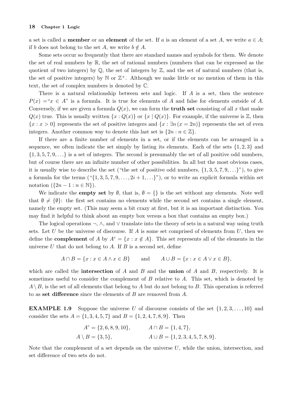a set is called a **member** or an **element** of the set. If *a* is an element of a set *A*, we write  $a \in A$ ; if *b* does not belong to the set *A*, we write  $b \notin A$ .

Some sets occur so frequently that there are standard names and symbols for them. We denote the set of real numbers by R, the set of rational numbers (numbers that can be expressed as the quotient of two integers) by  $\mathbb{Q}$ , the set of integers by  $\mathbb{Z}$ , and the set of natural numbers (that is, the set of positive integers) by  $\mathbb N$  or  $\mathbb Z^+$ . Although we make little or no mention of them in this text, the set of complex numbers is denoted by C.

There is a natural relationship between sets and logic. If *A* is a set, then the sentence  $P(x) = x \in A$ " is a formula. It is true for elements of *A* and false for elements outside of *A*. Conversely, if we are given a formula  $Q(x)$ , we can form the **truth set** consisting of all x that make  $Q(x)$  true. This is usually written  $\{x: Q(x)\}$  or  $\{x \mid Q(x)\}$ . For example, if the universe is Z, then  ${x : x > 0}$  represents the set of positive integers and  ${x : \exists n (x = 2n)}$  represents the set of even integers. Another common way to denote this last set is  $\{2n : n \in \mathbb{Z}\}.$ 

If there are a finite number of elements in a set, or if the elements can be arranged in a sequence, we often indicate the set simply by listing its elements. Each of the sets *{*1*,* 2*,* 3*}* and  $\{1,3,5,7,9,\ldots\}$  is a set of integers. The second is presumably the set of all positive odd numbers, but of course there are an infinite number of other possibilities. In all but the most obvious cases, it is usually wise to describe the set ("the set of positive odd numbers,  $\{1,3,5,7,9,\ldots\}$ "), to give a formula for the terms  $({}^{4}\{1,3,5,7,9,\ldots,2i+1,\ldots\}'$ , or to write an explicit formula within set notation  $({2n - 1 : n \in \mathbb{N}})$ .

We indicate the **empty set** by  $\emptyset$ , that is,  $\emptyset = \{\}$  is the set without any elements. Note well that  $\emptyset \neq {\emptyset}$ : the first set contains no elements while the second set contains a single element, namely the empty set. (This may seem a bit crazy at first, but it is an important distinction. You may find it helpful to think about an empty box versus a box that contains an empty box.)

The logical operations *¬*, *∧*, and *∨* translate into the theory of sets in a natural way using truth sets. Let *U* be the universe of discourse. If *A* is some set comprised of elements from *U*, then we define the **complement** of *A* by  $A^c = \{x : x \notin A\}$ . This set represents all of the elements in the universe  $U$  that do not belong to  $A$ . If  $B$  is a second set, define

$$
A \cap B = \{x : x \in A \land x \in B\} \qquad \text{and} \qquad A \cup B = \{x : x \in A \lor x \in B\},
$$

which are called the **intersection** of *A* and *B* and the **union** of *A* and *B*, respectively. It is sometimes useful to consider the complement of *B* relative to *A*. This set, which is denoted by  $A \setminus B$ , is the set of all elements that belong to *A* but do not belong to *B*. This operation is referred to as **set difference** since the elements of *B* are removed from *A*.

**EXAMPLE 1.9** Suppose the universe *U* of discourse consists of the set *{*1*,* 2*,* 3*, . . . ,* 10*}* and consider the sets  $A = \{1, 3, 4, 5, 7\}$  and  $B = \{1, 2, 4, 7, 8, 9\}$ . Then

$$
Ac = \{2, 6, 8, 9, 10\}, \qquad A \cap B = \{1, 4, 7\},
$$
  

$$
A \setminus B = \{3, 5\}, \qquad A \cup B = \{1, 2, 3, 4, 5, 7, 8, 9\}.
$$

Note that the complement of a set depends on the universe *U*, while the union, intersection, and set difference of two sets do not.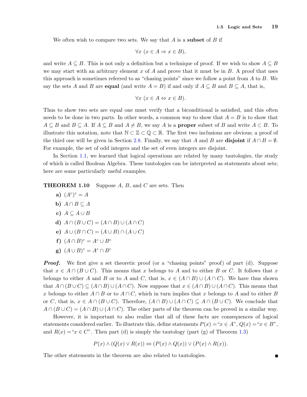<span id="page-22-0"></span>We often wish to compare two sets. We say that *A* is a **subset** of *B* if

$$
\forall x \ (x \in A \Rightarrow x \in B),
$$

and write  $A \subseteq B$ . This is not only a definition but a technique of proof. If we wish to show  $A \subseteq B$ we may start with an arbitrary element *x* of *A* and prove that it must be in *B*. A proof that uses this approach is sometimes referred to as "chasing points" since we follow a point from *A* to *B*. We say the sets *A* and *B* are **equal** (and write  $A = B$ ) if and only if  $A \subseteq B$  and  $B \subseteq A$ , that is,

$$
\forall x \ (x \in A \Leftrightarrow x \in B).
$$

Thus to show two sets are equal one must verify that a biconditional is satisfied, and this often needs to be done in two parts. In other words, a common way to show that  $A = B$  is to show that  $A \subseteq B$  and  $B \subseteq A$ . If  $A \subseteq B$  and  $A \neq B$ , we say *A* is a **proper** subset of *B* and write  $A \subset B$ . To illustrate this notation, note that  $N \subset \mathbb{Z} \subset \mathbb{Q} \subset \mathbb{R}$ . The first two inclusions are obvious; a proof of the third one will be given in Section [2.8](#page-61-0). Finally, we say that *A* and *B* are **disjoint** if  $A \cap B = \emptyset$ . For example, the set of odd integers and the set of even integers are disjoint.

In Section [1.1,](#page-4-0) we learned that logical operations are related by many tautologies, the study of which is called Boolean Algebra. These tautologies can be interpreted as statements about sets; here are some particularly useful examples.

**THEOREM 1.10** Suppose *A*, *B*, and *C* are sets. Then

- **a**)  $(A^c)^c = A$
- **b**)  $A ∩ B ⊆ A$
- **c**)  $A ⊂ A ∪ B$
- **d**)  $A \cap (B \cup C) = (A \cap B) \cup (A \cap C)$
- **e**)  $A \cup (B \cap C) = (A \cup B) \cap (A \cup C)$
- $f$ )  $(A \cap B)^c = A^c \cup B^c$
- **g**)  $(A \cup B)^c = A^c \cap B^c$

*Proof.* We first give a set theoretic proof (or a "chasing points" proof) of part (d). Suppose that  $x \in A \cap (B \cup C)$ . This means that *x* belongs to *A* and to either *B* or *C*. It follows that *x* belongs to either *A* and *B* or to *A* and *C*, that is,  $x \in (A \cap B) \cup (A \cap C)$ . We have thus shown that  $A \cap (B \cup C) \subseteq (A \cap B) \cup (A \cap C)$ . Now suppose that  $x \in (A \cap B) \cup (A \cap C)$ . This means that *x* belongs to either  $A \cap B$  or to  $A \cap C$ , which in turn implies that *x* belongs to *A* and to either *B* or C, that is,  $x \in A \cap (B \cup C)$ . Therefore,  $(A \cap B) \cup (A \cap C) \subseteq A \cap (B \cup C)$ . We conclude that  $A \cap (B \cup C) = (A \cap B) \cup (A \cap C)$ . The other parts of the theorem can be proved in a similar way.

However, it is important to also realize that all of these facts are consequences of logical statements considered earlier. To illustrate this, define statements  $P(x) = x \in A$ ",  $Q(x) = x \in B$ ", and  $R(x) = x \in \mathbb{C}^n$ . Then part (d) is simply the tautology (part (g) of Theorem [1.3\)](#page-8-0)

$$
P(x) \land (Q(x) \lor R(x)) \Leftrightarrow (P(x) \land Q(x)) \lor (P(x) \land R(x)).
$$

The other statements in the theorem are also related to tautologies.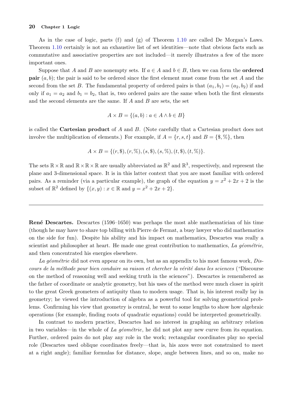<span id="page-23-0"></span>As in the case of logic, parts (f) and (g) of Theorem [1.10](#page-22-0) are called De Morgan's Laws. Theorem [1.10](#page-22-0) certainly is not an exhaustive list of set identities—note that obvious facts such as commutative and associative properties are not included—it merely illustrates a few of the more important ones.

Suppose that *A* and *B* are nonempty sets. If  $a \in A$  and  $b \in B$ , then we can form the **ordered pair** (*a, b*); the pair is said to be ordered since the first element must come from the set *A* and the second from the set *B*. The fundamental property of ordered pairs is that  $(a_1, b_1) = (a_2, b_2)$  if and only if  $a_1 = a_2$  and  $b_1 = b_2$ , that is, two ordered pairs are the same when both the first elements and the second elements are the same. If *A* and *B* are sets, the set

$$
A \times B = \{(a, b) : a \in A \land b \in B\}
$$

is called the **Cartesian product** of *A* and *B*. (Note carefully that a Cartesian product does not involve the multiplication of elements.) For example, if  $A = \{r, s, t\}$  and  $B = \{\$\%^\circ\},\$ then

$$
A \times B = \{ (r, \$), (r, \%), (s, \$), (s, \%), (t, \$), (t, \%) \}.
$$

The sets  $\mathbb{R} \times \mathbb{R}$  and  $\mathbb{R} \times \mathbb{R} \times \mathbb{R}$  are usually abbreviated as  $\mathbb{R}^2$  and  $\mathbb{R}^3$ , respectively, and represent the plane and 3-dimensional space. It is in this latter context that you are most familiar with ordered pairs. As a reminder (via a particular example), the graph of the equation  $y = x^2 + 2x + 2$  is the subset of  $\mathbb{R}^2$  defined by  $\{(x, y) : x \in \mathbb{R} \text{ and } y = x^2 + 2x + 2\}.$ 

**René Descartes.** Descartes (1596–1650) was perhaps the most able mathematician of his time (though he may have to share top billing with Pierre de Fermat, a busy lawyer who did mathematics on the side for fun). Despite his ability and his impact on mathematics, Descartes was really a scientist and philosopher at heart. He made one great contribution to mathematics, *La géométrie*, and then concentrated his energies elsewhere.

La géométrie did not even appear on its own, but as an appendix to his most famous work, Dis*cours de la méthode pour bien conduire sa raison et chercher la vérité dans les sciences* ("Discourse on the method of reasoning well and seeking truth in the sciences"). Descartes is remembered as the father of coordinate or analytic geometry, but his uses of the method were much closer in spirit to the great Greek geometers of antiquity than to modern usage. That is, his interest really lay in geometry; he viewed the introduction of algebra as a powerful tool for solving geometrical problems. Confirming his view that geometry is central, he went to some lengths to show how algebraic operations (for example, finding roots of quadratic equations) could be interpreted geometrically.

In contrast to modern practice, Descartes had no interest in graphing an arbitrary relation in two variables—in the whole of *La géométrie*, he did not plot any new curve from its equation. Further, ordered pairs do not play any role in the work; rectangular coordinates play no special role (Descartes used oblique coordinates freely—that is, his axes were not constrained to meet at a right angle); familiar formulas for distance, slope, angle between lines, and so on, make no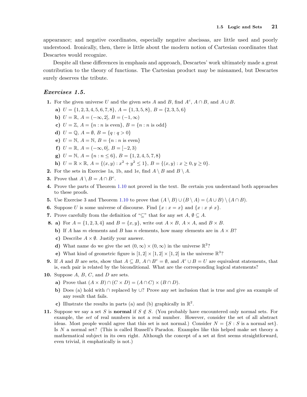appearance; and negative coordinates, especially negative abscissas, are little used and poorly understood. Ironically, then, there is little about the modern notion of Cartesian coordinates that Descartes would recognize.

Despite all these differences in emphasis and approach, Descartes' work ultimately made a great contribution to the theory of functions. The Cartesian product may be misnamed, but Descartes surely deserves the tribute.

#### *Exercises 1.5.*

- **1.** For the given universe *U* and the given sets *A* and *B*, find  $A^c$ ,  $A \cap B$ , and  $A \cup B$ .
	- a)  $U = \{1, 2, 3, 4, 5, 6, 7, 8\}, A = \{1, 3, 5, 8\}, B = \{2, 3, 5, 6\}$
	- **b**)  $U = \mathbb{R}, A = (-\infty, 2], B = (-1, \infty)$
	- **c)**  $U = \mathbb{Z}, A = \{n : n \text{ is even}\}, B = \{n : n \text{ is odd}\}\$
	- **d**)  $U = \mathbb{Q}, A = \emptyset, B = \{q : q > 0\}$
	- **e**)  $U = N$ ,  $A = N$ ,  $B = \{n : n \text{ is even}\}\$
	- **f**)  $U = \mathbb{R}, A = (-\infty, 0], B = [-2, 3)$
	- **g**)  $U = \mathbb{N}, A = \{n : n \leq 6\}, B = \{1, 2, 4, 5, 7, 8\}$
	- **h)**  $U = \mathbb{R} \times \mathbb{R}, A = \{(x, y) : x^2 + y^2 \le 1\}, B = \{(x, y) : x \ge 0, y \ge 0\}.$
- **2.** For the sets in Exercise 1a, 1b, and 1e, find  $A \setminus B$  and  $B \setminus A$ .
- **3.** Prove that  $A \setminus B = A \cap B^c$ .
- **4.** Prove the parts of Theorem [1.10](#page-22-0) not proved in the text. Be certain you understand both approaches to these proofs.
- **5.** Use Exercise 3 and Theorem [1.10](#page-22-0) to prove that  $(A \setminus B) \cup (B \setminus A) = (A \cup B) \setminus (A \cap B)$ .
- **6.** Suppose *U* is some universe of discourse. Find  $\{x : x = x\}$  and  $\{x : x \neq x\}$ .
- **7.** Prove carefully from the definition of " $\subseteq$ " that for any set  $A, \emptyset \subseteq A$ .
- **8. a)** For  $A = \{1, 2, 3, 4\}$  and  $B = \{x, y\}$ , write out  $A \times B$ ,  $A \times A$ , and  $B \times B$ .
	- **b**) If *A* has *m* elements and *B* has *n* elements, how many elements are in  $A \times B$ ?
	- **c**) Describe  $A \times \emptyset$ . Justify your answer.
	- **d**) What name do we give the set  $(0, \infty) \times (0, \infty)$  in the universe  $\mathbb{R}^2$ ?
	- **e**) What kind of geometric figure is  $[1, 2] \times [1, 2] \times [1, 2]$  in the universe  $\mathbb{R}^3$ ?
- **9.** If *A* and *B* are sets, show that  $A \subseteq B$ ,  $A \cap B^c = \emptyset$ , and  $A^c \cup B = U$  are equivalent statements, that is, each pair is related by the biconditional. What are the corresponding logical statements?
- **10.** Suppose *A*, *B*, *C*, and *D* are sets.
	- **a)** Prove that  $(A \times B) \cap (C \times D) = (A \cap C) \times (B \cap D)$ .
	- **b)** Does (a) hold with *∩* replaced by *∪*? Prove any set inclusion that is true and give an example of any result that fails.
	- **c)** Illustrate the results in parts (a) and (b) graphically in  $\mathbb{R}^2$ .
- **11.** Suppose we say a set *S* is **normal** if  $S \notin S$ . (You probably have encountered only normal sets. For example, the *set* of real numbers is not a real number. However, consider the set of all abstract ideas. Most people would agree that this set is not normal.) Consider  $N = \{S : S$  is a normal set}. Is *N* a normal set? (This is called Russell's Paradox. Examples like this helped make set theory a mathematical subject in its own right. Although the concept of a set at first seems straightforward, even trivial, it emphatically is not.)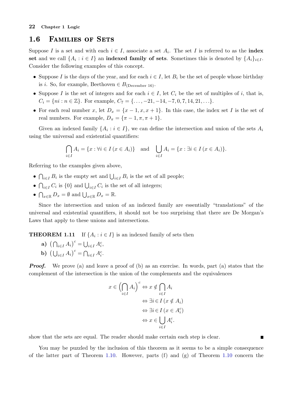# <span id="page-25-0"></span>1.6 FAMILIES OF SETS

Suppose *I* is a set and with each  $i \in I$ , associate a set  $A_i$ . The set *I* is referred to as the **index** set and we call  $\{A_i : i \in I\}$  an **indexed family of sets**. Sometimes this is denoted by  $\{A_i\}_{i \in I}$ . Consider the following examples of this concept.

- Suppose *I* is the days of the year, and for each  $i \in I$ , let  $B_i$  be the set of people whose birthday is *i*. So, for example, Beethoven  $\in B_{(\text{December 16})}$ .
- Suppose *I* is the set of integers and for each  $i \in I$ , let  $C_i$  be the set of multiples of *i*, that is,  $C_i = \{ni : n \in \mathbb{Z}\}\.$  For example,  $C_7 = \{\ldots, -21, -14, -7, 0, 7, 14, 21, \ldots\}\.$
- For each real number *x*, let  $D_x = \{x-1, x, x+1\}$ . In this case, the index set *I* is the set of real numbers. For example,  $D_{\pi} = {\pi - 1, \pi, \pi + 1}.$

Given an indexed family  $\{A_i : i \in I\}$ , we can define the intersection and union of the sets  $A_i$ using the universal and existential quantifiers:

$$
\bigcap_{i \in I} A_i = \{x : \forall i \in I \, (x \in A_i)\} \quad \text{and} \quad \bigcup_{i \in I} A_i = \{x : \exists i \in I \, (x \in A_i)\}.
$$

Referring to the examples given above,

- $\bigcap_{i \in I} B_i$  is the empty set and  $\bigcup_{i \in I} B_i$  is the set of all people;
- $\bigcap_{i \in I} C_i$  is  $\{0\}$  and  $\bigcup_{i \in I} C_i$  is the set of all integers;
- $\bigcap_{x \in \mathbb{R}} D_x = \emptyset$  and  $\bigcup_{x \in \mathbb{R}} D_x = \mathbb{R}$ .

Since the intersection and union of an indexed family are essentially "translations" of the universal and existential quantifiers, it should not be too surprising that there are De Morgan's Laws that apply to these unions and intersections.

**THEOREM 1.11** If  $\{A_i : i \in I\}$  is an indexed family of sets then

- **a**)  $(\bigcap_{i \in I} A_i)^c = \bigcup_{i \in I} A_i^c$ ,
- **b**)  $\left(\bigcup_{i \in I} A_i\right)^c = \bigcap_{i \in I} A_i^c$ .

*Proof.* We prove (a) and leave a proof of (b) as an exercise. In words, part (a) states that the complement of the intersection is the union of the complements and the equivalences

$$
x \in \left(\bigcap_{i \in I} A_i\right)^c \Leftrightarrow x \notin \bigcap_{i \in I} A_i
$$

$$
\Leftrightarrow \exists i \in I \ (x \notin A_i)
$$

$$
\Leftrightarrow \exists i \in I \ (x \in A_i^c)
$$

$$
\Leftrightarrow x \in \bigcup_{i \in I} A_i^c.
$$

show that the sets are equal. The reader should make certain each step is clear.

You may be puzzled by the inclusion of this theorem as it seems to be a simple consequence of the latter part of Theorem [1.10](#page-22-0). However, parts  $(f)$  and  $(g)$  of Theorem 1.10 concern the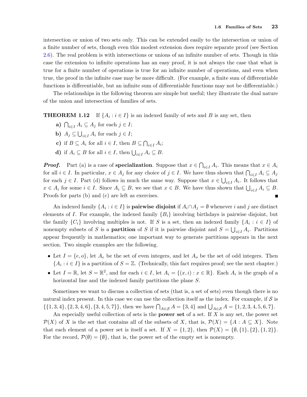<span id="page-26-0"></span>intersection or union of two sets only. This can be extended easily to the intersection or union of a finite number of sets, though even this modest extension does require separate proof (see Section [2.6](#page-52-0)). The real problem is with intersections or unions of an infinite number of sets. Though in this case the extension to infinite operations has an easy proof, it is not always the case that what is true for a finite number of operations is true for an infinite number of operations, and even when true, the proof in the infinite case may be more difficult. (For example, a finite sum of differentiable functions is differentiable, but an infinite sum of differentiable functions may not be differentiable.)

The relationships in the following theorem are simple but useful; they illustrate the dual nature of the union and intersection of families of sets.

**THEOREM 1.12** If  $\{A_i : i \in I\}$  is an indexed family of sets and *B* is any set, then

- **a**)  $\bigcap_{i \in I} A_i \subseteq A_j$  for each  $j \in I$ ;
- **b**)  $A_j \subseteq \bigcup_{i \in I} A_i$  for each  $j \in I$ ;
- **c**) if *B* ⊆ *A*<sup>*i*</sup> for all *i* ∈ *I*, then *B* ⊆  $\bigcap_{i \in I} A_i$ ;
- **d**) if  $A_i \subseteq B$  for all  $i \in I$ , then  $\bigcup_{i \in I} A_i \subseteq B$ .

*Proof.* Part (a) is a case of **specialization**. Suppose that  $x \in \bigcap_{i \in I} A_i$ . This means that  $x \in A_i$ for all  $i \in I$ . In particular,  $x \in A_j$  for any choice of  $j \in I$ . We have thus shown that  $\bigcap_{i \in I} A_i \subseteq A_j$ for each  $j \in I$ . Part (d) follows in much the same way. Suppose that  $x \in \bigcup_{i \in I} A_i$ . It follows that  $x \in A_i$  for some  $i \in I$ . Since  $A_i \subseteq B$ , we see that  $x \in B$ . We have thus shown that  $\bigcup_{i \in I} A_i \subseteq B$ . Proofs for parts (b) and (c) are left as exercises.

An indexed family  $\{A_i : i \in I\}$  is **pairwise disjoint** if  $A_i \cap A_j = \emptyset$  whenever *i* and *j* are distinct elements of *I*. For example, the indexed family  ${B<sub>i</sub>}$  involving birthdays is pairwise disjoint, but the family  ${C_i}$  involving multiples is not. If *S* is a set, then an indexed family  ${A_i : i \in I}$  of nonempty subsets of *S* is a **partition** of *S* if it is pairwise disjoint and  $S = \bigcup_{i \in I} A_i$ . Partitions appear frequently in mathematics; one important way to generate partitions appears in the next section. Two simple examples are the following.

- Let  $I = \{e, o\}$ , let  $A_e$  be the set of even integers, and let  $A_o$  be the set of odd integers. Then  ${A_i : i \in I}$  is a partition of  $S = \mathbb{Z}$ . (Technically, this fact requires proof; see the next chapter.)
- Let  $I = \mathbb{R}$ , let  $S = \mathbb{R}^2$ , and for each  $i \in I$ , let  $A_i = \{(x, i) : x \in \mathbb{R}\}$ . Each  $A_i$  is the graph of a horizontal line and the indexed family partitions the plane *S*.

Sometimes we want to discuss a collection of sets (that is, a set of sets) even though there is no natural index present. In this case we can use the collection itself as the index. For example, if *S* is  $\{\{1,3,4\},\{2,3,4,6\},\{3,4,5,7\}\}\,$  then we have  $\bigcap_{A\in\mathcal{S}}A=\{3,4\}$  and  $\bigcup_{A\in\mathcal{S}}A=\{1,2,3,4,5,6,7\}\.$ 

An especially useful collection of sets is the **power set** of a set. If *X* is any set, the power set  $P(X)$  of *X* is the set that contains all of the subsets of *X*, that is,  $P(X) = \{A : A \subseteq X\}$ . Note that each element of a power set is itself a set. If  $X = \{1, 2\}$ , then  $\mathcal{P}(X) = \{\emptyset, \{1\}, \{2\}, \{1, 2\}\}.$ For the record,  $\mathcal{P}(\emptyset) = {\emptyset}$ , that is, the power set of the empty set is nonempty.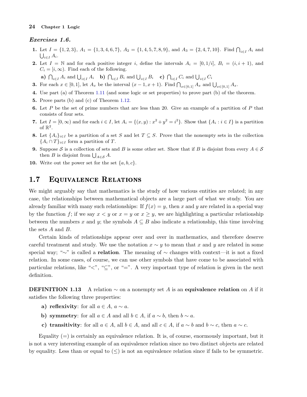#### <span id="page-27-0"></span>*Exercises 1.6.*

- 1. Let  $I = \{1, 2, 3\}, A_1 = \{1, 3, 4, 6, 7\}, A_2 = \{1, 4, 5, 7, 8, 9\}, \text{ and } A_3 = \{2, 4, 7, 10\}.$  Find  $\bigcap_{i \in I} A_i$  and  $\bigcup_{i \in I} A_i$ .
- **2.** Let  $I = \mathbb{N}$  and for each positive integer *i*, define the intervals  $A_i = [0, 1/i]$ ,  $B_i = (i, i + 1)$ , and  $C_i = [i, \infty)$ . Find each of the following.
	- **a**)  $\bigcap_{i\in I} A_i$  and  $\bigcup_{i\in I} A_i$  **b**)  $\bigcap_{i\in I} B_i$  and  $\bigcup_{i\in I} B_i$  **c**)  $\bigcap_{i\in I} C_i$  and  $\bigcup_{i\in I} C_i$
- **3.** For each  $x \in [0,1]$ , let  $A_x$  be the interval  $(x-1,x+1)$ . Find  $\bigcap_{x \in [0,1]} A_x$  and  $\bigcup_{x \in [0,1]} A_x$ .
- **4.** Use part (a) of Theorem [1.11](#page-25-0) (and some logic or set properties) to prove part (b) of the theorem.
- **5.** Prove parts (b) and (c) of Theorem [1.12.](#page-26-0)
- **6.** Let *P* be the set of prime numbers that are less than 20. Give an example of a partition of *P* that consists of four sets.
- 7. Let  $I = [0, \infty)$  and for each  $i \in I$ , let  $A_i = \{(x, y) : x^2 + y^2 = i^2\}$ . Show that  $\{A_i : i \in I\}$  is a partition of  $\mathbb{R}^2$ .
- **8.** Let  $\{A_i\}_{i\in I}$  be a partition of a set *S* and let  $T \subseteq S$ . Prove that the nonempty sets in the collection  ${A_i \cap T}_{i \in I}$  form a partition of *T*.
- **9.** Suppose *S* is a collection of sets and *B* is some other set. Show that if *B* is disjoint from every  $A \in S$ then *B* is disjoint from  $\bigcup_{A \in \mathcal{S}} A$ .
- **10.** Write out the power set for the set  $\{a, b, c\}$ .

## 1.7 Equivalence Relations

We might arguably say that mathematics is the study of how various entities are related; in any case, the relationships between mathematical objects are a large part of what we study. You are already familiar with many such relationships: If  $f(x) = y$ , then *x* and *y* are related in a special way by the function *f*; if we say  $x < y$  or  $x = y$  or  $x \geq y$ , we are highlighting a particular relationship between the numbers *x* and *y*; the symbols  $A \subseteq B$  also indicate a relationship, this time involving the sets *A* and *B*.

Certain kinds of relationships appear over and over in mathematics, and therefore deserve careful treatment and study. We use the notation  $x \sim y$  to mean that x and y are related in some special way; "*∼*" is called a **relation**. The meaning of *∼* changes with context—it is not a fixed relation. In some cases, of course, we can use other symbols that have come to be associated with particular relations, like "<", "⊆", or "=". A very important type of relation is given in the next definition.

**DEFINITION 1.13** A relation *∼* on a nonempty set *A* is an **equivalence relation** on *A* if it satisfies the following three properties:

- **a) reflexivity**: for all  $a \in A$ ,  $a \sim a$ .
- **b) symmetry**: for all  $a \in A$  and all  $b \in A$ , if  $a \sim b$ , then  $b \sim a$ .
- **c) transitivity**: for all  $a \in A$ , all  $b \in A$ , and all  $c \in A$ , if  $a \sim b$  and  $b \sim c$ , then  $a \sim c$ .

Equality  $(=)$  is certainly an equivalence relation. It is, of course, enormously important, but it is not a very interesting example of an equivalence relation since no two distinct objects are related by equality. Less than or equal to  $(\leq)$  is not an equivalence relation since if fails to be symmetric.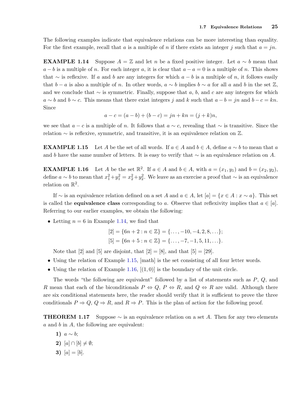<span id="page-28-0"></span>The following examples indicate that equivalence relations can be more interesting than equality. For the first example, recall that *a* is a multiple of *n* if there exists an integer *j* such that  $a = jn$ .

**EXAMPLE 1.14** Suppose  $A = \mathbb{Z}$  and let *n* be a fixed positive integer. Let  $a \sim b$  mean that  $a - b$  is a multiple of *n*. For each integer *a*, it is clear that  $a - a = 0$  is a multiple of *n*. This shows that  $\sim$  is reflexive. If *a* and *b* are any integers for which  $a - b$  is a multiple of *n*, it follows easily that  $b - a$  is also a multiple of *n*. In other words,  $a \sim b$  implies  $b \sim a$  for all *a* and *b* in the set Z, and we conclude that *∼* is symmetric. Finally, suppose that *a*, *b*, and *c* are any integers for which *a*  $\sim$  *b* and *b*  $\sim$  *c*. This means that there exist integers *j* and *k* such that  $a - b = jn$  and  $b - c = kn$ . Since

$$
a - c = (a - b) + (b - c) = jn + kn = (j + k)n,
$$

we see that  $a - c$  is a multiple of *n*. It follows that  $a \sim c$ , revealing that  $\sim$  is transitive. Since the relation *∼* is reflexive, symmetric, and transitive, it is an equivalence relation on Z.

**EXAMPLE 1.15** Let *A* be the set of all words. If  $a \in A$  and  $b \in A$ , define  $a \sim b$  to mean that *a* and *b* have the same number of letters. It is easy to verify that *∼* is an equivalence relation on *A*.

**EXAMPLE 1.16** Let *A* be the set  $\mathbb{R}^2$ . If  $a \in A$  and  $b \in A$ , with  $a = (x_1, y_1)$  and  $b = (x_2, y_2)$ , define  $a \sim b$  to mean that  $x_1^2 + y_1^2 = x_2^2 + y_2^2$ . We leave as an exercise a proof that  $\sim$  is an equivalence relation on  $\mathbb{R}^2$ .

If  $\sim$  is an equivalence relation defined on a set *A* and  $a \in A$ , let  $[a] = \{x \in A : x \sim a\}$ . This set is called the **equivalence class** corresponding to *a*. Observe that reflexivity implies that  $a \in [a]$ . Referring to our earlier examples, we obtain the following:

• Letting  $n = 6$  in Example 1.14, we find that

$$
[2] = \{6n + 2 : n \in \mathbb{Z}\} = \{\ldots, -10, -4, 2, 8, \ldots\};
$$
  

$$
[5] = \{6n + 5 : n \in \mathbb{Z}\} = \{\ldots, -7, -1, 5, 11, \ldots\}.
$$

Note that [2] and [5] are disjoint, that  $[2] = [8]$ , and that  $[5] = [29]$ .

- Using the relation of Example 1.15, [math] is the set consisting of all four letter words.
- Using the relation of Example 1.16,  $[(1,0)]$  is the boundary of the unit circle.

The words "the following are equivalent" followed by a list of statements such as *P*, *Q*, and *R* mean that each of the biconditionals  $P \Leftrightarrow Q, P \Leftrightarrow R$ , and  $Q \Leftrightarrow R$  are valid. Although there are six conditional statements here, the reader should verify that it is sufficient to prove the three conditionals  $P \Rightarrow Q$ ,  $Q \Rightarrow R$ , and  $R \Rightarrow P$ . This is the plan of action for the following proof.

**THEOREM 1.17** Suppose *∼* is an equivalence relation on a set *A*. Then for any two elements *a* and *b* in *A*, the following are equivalent:

- 1)  $a \sim b$ ;
- **2)**  $[a] \cap [b] \neq \emptyset;$
- **3)**  $[a] = [b]$ .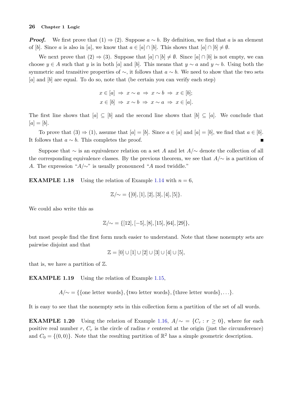*Proof.* We first prove that  $(1) \Rightarrow (2)$ . Suppose  $a \sim b$ . By definition, we find that *a* is an element of  $[b]$ . Since *a* is also in  $[a]$ , we know that  $a \in [a] \cap [b]$ . This shows that  $[a] \cap [b] \neq \emptyset$ .

We next prove that  $(2) \Rightarrow (3)$ . Suppose that  $[a] \cap [b] \neq \emptyset$ . Since  $[a] \cap [b]$  is not empty, we can choose  $y \in A$  such that *y* is in both [*a*] and [*b*]. This means that  $y \sim a$  and  $y \sim b$ . Using both the symmetric and transitive properties of *∼*, it follows that *a ∼ b*. We need to show that the two sets [*a*] and [*b*] are equal. To do so, note that (be certain you can verify each step)

$$
x \in [a] \Rightarrow x \sim a \Rightarrow x \sim b \Rightarrow x \in [b];
$$
  

$$
x \in [b] \Rightarrow x \sim b \Rightarrow x \sim a \Rightarrow x \in [a].
$$

The first line shows that  $[a] \subseteq [b]$  and the second line shows that  $[b] \subseteq [a]$ . We conclude that  $[a] = [b].$ 

To prove that  $(3) \Rightarrow (1)$ , assume that  $[a] = [b]$ . Since  $a \in [a]$  and  $[a] = [b]$ , we find that  $a \in [b]$ . It follows that  $a \sim b$ . This completes the proof. Ē

Suppose that *∼* is an equivalence relation on a set *A* and let *A/∼* denote the collection of all the corresponding equivalence classes. By the previous theorem, we see that  $A/\sim$  is a partition of *A*. The expression "*A/∼*" is usually pronounced "*A* mod twiddle."

**EXAMPLE 1.18** Using the relation of Example [1.14](#page-28-0) with  $n = 6$ ,

$$
\mathbb{Z}/\sim = \{[0], [1], [2], [3], [4], [5]\}.
$$

We could also write this as

$$
\mathbb{Z}/\sim = \{ [12], [-5], [8], [15], [64], [29] \},
$$

but most people find the first form much easier to understand. Note that these nonempty sets are pairwise disjoint and that

$$
\mathbb{Z} = [0] \cup [1] \cup [2] \cup [3] \cup [4] \cup [5],
$$

that is, we have a partition of  $\mathbb{Z}$ .

**EXAMPLE 1.19** Using the relation of Example [1.15](#page-28-0),

 $A/\sim$  = {{one letter words}, {two letter words}, {three letter words}, ...}

It is easy to see that the nonempty sets in this collection form a partition of the set of all words.

**EXAMPLE 1.20** Using the relation of Example [1.16,](#page-28-0)  $A/\sim$  =  $\{C_r : r \ge 0\}$ , where for each positive real number  $r$ ,  $C_r$  is the circle of radius  $r$  centered at the origin (just the circumference) and  $C_0 = \{(0,0)\}\.$  Note that the resulting partition of  $\mathbb{R}^2$  has a simple geometric description.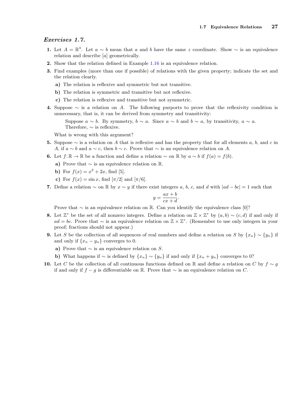### *Exercises 1.7.*

- **1.** Let  $A = \mathbb{R}^3$ . Let  $a \sim b$  mean that  $a$  and  $b$  have the same  $z$  coordinate. Show  $\sim$  is an equivalence relation and describe [*a*] geometrically.
- **2.** Show that the relation defined in Example [1.16](#page-28-0) is an equivalence relation.
- **3.** Find examples (more than one if possible) of relations with the given property; indicate the set and the relation clearly.
	- **a)** The relation is reflexive and symmetric but not transitive.
	- **b)** The relation is symmetric and transitive but not reflexive.
	- **c)** The relation is reflexive and transitive but not symmetric.
- **4.** Suppose *∼* is a relation on *A*. The following purports to prove that the reflexivity condition is unnecessary, that is, it can be derived from symmetry and transitivity:

Suppose  $a \sim b$ . By symmetry,  $b \sim a$ . Since  $a \sim b$  and  $b \sim a$ , by transitivity,  $a \sim a$ . Therefore, *∼* is reflexive.

What is wrong with this argument?

- **5.** Suppose *∼* is a relation on *A* that is reflexive and has the property that for all elements *a*, *b*, and *c* in *A*, if  $a \sim b$  and  $a \sim c$ , then  $b \sim c$ . Prove that  $\sim$  is an equivalence relation on *A*.
- **6.** Let  $f: \mathbb{R} \to \mathbb{R}$  be a function and define a relation  $\sim$  on  $\mathbb{R}$  by  $a \sim b$  if  $f(a) = f(b)$ .
	- **a)** Prove that *∼* is an equivalence relation on R.
	- **b**) For  $f(x) = x^2 + 2x$ , find [5].
	- **c)** For  $f(x) = \sin x$ , find  $[\pi/2]$  and  $[\pi/6]$ .
- **7.** Define a relation  $∼$  on ℝ by  $x \sim y$  if there exist integers *a*, *b*, *c*, and *d* with  $|ad bc| = 1$  such that

$$
y = \frac{ax+b}{cx+d}.
$$

Prove that  $\sim$  is an equivalence relation on R. Can you identify the equivalence class [0]?

- **8.** Let  $\mathbb{Z}^*$  be the set of all nonzero integers. Define a relation on  $\mathbb{Z} \times \mathbb{Z}^*$  by  $(a, b) \sim (c, d)$  if and only if *ad* = *bc*. Prove that *∼* is an equivalence relation on Z *×* Z *∗* . (Remember to use only integers in your proof; fractions should not appear.)
- **9.** Let *S* be the collection of all sequences of real numbers and define a relation on *S* by  $\{x_n\} \sim \{y_n\}$  if and only if  $\{x_n - y_n\}$  converges to 0.
	- **a)** Prove that *∼* is an equivalence relation on *S*.
	- **b)** What happens if  $\sim$  is defined by  $\{x_n\} \sim \{y_n\}$  if and only if  $\{x_n + y_n\}$  converges to 0?
- **10.** Let *C* be the collection of all continuous functions defined on R and define a relation on *C* by  $f \sim g$ if and only if *f − g* is differentiable on R. Prove that *∼* is an equivalence relation on *C*.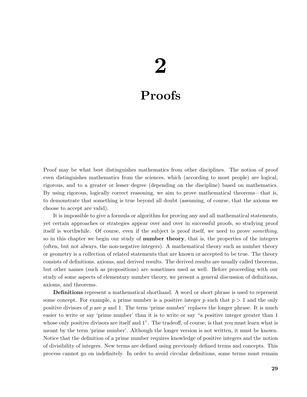# <span id="page-32-0"></span>**2**

# **Proofs**

Proof may be what best distinguishes mathematics from other disciplines. The notion of proof even distinguishes mathematics from the sciences, which (according to most people) are logical, rigorous, and to a greater or lesser degree (depending on the discipline) based on mathematics. By using rigorous, logically correct reasoning, we aim to prove mathematical theorems—that is, to demonstrate that something is true beyond all doubt (assuming, of course, that the axioms we choose to accept are valid).

It is impossible to give a formula or algorithm for proving any and all mathematical statements, yet certain approaches or strategies appear over and over in successful proofs, so studying proof itself is worthwhile. Of course, even if the subject is proof itself, we need to prove *something*, so in this chapter we begin our study of **number theory**, that is, the properties of the integers (often, but not always, the non-negative integers). A mathematical theory such as number theory or geometry is a collection of related statements that are known or accepted to be true. The theory consists of definitions, axioms, and derived results. The derived results are usually called theorems, but other names (such as propositions) are sometimes used as well. Before proceeding with our study of some aspects of elementary number theory, we present a general discussion of definitions, axioms, and theorems.

**Definitions** represent a mathematical shorthand. A word or short phrase is used to represent some concept. For example, a prime number is a positive integer  $p$  such that  $p > 1$  and the only positive divisors of *p* are *p* and 1. The term 'prime number' replaces the longer phrase. It is much easier to write or say 'prime number' than it is to write or say "a positive integer greater than 1 whose only positive divisors are itself and 1". The tradeoff, of course, is that you must learn what is meant by the term 'prime number'. Although the longer version is not written, it must be known. Notice that the definition of a prime number requires knowledge of positive integers and the notion of divisibility of integers. New terms are defined using previously defined terms and concepts. This process cannot go on indefinitely. In order to avoid circular definitions, some terms must remain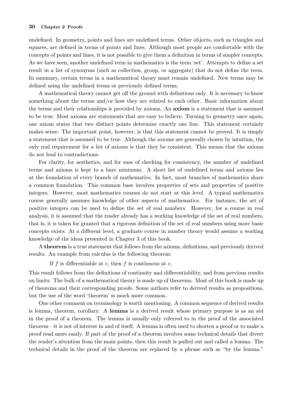undefined. In geometry, points and lines are undefined terms. Other objects, such as triangles and squares, are defined in terms of points and lines. Although most people are comfortable with the concepts of points and lines, it is not possible to give them a definition in terms of simpler concepts. As we have seen, another undefined term in mathematics is the term 'set'. Attempts to define a set result in a list of synonyms (such as collection, group, or aggregate) that do not define the term. In summary, certain terms in a mathematical theory must remain undefined. New terms may be defined using the undefined terms or previously defined terms.

A mathematical theory cannot get off the ground with definitions only. It is necessary to know something about the terms and/or how they are related to each other. Basic information about the terms and their relationships is provided by axioms. An **axiom** is a statement that is assumed to be true. Most axioms are statements that are easy to believe. Turning to geometry once again, one axiom states that two distinct points determine exactly one line. This statement certainly makes sense. The important point, however, is that this statement cannot be proved. It is simply a statement that is assumed to be true. Although the axioms are generally chosen by intuition, the only real requirement for a list of axioms is that they be consistent. This means that the axioms do not lead to contradictions.

For clarity, for aesthetics, and for ease of checking for consistency, the number of undefined terms and axioms is kept to a bare minimum. A short list of undefined terms and axioms lies at the foundation of every branch of mathematics. In fact, most branches of mathematics share a common foundation. This common base involves properties of sets and properties of positive integers. However, most mathematics courses do not start at this level. A typical mathematics course generally assumes knowledge of other aspects of mathematics. For instance, the set of positive integers can be used to define the set of real numbers. However, for a course in real analysis, it is assumed that the reader already has a working knowledge of the set of real numbers, that is, it is taken for granted that a rigorous definition of the set of real numbers using more basic concepts exists. At a different level, a graduate course in number theory would assume a working knowledge of the ideas presented in Chapter 3 of this book.

A **theorem** is a true statement that follows from the axioms, definitions, and previously derived results. An example from calculus is the following theorem:

If *f* is differentiable at *c*, then *f* is continuous at *c*.

This result follows from the definitions of continuity and differentiability, and from previous results on limits. The bulk of a mathematical theory is made up of theorems. Most of this book is made up of theorems and their corresponding proofs. Some authors refer to derived results as propositions, but the use of the word 'theorem' is much more common.

One other comment on terminology is worth mentioning. A common sequence of derived results is lemma, theorem, corollary. A **lemma** is a derived result whose primary purpose is as an aid in the proof of a theorem. The lemma is usually only referred to in the proof of the associated theorem—it is not of interest in and of itself. A lemma is often used to shorten a proof or to make a proof read more easily. If part of the proof of a theorem involves some technical details that divert the reader's attention from the main points, then this result is pulled out and called a lemma. The technical details in the proof of the theorem are replaced by a phrase such as "by the lemma."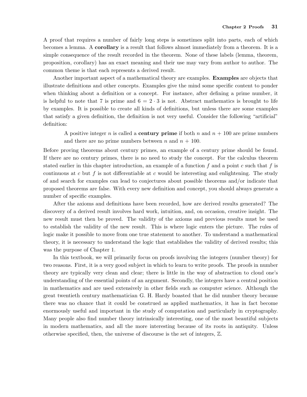A proof that requires a number of fairly long steps is sometimes split into parts, each of which becomes a lemma. A **corollary** is a result that follows almost immediately from a theorem. It is a simple consequence of the result recorded in the theorem. None of these labels (lemma, theorem, proposition, corollary) has an exact meaning and their use may vary from author to author. The common theme is that each represents a derived result.

Another important aspect of a mathematical theory are examples. **Examples** are objects that illustrate definitions and other concepts. Examples give the mind some specific content to ponder when thinking about a definition or a concept. For instance, after defining a prime number, it is helpful to note that 7 is prime and  $6 = 2 \cdot 3$  is not. Abstract mathematics is brought to life by examples. It is possible to create all kinds of definitions, but unless there are some examples that satisfy a given definition, the definition is not very useful. Consider the following "artificial" definition:

A positive integer *n* is called a **century prime** if both *n* and *n* + 100 are prime numbers and there are no prime numbers between  $n$  and  $n + 100$ .

Before proving theorems about century primes, an example of a century prime should be found. If there are no century primes, there is no need to study the concept. For the calculus theorem stated earlier in this chapter introduction, an example of a function *f* and a point *c* such that *f* is continuous at *c* but *f* is not differentiable at *c* would be interesting and enlightening. The study of and search for examples can lead to conjectures about possible theorems and/or indicate that proposed theorems are false. With every new definition and concept, you should always generate a number of specific examples.

After the axioms and definitions have been recorded, how are derived results generated? The discovery of a derived result involves hard work, intuition, and, on occasion, creative insight. The new result must then be proved. The validity of the axioms and previous results must be used to establish the validity of the new result. This is where logic enters the picture. The rules of logic make it possible to move from one true statement to another. To understand a mathematical theory, it is necessary to understand the logic that establishes the validity of derived results; this was the purpose of Chapter 1.

In this textbook, we will primarily focus on proofs involving the integers (number theory) for two reasons. First, it is a very good subject in which to learn to write proofs. The proofs in number theory are typically very clean and clear; there is little in the way of abstraction to cloud one's understanding of the essential points of an argument. Secondly, the integers have a central position in mathematics and are used extensively in other fields such as computer science. Although the great twentieth century mathematician G. H. Hardy boasted that he did number theory because there was no chance that it could be construed as applied mathematics, it has in fact become enormously useful and important in the study of computation and particularly in cryptography. Many people also find number theory intrinsically interesting, one of the most beautiful subjects in modern mathematics, and all the more interesting because of its roots in antiquity. Unless otherwise specified, then, the universe of discourse is the set of integers, Z.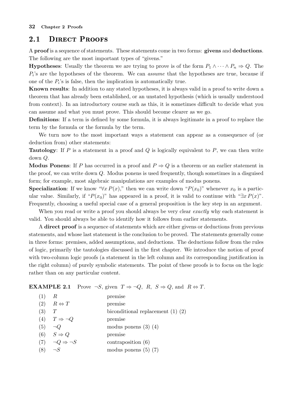## <span id="page-35-0"></span>2.1 DIRECT PROOFS

A **proof** is a sequence of statements. These statements come in two forms: **givens** and **deductions**. The following are the most important types of "givens."

**Hypotheses**: Usually the theorem we are trying to prove is of the form  $P_1 \wedge \cdots \wedge P_n \Rightarrow Q$ . The *Pi* 's are the hypotheses of the theorem. We can *assume* that the hypotheses are true, because if one of the  $P_i$ 's is false, then the implication is automatically true.

**Known results**: In addition to any stated hypotheses, it is always valid in a proof to write down a theorem that has already been established, or an unstated hypothesis (which is usually understood from context). In an introductory course such as this, it is sometimes difficult to decide what you can assume and what you must prove. This should become clearer as we go.

**Definitions**: If a term is defined by some formula, it is always legitimate in a proof to replace the term by the formula or the formula by the term.

We turn now to the most important ways a statement can appear as a consequence of (or deduction from) other statements:

**Tautology**: If *P* is a statement in a proof and *Q* is logically equivalent to *P*, we can then write down *Q*.

**Modus Ponens:** If *P* has occurred in a proof and  $P \Rightarrow Q$  is a theorem or an earlier statement in the proof, we can write down *Q*. Modus ponens is used frequently, though sometimes in a disguised form; for example, most algebraic manipulations are examples of modus ponens.

**Specialization**: If we know " $\forall x P(x)$ ," then we can write down " $P(x_0)$ " whenever  $x_0$  is a particular value. Similarly, if " $P(x_0)$ " has appeared in a proof, it is valid to continue with " $\exists x P(x)$ ". Frequently, choosing a useful special case of a general proposition is the key step in an argument.

When you read or write a proof you should always be very clear *exactly* why each statement is valid. You should always be able to identify how it follows from earlier statements.

A **direct proof** is a sequence of statements which are either givens or deductions from previous statements, and whose last statement is the conclusion to be proved. The statements generally come in three forms: premises, added assumptions, and deductions. The deductions follow from the rules of logic, primarily the tautologies discussed in the first chapter. We introduce the notion of proof with two-column logic proofs (a statement in the left column and its corresponding justification in the right column) of purely symbolic statements. The point of these proofs is to focus on the logic rather than on any particular content.

**EXAMPLE 2.1** Prove  $\neg S$ , given  $T \Rightarrow \neg Q$ ,  $R$ ,  $S \Rightarrow Q$ , and  $R \Leftrightarrow T$ .

| (1) | R                           | premise                               |
|-----|-----------------------------|---------------------------------------|
| (2) | $R \Leftrightarrow T$       | premise                               |
| (3) | T                           | biconditional replacement $(1)$ $(2)$ |
|     | (4) $T \Rightarrow \neg Q$  | premise                               |
| (5) | $\neg Q$                    | modus ponens $(3)$ $(4)$              |
|     | (6) $S \Rightarrow Q$       | premise                               |
| (7) | $\neg Q \Rightarrow \neg S$ | contraposition $(6)$                  |
| (8) | $\neg S$                    | modus ponens $(5)$ $(7)$              |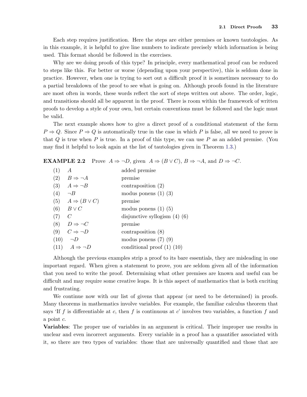<span id="page-36-0"></span>Each step requires justification. Here the steps are either premises or known tautologies. As in this example, it is helpful to give line numbers to indicate precisely which information is being used. This format should be followed in the exercises.

Why are we doing proofs of this type? In principle, every mathematical proof can be reduced to steps like this. For better or worse (depending upon your perspective), this is seldom done in practice. However, when one is trying to sort out a difficult proof it is sometimes necessary to do a partial breakdown of the proof to see what is going on. Although proofs found in the literature are most often in words, these words reflect the sort of steps written out above. The order, logic, and transitions should all be apparent in the proof. There is room within the framework of written proofs to develop a style of your own, but certain conventions must be followed and the logic must be valid.

The next example shows how to give a direct proof of a conditional statement of the form  $P \Rightarrow Q$ . Since  $P \Rightarrow Q$  is automatically true in the case in which *P* is false, all we need to prove is that *Q* is true when *P* is true. In a proof of this type, we can use *P* as an added premise. (You may find it helpful to look again at the list of tautologies given in Theorem [1.3](#page-8-0).)

### **EXAMPLE 2.2** Prove  $A \Rightarrow \neg D$ , given  $A \Rightarrow (B \lor C)$ ,  $B \Rightarrow \neg A$ , and  $D \Rightarrow \neg C$ .

| (1) | A                              | added premise                     |
|-----|--------------------------------|-----------------------------------|
| (2) | $B \Rightarrow \neg A$         | premise                           |
| (3) | $A \Rightarrow \neg B$         | contraposition (2)                |
| (4) | $\neg B$                       | modus ponens $(1)$ $(3)$          |
|     | (5) $A \Rightarrow (B \vee C)$ | premise                           |
| (6) | $B \vee C$                     | modus ponens $(1)$ $(5)$          |
| (7) | C                              | disjunctive syllogism $(4)$ $(6)$ |
|     | $(8)$ $D \Rightarrow \neg C$   | premise                           |
|     | (9) $C \Rightarrow \neg D$     | contraposition (8)                |
|     | $(10) \quad \neg D$            | modus ponens $(7)$ $(9)$          |
|     | $(11)$ $A \Rightarrow \neg D$  | conditional proof $(1)$ $(10)$    |

Although the previous examples strip a proof to its bare essentials, they are misleading in one important regard. When given a statement to prove, you are seldom given all of the information that you need to write the proof. Determining what other premises are known and useful can be difficult and may require some creative leaps. It is this aspect of mathematics that is both exciting and frustrating.

We continue now with our list of givens that appear (or need to be determined) in proofs. Many theorems in mathematics involve variables. For example, the familiar calculus theorem that says 'If *f* is differentiable at *c*, then *f* is continuous at *c*' involves two variables, a function *f* and a point *c*.

**Variables**: The proper use of variables in an argument is critical. Their improper use results in unclear and even incorrect arguments. Every variable in a proof has a quantifier associated with it, so there are two types of variables: those that are universally quantified and those that are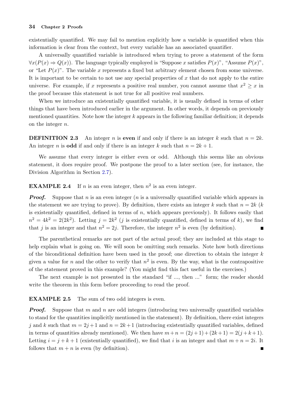<span id="page-37-0"></span>existentially quantified. We may fail to mention explicitly how a variable is quantified when this information is clear from the context, but every variable has an associated quantifier.

A universally quantified variable is introduced when trying to prove a statement of the form *∀x*( $P(x)$   $\Rightarrow$   $Q(x)$ ). The language typically employed is "Suppose *x* satisfies  $P(x)$ ", "Assume  $P(x)$ ", or "Let  $P(x)$ ". The variable x represents a fixed but arbitrary element chosen from some universe. It is important to be certain to not use any special properties of *x* that do not apply to the entire universe. For example, if *x* represents a positive real number, you cannot assume that  $x^2 \geq x$  in the proof because this statement is not true for all positive real numbers.

When we introduce an existentially quantified variable, it is usually defined in terms of other things that have been introduced earlier in the argument. In other words, it depends on previously mentioned quantities. Note how the integer *k* appears in the following familiar definition; it depends on the integer *n*.

**DEFINITION 2.3** An integer *n* is **even** if and only if there is an integer *k* such that  $n = 2k$ . An integer *n* is **odd** if and only if there is an integer *k* such that  $n = 2k + 1$ .

We assume that every integer is either even or odd. Although this seems like an obvious statement, it does require proof. We postpone the proof to a later section (see, for instance, the Division Algorithm in Section [2.7\)](#page-56-0).

**EXAMPLE 2.4** If *n* is an even integer, then  $n^2$  is an even integer.

*Proof.* Suppose that *n* is an even integer (*n* is a universally quantified variable which appears in the statement we are trying to prove). By definition, there exists an integer k such that  $n = 2k$  (k is existentially quantified, defined in terms of *n*, which appears previously). It follows easily that  $n^2 = 4k^2 = 2(2k^2)$ . Letting  $j = 2k^2$  (*j* is existentially quantified, defined in terms of *k*), we find that *j* is an integer and that  $n^2 = 2j$ . Therefore, the integer  $n^2$  is even (by definition).

The parenthetical remarks are not part of the actual proof; they are included at this stage to help explain what is going on. We will soon be omitting such remarks. Note how both directions of the biconditional definition have been used in the proof; one direction to obtain the integer *k* given a value for *n* and the other to verify that  $n^2$  is even. By the way, what is the contrapositive of the statement proved in this example? (You might find this fact useful in the exercises.)

The next example is not presented in the standard "if ..., then ..." form; the reader should write the theorem in this form before proceeding to read the proof.

**EXAMPLE 2.5** The sum of two odd integers is even.

*Proof.* Suppose that *m* and *n* are odd integers (introducing two universally quantified variables to stand for the quantities implicitly mentioned in the statement). By definition, there exist integers *j* and *k* such that  $m = 2j + 1$  and  $n = 2k + 1$  (introducing existentially quantified variables, defined in terms of quantities already mentioned). We then have  $m+n = (2j+1) + (2k+1) = 2(j+k+1)$ . Letting  $i = j + k + 1$  (existentially quantified), we find that *i* is an integer and that  $m + n = 2i$ . It follows that  $m + n$  is even (by definition).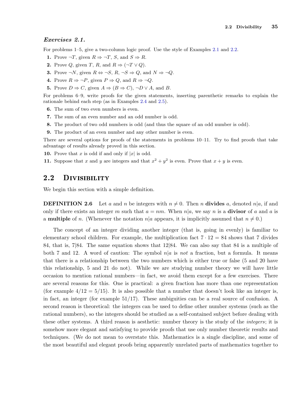#### *Exercises 2.1.*

For problems 1–5, give a two-column logic proof. Use the style of Examples [2.1](#page-35-0) and [2.2.](#page-36-0)

- **1.** Prove  $\neg T$ , given  $R \Rightarrow \neg T$ , *S*, and  $S \Rightarrow R$ .
- **2.** Prove *Q*, given *T*, *R*, and  $R \Rightarrow (\neg T \lor Q)$ .
- **3.** Prove  $\neg N$ , given  $R \Leftrightarrow \neg S$ ,  $R$ ,  $\neg S \Rightarrow Q$ , and  $N \Rightarrow \neg Q$ .
- **4.** Prove  $R \Rightarrow \neg P$ , given  $P \Rightarrow Q$ , and  $R \Rightarrow \neg Q$ .
- **5.** Prove  $D \Rightarrow C$ , given  $A \Rightarrow (B \Rightarrow C)$ ,  $\neg D \vee A$ , and *B*.

For problems 6–9, write proofs for the given statements, inserting parenthetic remarks to explain the rationale behind each step (as in Examples [2.4](#page-37-0) and [2.5\)](#page-37-0).

- **6.** The sum of two even numbers is even.
- **7.** The sum of an even number and an odd number is odd.
- **8.** The product of two odd numbers is odd (and thus the square of an odd number is odd).
- **9.** The product of an even number and any other number is even.

There are several options for proofs of the statements in problems 10–11. Try to find proofs that take advantage of results already proved in this section.

- **10.** Prove that *x* is odd if and only if  $|x|$  is odd.
- **11.** Suppose that *x* and *y* are integers and that  $x^2 + y^2$  is even. Prove that  $x + y$  is even.

## 2.2 DIVISIBILITY

We begin this section with a simple definition.

**DEFINITION 2.6** Let *a* and *n* be integers with  $n \neq 0$ . Then *n* **divides** *a*, denoted *n|a*, if and only if there exists an integer *m* such that  $a = nm$ . When  $n|a$ , we say *n* is a **divisor** of *a* and *a* is a **multiple** of *n*. (Whenever the notation *n*|*a* appears, it is implicitly assumed that  $n \neq 0$ .)

The concept of an integer dividing another integer (that is, going in evenly) is familiar to elementary school children. For example, the multiplication fact  $7 \cdot 12 = 84$  shows that 7 divides 84, that is, 7*|*84. The same equation shows that 12*|*84. We can also say that 84 is a multiple of both 7 and 12. A word of caution: The symbol  $n|a$  is not a fraction, but a formula. It means that there is a relationship between the two numbers which is either true or false (5 and 20 have this relationship, 5 and 21 do not). While we are studying number theory we will have little occasion to mention rational numbers—in fact, we avoid them except for a few exercises. There are several reasons for this. One is practical: a given fraction has more than one representation (for example  $4/12 = 5/15$ ). It is also possible that a number that doesn't look like an integer is, in fact, an integer (for example 51*/*17). These ambiguities can be a real source of confusion. A second reason is theoretical: the integers can be used to define other number systems (such as the rational numbers), so the integers should be studied as a self-contained subject before dealing with these other systems. A third reason is aesthetic: number theory is the study of the *integers*; it is somehow more elegant and satisfying to provide proofs that use only number theoretic results and techniques. (We do not mean to overstate this. Mathematics is a single discipline, and some of the most beautiful and elegant proofs bring apparently unrelated parts of mathematics together to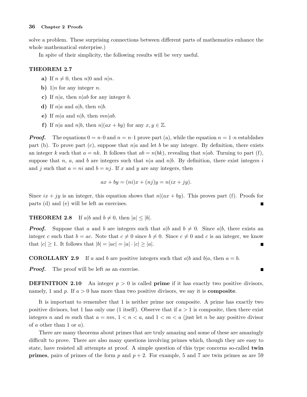<span id="page-39-0"></span>solve a problem. These surprising connections between different parts of mathematics enhance the whole mathematical enterprise.)

In spite of their simplicity, the following results will be very useful.

#### **THEOREM 2.7**

- **a**) If  $n \neq 0$ , then  $n|0$  and  $n|n$ .
- **b**)  $1|n$  for any integer *n*.
- c) If  $n|a$ , then  $n|ab$  for any integer *b*.
- **d**) If  $n|a$  and  $a|b$ , then  $n|b$ .
- **e**) If  $m|a$  and  $n|b$ , then  $mn|ab$ .
- **f**) If  $n|a$  and  $n|b$ , then  $n|(ax+by)$  for any  $x, y \in \mathbb{Z}$ .

*Proof.* The equations  $0 = n \cdot 0$  and  $n = n \cdot 1$  prove part (a), while the equation  $n = 1 \cdot n$  establishes part (b). To prove part (c), suppose that  $n|a$  and let b be any integer. By definition, there exists an integer k such that  $a = nk$ . It follows that  $ab = n(bk)$ , revealing that  $n|ab$ . Turning to part (f), suppose that *n*, *a*, and *b* are integers such that  $n|a$  and  $n|b$ . By definition, there exist integers *i* and *j* such that  $a = ni$  and  $b = nj$ . If *x* and *y* are any integers, then

$$
ax + by = (ni)x + (nj)y = n(ix + jy).
$$

Since  $ix + jy$  is an integer, this equation shows that  $n|(ax + by)$ . This proves part (f). Proofs for parts (d) and (e) will be left as exercises.

**THEOREM 2.8** If  $a|b$  and  $b \neq 0$ , then  $|a| \leq |b|$ .

*Proof.* Suppose that *a* and *b* are integers such that  $a|b$  and  $b \neq 0$ . Since  $a|b$ , there exists an integer *c* such that  $b = ac$ . Note that  $c \neq 0$  since  $b \neq 0$ . Since  $c \neq 0$  and *c* is an integer, we know that  $|c| \geq 1$ . It follows that  $|b| = |ac| = |a| \cdot |c| \geq |a|$ .

**COROLLARY 2.9** If *a* and *b* are positive integers such that  $a|b$  and  $b|a$ , then  $a = b$ .

*Proof.* The proof will be left as an exercise.

**DEFINITION 2.10** An integer  $p > 0$  is called **prime** if it has exactly two positive divisors, namely, 1 and *p*. If *a >* 0 has more than two positive divisors, we say it is **composite**.

It is important to remember that 1 is neither prime nor composite. A prime has exactly two positive divisors, but 1 has only one (1 itself). Observe that if  $a > 1$  is composite, then there exist integers *n* and *m* such that  $a = nm$ ,  $1 < n < a$ , and  $1 < m < a$  (just let *n* be any positive divisor of *a* other than 1 or *a*).

There are many theorems about primes that are truly amazing and some of these are amazingly difficult to prove. There are also many questions involving primes which, though they are easy to state, have resisted all attempts at proof. A simple question of this type concerns so-called **twin primes**, pairs of primes of the form  $p$  and  $p + 2$ . For example, 5 and 7 are twin primes as are 59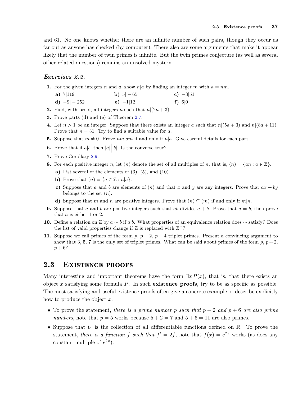and 61. No one knows whether there are an infinite number of such pairs, though they occur as far out as anyone has checked (by computer). There also are some arguments that make it appear likely that the number of twin primes is infinite. But the twin primes conjecture (as well as several other related questions) remains an unsolved mystery.

#### *Exercises 2.2.*

- **1.** For the given integers *n* and *a*, show *n*|*a* by finding an integer *m* with  $a = nm$ .
	- **a)** 7*|*119 **b)** 5*| −* 65 **c)** *−*3*|*51
	- **d)** *−*9*| −* 252 **e)** *−*1*|*12 **f)** 6*|*0
- **2.** Find, with proof, all integers *n* such that  $n|(2n+3)$ .
- **3.** Prove parts (d) and (e) of Theorem [2.7.](#page-39-0)
- **4.** Let  $n > 1$  be an integer. Suppose that there exists an integer a such that  $n|(5a+3)$  and  $n|(8a+11)$ . Prove that  $n = 31$ . Try to find a suitable value for  $a$ .
- **5.** Suppose that  $m \neq 0$ . Prove  $nm|am$  if and only if  $n|a$ . Give careful details for each part.
- **6.** Prove that if  $a|b$ , then  $|a||$  |b|. Is the converse true?
- **7.** Prove Corollary [2.9](#page-39-0).
- **8.** For each positive integer *n*, let (*n*) denote the set of all multiples of *n*, that is,  $(n) = \{an : a \in \mathbb{Z}\}$ .
	- **a)** List several of the elements of (3), (5), and (10).
		- **b)** Prove that  $(n) = \{a \in \mathbb{Z} : n | a\}$ .
		- **c**) Suppose that *a* and *b* are elements of (*n*) and that *x* and *y* are any integers. Prove that  $ax + by$ belongs to the set (*n*).
		- **d**) Suppose that *m* and *n* are positive integers. Prove that  $(n) \subseteq (m)$  if and only if  $m|n$ .
- **9.** Suppose that *a* and *b* are positive integers such that *ab* divides  $a + b$ . Prove that  $a = b$ , then prove that *a* is either 1 or 2.
- **10.** Define a relation on Z by *a ∼ b* if *a|b*. What properties of an equivalence relation does *∼* satisfy? Does the list of valid properties change if  $\mathbb Z$  is replaced with  $\mathbb Z^+$ ?
- **11.** Suppose we call primes of the form  $p$ ,  $p + 2$ ,  $p + 4$  triplet primes. Present a convincing argument to show that 3, 5, 7 is the only set of triplet primes. What can be said about primes of the form  $p$ ,  $p+2$ ,  $p + 6?$

# 2.3 EXISTENCE PROOFS

Many interesting and important theorems have the form  $\exists x P(x)$ , that is, that there exists an object *x* satisfying some formula *P*. In such **existence proofs**, try to be as specific as possible. The most satisfying and useful existence proofs often give a concrete example or describe explicitly how to produce the object *x*.

- *•* To prove the statement, *there is a prime number p such that p* + 2 *and p* + 6 *are also prime numbers*, note that  $p = 5$  works because  $5 + 2 = 7$  and  $5 + 6 = 11$  are also primes.
- *•* Suppose that *U* is the collection of all differentiable functions defined on R. To prove the statement, *there is a function f such that*  $f' = 2f$ , note that  $f(x) = e^{2x}$  works (as does any constant multiple of  $e^{2x}$ ).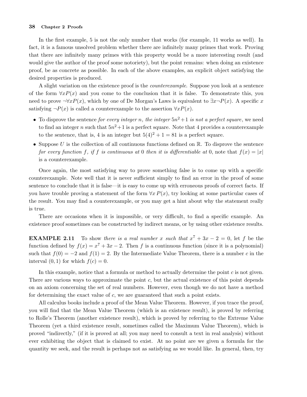In the first example, 5 is not the only number that works (for example, 11 works as well). In fact, it is a famous unsolved problem whether there are infinitely many primes that work. Proving that there are infinitely many primes with this property would be a more interesting result (and would give the author of the proof some notoriety), but the point remains: when doing an existence proof, be as concrete as possible. In each of the above examples, an explicit object satisfying the desired properties is produced.

A slight variation on the existence proof is the *counterexample*. Suppose you look at a sentence of the form  $\forall x P(x)$  and you come to the conclusion that it is false. To demonstrate this, you need to prove  $\neg \forall x P(x)$ , which by one of De Morgan's Laws is equivalent to  $\exists x \neg P(x)$ . A specific *x* satisfying  $\neg P(x)$  is called a counterexample to the assertion  $\forall x P(x)$ .

- To disprove the sentence *for every integer n*, the integer  $5n^2 + 1$  *is not a perfect square*, we need to find an integer *n* such that  $5n^2+1$  is a perfect square. Note that 4 provides a counterexample to the sentence, that is, 4 is an integer but  $5(4)^2 + 1 = 81$  is a perfect square.
- Suppose *U* is the collection of all continuous functions defined on R. To disprove the sentence *for every function f*, *if f is continuous at* 0 *then it is differentiable at* 0, note that  $f(x) = |x|$ is a counterexample.

Once again, the most satisfying way to prove something false is to come up with a specific counterexample. Note well that it is never sufficient simply to find an error in the proof of some sentence to conclude that it is false—it is easy to come up with erroneous proofs of correct facts. If you have trouble proving a statement of the form *∀x P*(*x*), try looking at some particular cases of the result. You may find a counterexample, or you may get a hint about why the statement really is true.

There are occasions when it is impossible, or very difficult, to find a specific example. An existence proof sometimes can be constructed by indirect means, or by using other existence results.

**EXAMPLE 2.11** To show *there is a real number x such that*  $x^7 + 3x - 2 = 0$ , let *f* be the function defined by  $f(x) = x^7 + 3x - 2$ . Then f is a continuous function (since it is a polynomial) such that  $f(0) = -2$  and  $f(1) = 2$ . By the Intermediate Value Theorem, there is a number *c* in the interval  $(0, 1)$  for which  $f(c) = 0$ .

In this example, notice that a formula or method to actually determine the point *c* is not given. There are various ways to approximate the point *c*, but the actual existence of this point depends on an axiom concerning the set of real numbers. However, even though we do not have a method for determining the exact value of *c*, we are guaranteed that such a point exists.

All calculus books include a proof of the Mean Value Theorem. However, if you trace the proof, you will find that the Mean Value Theorem (which is an existence result), is proved by referring to Rolle's Theorem (another existence result), which is proved by referring to the Extreme Value Theorem (yet a third existence result, sometimes called the Maximum Value Theorem), which is proved "indirectly," (if it is proved at all; you may need to consult a text in real analysis) without ever exhibiting the object that is claimed to exist. At no point are we given a formula for the quantity we seek, and the result is perhaps not as satisfying as we would like. In general, then, try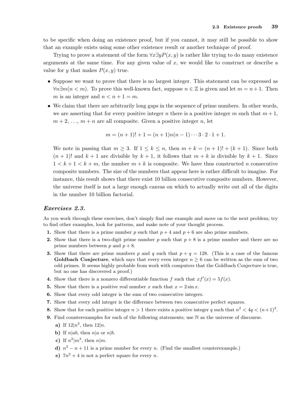to be specific when doing an existence proof, but if you cannot, it may still be possible to show that an example exists using some other existence result or another technique of proof.

Trying to prove a statement of the form  $\forall x \exists y P(x, y)$  is rather like trying to do many existence arguments at the same time. For any given value of *x*, we would like to construct or describe a value for *y* that makes  $P(x, y)$  true.

- Suppose we want to prove that there is no largest integer. This statement can be expressed as *∀n*<sup>∃</sup>*m*(*n* < *m*). To prove this well-known fact, suppose  $n \in \mathbb{Z}$  is given and let  $m = n + 1$ . Then *m* is an integer and  $n < n+1 = m$ .
- We claim that there are arbitrarily long gaps in the sequence of prime numbers. In other words, we are asserting that for every positive integer *n* there is a positive integer *m* such that  $m + 1$ ,  $m+2, \ldots, m+n$  are all composite. Given a positive integer *n*, let

$$
m = (n + 1)! + 1 = (n + 1)n(n - 1)\cdots 3 \cdot 2 \cdot 1 + 1.
$$

We note in passing that  $m \geq 3$ . If  $1 \leq k \leq n$ , then  $m + k = (n + 1)! + (k + 1)$ . Since both  $(n + 1)!$  and  $k + 1$  are divisible by  $k + 1$ , it follows that  $m + k$  is divisible by  $k + 1$ . Since  $1 < k+1 < k+m$ , the number  $m+k$  is composite. We have thus constructed *n* consecutive composite numbers. The size of the numbers that appear here is rather difficult to imagine. For instance, this result shows that there exist 10 billion consecutive composite numbers. However, the universe itself is not a large enough canvas on which to actually write out all of the digits in the number 10 billion factorial.

#### *Exercises 2.3.*

As you work through these exercises, don't simply find one example and move on to the next problem; try to find other examples, look for patterns, and make note of your thought process.

- **1.** Show that there is a prime number p such that  $p + 4$  and  $p + 6$  are also prime numbers.
- **2.** Show that there is a two-digit prime number  $p$  such that  $p + 8$  is a prime number and there are no prime numbers between  $p$  and  $p + 8$ .
- **3.** Show that there are prime numbers p and q such that  $p + q = 128$ . (This is a case of the famous **Goldbach Conjecture**, which says that every even integer  $n \geq 6$  can be written as the sum of two odd primes. It seems highly probable from work with computers that the Goldbach Conjecture is true, but no one has discovered a proof.)
- **4.** Show that there is a nonzero differentiable function f such that  $xf'(x) = 5f(x)$ .
- **5.** Show that there is a positive real number *x* such that  $x = 2 \sin x$ .
- **6.** Show that every odd integer is the sum of two consecutive integers.
- **7.** Show that every odd integer is the difference between two consecutive perfect squares.
- **8.** Show that for each positive integer  $n > 1$  there exists a positive integer q such that  $n^2 < 4q < (n+1)^2$ .
- **9.** Find counterexamples for each of the following statements; use N as the universe of discourse.
	- **a**) If  $12|n^2$ , then  $12|n$ .
	- **b)** If  $n|ab$ , then  $n|a$  or  $n|b$ .
	- c) If  $n^2 | m^3$ , then  $n | m$ .
	- **d**)  $n^2 n + 11$  is a prime number for every *n*. (Find the smallest counterexample.)
	- **e**)  $7n^2 + 4$  is not a perfect square for every *n*.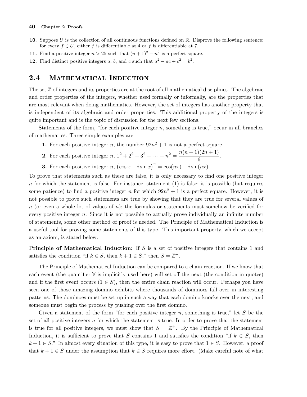- <span id="page-43-0"></span>**10.** Suppose *U* is the collection of all continuous functions defined on R. Disprove the following sentence: for every  $f \in U$ , either f is differentiable at 4 or f is differentiable at 7.
- **11.** Find a positive integer  $n > 25$  such that  $(n+1)^2 n^2$  is a perfect square.
- **12.** Find distinct positive integers *a*, *b*, and *c* such that  $a^2 ac + c^2 = b^2$ .

# 2.4 MATHEMATICAL INDUCTION

The set  $\mathbb Z$  of integers and its properties are at the root of all mathematical disciplines. The algebraic and order properties of the integers, whether used formally or informally, are the properties that are most relevant when doing mathematics. However, the set of integers has another property that is independent of its algebraic and order properties. This additional property of the integers is quite important and is the topic of discussion for the next few sections.

Statements of the form, "for each positive integer *n*, something is true," occur in all branches of mathematics. Three simple examples are

- **1.** For each positive integer *n*, the number  $92n^2 + 1$  is not a perfect square.
- **2.** For each positive integer *n*,  $1^2 + 2^2 + 3^2 + \cdots + n^2 = \frac{n(n+1)(2n+1)}{n}$  $\frac{5(2n+1)}{6}$ .
- **3.** For each positive integer *n*,  $(\cos x + i \sin x)^n = \cos(nx) + i \sin(nx)$ .

To prove that statements such as these are false, it is only necessary to find one positive integer  $n$  for which the statement is false. For instance, statement  $(1)$  is false; it is possible (but requires some patience) to find a positive integer *n* for which  $92n^2 + 1$  is a perfect square. However, it is not possible to prove such statements are true by showing that they are true for several values of *n* (or even a whole lot of values of *n*); the formulas or statements must somehow be verified for every positive integer *n*. Since it is not possible to actually prove individually an infinite number of statements, some other method of proof is needed. The Principle of Mathematical Induction is a useful tool for proving some statements of this type. This important property, which we accept as an axiom, is stated below.

**Principle of Mathematical Induction:** If *S* is a set of positive integers that contains 1 and satisfies the condition "if  $k \in S$ , then  $k + 1 \in S$ ," then  $S = \mathbb{Z}^+$ .

The Principle of Mathematical Induction can be compared to a chain reaction. If we know that each event (the quantifier *∀* is implicitly used here) will set off the next (the condition in quotes) and if the first event occurs  $(1 \in S)$ , then the entire chain reaction will occur. Perhaps you have seen one of those amazing domino exhibits where thousands of dominoes fall over in interesting patterns. The dominoes must be set up in such a way that each domino knocks over the next, and someone must begin the process by pushing over the first domino.

Given a statement of the form "for each positive integer *n*, something is true," let *S* be the set of all positive integers *n* for which the statement is true. In order to prove that the statement is true for all positive integers, we must show that  $S = \mathbb{Z}^+$ . By the Principle of Mathematical Induction, it is sufficient to prove that *S* contains 1 and satisfies the condition "if  $k \in S$ , then  $k+1 \in S$ ." In almost every situation of this type, it is easy to prove that  $1 \in S$ . However, a proof that  $k + 1 \in S$  under the assumption that  $k \in S$  requires more effort. (Make careful note of what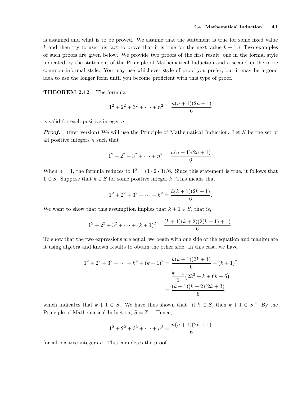is assumed and what is to be proved. We assume that the statement is true for some fixed value *k* and then try to use this fact to prove that it is true for the next value  $k + 1$ .) Two examples of such proofs are given below. We provide two proofs of the first result; one in the formal style indicated by the statement of the Principle of Mathematical Induction and a second in the more common informal style. You may use whichever style of proof you prefer, but it may be a good idea to use the longer form until you become proficient with this type of proof.

#### **THEOREM 2.12** The formula

$$
1^2 + 2^2 + 3^2 + \dots + n^2 = \frac{n(n+1)(2n+1)}{6}
$$

is valid for each positive integer *n*.

*Proof.* (first version) We will use the Principle of Mathematical Induction. Let *S* be the set of all positive integers *n* such that

$$
1^{2} + 2^{2} + 3^{2} + \dots + n^{2} = \frac{n(n+1)(2n+1)}{6}.
$$

When  $n = 1$ , the formula reduces to  $1^2 = (1 \cdot 2 \cdot 3)/6$ . Since this statement is true, it follows that 1  $∈$  *S*. Suppose that  $k ∈ S$  for some positive integer  $k$ . This means that

$$
1^{2} + 2^{2} + 3^{2} + \dots + k^{2} = \frac{k(k+1)(2k+1)}{6}.
$$

We want to show that this assumption implies that  $k + 1 \in S$ , that is,

$$
12 + 22 + 32 + \dots + (k + 1)2 = \frac{(k + 1)(k + 2)(2(k + 1) + 1)}{6}.
$$

To show that the two expressions are equal, we begin with one side of the equation and manipulate it using algebra and known results to obtain the other side. In this case, we have

$$
12 + 22 + 32 + \dots + k2 + (k + 1)2 = \frac{k(k + 1)(2k + 1)}{6} + (k + 1)2
$$
  
=  $\frac{k + 1}{6}(2k2 + k + 6k + 6)$   
=  $\frac{(k + 1)(k + 2)(2k + 3)}{6}$ ,

which indicates that  $k + 1 \in S$ . We have thus shown that "if  $k \in S$ , then  $k + 1 \in S$ ." By the Principle of Mathematical Induction,  $S = \mathbb{Z}^+$ . Hence,

$$
1^2 + 2^2 + 3^2 + \dots + n^2 = \frac{n(n+1)(2n+1)}{6}
$$

for all positive integers *n*. This completes the proof.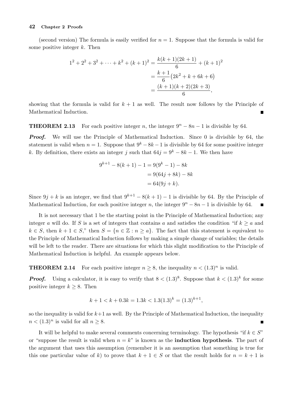<span id="page-45-0"></span>(second version) The formula is easily verified for  $n = 1$ . Suppose that the formula is valid for some positive integer *k*. Then

$$
1^2 + 2^2 + 3^2 + \dots + k^2 + (k+1)^2 = \frac{k(k+1)(2k+1)}{6} + (k+1)^2
$$
  
=  $\frac{k+1}{6}(2k^2 + k + 6k + 6)$   
=  $\frac{(k+1)(k+2)(2k+3)}{6}$ ,

showing that the formula is valid for  $k + 1$  as well. The result now follows by the Principle of Mathematical Induction.

**THEOREM 2.13** For each positive integer *n*, the integer  $9^n - 8n - 1$  is divisible by 64.

*Proof.* We will use the Principle of Mathematical Induction. Since 0 is divisible by 64, the statement is valid when  $n = 1$ . Suppose that  $9^k - 8k - 1$  is divisible by 64 for some positive integer *k*. By definition, there exists an integer *j* such that  $64j = 9k - 8k - 1$ . We then have

$$
9^{k+1} - 8(k+1) - 1 = 9(9^k - 1) - 8k
$$
  
= 9(64j + 8k) - 8k  
= 64(9j + k).

Since  $9j + k$  is an integer, we find that  $9^{k+1} - 8(k+1) - 1$  is divisible by 64. By the Principle of Mathematical Induction, for each positive integer  $n$ , the integer  $9^n - 8n - 1$  is divisible by 64.  $\blacksquare$ 

It is not necessary that 1 be the starting point in the Principle of Mathematical Induction; any integer *a* will do. If *S* is a set of integers that contains *a* and satisfies the condition "if  $k \ge a$  and  $k \in S$ , then  $k + 1 \in S$ ," then  $S = \{n \in \mathbb{Z} : n \ge a\}$ . The fact that this statement is equivalent to the Principle of Mathematical Induction follows by making a simple change of variables; the details will be left to the reader. There are situations for which this slight modification to the Principle of Mathematical Induction is helpful. An example appears below.

**THEOREM 2.14** For each positive integer  $n \geq 8$ , the inequality  $n < (1.3)^n$  is valid.

*Proof.* Using a calculator, it is easy to verify that  $8 < (1.3)^8$ . Suppose that  $k < (1.3)^k$  for some positive integer  $k \geq 8$ . Then

$$
k + 1 < k + 0.3k = 1.3k < 1.3(1.3)^k = (1.3)^{k+1},
$$

so the inequality is valid for  $k+1$  as well. By the Principle of Mathematical Induction, the inequality  $n < (1.3)^n$  is valid for all  $n \geq 8$ .

It will be helpful to make several comments concerning terminology. The hypothesis "if  $k \in S$ " or "suppose the result is valid when  $n = k$ " is known as the **induction hypothesis**. The part of the argument that uses this assumption (remember it is an assumption that something is true for this one particular value of *k*) to prove that  $k + 1 \in S$  or that the result holds for  $n = k + 1$  is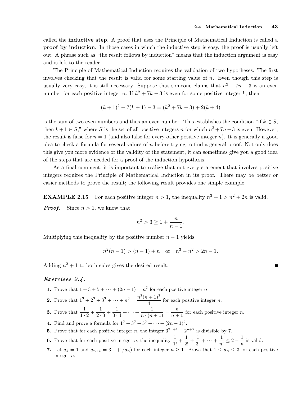called the **inductive step**. A proof that uses the Principle of Mathematical Induction is called a **proof by induction**. In those cases in which the inductive step is easy, the proof is usually left out. A phrase such as "the result follows by induction" means that the induction argument is easy and is left to the reader.

The Principle of Mathematical Induction requires the validation of two hypotheses. The first involves checking that the result is valid for some starting value of *n*. Even though this step is usually very easy, it is still necessary. Suppose that someone claims that  $n^2 + 7n - 3$  is an even number for each positive integer *n*. If  $k^2 + 7k - 3$  is even for some positive integer *k*, then

$$
(k+1)^2 + 7(k+1) - 3 = (k^2 + 7k - 3) + 2(k+4)
$$

is the sum of two even numbers and thus an even number. This establishes the condition "if  $k \in S$ , then  $k+1 \in S$ ," where *S* is the set of all positive integers *n* for which  $n^2 + 7n - 3$  is even. However, the result is false for  $n = 1$  (and also false for every other positive integer *n*). It is generally a good idea to check a formula for several values of *n* before trying to find a general proof. Not only does this give you more evidence of the validity of the statement, it can sometimes give you a good idea of the steps that are needed for a proof of the induction hypothesis.

As a final comment, it is important to realize that not every statement that involves positive integers requires the Principle of Mathematical Induction in its proof. There may be better or easier methods to prove the result; the following result provides one simple example.

**EXAMPLE 2.15** For each positive integer  $n > 1$ , the inequality  $n^3 + 1 > n^2 + 2n$  is valid.

*Proof.* Since  $n > 1$ , we know that

$$
n^2 > 3 \ge 1 + \frac{n}{n-1}.
$$

Multiplying this inequality by the positive number  $n-1$  yields

 $n^2(n-1) > (n-1) + n$  or  $n^3 - n^2 > 2n - 1$ .

Adding  $n^2 + 1$  to both sides gives the desired result.

### *Exercises 2.4.*

- **1.** Prove that  $1 + 3 + 5 + \cdots + (2n 1) = n^2$  for each positive integer *n*.
- **2.** Prove that  $1^3 + 2^3 + 3^3 + \cdots + n^3 = \frac{n^2(n+1)^2}{4}$  $\frac{1}{4}$  for each positive integer *n*.
- **3.** Prove that  $\frac{1}{1 \cdot 2} + \frac{1}{2}$ .  $\frac{1}{2 \cdot 3} + \frac{1}{3}$  $\frac{1}{3 \cdot 4} + \dots + \frac{1}{n \cdot (n+1)} = \frac{n}{n+1}$  $\frac{n}{n+1}$  for each positive integer *n*.
- **4.** Find and prove a formula for  $1^3 + 3^3 + 5^3 + \cdots + (2n 1)^3$ .
- **5.** Prove that for each positive integer *n*, the integer  $3^{2n+1} + 2^{n+2}$  is divisible by 7.
- **6.** Prove that for each positive integer *n*, the inequality  $\frac{1}{1!} + \frac{1}{2!} + \frac{1}{3!} + \cdots + \frac{1}{n}$  $\frac{1}{n!} \leq 2 - \frac{1}{n}$  $\frac{1}{n}$  is valid.
- **7.** Let  $a_1 = 1$  and  $a_{n+1} = 3 (1/a_n)$  for each integer  $n \geq 1$ . Prove that  $1 \leq a_n \leq 3$  for each positive integer *n*.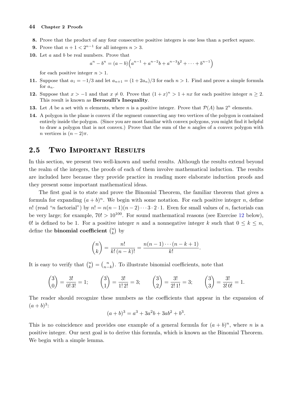- <span id="page-47-0"></span>**8.** Prove that the product of any four consecutive positive integers is one less than a perfect square.
- **9.** Prove that  $n + 1 < 2^{n-1}$  for all integers  $n > 3$ .
- **10.** Let *a* and *b* be real numbers. Prove that

$$
a^{n} - b^{n} = (a - b) \left( a^{n-1} + a^{n-2}b + a^{n-3}b^{2} + \dots + b^{n-1} \right)
$$

for each positive integer  $n > 1$ .

- **11.** Suppose that  $a_1 = -1/3$  and let  $a_{n+1} = (1 + 2a_n)/3$  for each  $n > 1$ . Find and prove a simple formula for  $a_n$ .
- **12.** Suppose that  $x > -1$  and that  $x \neq 0$ . Prove that  $(1 + x)^n > 1 + nx$  for each positive integer  $n \geq 2$ . This result is known as **Bernoulli's Inequality**.
- **13.** Let *A* be a set with *n* elements, where *n* is a positive integer. Prove that  $P(A)$  has  $2^n$  elements.
- **14.** A polygon in the plane is convex if the segment connecting any two vertices of the polygon is contained entirely inside the polygon. (Since you are most familiar with convex polygons, you might find it helpful to draw a polygon that is not convex.) Prove that the sum of the *n* angles of a convex polygon with *n* vertices is  $(n-2)\pi$ .

# 2.5 Two Important Results

In this section, we present two well-known and useful results. Although the results extend beyond the realm of the integers, the proofs of each of them involve mathematical induction. The results are included here because they provide practice in reading more elaborate induction proofs and they present some important mathematical ideas.

The first goal is to state and prove the Binomial Theorem, the familiar theorem that gives a formula for expanding  $(a + b)^n$ . We begin with some notation. For each positive integer *n*, define *n*! (read "*n* factorial") by  $n! = n(n-1)(n-2)\cdots 3\cdot 2\cdot 1$ . Even for small values of *n*, factorials can be very large; for example,  $70! > 10^{100}$ . For sound mathematical reasons (see Exercise [12](#page-52-0) below), 0! is defined to be 1. For a positive integer *n* and a nonnegative integer *k* such that  $0 \le k \le n$ , define the **binomial coefficient**  $\binom{n}{k}$  $\binom{n}{k}$  by

$$
\binom{n}{k} = \frac{n!}{k!(n-k)!} = \frac{n(n-1)\cdots(n-k+1)}{k!}.
$$

It is easy to verify that  $\binom{n}{k}$  $\binom{n}{k} = \binom{n}{n-1}$  $\binom{n}{n-k}$ . To illustrate binomial coefficients, note that

$$
\binom{3}{0} = \frac{3!}{0! \, 3!} = 1; \qquad \binom{3}{1} = \frac{3!}{1! \, 2!} = 3; \qquad \binom{3}{2} = \frac{3!}{2! \, 1!} = 3; \qquad \binom{3}{3} = \frac{3!}{3! \, 0!} = 1.
$$

The reader should recognize these numbers as the coefficients that appear in the expansion of  $(a + b)^3$ :

$$
(a+b)^3 = a^3 + 3a^2b + 3ab^2 + b^3.
$$

This is no coincidence and provides one example of a general formula for  $(a + b)^n$ , where *n* is a positive integer. Our next goal is to derive this formula, which is known as the Binomial Theorem. We begin with a simple lemma.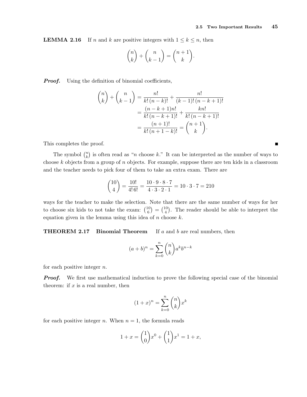<span id="page-48-0"></span>**LEMMA 2.16** If *n* and *k* are positive integers with  $1 \leq k \leq n$ , then

$$
\binom{n}{k} + \binom{n}{k-1} = \binom{n+1}{k}.
$$

*Proof.* Using the definition of binomial coefficients,

$$
\binom{n}{k} + \binom{n}{k-1} = \frac{n!}{k! (n-k)!} + \frac{n!}{(k-1)! (n-k+1)!}
$$

$$
= \frac{(n-k+1)n!}{k! (n-k+1)!} + \frac{k n!}{k! (n-k+1)!}
$$

$$
= \frac{(n+1)!}{k! (n+1-k)!} = \binom{n+1}{k}.
$$

This completes the proof.

The symbol  $\binom{n}{k}$  $\binom{n}{k}$  is often read as "*n* choose *k*." It can be interpreted as the number of ways to choose *k* objects from a group of *n* objects. For example, suppose there are ten kids in a classroom and the teacher needs to pick four of them to take an extra exam. There are

$$
\binom{10}{4} = \frac{10!}{4! \cdot 6!} = \frac{10 \cdot 9 \cdot 8 \cdot 7}{4 \cdot 3 \cdot 2 \cdot 1} = 10 \cdot 3 \cdot 7 = 210
$$

ways for the teacher to make the selection. Note that there are the same number of ways for her to choose six kids to not take the exam:  $\binom{10}{6}$  $\binom{10}{6} = \binom{10}{4}$  $\binom{10}{4}$ . The reader should be able to interpret the equation given in the lemma using this idea of *n* choose *k*.

**THEOREM 2.17 Binomial Theorem** If *a* and *b* are real numbers, then

$$
(a+b)^n = \sum_{k=0}^n \binom{n}{k} a^k b^{n-k}
$$

for each positive integer *n*.

*Proof.* We first use mathematical induction to prove the following special case of the binomial theorem: if *x* is a real number, then

$$
(1+x)^n = \sum_{k=0}^n \binom{n}{k} x^k
$$

for each positive integer *n*. When  $n = 1$ , the formula reads

$$
1 + x = \binom{1}{0}x^0 + \binom{1}{1}x^1 = 1 + x,
$$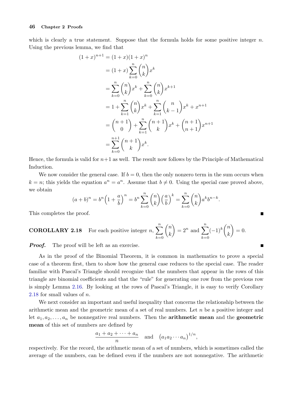<span id="page-49-0"></span>which is clearly a true statement. Suppose that the formula holds for some positive integer *n*. Using the previous lemma, we find that

$$
(1+x)^{n+1} = (1+x)(1+x)^n
$$
  
\n
$$
= (1+x)\sum_{k=0}^{n} {n \choose k} x^k
$$
  
\n
$$
= \sum_{k=0}^{n} {n \choose k} x^k + \sum_{k=0}^{n} {n \choose k} x^{k+1}
$$
  
\n
$$
= 1 + \sum_{k=1}^{n} {n \choose k} x^k + \sum_{k=1}^{n} {n \choose k-1} x^k + x^{n+1}
$$
  
\n
$$
= {n+1 \choose 0} + \sum_{k=1}^{n} {n+1 \choose k} x^k + {n+1 \choose n+1} x^{n+1}
$$
  
\n
$$
= \sum_{k=0}^{n+1} {n+1 \choose k} x^k.
$$

Hence, the formula is valid for  $n+1$  as well. The result now follows by the Principle of Mathematical Induction.

We now consider the general case. If  $b = 0$ , then the only nonzero term in the sum occurs when  $k = n$ ; this yields the equation  $a^n = a^n$ . Assume that  $b \neq 0$ . Using the special case proved above, we obtain

$$
(a+b)^n = b^n \left(1 + \frac{a}{b}\right)^n = b^n \sum_{k=0}^n \binom{n}{k} \left(\frac{a}{b}\right)^k = \sum_{k=0}^n \binom{n}{k} a^k b^{n-k}.
$$

This completes the proof.

**COROLLARY 2.18** For each positive integer *n*, 
$$
\sum_{k=0}^{n} {n \choose k} = 2^{n} \text{ and } \sum_{k=0}^{n} (-1)^{k} {n \choose k} = 0.
$$

*Proof.* The proof will be left as an exercise.

As in the proof of the Binomial Theorem, it is common in mathematics to prove a special case of a theorem first, then to show how the general case reduces to the special case. The reader familiar with Pascal's Triangle should recognize that the numbers that appear in the rows of this triangle are binomial coefficients and that the "rule" for generating one row from the previous row is simply Lemma [2.16](#page-48-0). By looking at the rows of Pascal's Triangle, it is easy to verify Corollary 2.18 for small values of *n*.

We next consider an important and useful inequality that concerns the relationship between the arithmetic mean and the geometric mean of a set of real numbers. Let *n* be a positive integer and let  $a_1, a_2, \ldots, a_n$  be nonnegative real numbers. Then the **arithmetic mean** and the **geometric mean** of this set of numbers are defined by

$$
\frac{a_1 + a_2 + \dots + a_n}{n} \quad \text{and} \quad \left(a_1 a_2 \cdots a_n\right)^{1/n},
$$

respectively. For the record, the arithmetic mean of a set of numbers, which is sometimes called the average of the numbers, can be defined even if the numbers are not nonnegative. The arithmetic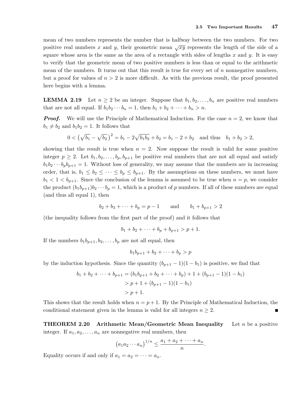mean of two numbers represents the number that is halfway between the two numbers. For two positive real numbers *x* and *y*, their geometric mean  $\sqrt{xy}$  represents the length of the side of a square whose area is the same as the area of a rectangle with sides of lengths *x* and *y*. It is easy to verify that the geometric mean of two positive numbers is less than or equal to the arithmetic mean of the numbers. It turns out that this result is true for every set of *n* nonnegative numbers, but a proof for values of  $n > 2$  is more difficult. As with the previous result, the proof presented here begins with a lemma.

**LEMMA 2.19** Let  $n \geq 2$  be an integer. Suppose that  $b_1, b_2, \ldots, b_n$  are positive real numbers that are not all equal. If  $b_1b_2 \cdots b_n = 1$ , then  $b_1 + b_2 + \cdots + b_n > n$ .

*Proof.* We will use the Principle of Mathematical Induction. For the case  $n = 2$ , we know that  $b_1 \neq b_2$  and  $b_1b_2 = 1$ . It follows that

$$
0 < \left(\sqrt{b_1} - \sqrt{b_2}\right)^2 = b_1 - 2\sqrt{b_1b_2} + b_2 = b_1 - 2 + b_2 \quad \text{and thus} \quad b_1 + b_2 > 2,
$$

showing that the result is true when  $n = 2$ . Now suppose the result is valid for some positive integer  $p \geq 2$ . Let  $b_1, b_2, \ldots, b_p, b_{p+1}$  be positive real numbers that are not all equal and satisfy  $b_1b_2 \cdots b_pb_{p+1} = 1$ . Without loss of generality, we may assume that the numbers are in increasing order, that is,  $b_1 \leq b_2 \leq \cdots \leq b_p \leq b_{p+1}$ . By the assumptions on these numbers, we must have  $b_1 < 1 < b_{p+1}$ . Since the conclusion of the lemma is assumed to be true when  $n = p$ , we consider the product  $(b_1b_{p+1})b_2\cdots b_p=1$ , which is a product of *p* numbers. If all of these numbers are equal (and thus all equal 1), then

$$
b_2 + b_3 + \dots + b_p = p - 1
$$
 and  $b_1 + b_{p+1} > 2$ 

(the inequality follows from the first part of the proof) and it follows that

$$
b_1 + b_2 + \cdots + b_p + b_{p+1} > p+1.
$$

If the numbers  $b_1b_{p+1}, b_2, \ldots, b_p$  are not all equal, then

$$
b_1b_{p+1} + b_2 + \cdots + b_p > p
$$

by the induction hypothesis. Since the quantity  $(b_{p+1} - 1)(1 - b_1)$  is positive, we find that

$$
b_1 + b_2 + \dots + b_{p+1} = (b_1b_{p+1} + b_2 + \dots + b_p) + 1 + (b_{p+1} - 1)(1 - b_1)
$$
  
> p + 1 + (b\_{p+1} - 1)(1 - b\_1)  
> p + 1.

This shows that the result holds when  $n = p + 1$ . By the Principle of Mathematical Induction, the conditional statement given in the lemma is valid for all integers  $n \geq 2$ .

**THEOREM 2.20 Arithmetic Mean/Geometric Mean Inequality** Let *n* be a positive integer. If  $a_1, a_2, \ldots, a_n$  are nonnegative real numbers, then

$$
(a_1a_2\cdots a_n)^{1/n} \le \frac{a_1+a_2+\cdots+a_n}{n}.
$$

Equality occurs if and only if  $a_1 = a_2 = \cdots = a_n$ .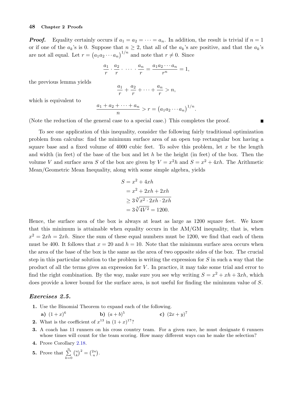*Proof.* Equality certainly occurs if  $a_1 = a_2 = \cdots = a_n$ . In addition, the result is trivial if  $n = 1$ or if one of the  $a_k$ 's is 0. Suppose that  $n \geq 2$ , that all of the  $a_k$ 's are positive, and that the  $a_k$ 's are not all equal. Let  $r = (a_1 a_2 \cdots a_n)^{1/n}$  and note that  $r \neq 0$ . Since

$$
\frac{a_1}{r} \cdot \frac{a_2}{r} \cdot \cdots \cdot \frac{a_n}{r} = \frac{a_1 a_2 \cdots a_n}{r^n} = 1,
$$

the previous lemma yields

$$
\frac{a_1}{r} + \frac{a_2}{r} + \dots + \frac{a_n}{r} > n,
$$

which is equivalent to

$$
\frac{a_1 + a_2 + \dots + a_n}{n} > r = (a_1 a_2 \cdots a_n)^{1/n}.
$$

(Note the reduction of the general case to a special case.) This completes the proof.

To see one application of this inequality, consider the following fairly traditional optimization problem from calculus: find the minimum surface area of an open top rectangular box having a square base and a fixed volume of 4000 cubic feet. To solve this problem, let *x* be the length and width (in feet) of the base of the box and let *h* be the height (in feet) of the box. Then the volume *V* and surface area *S* of the box are given by  $V = x^2h$  and  $S = x^2 + 4xh$ . The Arithmetic Mean/Geometric Mean Inequality, along with some simple algebra, yields

$$
S = x2 + 4xh
$$
  
= x<sup>2</sup> + 2xh + 2xh  

$$
\ge 3\sqrt[3]{x^{2} \cdot 2xh} \cdot 2xh
$$
  
= 3\sqrt[3]{4V^{2}} = 1200.

Hence, the surface area of the box is always at least as large as 1200 square feet. We know that this minimum is attainable when equality occurs in the AM/GM inequality, that is, when  $x^2 = 2xh = 2xh$ . Since the sum of these equal numbers must be 1200, we find that each of them must be 400. It follows that  $x = 20$  and  $h = 10$ . Note that the minimum surface area occurs when the area of the base of the box is the same as the area of two opposite sides of the box. The crucial step in this particular solution to the problem is writing the expression for *S* in such a way that the product of all the terms gives an expression for *V*. In practice, it may take some trial and error to find the right combination. By the way, make sure you see why writing  $S = x^2 + xh + 3xh$ , which does provide a lower bound for the surface area, is not useful for finding the minimum value of *S*.

#### *Exercises 2.5.*

**1.** Use the Binomial Theorem to expand each of the following. **a**)  $(1+x)^6$ 6 **b)**  $(a+b)^5$ **c**)  $(2x + y)^7$ 

- **2.** What is the coefficient of  $x^{13}$  in  $(1+x)^{17}$ ?
- **3.** A coach has 11 runners on his cross country team. For a given race, he must designate 6 runners whose times will count for the team scoring. How many different ways can he make the selection?
- **4.** Prove Corollary [2.18](#page-49-0).
- **5.** Prove that  $\sum_{k=0}^{n}$  ${n \choose k}^2 = {2n \choose n}.$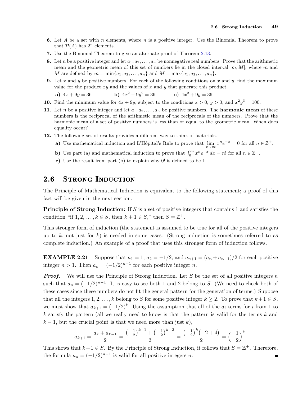- <span id="page-52-0"></span>**6.** Let *A* be a set with *n* elements, where *n* is a positive integer. Use the Binomial Theorem to prove that  $P(A)$  has  $2^n$  elements.
- **7.** Use the Binomial Theorem to give an alternate proof of Theorem [2.13.](#page-45-0)
- **8.** Let *n* be a positive integer and let  $a_1, a_2, \ldots, a_n$  be nonnegative real numbers. Prove that the arithmetic mean and the geometric mean of this set of numbers lie in the closed interval [*m, M*], where *m* and *M* are defined by  $m = \min\{a_1, a_2, \ldots, a_n\}$  and  $M = \max\{a_1, a_2, \ldots, a_n\}$ .
- **9.** Let *x* and *y* be positive numbers. For each of the following conditions on *x* and *y*, find the maximum value for the product *xy* and the values of *x* and *y* that generate this product.
	- **a**)  $4x + 9y = 36$ **b**)  $4x^2 + 9y^2 = 36$  $x^2 = 36$  **c**)  $4x^2 + 9y = 36$
- **10.** Find the minimum value for  $4x + 9y$ , subject to the conditions  $x > 0$ ,  $y > 0$ , and  $x^2y^3 = 100$ .
- **11.** Let *n* be a positive integer and let  $a_1, a_2, \ldots, a_n$  be positive numbers. The **harmonic mean** of these numbers is the reciprocal of the arithmetic mean of the reciprocals of the numbers. Prove that the harmonic mean of a set of positive numbers is less than or equal to the geometric mean. When does equality occur?
- **12.** The following set of results provides a different way to think of factorials.
	- **a**) Use mathematical induction and L'Hôpital's Rule to prove that  $\lim_{x \to \infty} x^n e^{-x} = 0$  for all  $n \in \mathbb{Z}^+$ .
	- **b)** Use part (a) and mathematical induction to prove that  $\int_0^\infty x^n e^{-x} dx = n!$  for all  $n \in \mathbb{Z}^+$ .
	- **c)** Use the result from part (b) to explain why 0! is defined to be 1.

# 2.6 STRONG INDUCTION

The Principle of Mathematical Induction is equivalent to the following statement; a proof of this fact will be given in the next section.

**Principle of Strong Induction:** If *S* is a set of positive integers that contains 1 and satisfies the condition "if  $1, 2, \ldots, k \in S$ , then  $k + 1 \in S$ ," then  $S = \mathbb{Z}^+$ .

This stronger form of induction (the statement is assumed to be true for all of the positive integers up to  $k$ , not just for  $k$ ) is needed in some cases. (Strong induction is sometimes referred to as complete induction.) An example of a proof that uses this stronger form of induction follows.

**EXAMPLE 2.21** Suppose that  $a_1 = 1$ ,  $a_2 = -1/2$ , and  $a_{n+1} = (a_n + a_{n-1})/2$  for each positive integer  $n > 1$ . Then  $a_n = (-1/2)^{n-1}$  for each positive integer *n*.

*Proof.* We will use the Principle of Strong Induction. Let *S* be the set of all positive integers *n* such that  $a_n = (-1/2)^{n-1}$ . It is easy to see both 1 and 2 belong to *S*. (We need to check both of these cases since these numbers do not fit the general pattern for the generation of terms.) Suppose that all the integers  $1, 2, \ldots, k$  belong to *S* for some positive integer  $k \geq 2$ . To prove that  $k+1 \in S$ , we must show that  $a_{k+1} = (-1/2)^k$ . Using the assumption that all of the  $a_i$  terms for *i* from 1 to *k* satisfy the pattern (all we really need to know is that the pattern is valid for the terms *k* and  $k-1$ , but the crucial point is that we need more than just  $k$ ),

$$
a_{k+1} = \frac{a_k + a_{k-1}}{2} = \frac{\left(-\frac{1}{2}\right)^{k-1} + \left(-\frac{1}{2}\right)^{k-2}}{2} = \frac{\left(-\frac{1}{2}\right)^k \left(-2+4\right)}{2} = \left(-\frac{1}{2}\right)^k.
$$

This shows that  $k+1 \in S$ . By the Principle of Strong Induction, it follows that  $S = \mathbb{Z}^+$ . Therefore, the formula  $a_n = (-1/2)^{n-1}$  is valid for all positive integers *n*.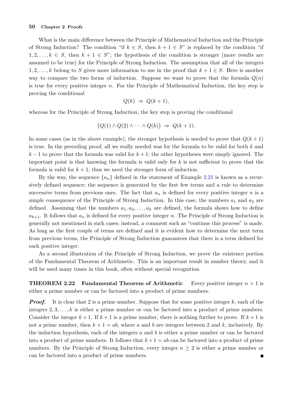What is the main difference between the Principle of Mathematical Induction and the Principle of Strong Induction? The condition "if  $k \in S$ , then  $k+1 \in S$ " is replaced by the condition "if 1,2, ...,  $k \in S$ , then  $k + 1 \in S$ "; the hypothesis of the condition is stronger (more results are assumed to be true) for the Principle of Strong Induction. The assumption that all of the integers 1*,* 2*, . . . , k* belong to *S* gives more information to use in the proof that *k* + 1 *∈ S*. Here is another way to compare the two forms of induction. Suppose we want to prove that the formula  $Q(n)$ is true for every positive integer *n*. For the Principle of Mathematical Induction, the key step is proving the conditional

$$
Q(k) \Rightarrow Q(k+1),
$$

whereas for the Principle of Strong Induction, the key step is proving the conditional

$$
(Q(1) \wedge Q(2) \wedge \cdots \wedge Q(k)) \Rightarrow Q(k+1).
$$

In some cases (as in the above example), the stronger hypothesis is needed to prove that  $Q(k+1)$ is true. In the preceding proof, all we really needed was for the formula to be valid for both *k* and *k* − 1 to prove that the formula was valid for  $k+1$ ; the other hypotheses were simply ignored. The important point is that knowing the formula is valid only for *k* is not sufficient to prove that the formula is valid for  $k + 1$ ; thus we need the stronger form of induction.

By the way, the sequence  ${a_n}$  defined in the statement of Example [2.21](#page-52-0) is known as a recursively defined sequence; the sequence is generated by the first few terms and a rule to determine successive terms from previous ones. The fact that  $a_n$  is defined for every positive integer  $n$  is a simple consequence of the Principle of Strong Induction. In this case, the numbers  $a_1$  and  $a_2$  are defined. Assuming that the numbers  $a_1, a_2, \ldots, a_k$  are defined, the formula shows how to define  $a_{k+1}$ . It follows that  $a_n$  is defined for every positive integer *n*. The Principle of Strong Induction is generally not mentioned in such cases; instead, a comment such as "continue this process" is made. As long as the first couple of terms are defined and it is evident how to determine the next term from previous terms, the Principle of Strong Induction guarantees that there is a term defined for each positive integer.

As a second illustration of the Principle of Strong Induction, we prove the existence portion of the Fundamental Theorem of Arithmetic. This is an important result in number theory, and it will be used many times in this book, often without special recognition.

**THEOREM 2.22 Fundamental Theorem of Arithmetic** Every positive integer *n >* 1 is either a prime number or can be factored into a product of prime numbers.

*Proof.* It is clear that 2 is a prime number. Suppose that for some positive integer k, each of the integers 2*,* 3*, . . . , k* is either a prime number or can be factored into a product of prime numbers. Consider the integer  $k+1$ . If  $k+1$  is a prime number, there is nothing further to prove. If  $k+1$  is not a prime number, then  $k + 1 = ab$ , where a and b are integers between 2 and k, inclusively. By the induction hypothesis, each of the integers *a* and *b* is either a prime number or can be factored into a product of prime numbers. It follows that  $k+1 = ab$  can be factored into a product of prime numbers. By the Principle of Strong Induction, every integer  $n \geq 2$  is either a prime number or can be factored into a product of prime numbers.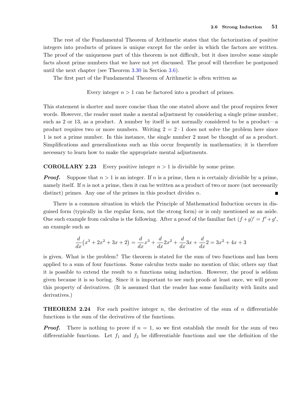<span id="page-54-0"></span>The rest of the Fundamental Theorem of Arithmetic states that the factorization of positive integers into products of primes is unique except for the order in which the factors are written. The proof of the uniqueness part of this theorem is not difficult, but it does involve some simple facts about prime numbers that we have not yet discussed. The proof will therefore be postponed until the next chapter (see Theorem [3.30](#page-84-0) in Section [3.6](#page-84-0)).

The first part of the Fundamental Theorem of Arithmetic is often written as

Every integer  $n > 1$  can be factored into a product of primes.

This statement is shorter and more concise than the one stated above and the proof requires fewer words. However, the reader must make a mental adjustment by considering a single prime number, such as 2 or 13, as a product. A number by itself is not normally considered to be a product—a product requires two or more numbers. Writing  $2 = 2 \cdot 1$  does not solve the problem here since 1 is not a prime number. In this instance, the single number 2 must be thought of as a product. Simplifications and generalizations such as this occur frequently in mathematics; it is therefore necessary to learn how to make the appropriate mental adjustments.

**COROLLARY 2.23** Every positive integer  $n > 1$  is divisible by some prime.

*Proof.* Suppose that  $n > 1$  is an integer. If n is a prime, then n is certainly divisible by a prime, namely itself. If *n* is not a prime, then it can be written as a product of two or more (not necessarily distinct) primes. Any one of the primes in this product divides *n*.

There is a common situation in which the Principle of Mathematical Induction occurs in disguised form (typically in the regular form, not the strong form) or is only mentioned as an aside. One such example from calculus is the following. After a proof of the familiar fact  $(f+g)' = f' + g'$ , an example such as

$$
\frac{d}{dx}(x^3 + 2x^2 + 3x + 2) = \frac{d}{dx}x^3 + \frac{d}{dx}2x^2 + \frac{d}{dx}3x + \frac{d}{dx}2 = 3x^2 + 4x + 3
$$

is given. What is the problem? The theorem is stated for the sum of two functions and has been applied to a sum of four functions. Some calculus texts make no mention of this; others say that it is possible to extend the result to *n* functions using induction. However, the proof is seldom given because it is so boring. Since it is important to see such proofs at least once, we will prove this property of derivatives. (It is assumed that the reader has some familiarity with limits and derivatives.)

**THEOREM 2.24** For each positive integer *n*, the derivative of the sum of *n* differentiable functions is the sum of the derivatives of the functions.

*Proof.* There is nothing to prove if  $n = 1$ , so we first establish the result for the sum of two differentiable functions. Let  $f_1$  and  $f_2$  be differentiable functions and use the definition of the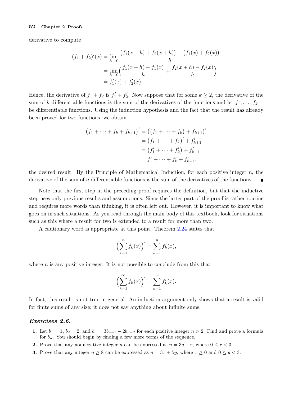derivative to compute

$$
(f_1 + f_2)'(x) = \lim_{h \to 0} \frac{(f_1(x+h) + f_2(x+h)) - (f_1(x) + f_2(x))}{h}
$$
  
= 
$$
\lim_{h \to 0} \left( \frac{f_1(x+h) - f_1(x)}{h} + \frac{f_2(x+h) - f_2(x)}{h} \right)
$$
  
= 
$$
f'_1(x) + f'_2(x).
$$

Hence, the derivative of  $f_1 + f_2$  is  $f'_1 + f'_2$ . Now suppose that for some  $k \geq 2$ , the derivative of the sum of *k* differentiable functions is the sum of the derivatives of the functions and let  $f_1, \ldots, f_{k+1}$ be differentiable functions. Using the induction hypothesis and the fact that the result has already been proved for two functions, we obtain

$$
(f_1 + \dots + f_k + f_{k+1})' = ((f_1 + \dots + f_k) + f_{k+1})'
$$
  
=  $(f_1 + \dots + f_k)' + f'_{k+1}$   
=  $(f'_1 + \dots + f'_k) + f'_{k+1}$   
=  $f'_1 + \dots + f'_k + f'_{k+1}$ ,

the desired result. By the Principle of Mathematical Induction, for each positive integer *n*, the derivative of the sum of *n* differentiable functions is the sum of the derivatives of the functions.

Note that the first step in the preceding proof requires the definition, but that the inductive step uses only previous results and assumptions. Since the latter part of the proof is rather routine and requires more words than thinking, it is often left out. However, it is important to know what goes on in such situations. As you read through the main body of this textbook, look for situations such as this where a result for two is extended to a result for more than two.

A cautionary word is appropriate at this point. Theorem [2.24](#page-54-0) states that

$$
\left(\sum_{k=1}^{n} f_k(x)\right)' = \sum_{k=1}^{n} f'_k(x),
$$

where *n* is any positive integer. It is not possible to conclude from this that

$$
\left(\sum_{k=1}^{\infty} f_k(x)\right)' = \sum_{k=1}^{\infty} f'_k(x).
$$

In fact, this result is not true in general. An induction argument only shows that a result is valid for finite sums of any size; it does not say anything about infinite sums.

#### *Exercises 2.6.*

- 1. Let  $b_1 = 1$ ,  $b_2 = 2$ , and  $b_n = 3b_{n-1} 2b_{n-2}$  for each positive integer  $n > 2$ . Find and prove a formula for  $b_n$ . You should begin by finding a few more terms of the sequence.
- **2.** Prove that any nonnegative integer *n* can be expressed as  $n = 3q + r$ , where  $0 \le r < 3$ .
- **3.** Prove that any integer  $n \geq 8$  can be expressed as  $n = 3x + 5y$ , where  $x \geq 0$  and  $0 \leq y < 3$ .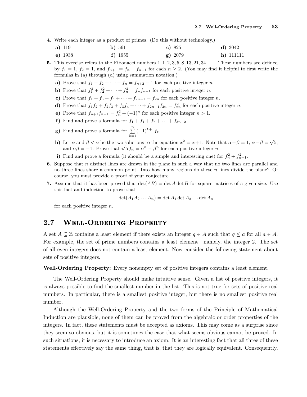<span id="page-56-0"></span>**4.** Write each integer as a product of primes. (Do this without technology.)

| a) 119    | $b)$ 561  | c) $825$  | d) 3042     |
|-----------|-----------|-----------|-------------|
| $e)$ 1938 | $f)$ 1955 | $g)$ 2079 | $h)$ 111111 |

**5.** This exercise refers to the Fibonacci numbers 1*,* 1*,* 2*,* 3*,* 5*,* 8*,* 13*,* 21*,* 34*, . . .*. These numbers are defined by  $f_1 = 1$ ,  $f_2 = 1$ , and  $f_{n+1} = f_n + f_{n-1}$  for each  $n \geq 2$ . (You may find it helpful to first write the formulas in (a) through (d) using summation notation.)

- **a**) Prove that  $f_1 + f_2 + \cdots + f_n = f_{n+2} 1$  for each positive integer *n*.
- **b**) Prove that  $f_1^2 + f_2^2 + \cdots + f_n^2 = f_n f_{n+1}$  for each positive integer *n*.
- **c)** Prove that  $f_1 + f_3 + f_5 + \cdots + f_{2n-1} = f_{2n}$  for each positive integer *n*.
- **d**) Prove that  $f_1 f_2 + f_2 f_3 + f_3 f_4 + \cdots + f_{2n-1} f_{2n} = f_{2n}^2$  for each positive integer *n*.
- **e**) Prove that  $f_{n+1}f_{n-1} = f_n^2 + (-1)^n$  for each positive integer  $n > 1$ .
- **f)** Find and prove a formula for  $f_1 + f_4 + f_7 + \cdots + f_{3n-2}$ .
- **g**) Find and prove a formula for  $\sum_{k=1}^{n} (-1)^{k+1} f_k$ .
- **h)** Let  $\alpha$  and  $\beta < \alpha$  be the two solutions to the equation  $x^2 = x+1$ . Note that  $\alpha + \beta = 1$ ,  $\alpha \beta = \sqrt{5}$ ,  $α$  and *ρ* < *α* be the two solutions to the equation  $x = x + 1$ . Note that  $αβ = −1$ . Prove that  $√5 f_n = α^n − β^n$  for each positive integer *n*.
- **i)** Find and prove a formula (it should be a simple and interesting one) for  $f_n^2 + f_{n+1}^2$ .
- **6.** Suppose that *n* distinct lines are drawn in the plane in such a way that no two lines are parallel and no three lines share a common point. Into how many regions do these *n* lines divide the plane? Of course, you must provide a proof of your conjecture.
- **7.** Assume that it has been proved that  $\det(AB) = \det A \det B$  for square matrices of a given size. Use this fact and induction to prove that

$$
\det(A_1 A_2 \cdots A_n) = \det A_1 \det A_2 \cdots \det A_n
$$

for each positive integer *n*.

# 2.7 Well-Ordering Property

A set  $A \subseteq \mathbb{Z}$  contains a least element if there exists an integer  $q \in A$  such that  $q \leq a$  for all  $a \in A$ . For example, the set of prime numbers contains a least element—namely, the integer 2. The set of all even integers does not contain a least element. Now consider the following statement about sets of positive integers.

**Well-Ordering Property:** Every nonempty set of positive integers contains a least element.

The Well-Ordering Property should make intuitive sense. Given a list of positive integers, it is always possible to find the smallest number in the list. This is not true for sets of positive real numbers. In particular, there is a smallest positive integer, but there is no smallest positive real number.

Although the Well-Ordering Property and the two forms of the Principle of Mathematical Induction are plausible, none of them can be proved from the algebraic or order properties of the integers. In fact, these statements must be accepted as axioms. This may come as a surprise since they seem so obvious, but it is sometimes the case that what seems obvious cannot be proved. In such situations, it is necessary to introduce an axiom. It is an interesting fact that all three of these statements effectively say the same thing, that is, that they are logically equivalent. Consequently,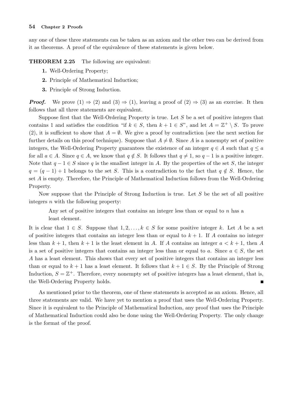<span id="page-57-0"></span>any one of these three statements can be taken as an axiom and the other two can be derived from it as theorems. A proof of the equivalence of these statements is given below.

**THEOREM 2.25** The following are equivalent:

- **1.** Well-Ordering Property;
- **2.** Principle of Mathematical Induction;
- **3.** Principle of Strong Induction.

*Proof.* We prove  $(1) \Rightarrow (2)$  and  $(3) \Rightarrow (1)$ , leaving a proof of  $(2) \Rightarrow (3)$  as an exercise. It then follows that all three statements are equivalent.

Suppose first that the Well-Ordering Property is true. Let *S* be a set of positive integers that contains 1 and satisfies the condition "if  $k \in S$ , then  $k + 1 \in S$ ", and let  $A = \mathbb{Z}^+ \setminus S$ . To prove (2), it is sufficient to show that  $A = \emptyset$ . We give a proof by contradiction (see the next section for further details on this proof technique). Suppose that  $A \neq \emptyset$ . Since A is a nonempty set of positive integers, the Well-Ordering Property guarantees the existence of an integer  $q \in A$  such that  $q \leq a$ for all  $a \in A$ . Since  $q \in A$ , we know that  $q \notin S$ . It follows that  $q \neq 1$ , so  $q-1$  is a positive integer. Note that  $q-1 \in S$  since q is the smallest integer in A. By the properties of the set S, the integer  $q = (q - 1) + 1$  belongs to the set *S*. This is a contradiction to the fact that  $q \notin S$ . Hence, the set *A* is empty. Therefore, the Principle of Mathematical Induction follows from the Well-Ordering Property.

Now suppose that the Principle of Strong Induction is true. Let *S* be the set of all positive integers *n* with the following property:

Any set of positive integers that contains an integer less than or equal to *n* has a least element.

It is clear that  $1 \in S$ . Suppose that  $1, 2, ..., k \in S$  for some positive integer *k*. Let *A* be a set of positive integers that contains an integer less than or equal to  $k + 1$ . If *A* contains no integer less than  $k + 1$ , then  $k + 1$  is the least element in *A*. If *A* contains an integer  $a < k + 1$ , then *A* is a set of positive integers that contains an integer less than or equal to *a*. Since  $a \in S$ , the set *A* has a least element. This shows that every set of positive integers that contains an integer less than or equal to  $k + 1$  has a least element. It follows that  $k + 1 \in S$ . By the Principle of Strong Induction,  $S = \mathbb{Z}^+$ . Therefore, every nonempty set of positive integers has a least element, that is, the Well-Ordering Property holds.

As mentioned prior to the theorem, one of these statements is accepted as an axiom. Hence, all three statements are valid. We have yet to mention a proof that uses the Well-Ordering Property. Since it is equivalent to the Principle of Mathematical Induction, any proof that uses the Principle of Mathematical Induction could also be done using the Well-Ordering Property. The only change is the format of the proof.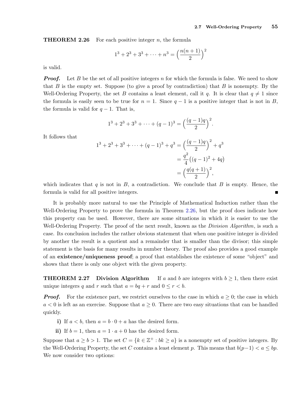<span id="page-58-0"></span>**THEOREM 2.26** For each positive integer *n*, the formula

$$
1^3 + 2^3 + 3^3 + \dots + n^3 = \left(\frac{n(n+1)}{2}\right)^2
$$

is valid.

*Proof.* Let *B* be the set of all positive integers *n* for which the formula is false. We need to show that *B* is the empty set. Suppose (to give a proof by contradiction) that *B* is nonempty. By the Well-Ordering Property, the set *B* contains a least element, call it *q*. It is clear that  $q \neq 1$  since the formula is easily seen to be true for  $n = 1$ . Since  $q - 1$  is a positive integer that is not in *B*, the formula is valid for  $q-1$ . That is,

$$
1^{3} + 2^{3} + 3^{3} + \dots + (q - 1)^{3} = \left(\frac{(q - 1)q}{2}\right)^{2}.
$$

It follows that

$$
1^3 + 2^3 + 3^3 + \dots + (q - 1)^3 + q^3 = \left(\frac{(q - 1)q}{2}\right)^2 + q^3
$$
  
= 
$$
\frac{q^2}{4}((q - 1)^2 + 4q)
$$
  
= 
$$
\left(\frac{q(q + 1)}{2}\right)^2,
$$

which indicates that  $q$  is not in  $B$ , a contradiction. We conclude that  $B$  is empty. Hence, the formula is valid for all positive integers. Ė

It is probably more natural to use the Principle of Mathematical Induction rather than the Well-Ordering Property to prove the formula in Theorem 2.26, but the proof does indicate how this property can be used. However, there are some situations in which it is easier to use the Well-Ordering Property. The proof of the next result, known as the *Division Algorithm*, is such a case. Its conclusion includes the rather obvious statement that when one positive integer is divided by another the result is a quotient and a remainder that is smaller than the divisor; this simple statement is the basis for many results in number theory. The proof also provides a good example of an **existence/uniqueness proof**; a proof that establishes the existence of some "object" and shows that there is only one object with the given property.

**THEOREM 2.27** Division Algorithm If *a* and *b* are integers with  $b \ge 1$ , then there exist unique integers *q* and *r* such that  $a = bq + r$  and  $0 \le r < b$ .

*Proof.* For the existence part, we restrict ourselves to the case in which  $a \geq 0$ ; the case in which  $a < 0$  is left as an exercise. Suppose that  $a \geq 0$ . There are two easy situations that can be handled quickly.

- **i)** If  $a < b$ , then  $a = b \cdot 0 + a$  has the desired form.
- **ii**) If  $b = 1$ , then  $a = 1 \cdot a + 0$  has the desired form.

Suppose that  $a \ge b > 1$ . The set  $C = \{k \in \mathbb{Z}^+ : bk \ge a\}$  is a nonempty set of positive integers. By the Well-Ordering Property, the set *C* contains a least element *p*. This means that  $b(p-1) < a \leq bp$ . We now consider two options: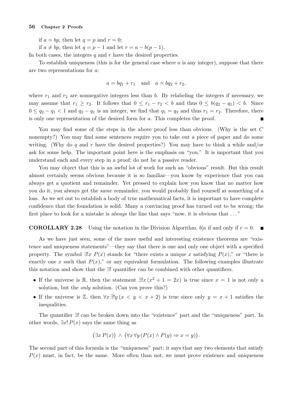if  $a = bp$ , then let  $q = p$  and  $r = 0$ ;

if  $a \neq bp$ , then let  $q = p - 1$  and let  $r = a - b(p - 1)$ .

In both cases, the integers *q* and *r* have the desired properties.

To establish uniqueness (this is for the general case where *a* is any integer), suppose that there are two representations for *a*:

$$
a = bq_1 + r_1
$$
 and  $a = bq_2 + r_2$ ,

where  $r_1$  and  $r_2$  are nonnegative integers less than *b*. By relabeling the integers if necessary, we may assume that  $r_1 \geq r_2$ . It follows that  $0 \leq r_1 - r_2 < b$  and thus  $0 \leq b(q_2 - q_1) < b$ . Since  $0 \leq q_2 - q_1 < 1$  and  $q_2 - q_1$  is an integer, we find that  $q_1 = q_2$  and thus  $r_1 = r_2$ . Therefore, there is only one representation of the desired form for *a*. This completes the proof.

You may find some of the steps in the above proof less than obvious. (Why is the set *C* nonempty?) You may find some sentences require you to take out a piece of paper and do some writing. (Why do *q* and *r* have the desired properties?) You may have to think a while and/or ask for some help. The important point here is the emphasis on "you." It is important that you understand each and every step in a proof; do not be a passive reader.

You may object that this is an awful lot of work for such an "obvious" result. But this result almost certainly seems obvious because it is so familiar—you know by experience that you can always get a quotient and remainder. Yet pressed to explain how you know that no matter how you do it, you always get the *same* remainder, you would probably find yourself at something of a loss. As we set out to establish a body of true mathematical facts, it is important to have complete confidence that the foundation is solid. Many a convincing proof has turned out to be wrong; the first place to look for a mistake is *always* the line that says "now, it is obvious that *. . .* "

**COROLLARY 2.28** Using the notation in the Division Algorithm,  $b|a$  if and only if  $r = 0$ .

As we have just seen, some of the more useful and interesting existence theorems are "existence and uniqueness statements"—they say that there is one and only one object with a specified property. The symbol  $\exists! x \ P(x)$  stands for "there exists a unique *x* satisfying  $P(x)$ ," or "there is exactly one *x* such that  $P(x)$ ," or any equivalent formulation. The following examples illustrate this notation and show that the *∃*! quantifier can be combined with other quantifiers.

- If the universe is R, then the statement  $\exists! x (x^2 + 1 = 2x)$  is true since  $x = 1$  is not only a solution, but the *only* solution. (Can you prove this?)
- If the universe is  $\mathbb{Z}$ , then  $\forall x \exists! y (x < y < x + 2)$  is true since only  $y = x + 1$  satisfies the inequalities.

The quantifier *∃*! can be broken down into the "existence" part and the "uniqueness" part. In other words,  $\exists x! P(x)$  says the same thing as

$$
(\exists x P(x)) \land (\forall x \forall y (P(x) \land P(y) \Rightarrow x = y)).
$$

The second part of this formula is the "uniqueness" part; it says that any two elements that satisfy  $P(x)$  must, in fact, be the same. More often than not, we must prove existence and uniqueness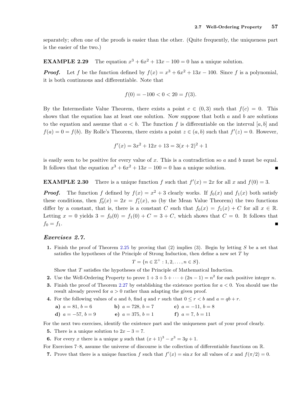separately; often one of the proofs is easier than the other. (Quite frequently, the uniqueness part is the easier of the two.)

#### **EXAMPLE 2.29**  $3 + 6x^2 + 13x - 100 = 0$  has a unique solution.

*Proof.* Let *f* be the function defined by  $f(x) = x^3 + 6x^2 + 13x - 100$ . Since *f* is a polynomial, it is both continuous and differentiable. Note that

$$
f(0) = -100 < 0 < 20 = f(3).
$$

By the Intermediate Value Theorem, there exists a point  $c \in (0,3)$  such that  $f(c) = 0$ . This shows that the equation has at least one solution. Now suppose that both *a* and *b* are solutions to the equation and assume that  $a < b$ . The function f is differentiable on the interval [a, b] and  $f(a) = 0 = f(b)$ . By Rolle's Theorem, there exists a point  $z \in (a, b)$  such that  $f'(z) = 0$ . However,

$$
f'(x) = 3x^2 + 12x + 13 = 3(x+2)^2 + 1
$$

is easily seen to be positive for every value of *x*. This is a contradiction so *a* and *b* must be equal. It follows that the equation  $x^3 + 6x^2 + 13x - 100 = 0$  has a unique solution.

**EXAMPLE 2.30** There is a unique function *f* such that  $f'(x) = 2x$  for all *x* and  $f(0) = 3$ .

*Proof.* The function *f* defined by  $f(x) = x^2 + 3$  clearly works. If  $f_0(x)$  and  $f_1(x)$  both satisfy these conditions, then  $f_0'(x) = 2x = f_1'(x)$ , so (by the Mean Value Theorem) the two functions differ by a constant, that is, there is a constant *C* such that  $f_0(x) = f_1(x) + C$  for all  $x \in \mathbb{R}$ . Letting  $x = 0$  yields  $3 = f_0(0) = f_1(0) + C = 3 + C$ , which shows that  $C = 0$ . It follows that  $f_0 = f_1.$ 

#### *Exercises 2.7.*

**1.** Finish the proof of Theorem [2.25](#page-57-0) by proving that (2) implies (3). Begin by letting *S* be a set that satisfies the hypotheses of the Principle of Strong Induction, then define a new set *T* by

 $T = \{ n \in \mathbb{Z}^+ : 1, 2, \ldots, n \in S \}.$ 

Show that *T* satisfies the hypotheses of the Principle of Mathematical Induction.

- **2.** Use the Well-Ordering Property to prove  $1 + 3 + 5 + \cdots + (2n 1) = n^2$  for each positive integer *n*.
- **3.** Finish the proof of Theorem [2.27](#page-58-0) by establishing the existence portion for *a <* 0. You should use the result already proved for *a >* 0 rather than adapting the given proof.
- **4.** For the following values of *a* and *b*, find *q* and *r* such that  $0 \le r < b$  and  $a = qb + r$ .
	- **a)**  $a = 81, b = 6$  **b)**  $a = 728, b = 7$  **c)**  $a = -11, b = 8$
	- **d**)  $a = -57, b = 9$  **e**)  $a = 375, b = 1$  **f**)  $a = 7, b = 11$

For the next two exercises, identify the existence part and the uniqueness part of your proof clearly.

- **5.** There is a unique solution to  $2x 3 = 7$ .
- **6.** For every *x* there is a unique *y* such that  $(x + 1)^3 x^3 = 3y + 1$ .

For Exercises 7–8, assume the universe of discourse is the collection of differentiable functions on  $\mathbb{R}$ .

**7.** Prove that there is a unique function f such that  $f'(x) = \sin x$  for all values of x and  $f(\pi/2) = 0$ .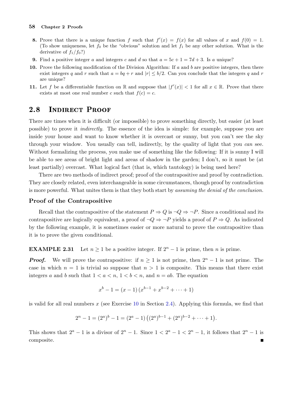- <span id="page-61-0"></span>**8.** Prove that there is a unique function f such that  $f'(x) = f(x)$  for all values of x and  $f(0) = 1$ . (To show uniqueness, let  $f_0$  be the "obvious" solution and let  $f_1$  be any other solution. What is the derivative of *f*1*/f*0?)
- **9.** Find a positive integer *a* and integers *c* and *d* so that  $a = 5c + 1 = 7d + 3$ . Is *a* unique?
- **10.** Prove the following modification of the Division Algorithm: If *a* and *b* are positive integers, then there exist integers q and r such that  $a = bq + r$  and  $|r| \leq b/2$ . Can you conclude that the integers q and r are unique?
- **11.** Let f be a differentiable function on R and suppose that  $|f'(x)| < 1$  for all  $x \in \mathbb{R}$ . Prove that there exists at most one real number *c* such that  $f(c) = c$ .

# 2.8 INDIRECT PROOF

There are times when it is difficult (or impossible) to prove something directly, but easier (at least possible) to prove it *indirectly.* The essence of the idea is simple: for example, suppose you are inside your house and want to know whether it is overcast or sunny, but you can't see the sky through your window. You usually can tell, indirectly, by the quality of light that you *can* see. Without formalizing the process, you make use of something like the following: If it is sunny I will be able to see areas of bright light and areas of shadow in the garden; I don't, so it must be (at least partially) overcast. What logical fact (that is, which tautology) is being used here?

There are two methods of indirect proof; proof of the contrapositive and proof by contradiction. They are closely related, even interchangeable in some circumstances, though proof by contradiction is more powerful. What unites them is that they both start by *assuming the denial of the conclusion.*

#### **Proof of the Contrapositive**

Recall that the contrapositive of the statement  $P \Rightarrow Q$  is  $\neg Q \Rightarrow \neg P$ . Since a conditional and its contrapositive are logically equivalent, a proof of  $\neg Q \Rightarrow \neg P$  yields a proof of  $P \Rightarrow Q$ . As indicated by the following example, it is sometimes easier or more natural to prove the contrapositive than it is to prove the given conditional.

**EXAMPLE 2.31** Let  $n \geq 1$  be a positive integer. If  $2^n - 1$  is prime, then *n* is prime.

*Proof.* We will prove the contrapositive: if  $n \geq 1$  is not prime, then  $2^n - 1$  is not prime. The case in which  $n = 1$  is trivial so suppose that  $n > 1$  is composite. This means that there exist integers *a* and *b* such that  $1 < a < n$ ,  $1 < b < n$ , and  $n = ab$ . The equation

$$
x^{b} - 1 = (x - 1)(x^{b-1} + x^{b-2} + \dots + 1)
$$

is valid for all real numbers *x* (see Exercise [10](#page-47-0) in Section [2.4\)](#page-43-0). Applying this formula, we find that

$$
2^{n} - 1 = (2^{a})^{b} - 1 = (2^{a} - 1) ((2^{a})^{b-1} + (2^{a})^{b-2} + \cdots + 1).
$$

This shows that  $2^a - 1$  is a divisor of  $2^n - 1$ . Since  $1 < 2^a - 1 < 2^n - 1$ , it follows that  $2^n - 1$  is composite.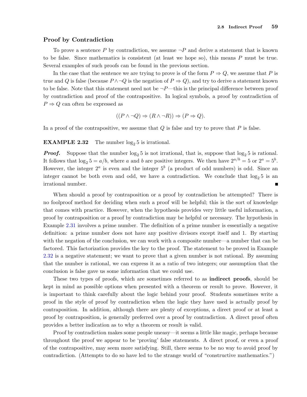#### **Proof by Contradiction**

To prove a sentence P by contradiction, we assume  $\neg P$  and derive a statement that is known to be false. Since mathematics is consistent (at least we hope so), this means *P* must be true. Several examples of such proofs can be found in the previous section.

In the case that the sentence we are trying to prove is of the form  $P \Rightarrow Q$ , we assume that P is true and *Q* is false (because  $P \land \neg Q$  is the negation of  $P \Rightarrow Q$ ), and try to derive a statement known to be false. Note that this statement need not be  $\neg P$ —this is the principal difference between proof by contradiction and proof of the contrapositive. In logical symbols, a proof by contradiction of  $P \Rightarrow Q$  can often be expressed as

$$
((P \land \neg Q) \Rightarrow (R \land \neg R)) \Rightarrow (P \Rightarrow Q).
$$

In a proof of the contrapositive, we assume that *Q* is false and try to prove that *P* is false.

# **EXAMPLE 2.32** The number  $log_2 5$  is irrational.

*Proof.* Suppose that the number  $\log_2 5$  is not irrational, that is, suppose that  $\log_2 5$  is rational. It follows that  $\log_2 5 = a/b$ , where *a* and *b* are positive integers. We then have  $2^{a/b} = 5$  or  $2^a = 5^b$ . However, the integer  $2^a$  is even and the integer  $5^b$  (a product of odd numbers) is odd. Since an integer cannot be both even and odd, we have a contradiction. We conclude that  $log_2 5$  is an irrational number.

When should a proof by contraposition or a proof by contradiction be attempted? There is no foolproof method for deciding when such a proof will be helpful; this is the sort of knowledge that comes with practice. However, when the hypothesis provides very little useful information, a proof by contraposition or a proof by contradiction may be helpful or necessary. The hypothesis in Example [2.31](#page-61-0) involves a prime number. The definition of a prime number is essentially a negative definition: a prime number does not have any positive divisors except itself and 1. By starting with the negation of the conclusion, we can work with a composite number—a number that can be factored. This factorization provides the key to the proof. The statement to be proved in Example 2.32 is a negative statement; we want to prove that a given number is not rational. By assuming that the number is rational, we can express it as a ratio of two integers; our assumption that the conclusion is false gave us some information that we could use.

These two types of proofs, which are sometimes referred to as **indirect proofs**, should be kept in mind as possible options when presented with a theorem or result to prove. However, it is important to think carefully about the logic behind your proof. Students sometimes write a proof in the style of proof by contradiction when the logic they have used is actually proof by contraposition. In addition, although there are plenty of exceptions, a direct proof or at least a proof by contraposition, is generally preferred over a proof by contradiction. A direct proof often provides a better indication as to why a theorem or result is valid.

Proof by contradiction makes some people uneasy—it seems a little like magic, perhaps because throughout the proof we appear to be 'proving' false statements. A direct proof, or even a proof of the contrapositive, may seem more satisfying. Still, there seems to be no way to avoid proof by contradiction. (Attempts to do so have led to the strange world of "constructive mathematics.")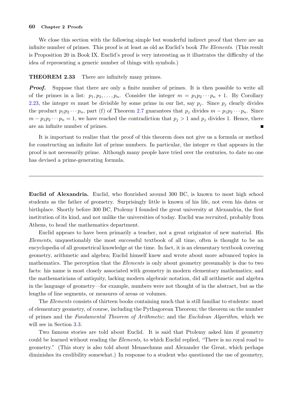We close this section with the following simple but wonderful indirect proof that there are an infinite number of primes. This proof is at least as old as Euclid's book *The Elements*. (This result is Proposition 20 in Book IX. Euclid's proof is very interesting as it illustrates the difficulty of the idea of representing a generic number of things with symbols.)

**THEOREM 2.33** There are infinitely many primes.

*Proof.* Suppose that there are only a finite number of primes. It is then possible to write all of the primes in a list:  $p_1, p_2, \ldots, p_n$ . Consider the integer  $m = p_1 p_2 \cdots p_n + 1$ . By Corollary [2.23,](#page-54-0) the integer *m* must be divisible by some prime in our list, say  $p_j$ . Since  $p_j$  clearly divides the product  $p_1p_2 \cdots p_n$ , part (f) of Theorem [2.7](#page-39-0) guarantees that  $p_j$  divides  $m - p_1p_2 \cdots p_n$ . Since  $m - p_1 p_2 \cdots p_n = 1$ , we have reached the contradiction that  $p_j > 1$  and  $p_j$  divides 1. Hence, there are an infinite number of primes.  $\blacksquare$ 

It is important to realize that the proof of this theorem does not give us a formula or method for constructing an infinite list of prime numbers. In particular, the integer *m* that appears in the proof is not necessarily prime. Although many people have tried over the centuries, to date no one has devised a prime-generating formula.

**Euclid of Alexandria.** Euclid, who flourished around 300 BC, is known to most high school students as the father of geometry. Surprisingly little is known of his life, not even his dates or birthplace. Shortly before 300 BC, Ptolemy I founded the great university at Alexandria, the first institution of its kind, and not unlike the universities of today. Euclid was recruited, probably from Athens, to head the mathematics department.

Euclid appears to have been primarily a teacher, not a great originator of new material. His *Elements*, unquestionably the most successful textbook of all time, often is thought to be an encyclopedia of all geometrical knowledge at the time. In fact, it is an elementary textbook covering geometry, arithmetic and algebra; Euclid himself knew and wrote about more advanced topics in mathematics. The perception that the *Elements* is only about geometry presumably is due to two facts: his name is most closely associated with geometry in modern elementary mathematics; and the mathematicians of antiquity, lacking modern algebraic notation, did all arithmetic and algebra in the language of geometry—for example, numbers were not thought of in the abstract, but as the lengths of line segments, or measures of areas or volumes.

The *Elements* consists of thirteen books containing much that is still familiar to students: most of elementary geometry, of course, including the Pythagorean Theorem; the theorem on the number of primes and the *Fundamental Theorem of Arithmetic*; and the *Euclidean Algorithm*, which we will see in Section [3.3.](#page-74-0)

Two famous stories are told about Euclid. It is said that Ptolemy asked him if geometry could be learned without reading the *Elements,* to which Euclid replied, "There is no royal road to geometry." (This story is also told about Menaechmus and Alexander the Great, which perhaps diminishes its credibility somewhat.) In response to a student who questioned the use of geometry,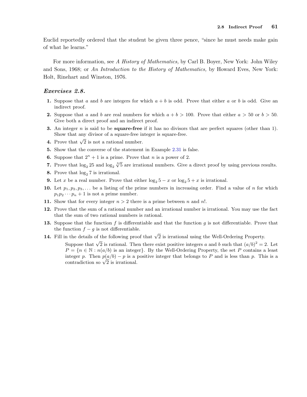Euclid reportedly ordered that the student be given three pence, "since he must needs make gain of what he learns."

For more information, see *A History of Mathematics,* by Carl B. Boyer, New York: John Wiley and Sons, 1968; or *An Introduction to the History of Mathematics,* by Howard Eves, New York: Holt, Rinehart and Winston, 1976.

#### *Exercises 2.8.*

- **1.** Suppose that *a* and *b* are integers for which  $a + b$  is odd. Prove that either *a* or *b* is odd. Give an indirect proof.
- **2.** Suppose that *a* and *b* are real numbers for which  $a + b > 100$ . Prove that either  $a > 50$  or  $b > 50$ . Give both a direct proof and an indirect proof.
- **3.** An integer *n* is said to be **square-free** if it has no divisors that are perfect squares (other than 1). Show that any divisor of a square-free integer is square-free.
- **4.** Prove that  $\sqrt{2}$  is not a rational number.
- **5.** Show that the converse of the statement in Example [2.31](#page-61-0) is false.
- **6.** Suppose that  $2^n + 1$  is a prime. Prove that *n* is a power of 2.
- **7.** Prove that  $\log_2 25$  and  $\log_2 \sqrt[3]{5}$  are irrational numbers. Give a direct proof by using previous results.
- **8.** Prove that  $\log_2 7$  is irrational.
- **9.** Let *x* be a real number. Prove that either  $\log_2 5 x$  or  $\log_2 5 + x$  is irrational.
- **10.** Let  $p_1, p_2, p_3, \ldots$  be a listing of the prime numbers in increasing order. Find a value of *n* for which  $p_1p_2\cdots p_n+1$  is not a prime number.
- **11.** Show that for every integer  $n > 2$  there is a prime between *n* and *n*!.
- **12.** Prove that the sum of a rational number and an irrational number is irrational. You may use the fact that the sum of two rational numbers is rational.
- **13.** Suppose that the function *f* is differentiable and that the function *g* is not differentiable. Prove that the function  $f - g$  is not differentiable.
- **14.** Fill in the details of the following proof that *<sup>√</sup>* 2 is irrational using the Well-Ordering Property.

Suppose that  $\sqrt{2}$  is rational. Then there exist positive integers *a* and *b* such that  $(a/b)^2 = 2$ . Let  $P = \{n \in \mathbb{N} : n(a/b)$  is an integer}. By the Well-Ordering Property, the set *P* contains a least integer *p*. Then  $p(a/b) - p$  is a positive integer that belongs to *P* and is less than *p*. This is a meger *p*. Then  $p(a/v) - p$  is a j<br>contradiction so  $\sqrt{2}$  is irrational.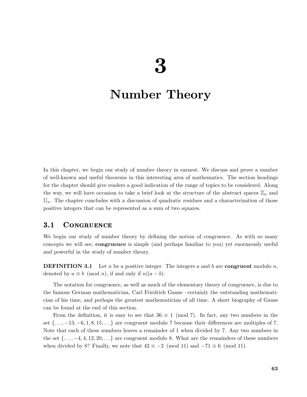# **Number Theory**

In this chapter, we begin our study of number theory in earnest. We discuss and prove a number of well-known and useful theorems in this interesting area of mathematics. The section headings for the chapter should give readers a good indication of the range of topics to be considered. Along the way, we will have occasion to take a brief look at the structure of the abstract spaces  $\mathbb{Z}_n$  and  $\mathbb{U}_n$ . The chapter concludes with a discussion of quadratic residues and a characterization of those positive integers that can be represented as a sum of two squares.

# 3.1 CONGRUENCE

We begin our study of number theory by defining the notion of congruence. As with so many concepts we will see, **congruence** is simple (and perhaps familiar to you) yet enormously useful and powerful in the study of number theory.

**DEFINITION 3.1** Let *n* be a positive integer. The integers *a* and *b* are **congruent** modulo *n*, denoted by  $a \equiv b \pmod{n}$ , if and only if  $n|(a - b)$ .

The notation for congruence, as well as much of the elementary theory of congruence, is due to the famous German mathematician, Carl Friedrich Gauss—certainly the outstanding mathematician of his time, and perhaps the greatest mathematician of all time. A short biography of Gauss can be found at the end of this section.

From the definition, it is easy to see that  $36 \equiv 1 \pmod{7}$ . In fact, any two numbers in the set *{. . . , −*13*, −*6*,* 1*,* 8*,* 15*, . . .}* are congruent modulo 7 because their differences are multiples of 7. Note that each of these numbers leaves a remainder of 1 when divided by 7. Any two numbers in the set *{. . . , −*4*,* 4*,* 12*,* 20*, . . .}* are congruent modulo 8. What are the remainders of these numbers when divided by 8? Finally, we note that  $42 \equiv -2 \pmod{11}$  and  $-71 \equiv 6 \pmod{11}$ .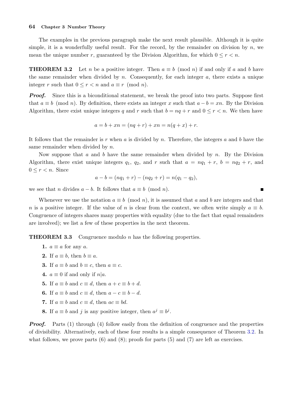#### <span id="page-67-0"></span>**64 Chapter 3 Number Theory**

The examples in the previous paragraph make the next result plausible. Although it is quite simple, it is a wonderfully useful result. For the record, by the remainder on division by *n*, we mean the unique number *r*, guaranteed by the Division Algorithm, for which  $0 \le r < n$ .

**THEOREM 3.2** Let *n* be a positive integer. Then  $a \equiv b \pmod{n}$  if and only if *a* and *b* have the same remainder when divided by *n*. Consequently, for each integer *a*, there exists a unique integer *r* such that  $0 \leq r < n$  and  $a \equiv r \pmod{n}$ .

*Proof.* Since this is a biconditional statement, we break the proof into two parts. Suppose first that  $a \equiv b \pmod{n}$ . By definition, there exists an integer x such that  $a - b = xn$ . By the Division Algorithm, there exist unique integers q and r such that  $b = nq + r$  and  $0 \leq r < n$ . We then have

$$
a = b + xn = (nq + r) + xn = n(q + x) + r.
$$

It follows that the remainder is *r* when *a* is divided by *n*. Therefore, the integers *a* and *b* have the same remainder when divided by *n*.

Now suppose that *a* and *b* have the same remainder when divided by *n*. By the Division Algorithm, there exist unique integers  $q_1$ ,  $q_2$ , and  $r$  such that  $a = nq_1 + r$ ,  $b = nq_2 + r$ , and  $0 \leq r < n$ . Since

$$
a - b = (nq_1 + r) - (nq_2 + r) = n(q_1 - q_2),
$$

we see that *n* divides  $a - b$ . It follows that  $a \equiv b \pmod{n}$ .

Whenever we use the notation  $a \equiv b \pmod{n}$ , it is assumed that *a* and *b* are integers and that *n* is a positive integer. If the value of *n* is clear from the context, we often write simply  $a \equiv b$ . Congruence of integers shares many properties with equality (due to the fact that equal remainders are involved); we list a few of these properties in the next theorem.

**THEOREM 3.3** Congruence modulo *n* has the following properties.

- **1.**  $a \equiv a$  for any  $a$ .
- **2.** If  $a \equiv b$ , then  $b \equiv a$ .
- **3.** If  $a \equiv b$  and  $b \equiv c$ , then  $a \equiv c$ .
- **4.**  $a \equiv 0$  if and only if  $n|a$ .
- **5.** If  $a \equiv b$  and  $c \equiv d$ , then  $a + c \equiv b + d$ .
- **6.** If  $a \equiv b$  and  $c \equiv d$ , then  $a c \equiv b d$ .
- **7.** If  $a \equiv b$  and  $c \equiv d$ , then  $ac \equiv bd$ .
- **8.** If  $a \equiv b$  and *j* is any positive integer, then  $a^j \equiv b^j$ .

*Proof.* Parts (1) through (4) follow easily from the definition of congruence and the properties of divisibility. Alternatively, each of these four results is a simple consequence of Theorem 3.2. In what follows, we prove parts  $(6)$  and  $(8)$ ; proofs for parts  $(5)$  and  $(7)$  are left as exercises.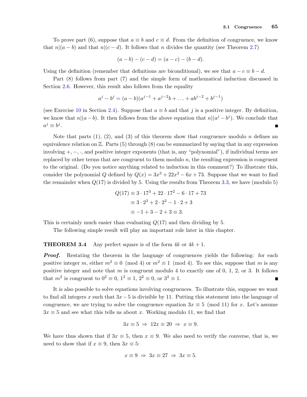To prove part (6), suppose that  $a \equiv b$  and  $c \equiv d$ . From the definition of congruence, we know that  $n|(a - b)$  and that  $n|(c - d)$ . It follows that *n* divides the quantity (see Theorem [2.7\)](#page-39-0)

$$
(a - b) - (c - d) = (a - c) - (b - d).
$$

Using the definition (remember that definitions are biconditional), we see that  $a - c \equiv b - d$ .

Part (8) follows from part (7) and the simple form of mathematical induction discussed in Section [2.6.](#page-52-0) However, this result also follows from the equality

$$
a^{j} - b^{j} = (a - b)(a^{j-1} + a^{j-2}b + \ldots + ab^{j-2} + b^{j-1})
$$

(see Exercise [10](#page-47-0) in Section [2.4\)](#page-43-0). Suppose that  $a \equiv b$  and that *j* is a positive integer. By definition, we know that  $n|(a - b)$ . It then follows from the above equation that  $n|(a^j - b^j)$ . We conclude that  $a^j \equiv b^j$ . п

Note that parts (1), (2), and (3) of this theorem show that congruence modulo *n* defines an equivalence relation on  $\mathbb{Z}$ . Parts (5) through (8) can be summarized by saying that in any expression involving +*, −, ·*, and positive integer exponents (that is, any "polynomial"), if individual terms are replaced by other terms that are congruent to them modulo *n*, the resulting expression is congruent to the original. (Do you notice anything related to induction in this comment?) To illustrate this, consider the polynomial *Q* defined by  $Q(x) = 3x^3 + 22x^2 - 6x + 73$ . Suppose that we want to find the remainder when *Q*(17) is divided by 5. Using the results from Theorem [3.3](#page-67-0), we have (modulo 5)

$$
Q(17) \equiv 3 \cdot 17^3 + 22 \cdot 17^2 - 6 \cdot 17 + 73
$$

$$
\equiv 3 \cdot 2^3 + 2 \cdot 2^2 - 1 \cdot 2 + 3
$$

$$
\equiv -1 + 3 - 2 + 3 \equiv 3.
$$

This is certainly much easier than evaluating *Q*(17) and then dividing by 5.

The following simple result will play an important role later in this chapter.

**THEOREM 3.4** Any perfect square is of the form  $4k$  or  $4k + 1$ .

*Proof.* Restating the theorem in the language of congruences yields the following: for each positive integer *m*, either  $m^2 \equiv 0 \pmod{4}$  or  $m^2 \equiv 1 \pmod{4}$ . To see this, suppose that *m* is any positive integer and note that *m* is congruent modulo 4 to exactly one of 0, 1, 2, or 3. It follows that  $m^2$  is congruent to  $0^2 \equiv 0$ ,  $1^2 \equiv 1$ ,  $2^2 \equiv 0$ , or  $3^2 \equiv 1$ .

It is also possible to solve equations involving congruences. To illustrate this, suppose we want to find all integers *x* such that 3*x−*5 is divisible by 11. Putting this statement into the language of congruence, we are trying to solve the congruence equation  $3x \equiv 5 \pmod{11}$  for *x*. Let's assume  $3x \equiv 5$  and see what this tells us about x. Working modulo 11, we find that

$$
3x \equiv 5 \implies 12x \equiv 20 \implies x \equiv 9.
$$

We have thus shown that if  $3x \equiv 5$ , then  $x \equiv 9$ . We also need to verify the converse, that is, we need to show that if  $x \equiv 9$ , then  $3x \equiv 5$ :

$$
x \equiv 9 \implies 3x \equiv 27 \implies 3x \equiv 5.
$$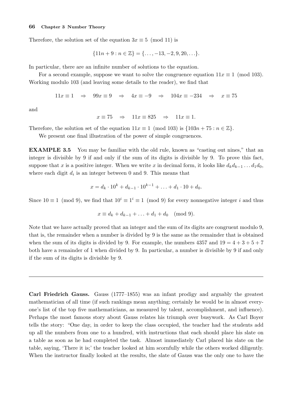#### <span id="page-69-0"></span>**66 Chapter 3 Number Theory**

Therefore, the solution set of the equation  $3x \equiv 5 \pmod{11}$  is

$$
\{11n+9:n\in\mathbb{Z}\}=\{\ldots,-13,-2,9,20,\ldots\}.
$$

In particular, there are an infinite number of solutions to the equation.

For a second example, suppose we want to solve the congruence equation  $11x \equiv 1 \pmod{103}$ . Working modulo 103 (and leaving some details to the reader), we find that

11 $x \equiv 1$  ⇒ 99 $x \equiv 9$  ⇒  $4x \equiv -9$  ⇒ 104 $x \equiv -234$  ⇒  $x \equiv 75$ 

and

$$
x \equiv 75 \quad \Rightarrow \quad 11x \equiv 825 \quad \Rightarrow \quad 11x \equiv 1.
$$

Therefore, the solution set of the equation  $11x \equiv 1 \pmod{103}$  is  $\{103n + 75 : n \in \mathbb{Z}\}$ .

We present one final illustration of the power of simple congruences.

**EXAMPLE 3.5** You may be familiar with the old rule, known as "casting out nines," that an integer is divisible by 9 if and only if the sum of its digits is divisible by 9. To prove this fact, suppose that *x* is a positive integer. When we write *x* in decimal form, it looks like  $d_k d_{k-1} \ldots d_1 d_0$ , where each digit  $d_i$  is an integer between 0 and 9. This means that

$$
x = d_k \cdot 10^k + d_{k-1} \cdot 10^{k-1} + \ldots + d_1 \cdot 10 + d_0.
$$

Since  $10 \equiv 1 \pmod{9}$ , we find that  $10^i \equiv 1^i \equiv 1 \pmod{9}$  for every nonnegative integer *i* and thus

$$
x \equiv d_k + d_{k-1} + \ldots + d_1 + d_0 \pmod{9}.
$$

Note that we have actually proved that an integer and the sum of its digits are congruent modulo 9, that is, the remainder when a number is divided by 9 is the same as the remainder that is obtained when the sum of its digits is divided by 9. For example, the numbers 4357 and  $19 = 4 + 3 + 5 + 7$ both have a remainder of 1 when divided by 9. In particular, a number is divisible by 9 if and only if the sum of its digits is divisible by 9.

**Carl Friedrich Gauss.** Gauss (1777–1855) was an infant prodigy and arguably the greatest mathematician of all time (if such rankings mean anything; certainly he would be in almost everyone's list of the top five mathematicians, as measured by talent, accomplishment, and influence). Perhaps the most famous story about Gauss relates his triumph over busywork. As Carl Boyer tells the story: "One day, in order to keep the class occupied, the teacher had the students add up all the numbers from one to a hundred, with instructions that each should place his slate on a table as soon as he had completed the task. Almost immediately Carl placed his slate on the table, saying, 'There it is;' the teacher looked at him scornfully while the others worked diligently. When the instructor finally looked at the results, the slate of Gauss was the only one to have the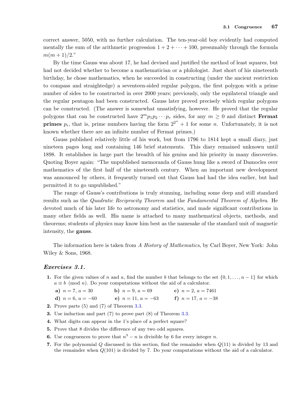correct answer, 5050, with no further calculation. The ten-year-old boy evidently had computed mentally the sum of the arithmetic progression  $1 + 2 + \cdots + 100$ , presumably through the formula  $m(m+1)/2$ ."

By the time Gauss was about 17, he had devised and justified the method of least squares, but had not decided whether to become a mathematician or a philologist. Just short of his nineteenth birthday, he chose mathematics, when he succeeded in constructing (under the ancient restriction to compass and straightedge) a seventeen-sided regular polygon, the first polygon with a prime number of sides to be constructed in over 2000 years; previously, only the equilateral triangle and the regular pentagon had been constructed. Gauss later proved precisely which regular polygons can be constructed. (The answer is somewhat unsatisfying, however. He proved that the regular polygons that can be constructed have  $2^m p_1 p_2 \cdots p_r$  sides, for any  $m \geq 0$  and distinct **Fermat primes**  $p_i$ , that is, prime numbers having the form  $2^{2^n} + 1$  for some *n*. Unfortunately, it is not known whether there are an infinite number of Fermat primes.)

Gauss published relatively little of his work, but from 1796 to 1814 kept a small diary, just nineteen pages long and containing 146 brief statements. This diary remained unknown until 1898. It establishes in large part the breadth of his genius and his priority in many discoveries. Quoting Boyer again: "The unpublished memoranda of Gauss hung like a sword of Damocles over mathematics of the first half of the nineteenth century. When an important new development was announced by others, it frequently turned out that Gauss had had the idea earlier, but had permitted it to go unpublished."

The range of Gauss's contributions is truly stunning, including some deep and still standard results such as the *Quadratic Reciprocity Theorem* and the *Fundamental Theorem of Algebra*. He devoted much of his later life to astronomy and statistics, and made significant contributions in many other fields as well. His name is attached to many mathematical objects, methods, and theorems; students of physics may know him best as the namesake of the standard unit of magnetic intensity, the **gauss**.

The information here is taken from *A History of Mathematics*, by Carl Boyer, New York: John Wiley & Sons, 1968.

#### *Exercises 3.1.*

- **1.** For the given values of *n* and *a*, find the number *b* that belongs to the set  $\{0, 1, \ldots, n-1\}$  for which  $a \equiv b \pmod{n}$ . Do your computations without the aid of a calculator.
	- **a)**  $n = 7, a = 30$  **b)**  $n = 9, a = 69$  **c)**  $n = 2, a = 7461$
	- **d**)  $n = 6, a = -60$  **e**)  $n = 11, a = -63$  **f**)  $n = 17, a = -38$
- **2.** Prove parts (5) and (7) of Theorem [3.3.](#page-67-0)
- **3.** Use induction and part (7) to prove part (8) of Theorem [3.3.](#page-67-0)
- **4.** What digits can appear in the 1's place of a perfect square?
- **5.** Prove that 8 divides the difference of any two odd squares.
- **6.** Use congruences to prove that  $n^3 n$  is divisible by 6 for every integer *n*.
- **7.** For the polynomial *Q* discussed in this section, find the remainder when *Q*(11) is divided by 13 and the remainder when *Q*(101) is divided by 7. Do your computations without the aid of a calculator.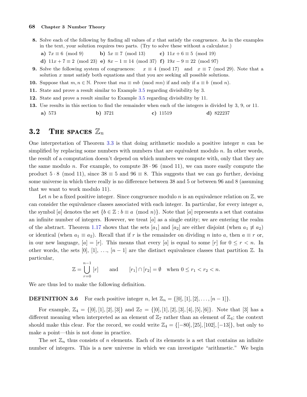#### **68 Chapter 3 Number Theory**

**8.** Solve each of the following by finding all values of *x* that satisfy the congruence. As in the examples in the text, your solution requires two parts. (Try to solve these without a calculator.)

**a)**  $7x \equiv 6 \pmod{9}$  **b)**  $5x \equiv 7 \pmod{13}$  **c)**  $11x + 6 \equiv 5 \pmod{19}$ 

**d**)  $11x + 7 \equiv 2 \pmod{23}$  **e**)  $8x - 1 \equiv 14 \pmod{37}$  **f**)  $19x - 9 \equiv 22 \pmod{97}$ 

- **9.** Solve the following system of congruences:  $x \equiv 4 \pmod{17}$  and  $x \equiv 7 \pmod{29}$ . Note that a solution *x* must satisfy both equations and that you are seeking all possible solutions.
- **10.** Suppose that  $m, n \in \mathbb{N}$ . Prove that  $ma \equiv mb \pmod{mn}$  if and only if  $a \equiv b \pmod{n}$ .
- **11.** State and prove a result similar to Example [3.5](#page-69-0) regarding divisibility by 3.
- **12.** State and prove a result similar to Example [3.5](#page-69-0) regarding divisibility by 11.
- **13.** Use results in this section to find the remainder when each of the integers is divided by 3, 9, or 11. **a)** 573 **b)** 3721 **c)** 11519 **d)** 822237

# 3.2 The spaces Z*<sup>n</sup>*

One interpretation of Theorem [3.3](#page-67-0) is that doing arithmetic modulo a positive integer *n* can be simplified by replacing some numbers with numbers that are equivalent modulo *n*. In other words, the result of a computation doesn't depend on which numbers we compute with, only that they are the same modulo *n*. For example, to compute  $38 \cdot 96 \pmod{11}$ , we can more easily compute the product  $5 \cdot 8 \pmod{11}$ , since  $38 \equiv 5$  and  $96 \equiv 8$ . This suggests that we can go further, devising some universe in which there really is no difference between 38 and 5 or between 96 and 8 (assuming that we want to work modulo 11).

Let *n* be a fixed positive integer. Since congruence modulo *n* is an equivalence relation on  $\mathbb{Z}$ , we can consider the equivalence classes associated with each integer. In particular, for every integer *a*, the symbol [*a*] denotes the set  ${b \in \mathbb{Z} : b \equiv a \pmod{n}}$ . Note that [*a*] represents a set that contains an infinite number of integers. However, we treat  $[a]$  as a single entity; we are entering the realm of the abstract. Theorem [1.17](#page-28-0) shows that the sets  $[a_1]$  and  $[a_2]$  are either disjoint (when  $a_1 \not\equiv a_2$ ) or identical (when  $a_1 \equiv a_2$ ). Recall that if *r* is the remainder on dividing *n* into *a*, then  $a \equiv r$  or, in our new language,  $[a] = [r]$ . This means that every  $[a]$  is equal to some  $[r]$  for  $0 \leq r < n$ . In other words, the sets [0], [1], ...,  $[n-1]$  are the distinct equivalence classes that partition  $\mathbb{Z}$ . In particular, *n*[*−*1

$$
\mathbb{Z} = \bigcup_{r=0}^{n-1} [r] \quad \text{and} \quad [r_1] \cap [r_2] = \emptyset \quad \text{when } 0 \le r_1 < r_2 < n.
$$

We are thus led to make the following definition.

**DEFINITION 3.6** For each positive integer *n*, let  $\mathbb{Z}_n = \{ [0], [1], [2], \ldots, [n-1] \}.$ 

For example,  $\mathbb{Z}_4 = \{ [0], [1], [2], [3] \}$  and  $\mathbb{Z}_7 = \{ [0], [1], [2], [3], [4], [5], [6] \}.$  Note that [3] has a different meaning when interpreted as an element of  $\mathbb{Z}_7$  rather than an element of  $\mathbb{Z}_4$ ; the context should make this clear. For the record, we could write  $\mathbb{Z}_4 = \{[-80], [25], [102], [-13]\}$ , but only to make a point—this is not done in practice.

The set  $\mathbb{Z}_n$  thus consists of *n* elements. Each of its elements is a set that contains an infinite number of integers. This is a new universe in which we can investigate "arithmetic." We begin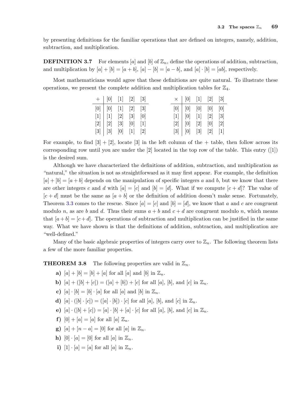<span id="page-72-0"></span>by presenting definitions for the familiar operations that are defined on integers, namely, addition, subtraction, and multiplication.

**DEFINITION 3.7** For elements  $[a]$  and  $[b]$  of  $\mathbb{Z}_n$ , define the operations of addition, subtraction, and multiplication by  $[a] + [b] = [a + b]$ ,  $[a] - [b] = [a - b]$ , and  $[a] \cdot [b] = [ab]$ , respectively.

Most mathematicians would agree that these definitions are quite natural. To illustrate these operations, we present the complete addition and multiplication tables for  $\mathbb{Z}_4$ .

|  | $+  0  1   2   3 $                                                                                                                                                |  |  | $\times$   [0] [1] [2] [3]                                          |  |
|--|-------------------------------------------------------------------------------------------------------------------------------------------------------------------|--|--|---------------------------------------------------------------------|--|
|  | $[0]$ $[0]$ $[1]$ $[2]$ $[3]$                                                                                                                                     |  |  | $[0]$ $[0]$ $[0]$ $[0]$ $[0]$                                       |  |
|  | $\begin{bmatrix} 1 \end{bmatrix} \begin{bmatrix} 1 \end{bmatrix} \begin{bmatrix} 2 \end{bmatrix} \begin{bmatrix} 3 \end{bmatrix} \begin{bmatrix} 0 \end{bmatrix}$ |  |  | $[1] \begin{bmatrix} 0 \\ 0 \\ 1 \end{bmatrix} \quad [2] \quad [3]$ |  |
|  | [2]   [2] [3] [0] [1]                                                                                                                                             |  |  | [2] [0] [2] [0] [2]                                                 |  |
|  | $[3] \begin{bmatrix} 3 \\ 0 \\ 1 \end{bmatrix} [0] [1] [2]$                                                                                                       |  |  | [3] [0] [3] [2] [1]                                                 |  |

For example, to find  $[3] + [2]$ , locate  $[3]$  in the left column of the  $+$  table, then follow across its corresponding row until you are under the [2] located in the top row of the table. This entry ([1]) is the desired sum.

Although we have characterized the definitions of addition, subtraction, and multiplication as "natural," the situation is not as straightforward as it may first appear. For example, the definition  $[a] + [b] = [a + b]$  depends on the manipulation of specific integers a and b, but we know that there are other integers *c* and *d* with  $[a] = [c]$  and  $[b] = [d]$ . What if we compute  $[c + d]$ ? The value of  $[c + d]$  must be the same as  $[a + b]$  or the definition of addition doesn't make sense. Fortunately, Theorem [3.3](#page-67-0) comes to the rescue. Since  $[a] = [c]$  and  $[b] = [d]$ , we know that *a* and *c* are congruent modulo *n*, as are *b* and *d*. Thus their sums  $a + b$  and  $c + d$  are congruent modulo *n*, which means that  $[a + b] = [c + d]$ . The operations of subtraction and multiplication can be justified in the same way. What we have shown is that the definitions of addition, subtraction, and multiplication are "well-defined."

Many of the basic algebraic properties of integers carry over to  $\mathbb{Z}_n$ . The following theorem lists a few of the more familiar properties.

**THEOREM 3.8** The following properties are valid in  $\mathbb{Z}_n$ .

- **a)**  $[a] + [b] = [b] + [a]$  for all  $[a]$  and  $[b]$  in  $\mathbb{Z}_n$ .
- **b)**  $[a] + (b] + [c] = (a] + [b]) + [c]$  for all  $[a]$ ,  $[b]$ , and  $[c]$  in  $\mathbb{Z}_n$ .
- c)  $[a] \cdot [b] = [b] \cdot [a]$  for all  $[a]$  and  $[b]$  in  $\mathbb{Z}_n$ .
- **d**)  $[a] \cdot ([b] \cdot [c]) = ([a] \cdot [b]) \cdot [c]$  for all  $[a]$ ,  $[b]$ , and  $[c]$  in  $\mathbb{Z}_n$ .
- **e**)  $[a] \cdot ([b] + [c]) = [a] \cdot [b] + [a] \cdot [c]$  for all  $[a]$ ,  $[b]$ , and  $[c]$  in  $\mathbb{Z}_n$ .
- **f**)  $[0] + [a] = [a]$  for all  $[a] \mathbb{Z}_n$ .
- **g**)  $[a] + [n a] = [0]$  for all  $[a]$  in  $\mathbb{Z}_n$ .
- **h)**  $[0] \cdot [a] = [0]$  for all  $[a]$  in  $\mathbb{Z}_n$ .
- **i)**  $[1] \cdot [a] = [a]$  for all  $[a]$  in  $\mathbb{Z}_n$ .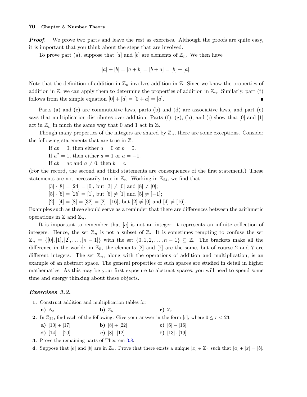<span id="page-73-0"></span>*Proof.* We prove two parts and leave the rest as exercises. Although the proofs are quite easy, it is important that you think about the steps that are involved.

To prove part (a), suppose that  $[a]$  and  $[b]$  are elements of  $\mathbb{Z}_n$ . We then have

$$
[a] + [b] = [a + b] = [b + a] = [b] + [a].
$$

Note that the definition of addition in  $\mathbb{Z}_n$  involves addition in  $\mathbb{Z}$ . Since we know the properties of addition in  $\mathbb{Z}$ , we can apply them to determine the properties of addition in  $\mathbb{Z}_n$ . Similarly, part (f) follows from the simple equation  $[0] + [a] = [0 + a] = [a]$ .

Parts (a) and (c) are commutative laws, parts (b) and (d) are associative laws, and part (e) says that multiplication distributes over addition. Parts  $(f)$ ,  $(g)$ ,  $(h)$ , and  $(i)$  show that  $[0]$  and  $[1]$ act in  $\mathbb{Z}_n$  in much the same way that 0 and 1 act in  $\mathbb{Z}$ .

Though many properties of the integers are shared by  $\mathbb{Z}_n$ , there are some exceptions. Consider the following statements that are true in Z.

If  $ab = 0$ , then either  $a = 0$  or  $b = 0$ .

If  $a^2 = 1$ , then either  $a = 1$  or  $a = -1$ .

If  $ab = ac$  and  $a \neq 0$ , then  $b = c$ .

(For the record, the second and third statements are consequences of the first statement.) These statements are not necessarily true in  $\mathbb{Z}_n$ . Working in  $\mathbb{Z}_{24}$ , we find that

 $[3] \cdot [8] = [24] = [0],$  but  $[3] \neq [0]$  and  $[8] \neq [0]$ ;

 $[5] \cdot [5] = [25] = [1]$ , but  $[5] \neq [1]$  and  $[5] \neq [-1]$ ;

 $[2] \cdot [4] = [8] = [32] = [2] \cdot [16]$ , but  $[2] \neq [0]$  and  $[4] \neq [16]$ .

Examples such as these should serve as a reminder that there are differences between the arithmetic operations in  $\mathbb{Z}$  and  $\mathbb{Z}_n$ .

It is important to remember that [*a*] is not an integer; it represents an infinite collection of integers. Hence, the set  $\mathbb{Z}_n$  is not a subset of  $\mathbb{Z}$ . It is sometimes tempting to confuse the set  $\mathbb{Z}_n = \{ [0], [1], [2], \ldots, [n-1] \}$  with the set  $\{0, 1, 2, \ldots, n-1\} \subseteq \mathbb{Z}$ . The brackets make all the difference in the world: in  $\mathbb{Z}_5$ , the elements [2] and [7] are the same, but of course 2 and 7 are different integers. The set  $\mathbb{Z}_n$ , along with the operations of addition and multiplication, is an example of an abstract space. The general properties of such spaces are studied in detail in higher mathematics. As this may be your first exposure to abstract spaces, you will need to spend some time and energy thinking about these objects.

### *Exercises 3.2.*

**1.** Construct addition and multiplication tables for

| a) $\mathbb{Z}_2$ | b) $\mathbb{Z}_5$ | c) $\mathbb{Z}_6$ |  |
|-------------------|-------------------|-------------------|--|
|-------------------|-------------------|-------------------|--|

**2.** In  $\mathbb{Z}_{23}$ , find each of the following. Give your answer in the form  $[r]$ , where  $0 \le r \le 23$ .

| a) $[10] + [17]$ | <b>b</b> ) $[8] + [22]$ | c) $[6] - [16]$ |
|------------------|-------------------------|-----------------|
|                  |                         |                 |

**d)** [14] *−* [20] **e)** [8] *·* [12] **f)** [13] *·* [19]

**3.** Prove the remaining parts of Theorem [3.8](#page-72-0).

**4.** Suppose that [*a*] and [*b*] are in  $\mathbb{Z}_n$ . Prove that there exists a unique  $[x] \in \mathbb{Z}_n$  such that  $[a] + [x] = [b]$ .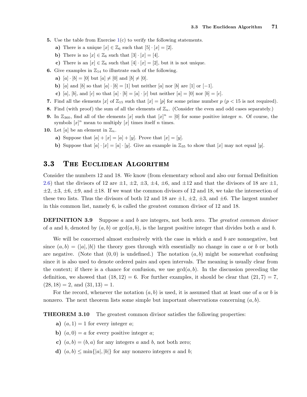- **5.** Use the table from Exercise [1\(](#page-73-0)c) to verify the following statements.
	- **a**) There is a unique  $[x] \in \mathbb{Z}_6$  such that  $[5] \cdot [x] = [2]$ .
	- **b)** There is no  $[x] \in \mathbb{Z}_6$  such that  $[3] \cdot [x] = [4]$ .
	- **c)** There is an  $[x] \in \mathbb{Z}_6$  such that  $[4] \cdot [x] = [2]$ , but it is not unique.
- **6.** Give examples in  $\mathbb{Z}_{14}$  to illustrate each of the following.
	- **a)**  $[a] \cdot [b] = [0]$  but  $[a] \neq [0]$  and  $[b] \neq [0]$ .
	- **b**) [*a*] and [*b*] so that  $[a] \cdot [b] = [1]$  but neither  $[a]$  nor  $[b]$  are  $[1]$  or  $[-1]$ .
	- **c)** [a], [b], and [c] so that  $[a] \cdot [b] = [a] \cdot [c]$  but neither  $[a] = [0]$  nor  $[b] = [c]$ .
- **7.** Find all the elements  $[x]$  of  $\mathbb{Z}_{15}$  such that  $[x] = [p]$  for some prime number  $p$  ( $p < 15$  is not required).
- **8.** Find (with proof) the sum of all the elements of  $\mathbb{Z}_n$ . (Consider the even and odd cases separately.)
- **9.** In  $\mathbb{Z}_{360}$ , find all of the elements [x] such that  $[x]^n = [0]$  for some positive integer *n*. Of course, the symbols  $[x]^n$  mean to multiply  $[x]$  times itself *n* times.
- **10.** Let  $[a]$  be an element in  $\mathbb{Z}_n$ .
	- **a**) Suppose that  $[a] + [x] = [a] + [y]$ . Prove that  $[x] = [y]$ .
	- **b**) Suppose that  $[a] \cdot [x] = [a] \cdot [y]$ . Give an example in  $\mathbb{Z}_{35}$  to show that  $[x]$  may not equal  $[y]$ .

# 3.3 The Euclidean Algorithm

Consider the numbers 12 and 18. We know (from elementary school and also our formal Definition [2.6](#page-38-0)) that the divisors of 12 are  $\pm 1$ ,  $\pm 2$ ,  $\pm 3$ ,  $\pm 4$ ,  $\pm 6$ , and  $\pm 12$  and that the divisors of 18 are  $\pm 1$ , *±*2, *±*3, *±*6, *±*9, and *±*18. If we want the common divisors of 12 and 18, we take the intersection of these two lists. Thus the divisors of both 12 and 18 are  $\pm 1$ ,  $\pm 2$ ,  $\pm 3$ , and  $\pm 6$ . The largest number in this common list, namely 6, is called the greatest common divisor of 12 and 18.

**DEFINITION 3.9** Suppose *a* and *b* are integers, not both zero. The *greatest common divisor* of *a* and *b*, denoted by  $(a, b)$  or  $gcd(a, b)$ , is the largest positive integer that divides both *a* and *b*.

We will be concerned almost exclusively with the case in which *a* and *b* are nonnegative, but since  $(a, b) = (|a|, |b|)$  the theory goes through with essentially no change in case *a* or *b* or both are negative. (Note that  $(0,0)$  is undefined.) The notation  $(a, b)$  might be somewhat confusing since it is also used to denote ordered pairs and open intervals. The meaning is usually clear from the context; if there is a chance for confusion, we use  $gcd(a, b)$ . In the discussion preceding the definition, we showed that  $(18, 12) = 6$ . For further examples, it should be clear that  $(21, 7) = 7$ ,  $(28, 18) = 2$ , and  $(31, 13) = 1$ .

For the record, whenever the notation (*a, b*) is used, it is assumed that at least one of *a* or *b* is nonzero. The next theorem lists some simple but important observations concerning (*a, b*).

**THEOREM 3.10** The greatest common divisor satisfies the following properties:

- **a**)  $(a, 1) = 1$  for every integer *a*;
- **b**)  $(a, 0) = a$  for every positive integer *a*;
- **c**)  $(a, b) = (b, a)$  for any integers a and b, not both zero;
- **d**)  $(a, b) \le \min\{|a|, |b|\}$  for any nonzero integers *a* and *b*;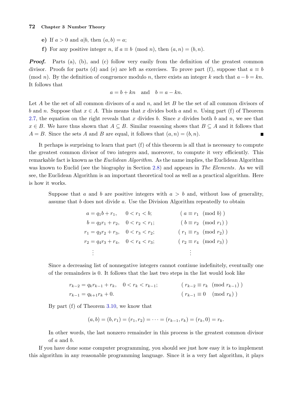- <span id="page-75-0"></span>**e**) If  $a > 0$  and  $a|b$ , then  $(a, b) = a$ ;
- **f**) For any positive integer *n*, if  $a \equiv b \pmod{n}$ , then  $(a, n) = (b, n)$ .

*Proof.* Parts (a), (b), and (c) follow very easily from the definition of the greatest common divisor. Proofs for parts (d) and (e) are left as exercises. To prove part (f), suppose that  $a \equiv b$ (mod *n*). By the definition of congruence modulo *n*, there exists an integer *k* such that  $a - b = kn$ . It follows that

$$
a = b + kn \quad \text{and} \quad b = a - kn.
$$

Let *A* be the set of all common divisors of *a* and *n*, and let *B* be the set of all common divisors of *b* and *n*. Suppose that  $x \in A$ . This means that *x* divides both *a* and *n*. Using part (f) of Theorem [2.7,](#page-39-0) the equation on the right reveals that *x* divides *b*. Since *x* divides both *b* and *n*, we see that *x*  $∈$  *B*. We have thus shown that  $A ⊆ B$ . Similar reasoning shows that  $B ⊆ A$  and it follows that  $A = B$ . Since the sets *A* and *B* are equal, it follows that  $(a, n) = (b, n)$ .  $\blacksquare$ 

It perhaps is surprising to learn that part (f) of this theorem is all that is necessary to compute the greatest common divisor of two integers and, moreover, to compute it very efficiently. This remarkable fact is known as the *Euclidean Algorithm*. As the name implies, the Euclidean Algorithm was known to Euclid (see the biography in Section [2.8](#page-61-0)) and appears in *The Elements*. As we will see, the Euclidean Algorithm is an important theoretical tool as well as a practical algorithm. Here is how it works.

Suppose that *a* and *b* are positive integers with  $a > b$  and, without loss of generality, assume that *b* does not divide *a*. Use the Division Algorithm repeatedly to obtain

| $a = q_1b + r_1, \quad 0 < r_1 < b;$                                                                                                                                                                                            |                                                                                                                                                 | $(a \equiv r_1 \pmod{b})$     |
|---------------------------------------------------------------------------------------------------------------------------------------------------------------------------------------------------------------------------------|-------------------------------------------------------------------------------------------------------------------------------------------------|-------------------------------|
| $b = q_2r_1 + r_2, \quad 0 < r_2 < r_1;$                                                                                                                                                                                        |                                                                                                                                                 | $(b \equiv r_2 \pmod{r_1}$    |
| $r_1 = q_3r_2 + r_3$ , $0 < r_3 < r_2$ ;                                                                                                                                                                                        |                                                                                                                                                 | $(r_1 \equiv r_3 \pmod{r_2})$ |
| $r_2 = q_4r_3 + r_4$ , $0 < r_4 < r_3$ ;                                                                                                                                                                                        |                                                                                                                                                 | $(r_2 \equiv r_4 \pmod{r_3})$ |
| 1942년 - 대한민국의 대한민국의 대한민국의 대한민국의 대한민국의 대한민국의 대한민국의 대한민국의 대한민국의 대한민국의 대한민국의 대한민국의 대한민국의 대한민국의 대한민국의 대한민국의 대한민국의<br>대한민국의 대한민국의 대한민국의 대한민국의 대한민국의 대한민국의 대한민국의 대한민국의 대한민국의 대한민국의 대한민국의 대한민국의 대한민국의 대한민국의 대한민국의 대한민국의 대한민국의 대한민국의 대한 | $\label{eq:2.1} \mathcal{L}(\mathcal{L}) = \frac{1}{2} \sum_{i=1}^n \mathcal{L}(\mathcal{L}) \mathcal{L}(\mathcal{L}) \mathcal{L}(\mathcal{L})$ |                               |

Since a decreasing list of nonnegative integers cannot continue indefinitely, eventually one of the remainders is 0. It follows that the last two steps in the list would look like

$$
r_{k-2} = q_k r_{k-1} + r_k, \quad 0 < r_k < r_{k-1}; \qquad (r_{k-2} \equiv r_k \pmod{r_{k-1}}) \\ r_{k-1} = q_{k+1} r_k + 0. \qquad (r_{k-1} \equiv 0 \pmod{r_k})
$$

By part (f) of Theorem 3.10, we know that

$$
(a,b)=(b,r_1)=(r_1,r_2)=\cdots=(r_{k-1},r_k)=(r_k,0)=r_k.
$$

In other words, the last nonzero remainder in this process is the greatest common divisor of *a* and *b*.

If you have done some computer programming, you should see just how easy it is to implement this algorithm in any reasonable programming language. Since it is a very fast algorithm, it plays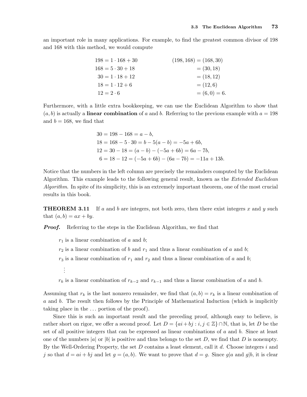an important role in many applications. For example, to find the greatest common divisor of 198 and 168 with this method, we would compute

| $198 = 1 \cdot 168 + 30$ | $(198, 168) = (168, 30)$ |
|--------------------------|--------------------------|
| $168 = 5 \cdot 30 + 18$  | $= (30, 18)$             |
| $30 = 1 \cdot 18 + 12$   | $= (18, 12)$             |
| $18 = 1 \cdot 12 + 6$    | $= (12, 6)$              |
| $12 = 2 \cdot 6$         | $=(6,0)=6.$              |

Furthermore, with a little extra bookkeeping, we can use the Euclidean Algorithm to show that  $(a, b)$  is actually a **linear combination** of a and b. Referring to the previous example with  $a = 198$ and  $b = 168$ , we find that

$$
30 = 198 - 168 = a - b,
$$
  
\n
$$
18 = 168 - 5 \cdot 30 = b - 5(a - b) = -5a + 6b,
$$
  
\n
$$
12 = 30 - 18 = (a - b) - (-5a + 6b) = 6a - 7b,
$$
  
\n
$$
6 = 18 - 12 = (-5a + 6b) - (6a - 7b) = -11a + 13b.
$$

Notice that the numbers in the left column are precisely the remainders computed by the Euclidean Algorithm. This example leads to the following general result, known as the *Extended Euclidean Algorithm*. In spite of its simplicity, this is an extremely important theorem, one of the most crucial results in this book.

**THEOREM 3.11** If *a* and *b* are integers, not both zero, then there exist integers *x* and *y* such that  $(a, b) = ax + by$ .

*Proof.* Referring to the steps in the Euclidean Algorithm, we find that

*r*<sup>1</sup> is a linear combination of *a* and *b*;

 $r_2$  is a linear combination of *b* and  $r_1$  and thus a linear combination of *a* and *b*;

 $r_3$  is a linear combination of  $r_1$  and  $r_2$  and thus a linear combination of *a* and *b*;

 $r_k$  is a linear combination of  $r_{k-2}$  and  $r_{k-1}$  and thus a linear combination of *a* and *b*.

Assuming that  $r_k$  is the last nonzero remainder, we find that  $(a, b) = r_k$  is a linear combination of *a* and *b*. The result then follows by the Principle of Mathematical Induction (which is implicitly taking place in the *. . .* portion of the proof).

Since this is such an important result and the preceding proof, although easy to believe, is rather short on rigor, we offer a second proof. Let  $D = \{ai + bj : i, j \in \mathbb{Z}\} \cap \mathbb{N}$ , that is, let *D* be the set of all positive integers that can be expressed as linear combinations of *a* and *b*. Since at least one of the numbers  $|a|$  or  $|b|$  is positive and thus belongs to the set *D*, we find that *D* is nonempty. By the Well-Ordering Property, the set *D* contains a least element, call it *d*. Choose integers *i* and *j* so that  $d = ai + bj$  and let  $g = (a, b)$ . We want to prove that  $d = g$ . Since  $g|a$  and  $g|b$ , it is clear

<sup>.</sup> . .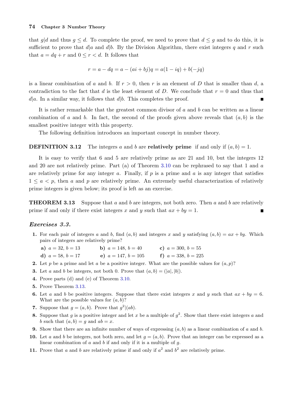<span id="page-77-0"></span>that  $g|d$  and thus  $g \leq d$ . To complete the proof, we need to prove that  $d \leq g$  and to do this, it is sufficient to prove that  $d|a$  and  $d|b$ . By the Division Algorithm, there exist integers q and r such that  $a = dq + r$  and  $0 \leq r < d$ . It follows that

$$
r = a - dq = a - (ai + bj)q = a(1 - iq) + b(-jq)
$$

is a linear combination of *a* and *b*. If  $r > 0$ , then *r* is an element of *D* that is smaller than *d*, a contradiction to the fact that *d* is the least element of *D*. We conclude that  $r = 0$  and thus that *d|a*. In a similar way, it follows that *d|b*. This completes the proof.

It is rather remarkable that the greatest common divisor of *a* and *b* can be written as a linear combination of *a* and *b*. In fact, the second of the proofs given above reveals that  $(a, b)$  is the smallest positive integer with this property.

The following definition introduces an important concept in number theory.

# **DEFINITION 3.12** The integers *a* and *b* are **relatively prime** if and only if  $(a, b) = 1$ .

It is easy to verify that 6 and 5 are relatively prime as are 21 and 10, but the integers 12 and 20 are not relatively prime. Part (a) of Theorem [3.10](#page-75-0) can be rephrased to say that 1 and *a* are relatively prime for any integer  $a$ . Finally, if  $p$  is a prime and  $a$  is any integer that satisfies  $1 \leq a \leq p$ , then *a* and *p* are relatively prime. An extremely useful characterization of relatively prime integers is given below; its proof is left as an exercise.

**THEOREM 3.13** Suppose that *a* and *b* are integers, not both zero. Then *a* and *b* are relatively prime if and only if there exist integers x and y such that  $ax + by = 1$ . ■

# *Exercises 3.3.*

- **1.** For each pair of integers *a* and *b*, find  $(a, b)$  and integers *x* and *y* satisfying  $(a, b) = ax + by$ . Which pairs of integers are relatively prime?
	- **a)**  $a = 32, b = 13$  **b)**  $a = 148, b = 40$  **c)**  $a = 300, b = 55$ **d**)  $a = 58, b = 17$  **e**)  $a = 147, b = 105$  **f**)  $a = 338, b = 225$
- **2.** Let *p* be a prime and let *a* be a positive integer. What are the possible values for  $(a, p)$ ?
- **3.** Let *a* and *b* be integers, not both 0. Prove that  $(a, b) = (|a|, |b|)$ .
- **4.** Prove parts (d) and (e) of Theorem [3.10.](#page-75-0)
- **5.** Prove Theorem 3.13.
- **6.** Let *a* and *b* be positive integers. Suppose that there exist integers *x* and *y* such that  $ax + by = 6$ . What are the possible values for  $(a, b)$ ?
- **7.** Suppose that  $g = (a, b)$ . Prove that  $g^2|(ab)$ .
- **8.** Suppose that *g* is a positive integer and let *x* be a multiple of  $g^2$ . Show that there exist integers *a* and *b* such that  $(a, b) = g$  and  $ab = x$ .
- **9.** Show that there are an infinite number of ways of expressing (*a, b*) as a linear combination of *a* and *b*.
- **10.** Let *a* and *b* be integers, not both zero, and let  $g = (a, b)$ . Prove that an integer can be expressed as a linear combination of *a* and *b* if and only if it is a multiple of *g*.
- **11.** Prove that *a* and *b* are relatively prime if and only if  $a^2$  and  $b^2$  are relatively prime.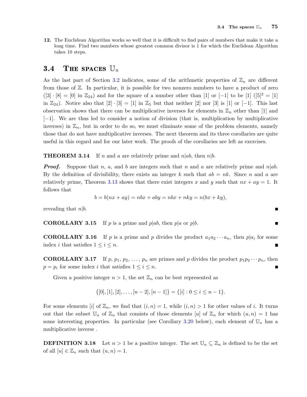<span id="page-78-0"></span>**12.** The Euclidean Algorithm works so well that it is difficult to find pairs of numbers that make it take a long time. Find two numbers whose greatest common divisor is 1 for which the Euclidean Algorithm takes 10 steps.

# 3.4 The spaces U*<sup>n</sup>*

As the last part of Section [3.2](#page-71-0) indicates, some of the arithmetic properties of  $\mathbb{Z}_n$  are different from those of Z. In particular, it is possible for two nonzero numbers to have a product of zero  $([3] \cdot [8] = [0]$  in  $\mathbb{Z}_{24}$ ) and for the square of a number other than [1] or [*−*1] to be [1] ([5]<sup>2</sup> = [1] in  $\mathbb{Z}_{24}$ ). Notice also that  $[2] \cdot [3] = [1]$  in  $\mathbb{Z}_5$  but that neither  $[2]$  nor  $[3]$  is  $[1]$  or  $[-1]$ . This last observation shows that there can be multiplicative inverses for elements in  $\mathbb{Z}_n$  other than [1] and [*−*1]. We are thus led to consider a notion of division (that is, multiplication by multiplicative inverses) in  $\mathbb{Z}_n$ , but in order to do so, we must eliminate some of the problem elements, namely those that do not have multiplicative inverses. The next theorem and its three corollaries are quite useful in this regard and for our later work. The proofs of the corollaries are left as exercises.

**THEOREM 3.14** If *n* and *a* are relatively prime and  $n|ab$ , then  $n|b$ .

*Proof.* Suppose that *n*, *a*, and *b* are integers such that *n* and *a* are relatively prime and *n|ab*. By the definition of divisibility, there exists an integer k such that  $ab = nk$ . Since n and a are relatively prime, Theorem [3.13](#page-77-0) shows that there exist integers x and y such that  $nx + ay = 1$ . It follows that

$$
b = b(nx + ay) = nbx + aby = nbx + nky = n(bx + ky),
$$

revealing that *n|b*.

**COROLLARY 3.15** If *p* is a prime and *p|ab*, then *p|a* or *p|<i>b*.

**COROLLARY 3.16** If *p* is a prime and *p* divides the product  $a_1 a_2 \cdots a_n$ , then  $p | a_i$  for some index *i* that satisfies  $1 \leq i \leq n$ .

**COROLLARY 3.17** If  $p, p_1, p_2, \ldots, p_n$  are primes and  $p$  divides the product  $p_1 p_2 \cdots p_n$ , then  $p = p_i$  for some index *i* that satisfies  $1 \leq i \leq n$ .

Given a positive integer  $n > 1$ , the set  $\mathbb{Z}_n$  can be best represented as

$$
\{[0], [1], [2], \ldots, [n-2], [n-1]\} = \{[i] : 0 \le i \le n-1\}.
$$

For some elements [*i*] of  $\mathbb{Z}_n$ , we find that  $(i, n) = 1$ , while  $(i, n) > 1$  for other values of *i*. It turns out that the subset  $\mathbb{U}_n$  of  $\mathbb{Z}_n$  that consists of those elements [*u*] of  $\mathbb{Z}_n$  for which  $(u, n) = 1$  has some interesting properties. In particular (see Corollary [3.20](#page-79-0) below), each element of  $\mathbb{U}_n$  has a multiplicative inverse .

**DEFINITION 3.18** Let  $n > 1$  be a positive integer. The set  $\mathbb{U}_n \subseteq \mathbb{Z}_n$  is defined to be the set of all  $[u] \in \mathbb{Z}_n$  such that  $(u, n) = 1$ .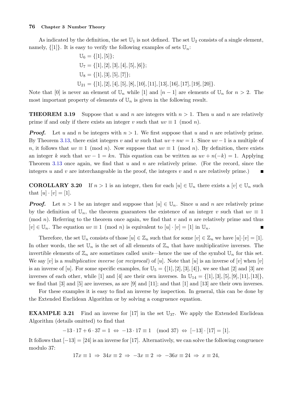<span id="page-79-0"></span>As indicated by the definition, the set  $\mathbb{U}_1$  is not defined. The set  $\mathbb{U}_2$  consists of a single element, namely,  $\{|1|\}$ . It is easy to verify the following examples of sets  $\mathbb{U}_n$ :

$$
\begin{aligned}\n\mathbb{U}_6 &= \{ [1], [5] \}; \\
\mathbb{U}_7 &= \{ [1], [2], [3], [4], [5], [6] \}; \\
\mathbb{U}_8 &= \{ [1], [3], [5], [7] \}; \\
\mathbb{U}_{21} &= \{ [1], [2], [4], [5], [8], [10], [11], [13], [16], [17], [19], [20] \}.\n\end{aligned}
$$

Note that [0] is never an element of  $\mathbb{U}_n$  while [1] and  $[n-1]$  are elements of  $\mathbb{U}_n$  for  $n > 2$ . The most important property of elements of  $\mathbb{U}_n$  is given in the following result.

**THEOREM 3.19** Suppose that *u* and *n* are integers with  $n > 1$ . Then *u* and *n* are relatively prime if and only if there exists an integer  $v$  such that  $uv \equiv 1 \pmod{n}$ .

*Proof.* Let *u* and *n* be integers with *n >* 1. We first suppose that *u* and *n* are relatively prime. By Theorem [3.13,](#page-77-0) there exist integers *v* and *w* such that  $uv + nw = 1$ . Since  $uv - 1$  is a multiple of *n*, it follows that  $uv \equiv 1 \pmod{n}$ . Now suppose that  $uv \equiv 1 \pmod{n}$ . By definition, there exists an integer *k* such that  $uv - 1 = kn$ . This equation can be written as  $uv + n(-k) = 1$ . Applying Theorem [3.13](#page-77-0) once again, we find that *u* and *n* are relatively prime. (For the record, since the integers *u* and *v* are interchangeable in the proof, the integers *v* and *n* are relatively prime.)  $\blacksquare$ 

**COROLLARY 3.20** If  $n > 1$  is an integer, then for each  $[u] \in \mathbb{U}_n$  there exists a  $[v] \in \mathbb{U}_n$  such that  $[u] \cdot [v] = [1]$ .

*Proof.* Let  $n > 1$  be an integer and suppose that  $[u] \in \mathbb{U}_n$ . Since *u* and *n* are relatively prime by the definition of  $\mathbb{U}_n$ , the theorem guarantees the existence of an integer *v* such that  $uv \equiv 1$ (mod *n*). Referring to the theorem once again, we find that *v* and *n* are relatively prime and thus  $[v] \in \mathbb{U}_n$ . The equation  $uv \equiv 1 \pmod{n}$  is equivalent to  $[u] \cdot [v] = [1]$  in  $\mathbb{U}_n$ .  $\blacksquare$ 

Therefore, the set  $\mathbb{U}_n$  consists of those  $[u] \in \mathbb{Z}_n$  such that for some  $[v] \in \mathbb{Z}_n$  we have  $[u] \cdot [v] = [1]$ . In other words, the set  $\mathbb{U}_n$  is the set of all elements of  $\mathbb{Z}_n$  that have multiplicative inverses. The invertible elements of  $\mathbb{Z}_n$  are sometimes called *units*—hence the use of the symbol  $\mathbb{U}_n$  for this set. We say [*v*] is a *multiplicative inverse* (or *reciprocal*) of [*u*]. Note that [*u*] is an inverse of [*v*] when [*v*] is an inverse of [*u*]. For some specific examples, for  $\mathbb{U}_5 = \{ [1], [2], [3], [4] \}$ , we see that [2] and [3] are inverses of each other, while [1] and [4] are their own inverses. In  $\mathbb{U}_{14} = \{ [1], [3], [5], [9], [11], [13] \},\$ we find that  $[3]$  and  $[5]$  are inverses, as are  $[9]$  and  $[11]$ ; and that  $[1]$  and  $[13]$  are their own inverses.

For these examples it is easy to find an inverse by inspection. In general, this can be done by the Extended Euclidean Algorithm or by solving a congruence equation.

**EXAMPLE 3.21** Find an inverse for [17] in the set  $\mathbb{U}_{37}$ . We apply the Extended Euclidean Algorithm (details omitted) to find that

*−*13 *·* 17 + 6 *·* 37 = 1 *⇔ −*13 *·* 17 *≡* 1 (mod 37) *⇔* [*−*13] *·* [17] = [1]*.*

It follows that [*−*13] = [24] is an inverse for [17]. Alternatively, we can solve the following congruence modulo 37:

 $17x \equiv 1 \implies 34x \equiv 2 \implies -3x \equiv 2 \implies -36x \equiv 24 \implies x \equiv 24$ ,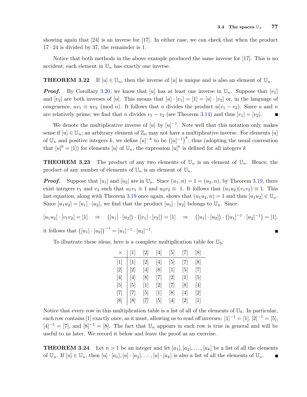<span id="page-80-0"></span>showing again that [24] is an inverse for [17]. In either case, we can check that when the product 17 *·* 24 is divided by 37, the remainder is 1.

Notice that both methods in the above example produced the same inverse for [17]. This is no accident; each element in  $\mathbb{U}_n$  has exactly one inverse.

**THEOREM 3.22** If  $[u] \in \mathbb{U}_n$ , then the inverse of  $[u]$  is unique and is also an element of  $\mathbb{U}_n$ .

*Proof.* By Corollary [3.20,](#page-79-0) we know that [*u*] has at least one inverse in  $\mathbb{U}_n$ . Suppose that [*v*<sub>1</sub>] and  $[v_2]$  are both inverses of [*u*]. This means that  $[u] \cdot [v_1] = [1] = [u] \cdot [v_2]$  or, in the language of congruence,  $uv_1 \equiv uv_2 \pmod{n}$ . It follows that *n* divides the product  $u(v_1 - v_2)$ . Since *u* and *n* are relatively prime, we find that *n* divides  $v_1 - v_2$  (see Theorem [3.14](#page-78-0)) and thus  $[v_1] = [v_2]$ . П

We denote the multiplicative inverse of  $[u]$  by  $[u]^{-1}$ . Note well that this notation only makes sense if  $[u] \in \mathbb{U}_n$ ; an arbitrary element of  $\mathbb{Z}_n$  may not have a multiplicative inverse. For elements  $[u]$ of  $\mathbb{U}_n$  and positive integers *k*, we define  $[u]^{-k}$  to be  $([u]^{-1})^k$ ; thus (adopting the usual convention that  $[u]$ <sup>0</sup> = [1]) for elements [*u*] of  $\mathbb{U}_n$ , the expression [*u*]<sup>*k*</sup> is defined for all integers *k* 

**THEOREM 3.23** The product of any two elements of  $\mathbb{U}_n$  is an element of  $\mathbb{U}_n$ . Hence, the product of any number of elements of  $\mathbb{U}_n$  is an element of  $\mathbb{U}_n$ .

*Proof.* Suppose that  $[u_1]$  and  $[u_2]$  are in  $\mathbb{U}_n$ . Since  $(u_1, n) = 1 = (u_2, n)$ , by Theorem [3.19,](#page-79-0) there exist integers  $v_1$  and  $v_2$  such that  $u_1v_1 \equiv 1$  and  $u_2v_2 \equiv 1$ . It follows that  $(u_1u_2)(v_1v_2) \equiv 1$ . This last equation, along with Theorem [3.19](#page-79-0) once again, shows that  $(u_1u_2, n) = 1$  and thus  $[u_1u_2] \in \mathbb{U}_n$ . Since  $[u_1u_2] = [u_1] \cdot [u_2]$ , we find that the product  $[u_1] \cdot [u_2]$  belongs to  $\mathbb{U}_n$ . Since

$$
[u_1u_2] \cdot [v_1v_2] = [1] \Rightarrow ([u_1] \cdot [u_2]) \cdot ([v_1] \cdot [v_2]) = [1] \Rightarrow ([u_1] \cdot [u_2]) \cdot ([u_1]^{-1} \cdot [u_2]^{-1}) = [1],
$$
  
it follows that 
$$
([u_1] \cdot [u_2])^{-1} = [u_1]^{-1} \cdot [u_2]^{-1}.
$$

To illustrate these ideas, here is a complete multiplication table for  $\mathbb{U}_9$ :

| $\times$          | $\lceil 1 \rceil$ | $\left\lceil 2 \right\rceil$ | $[4]$             | [5]                          | $[7]$                        | [8]                          |
|-------------------|-------------------|------------------------------|-------------------|------------------------------|------------------------------|------------------------------|
| $[1]$             | $\lceil 1 \rceil$ | $\left[2\right]$             | [4]               | $\lceil 5 \rceil$            | $[7]$                        | [8]                          |
| $\lceil 2 \rceil$ | [2]               | [4]                          | [8]               | $[1]$                        | $\lceil 5 \rceil$            | [7]                          |
| [4]               | 4                 | [8]                          | $[7]$             | $\left\lceil 2 \right\rceil$ | $\lceil 1 \rceil$            | [5]                          |
| [5]               | [5]               | $\lceil 1 \rceil$            | $\left[ 2\right]$ | $[7]$                        | [8]                          | [4]                          |
|                   | [7]               | $\lceil 5 \rceil$            | $[1]$             | [8]                          | [4]                          | $\left\lceil 2 \right\rceil$ |
| [8]               | [8]               | [7]                          | $\lceil 5 \rceil$ | [4]                          | $\left\lceil 2 \right\rceil$ | $[1]$                        |

Notice that every row in this multiplication table is a list of all of the elements of  $\mathbb{U}_9$ . In particular, each row contains [1] exactly once, as it must, allowing us to read off inverses:  $[1]^{-1} = [1], [2]^{-1} = [5],$  $[4]^{-1} = [7]$ , and  $[8]^{-1} = [8]$ . The fact that  $\mathbb{U}_n$  appears in each row is true in general and will be useful to us later. We record it below and leave the proof as an exercise.

**THEOREM 3.24** Let  $n > 1$  be an integer and let  $[a_1], [a_2], \ldots, [a_k]$  be a list of all the elements of  $\mathbb{U}_n$ . If  $[u] \in \mathbb{U}_n$ , then  $[u] \cdot [a_1], [u] \cdot [a_2], \ldots, [u] \cdot [a_k]$  is also a list of all the elements of  $\mathbb{U}_n$ .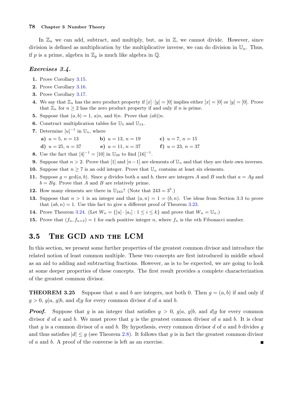<span id="page-81-0"></span>In  $\mathbb{Z}_n$  we can add, subtract, and multiply, but, as in  $\mathbb{Z}$ , we cannot divide. However, since division is defined as multiplication by the multiplicative inverse, we can do division in  $\mathbb{U}_n$ . Thus, if *p* is a prime, algebra in  $\mathbb{Z}_p$  is much like algebra in  $\mathbb{Q}$ .

### *Exercises 3.4.*

- **1.** Prove Corollary [3.15](#page-78-0).
- **2.** Prove Corollary [3.16](#page-78-0).
- **3.** Prove Corollary [3.17](#page-78-0).
- **4.** We say that  $\mathbb{Z}_n$  has the zero product property if  $[x] \cdot [y] = [0]$  implies either  $[x] = [0]$  or  $[y] = [0]$ . Prove that  $\mathbb{Z}_n$  for  $n \geq 2$  has the zero product property if and only if *n* is prime.
- **5.** Suppose that  $(a, b) = 1$ ,  $a|n$ , and  $b|n$ . Prove that  $(ab)|n$ .
- **6.** Construct multiplication tables for  $\mathbb{U}_5$  and  $\mathbb{U}_{14}$ .
- **7.** Determine  $[u]^{-1}$  in  $\mathbb{U}_n$ , where
	- **a**)  $u = 5, n = 13$  **b**)  $u = 13, n = 19$  **c**)  $u = 7, n = 15$
- **d)**  $u = 25, n = 37$  **e)**  $u = 11, n = 37$  **f)**  $u = 23, n = 37$
- **8.** Use the fact that  $[4]^{-1} = [10]$  in  $\mathbb{U}_{39}$  to find  $[16]^{-1}$ .
- **9.** Suppose that  $n > 2$ . Prove that [1] and  $[n-1]$  are elements of  $\mathbb{U}_n$  and that they are their own inverses.
- **10.** Suppose that  $n \geq 7$  is an odd integer. Prove that  $\mathbb{U}_n$  contains at least six elements.
- **11.** Suppose  $g = \gcd(a, b)$ . Since *g* divides both *a* and *b*, there are integers *A* and *B* such that  $a = Ag$  and  $b = Bg$ . Prove that *A* and *B* are relatively prime.
- **12.** How many elements are there in  $\mathbb{U}_{243}$ ? (Note that  $243 = 3^5$ .)
- **13.** Suppose that  $n > 1$  is an integer and that  $(a, n) = 1 = (b, n)$ . Use ideas from Section 3.3 to prove that  $(ab, n) = 1$ . Use this fact to give a different proof of Theorem [3.23.](#page-80-0)
- **14.** Prove Theorem 3.24. (Let  $W_n = \{ [u] \cdot [a_i] : 1 \le i \le k \}$  and prove that  $W_n = \mathbb{U}_n$ .)
- **15.** Prove that  $(f_n, f_{n+2}) = 1$  for each positive integer *n*, where  $f_n$  is the *n*th Fibonacci number.

# 3.5 THE GCD AND THE LCM

In this section, we present some further properties of the greatest common divisor and introduce the related notion of least common multiple. These two concepts are first introduced in middle school as an aid to adding and subtracting fractions. However, as is to be expected, we are going to look at some deeper properties of these concepts. The first result provides a complete characterization of the greatest common divisor.

**THEOREM 3.25** Suppose that *a* and *b* are integers, not both 0. Then  $q = (a, b)$  if and only if  $g > 0$ ,  $g | a$ ,  $g | b$ , and  $d | g$  for every common divisor *d* of *a* and *b*.

*Proof.* Suppose that *g* is an integer that satisfies  $g > 0$ ,  $g|a$ ,  $g|b$ , and  $d|g$  for every common divisor *d* of *a* and *b*. We must prove that *g* is the greatest common divisor of *a* and *b*. It is clear that *g* is a common divisor of *a* and *b*. By hypothesis, every common divisor *d* of *a* and *b* divides *g* and thus satisfies  $|d| \leq g$  (see Theorem [2.8](#page-39-0)). It follows that g is in fact the greatest common divisor of *a* and *b*. A proof of the converse is left as an exercise.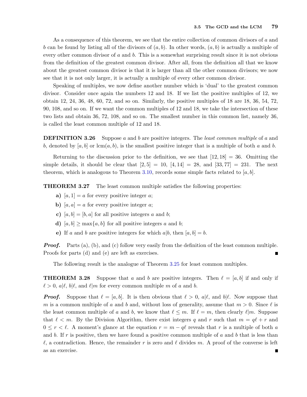<span id="page-82-0"></span>As a consequence of this theorem, we see that the entire collection of common divisors of *a* and *b* can be found by listing all of the divisors of  $(a, b)$ . In other words,  $(a, b)$  is actually a multiple of every other common divisor of *a* and *b*. This is a somewhat surprising result since it is not obvious from the definition of the greatest common divisor. After all, from the definition all that we know about the greatest common divisor is that it is larger than all the other common divisors; we now see that it is not only larger, it is actually a multiple of every other common divisor.

Speaking of multiples, we now define another number which is 'dual' to the greatest common divisor. Consider once again the numbers 12 and 18. If we list the positive multiples of 12, we obtain 12, 24, 36, 48, 60, 72, and so on. Similarly, the positive multiples of 18 are 18, 36, 54, 72, 90, 108, and so on. If we want the common multiples of 12 and 18, we take the intersection of these two lists and obtain 36, 72, 108, and so on. The smallest number in this common list, namely 36, is called the least common multiple of 12 and 18.

**DEFINITION 3.26** Suppose *a* and *b* are positive integers. The *least common multiple* of *a* and *b*, denoted by  $[a, b]$  or lcm $(a, b)$ , is the smallest positive integer that is a multiple of both *a* and *b*.

Returning to the discussion prior to the definition, we see that  $[12, 18] = 36$ . Omitting the simple details, it should be clear that  $[2,5] = 10$ ,  $[4,14] = 28$ , and  $[33,77] = 231$ . The next theorem, which is analogous to Theorem [3.10](#page-75-0), records some simple facts related to  $[a, b]$ .

**THEOREM 3.27** The least common multiple satisfies the following properties:

- **a**)  $[a, 1] = a$  for every positive integer *a*;
- **b**)  $[a, a] = a$  for every positive integer *a*;
- **c**)  $[a, b] = [b, a]$  for all positive integers *a* and *b*;
- **d**)  $[a, b] \ge \max\{a, b\}$  for all positive integers *a* and *b*;
- **e**) If *a* and *b* are positive integers for which  $a|b$ , then  $[a, b] = b$ .

*Proof.* Parts (a), (b), and (c) follow very easily from the definition of the least common multiple. Proofs for parts (d) and (e) are left as exercises. Г

The following result is the analogue of Theorem [3.25](#page-81-0) for least common multiples.

**THEOREM 3.28** Suppose that *a* and *b* are positive integers. Then  $\ell = [a, b]$  if and only if  $\ell > 0$ ,  $a|\ell, b|\ell$ , and  $\ell | m$  for every common multiple *m* of *a* and *b*.

*Proof.* Suppose that  $\ell = [a, b]$ . It is then obvious that  $\ell > 0$ ,  $a | \ell$ , and  $b | \ell$ . Now suppose that *m* is a common multiple of *a* and *b* and, without loss of generality, assume that  $m > 0$ . Since  $\ell$  is the least common multiple of *a* and *b*, we know that  $\ell \leq m$ . If  $\ell = m$ , then clearly  $\ell | m$ . Suppose that  $\ell < m$ . By the Division Algorithm, there exist integers *q* and *r* such that  $m = q\ell + r$  and  $0 \leq r < \ell$ . A moment's glance at the equation  $r = m - qt$  reveals that r is a multiple of both *a* and *b*. If *r* is positive, then we have found a positive common multiple of *a* and *b* that is less than  $\ell$ , a contradiction. Hence, the remainder *r* is zero and  $\ell$  divides *m*. A proof of the converse is left as an exercise.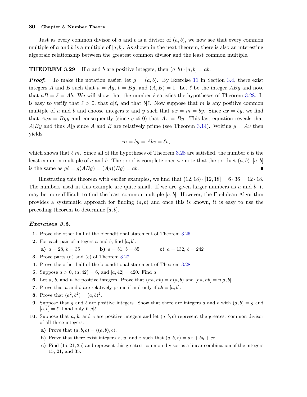<span id="page-83-0"></span>Just as every common divisor of *a* and *b* is a divisor of (*a, b*), we now see that every common multiple of *a* and *b* is a multiple of  $[a, b]$ . As shown in the next theorem, there is also an interesting algebraic relationship between the greatest common divisor and the least common multiple.

# **THEOREM 3.29** If *a* and *b* are positive integers, then  $(a, b) \cdot [a, b] = ab$ .

*Proof.* To make the notation easier, let  $g = (a, b)$ . By Exercise [11](#page-81-0) in Section [3.4,](#page-78-0) there exist integers *A* and *B* such that  $a = Ag$ ,  $b = Bg$ , and  $(A, B) = 1$ . Let  $\ell$  be the integer *ABg* and note that  $aB = \ell = Ab$ . We will show that the number  $\ell$  satisfies the hypotheses of Theorem [3.28](#page-82-0). It is easy to verify that  $\ell > 0$ , that  $a|\ell$ , and that  $b|\ell$ . Now suppose that *m* is any positive common multiple of *a* and *b* and choose integers *x* and *y* such that  $ax = m = by$ . Since  $ax = by$ , we find that  $Agx = Byy$  and consequently (since  $g \neq 0$ ) that  $Ax = By$ . This last equation reveals that  $A|By$  and thus  $A|y$  since *A* and *B* are relatively prime (see Theorem [3.14](#page-78-0)). Writing  $y = Av$  then yields

$$
m = by = Abv = \ell v,
$$

which shows that  $\ell | m$ . Since all of the hypotheses of Theorem [3.28](#page-82-0) are satisfied, the number  $\ell$  is the least common multiple of *a* and *b*. The proof is complete once we note that the product  $(a, b) \cdot [a, b]$ is the same as  $q\ell = q(ABq) = (Ag)(Bq) = ab$ .  $\blacksquare$ 

Illustrating this theorem with earlier examples, we find that  $(12, 18) \cdot [12, 18] = 6 \cdot 36 = 12 \cdot 18$ . The numbers used in this example are quite small. If we are given larger numbers as *a* and *b*, it may be more difficult to find the least common multiple  $[a, b]$ . However, the Euclidean Algorithm provides a systematic approach for finding (*a, b*) and once this is known, it is easy to use the preceding theorem to determine [*a, b*].

### *Exercises 3.5.*

- **1.** Prove the other half of the biconditional statement of Theorem [3.25.](#page-81-0)
- **2.** For each pair of integers *a* and *b*, find [*a, b*].

**a**)  $a = 28, b = 35$  **b**)  $a = 51, b = 85$  **c**)  $a = 132, b = 242$ 

- **3.** Prove parts (d) and (e) of Theorem [3.27.](#page-82-0)
- **4.** Prove the other half of the biconditional statement of Theorem [3.28.](#page-82-0)
- **5.** Suppose  $a > 0$ ,  $(a, 42) = 6$ , and  $[a, 42] = 420$ . Find a.
- **6.** Let *a*, *b*, and *n* be positive integers. Prove that  $(na, nb) = n(a, b)$  and  $[na, nb] = n[a, b]$ .
- **7.** Prove that *a* and *b* are relatively prime if and only if  $ab = [a, b]$ .
- **8.** Prove that  $(a^2, b^2) = (a, b)^2$ .
- **9.** Suppose that *g* and  $\ell$  are positive integers. Show that there are integers *a* and *b* with  $(a, b) = g$  and  $[a, b] = \ell$  if and only if  $g | \ell$ .
- **10.** Suppose that *a*, *b*, and *c* are positive integers and let (*a, b, c*) represent the greatest common divisor of all three integers.
	- **a**) Prove that  $(a, b, c) = ((a, b), c)$ .
	- **b**) Prove that there exist integers *x*, *y*, and *z* such that  $(a, b, c) = ax + by + cz$ .
	- **c)** Find (15*,* 21*,* 35) and represent this greatest common divisor as a linear combination of the integers 15, 21, and 35.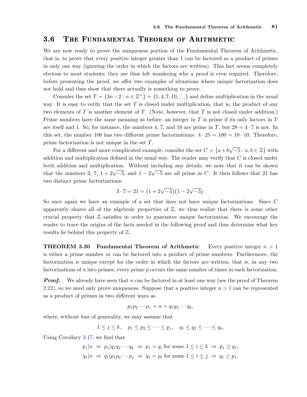# 3.6 The Fundamental Theorem of Arithmetic

We are now ready to prove the uniqueness portion of the Fundamental Theorem of Arithmetic, that is, to prove that every positive integer greater than 1 can be factored as a product of primes in only one way (ignoring the order in which the factors are written). This fact seems completely obvious to most students; they are thus left wondering why a proof is even required. Therefore, before presenting the proof, we offer two examples of situations where unique factorization does not hold and thus show that there actually is something to prove.

Consider the set  $T = \{3n-2 : n \in \mathbb{Z}^+\} = \{1, 4, 7, 10, \ldots\}$  and define multiplication in the usual way. It is easy to verify that the set *T* is closed under multiplication, that is, the product of any two elements of *T* is another element of *T*. (Note, however, that *T* is not closed under addition.) Prime numbers have the same meaning as before; an integer in *T* is prime if its only factors in *T* are itself and 1. So, for instance, the numbers 4, 7, and 10 are prime in *T*, but  $28 = 4 \cdot 7$  is not. In this set, the number 100 has two different prime factorizations:  $4 \cdot 25 = 100 = 10 \cdot 10$ . Therefore, prime factorization is not unique in the set *T*.

For a different and more complicated example, consider the set  $C = \{a + b\}$ *√ −*5 : *a, b ∈* Z*}* with addition and multiplication defined in the usual way. The reader may verify that *C* is closed under both addition and multiplication. Without including any details, we note that it can be shown that the numbers 3, 7,  $1 + 2\sqrt{-5}$ , and  $1 - 2$ *√ −*5 are all prime in *C*. It then follows that 21 has two distinct prime factorizations:

$$
3 \cdot 7 = 21 = (1 + 2\sqrt{-5})(1 - 2\sqrt{-5}).
$$

So once again we have an example of a set that does not have unique factorizations. Since *C* apparently shares all of the algebraic properties of  $\mathbb{Z}$ , we thus realize that there is some other crucial property that Z satisfies in order to guarantee unique factorization. We encourage the reader to trace the origins of the facts needed in the following proof and thus determine what key results lie behind this property of Z.

**THEOREM 3.30 Fundamental Theorem of Arithmetic** Every positive integer *n >* 1 is either a prime number or can be factored into a product of prime numbers. Furthermore, the factorization is unique except for the order in which the factors are written, that is, in any two factorizations of *n* into primes, every prime *p* occurs the same number of times in each factorization.

*Proof.* We already have seen that *n* can be factored in at least one way (see the proof of Theorem [2.22\)](#page-53-0), so we need only prove uniqueness. Suppose that a positive integer  $n > 1$  can be represented as a product of primes in two different ways as

$$
p_1p_2\cdots p_j=n=q_1q_2\cdots q_k,
$$

where, without loss of generality, we may assume that

$$
1 \le j \le k, \quad p_1 \le p_2 \le \cdots \le p_j, \quad q_1 \le q_2 \le \cdots \le q_k.
$$

Using Corollary [3.17,](#page-78-0) we find that

$$
p_1|n \Rightarrow p_1|q_1q_2\cdots q_k \Rightarrow p_1 = q_i \text{ for some } 1 \le i \le k \Rightarrow p_1 \ge q_1;
$$
  

$$
q_1|n \Rightarrow q_1|p_1p_2\cdots p_j \Rightarrow q_1 = p_i \text{ for some } 1 \le i \le j \Rightarrow q_1 \ge p_1.
$$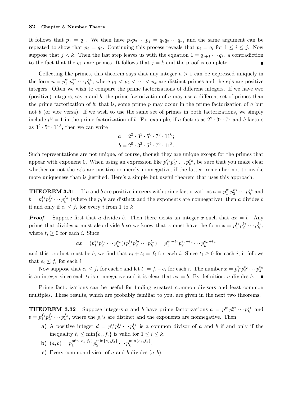<span id="page-85-0"></span>It follows that  $p_1 = q_1$ . We then have  $p_2p_3 \cdots p_j = q_2q_3 \cdots q_k$ , and the same argument can be repeated to show that  $p_2 = q_2$ . Continuing this process reveals that  $p_i = q_i$  for  $1 \leq i \leq j$ . Now suppose that  $j < k$ . Then the last step leaves us with the equation  $1 = q_{j+1} \cdots q_k$ , a contradiction to the fact that the  $q_i$ 's are primes. It follows that  $j = k$  and the proof is complete.  $\blacksquare$ 

Collecting like primes, this theorem says that any integer  $n > 1$  can be expressed uniquely in the form  $n = p_1^{e_1} p_2^{e_2} \cdots p_k^{e_k}$ , where  $p_1 < p_2 < \cdots < p_k$  are distinct primes and the  $e_i$ 's are positive integers. Often we wish to compare the prime factorizations of different integers. If we have two (positive) integers, say *a* and *b*, the prime factorization of *a* may use a different set of primes than the prime factorization of *b*; that is, some prime *p* may occur in the prime factorization of *a* but not *b* (or vice versa). If we wish to use the same set of primes in both factorizations, we simply include  $p^0 = 1$  in the prime factorization of *b*. For example, if *a* factors as  $2^2 \cdot 3^5 \cdot 7^3$  and *b* factors as  $3^2 \cdot 5^4 \cdot 11^3$ , then we can write

$$
a = 22 \cdot 35 \cdot 50 \cdot 73 \cdot 110;
$$
  

$$
b = 20 \cdot 32 \cdot 54 \cdot 70 \cdot 113.
$$

Such representations are not unique, of course, though they are unique except for the primes that appear with exponent 0. When using an expression like  $p_1^{e_1}p_2^{e_2}\ldots p_k^{e_k}$ , be sure that you make clear whether or not the  $e_i$ 's are positive or merely nonnegative; if the latter, remember not to invoke more uniqueness than is justified. Here's a simple but useful theorem that uses this approach.

**THEOREM 3.31** If *a* and *b* are positive integers with prime factorizations  $a = p_1^{e_1} p_2^{e_2} \cdots p_k^{e_k}$  and  $b = p_1^{f_1} p_2^{f_2} \cdots p_k^{f_k}$  (where the  $p_i$ 's are distinct and the exponents are nonnegative), then *a* divides *b* if and only if  $e_i \leq f_i$  for every *i* from 1 to *k*.

*Proof.* Suppose first that *a* divides *b*. Then there exists an integer *x* such that  $ax = b$ . Any prime that divides x must also divide b so we know that x must have the form  $x = p_1^{t_1} p_2^{t_2} \cdots p_k^{t_k}$ , where  $t_i \geq 0$  for each *i*. Since

$$
ax = (p_1^{e_1} p_2^{e_2} \cdots p_k^{e_k}) (p_1^{t_1} p_2^{t_2} \cdots p_k^{t_k}) = p_1^{e_1 + t_1} p_2^{e_2 + t_2} \cdots p_k^{e_k + t_k}
$$

and this product must be *b*, we find that  $e_i + t_i = f_i$  for each *i*. Since  $t_i \geq 0$  for each *i*, it follows that  $e_i \leq f_i$  for each *i*.

Now suppose that  $e_i \le f_i$  for each i and let  $t_i = f_i - e_i$  for each i. The number  $x = p_1^{t_1} p_2^{t_2} \cdots p_k^{t_k}$ is an integer since each  $t_i$  is nonnegative and it is clear that  $ax = b$ . By definition, *a* divides *b*.

Prime factorizations can be useful for finding greatest common divisors and least common multiples. These results, which are probably familiar to you, are given in the next two theorems.

**THEOREM 3.32** Suppose integers *a* and *b* have prime factorizations  $a = p_1^{e_1} p_2^{e_2} \cdots p_k^{e_k}$  and  $b = p_1^{f_1} p_2^{f_2} \cdots p_k^{f_k}$ , where the  $p_i$ 's are distinct and the exponents are nonnegative. Then

- **a**) A positive integer  $d = p_1^{t_1} p_2^{t_2} \cdots p_k^{t_k}$  is a common divisor of *a* and *b* if and only if the inequality  $t_i \leq \min\{e_i, f_i\}$  is valid for  $1 \leq i \leq k$ .
- **b**)  $(a, b) = p_1^{\min\{e_1, f_1\}} p_2^{\min\{e_2, f_2\}} \cdots p_k^{\min\{e_k, f_k\}}$  $\lim_{k}$ <sup>*ek*</sub>,*J<sub>k</sub>*}.</sup>
- **c)** Every common divisor of *a* and *b* divides (*a, b*).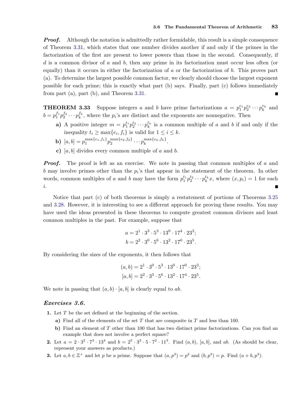<span id="page-86-0"></span>*Proof.* Although the notation is admittedly rather formidable, this result is a simple consequence of Theorem [3.31,](#page-85-0) which states that one number divides another if and only if the primes in the factorization of the first are present to lower powers than those in the second. Consequently, if *d* is a common divisor of *a* and *b*, then any prime in its factorization must occur less often (or equally) than it occurs in either the factorization of *a* or the factorization of *b*. This proves part (a). To determine the largest possible common factor, we clearly should choose the largest exponent possible for each prime; this is exactly what part (b) says. Finally, part (c) follows immediately from part (a), part (b), and Theorem [3.31](#page-85-0).

**THEOREM 3.33** Suppose integers *a* and *b* have prime factorizations  $a = p_1^{e_1} p_2^{e_2} \cdots p_k^{e_k}$  and  $b = p_1^{f_1} p_2^{f_2} \cdots p_k^{f_k}$ , where the  $p_i$ 's are distinct and the exponents are nonnegative. Then

- **a**) A positive integer  $m = p_1^{t_1} p_2^{t_2} \cdots p_k^{t_k}$  is a common multiple of *a* and *b* if and only if the inequality  $t_i \geq \max\{e_i, f_i\}$  is valid for  $1 \leq i \leq k$ .
- **b**)  $[a, b] = p_1^{\max\{e_1, f_1\}} p_2^{\max\{e_2, f_2\}} \cdots p_k^{\max\{e_k, f_k\}}$  $\frac{\max\{e_k, J_k\}}{k}$ .
- **c)** [*a, b*] divides every common multiple of *a* and *b*.

*Proof.* The proof is left as an exercise. We note in passing that common multiples of a and *b* may involve primes other than the *p<sup>i</sup>* 's that appear in the statement of the theorem. In other words, common multiples of *a* and *b* may have the form  $p_1^{t_1} p_2^{t_2} \cdots p_k^{t_k} x$ , where  $(x, p_i) = 1$  for each *i*.

Notice that part (c) of both theorems is simply a restatement of portions of Theorems [3.25](#page-81-0) and [3.28](#page-82-0). However, it is interesting to see a different approach for proving these results. You may have used the ideas presented in these theorems to compute greatest common divisors and least common multiples in the past. For example, suppose that

$$
a = 21 \cdot 33 \cdot 53 \cdot 130 \cdot 174 \cdot 233;
$$
  

$$
b = 22 \cdot 30 \cdot 56 \cdot 132 \cdot 170 \cdot 235.
$$

By considering the sizes of the exponents, it then follows that

$$
(a, b) = 21 \cdot 30 \cdot 53 \cdot 130 \cdot 170 \cdot 233;
$$
  

$$
[a, b] = 22 \cdot 33 \cdot 56 \cdot 132 \cdot 174 \cdot 235.
$$

We note in passing that  $(a, b) \cdot [a, b]$  is clearly equal to *ab*.

### *Exercises 3.6.*

- **1.** Let *T* be the set defined at the beginning of the section.
	- **a)** Find all of the elements of the set *T* that are composite in *T* and less than 100.
	- **b)** Find an element of *T* other than 100 that has two distinct prime factorizations. Can you find an example that does not involve a perfect square?
- **2.** Let  $a = 2 \cdot 3^2 \cdot 7^3 \cdot 13^4$  and  $b = 2^5 \cdot 3^2 \cdot 5 \cdot 7^2 \cdot 11^3$ . Find  $(a, b)$ ,  $[a, b]$ , and  $ab$ . (As should be clear, represent your answers as products.)
- **3.** Let  $a, b \in \mathbb{Z}^+$  and let *p* be a prime. Suppose that  $(a, p^3) = p^2$  and  $(b, p^3) = p$ . Find  $(a + b, p^3)$ .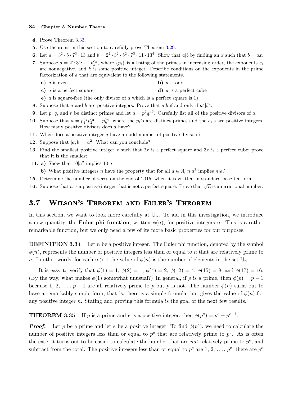- <span id="page-87-0"></span>**4.** Prove Theorem [3.33](#page-86-0).
- **5.** Use theorems in this section to carefully prove Theorem [3.29](#page-83-0).
- **6.** Let  $a = 3^2 \cdot 5 \cdot 7^3 \cdot 13$  and  $b = 2^2 \cdot 3^2 \cdot 5^2 \cdot 7^3 \cdot 11 \cdot 13^4$ . Show that a|b by finding an x such that  $b = ax$ .
- **7.** Suppose  $a = 2^{e_1}3^{e_2} \cdots p_k^{e_k}$ , where  $\{p_i\}$  is a listing of the primes in increasing order, the exponents  $e_i$ are nonnegative, and *k* is some positive integer. Describe conditions on the exponents in the prime factorization of *a* that are equivalent to the following statements.
	- **a)** *a* is even **b)** *a* is odd
	- **c)** *a* is a perfect square **d)** *a* is a perfect cube
	- **e)** *a* is square-free (the only divisor of *a* which is a perfect square is 1)
- **8.** Suppose that *a* and *b* are positive integers. Prove that *a*|*b* if and only if  $a^2 | b^2$ .
- **9.** Let p, q, and r be distinct primes and let  $a = p^2qr^3$ . Carefully list all of the positive divisors of a.
- 10. Suppose that  $a = p_1^{e_1} p_2^{e_2} \cdots p_k^{e_k}$ , where the  $p_i$ 's are distinct primes and the  $e_i$ 's are positive integers. How many positive divisors does *a* have?
- **11.** When does a positive integer *a* have an odd number of positive divisors?
- **12.** Suppose that  $[a, b] = a^2$ . What can you conclude?
- **13.** Find the smallest positive integer *x* such that 2*x* is a perfect square and 3*x* is a perfect cube; prove that it is the smallest.
- **14. a)** Show that  $10|a^2$  implies  $10|a$ .
	- **b)** What positive integers *n* have the property that for all  $a \in \mathbb{N}$ ,  $n|a^2$  implies  $n|a$ ?
- **15.** Determine the number of zeros on the end of 2015! when it is written in standard base ten form.
- **16.** Suppose that *n* is a positive integer that is not a perfect square. Prove that  $\sqrt{n}$  is an irrational number.

# 3.7 Wilson's Theorem and Euler's Theorem

In this section, we want to look more carefully at  $\mathbb{U}_n$ . To aid in this investigation, we introduce a new quantity, the **Euler phi function**, written  $\phi(n)$ , for positive integers *n*. This is a rather remarkable function, but we only need a few of its more basic properties for our purposes.

**DEFINITION 3.34** Let *n* be a positive integer. The Euler phi function, denoted by the symbol  $\phi(n)$ , represents the number of positive integers less than or equal to *n* that are relatively prime to *n*. In other words, for each  $n > 1$  the value of  $\phi(n)$  is the number of elements in the set  $\mathbb{U}_n$ .

It is easy to verify that  $\phi(1) = 1$ ,  $\phi(2) = 1$ ,  $\phi(4) = 2$ ,  $\phi(12) = 4$ ,  $\phi(15) = 8$ , and  $\phi(17) = 16$ . (By the way, what makes  $\phi(1)$  somewhat unusual?) In general, if *p* is a prime, then  $\phi(p) = p - 1$ because 1, 2, ...,  $p-1$  are all relatively prime to p but p is not. The number  $\phi(n)$  turns out to have a remarkably simple form; that is, there is a simple formula that gives the value of  $\phi(n)$  for any positive integer *n*. Stating and proving this formula is the goal of the next few results.

**THEOREM 3.35** If *p* is a prime and *e* is a positive integer, then  $\phi(p^e) = p^e - p^{e-1}$ .

*Proof.* Let *p* be a prime and let *e* be a positive integer. To find  $\phi(p^e)$ , we need to calculate the number of positive integers less than or equal to  $p^e$  that are relatively prime to  $p^e$ . As is often the case, it turns out to be easier to calculate the number that are *not* relatively prime to  $p^e$ , and subtract from the total. The positive integers less than or equal to  $p^e$  are 1, 2, ...,  $p^e$ ; there are  $p^e$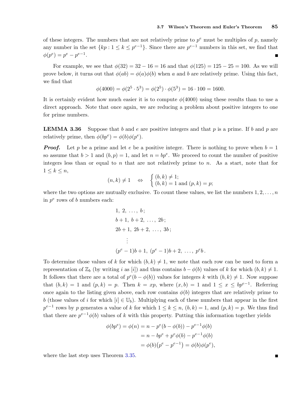<span id="page-88-0"></span>of these integers. The numbers that are not relatively prime to  $p<sup>e</sup>$  must be multiples of  $p$ , namely any number in the set  $\{kp: 1 \leq k \leq p^{e-1}\}\$ . Since there are  $p^{e-1}$  numbers in this set, we find that  $\phi(p^e) = p^e - p^{e-1}.$ 

For example, we see that  $\phi(32) = 32 - 16 = 16$  and that  $\phi(125) = 125 - 25 = 100$ . As we will prove below, it turns out that  $\phi(ab) = \phi(a)\phi(b)$  when *a* and *b* are relatively prime. Using this fact, we find that

$$
\phi(4000) = \phi(2^5 \cdot 5^3) = \phi(2^5) \cdot \phi(5^3) = 16 \cdot 100 = 1600.
$$

It is certainly evident how much easier it is to compute  $\phi(4000)$  using these results than to use a direct approach. Note that once again, we are reducing a problem about positive integers to one for prime numbers.

**LEMMA 3.36** Suppose that *b* and *e* are positive integers and that *p* is a prime. If *b* and *p* are relatively prime, then  $\phi(bp^e) = \phi(b)\phi(p^e)$ .

*Proof.* Let p be a prime and let e be a positive integer. There is nothing to prove when  $b = 1$ so assume that  $b > 1$  and  $(b, p) = 1$ , and let  $n = bp^e$ . We proceed to count the number of positive integers less than or equal to *n* that are not relatively prime to *n*. As a start, note that for  $1 \leq k \leq n$ ,

$$
(n,k) \neq 1
$$
  $\Leftrightarrow$   $\begin{cases} (b,k) \neq 1; \\ (b,k) = 1 \text{ and } (p,k) = p; \end{cases}$ 

where the two options are mutually exclusive. To count these values, we list the numbers  $1, 2, \ldots, n$ in  $p^e$  rows of *b* numbers each:

1, 2, ..., b;  
\n
$$
b+1, b+2, ..., 2b;
$$
  
\n $2b+1, 2b+2, ..., 3b;$   
\n:  
\n $(p^{e}-1)b+1, (p^{e}-1)b+2, ..., p^{e}b.$ 

To determine those values of *k* for which  $(b, k) \neq 1$ , we note that each row can be used to form a representation of  $\mathbb{Z}_b$  (by writing *i* as [*i*]) and thus contains  $b - \phi(b)$  values of *k* for which  $(b, k) \neq 1$ . It follows that there are a total of  $p^e(b - \phi(b))$  values for integers k with  $(b, k) \neq 1$ . Now suppose that  $(b, k) = 1$  and  $(p, k) = p$ . Then  $k = xp$ , where  $(x, b) = 1$  and  $1 \le x \le bp^{e-1}$ . Referring once again to the listing given above, each row contains  $\phi(b)$  integers that are relatively prime to *b* (those values of *i* for which  $[i] \in \mathbb{U}_b$ ). Multiplying each of these numbers that appear in the first  $p^{e-1}$  rows by *p* generates a value of *k* for which  $1 \leq k \leq n$ ,  $(b, k) = 1$ , and  $(p, k) = p$ . We thus find that there are  $p^{e-1}\phi(b)$  values of *k* with this property. Putting this information together yields

$$
\phi(bp^e) = \phi(n) = n - p^e(b - \phi(b)) - p^{e-1}\phi(b)
$$
  
=  $n - bp^e + p^e\phi(b) - p^{e-1}\phi(b)$   
=  $\phi(b)(p^e - p^{e-1}) = \phi(b)\phi(p^e),$ 

where the last step uses Theorem [3.35](#page-87-0).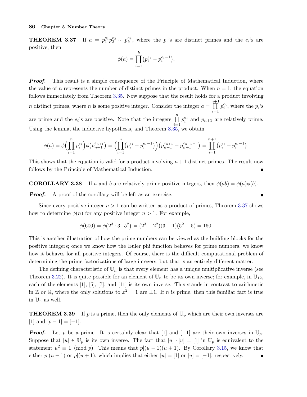<span id="page-89-0"></span>**THEOREM 3.37** If  $a = p_1^{e_1} p_2^{e_2} \cdots p_k^{e_k}$ , where the  $p_i$ 's are distinct primes and the  $e_i$ 's are positive, then

$$
\phi(a) = \prod_{i=1}^k (p_i^{e_i} - p_i^{e_i - 1}).
$$

*Proof.* This result is a simple consequence of the Principle of Mathematical Induction, where the value of *n* represents the number of distinct primes in the product. When  $n = 1$ , the equation follows immediately from Theorem [3.35.](#page-87-0) Now suppose that the result holds for a product involving *n* distinct primes, where *n* is some positive integer. Consider the integer  $a = \prod^{n+1}$ *i*=1  $p_i^{e_i}$ , where the  $p_i$ 's are prime and the  $e_i$ 's are positive. Note that the integers  $\prod_{i=1}^{n} p_i^{e_i}$  and  $p_{n+1}$  are relatively prime. Using the lemma, the inductive hypothesis, and Theorem [3.35,](#page-87-0) we obtain

$$
\phi(a) = \phi\Big(\prod_{i=1}^n p_i^{e_i}\Big) \phi(p_{n+1}^{e_{n+1}}) = \Big(\prod_{i=1}^n (p_i^{e_i} - p_i^{e_i-1})\Big) (p_{n+1}^{e_{n+1}} - p_{n+1}^{e_{n+1}-1}) = \prod_{i=1}^{n+1} (p_i^{e_i} - p_i^{e_i-1}).
$$

This shows that the equation is valid for a product involving  $n+1$  distinct primes. The result now follows by the Principle of Mathematical Induction.

**COROLLARY 3.38** If *a* and *b* are relatively prime positive integers, then  $\phi(ab) = \phi(a)\phi(b)$ .

*Proof.* A proof of the corollary will be left as an exercise.

Since every positive integer  $n > 1$  can be written as a product of primes, Theorem 3.37 shows how to determine  $\phi(n)$  for any positive integer  $n > 1$ . For example,

$$
\phi(600) = \phi(2^3 \cdot 3 \cdot 5^2) = (2^3 - 2^2)(3 - 1)(5^2 - 5) = 160.
$$

This is another illustration of how the prime numbers can be viewed as the building blocks for the positive integers; once we know how the Euler phi function behaves for prime numbers, we know how it behaves for all positive integers. Of course, there is the difficult computational problem of determining the prime factorizations of large integers, but that is an entirely different matter.

The defining characteristic of  $\mathbb{U}_n$  is that every element has a unique multiplicative inverse (see Theorem [3.22\)](#page-80-0). It is quite possible for an element of  $\mathbb{U}_n$  to be its own inverse; for example, in  $\mathbb{U}_{12}$ , each of the elements [1], [5], [7], and [11] is its own inverse. This stands in contrast to arithmetic in  $\mathbb{Z}$  or  $\mathbb{R}$ , where the only solutions to  $x^2 = 1$  are  $\pm 1$ . If *n* is prime, then this familiar fact is true in  $\mathbb{U}_n$  as well.

**THEOREM 3.39** If  $p$  is a prime, then the only elements of  $\mathbb{U}_p$  which are their own inverses are [1] and  $[p-1] = [-1]$ .

*Proof.* Let *p* be a prime. It is certainly clear that [1] and [−1] are their own inverses in  $\mathbb{U}_p$ . Suppose that  $[u] \in \mathbb{U}_p$  is its own inverse. The fact that  $[u] \cdot [u] = [1]$  in  $\mathbb{U}_p$  is equivalent to the statement  $u^2 \equiv 1 \pmod{p}$ . This means that  $p|(u-1)(u+1)$ . By Corollary [3.15](#page-78-0), we know that either  $p|(u-1)$  or  $p|(u+1)$ , which implies that either  $|u| = 1$  or  $|u| = [-1]$ , respectively.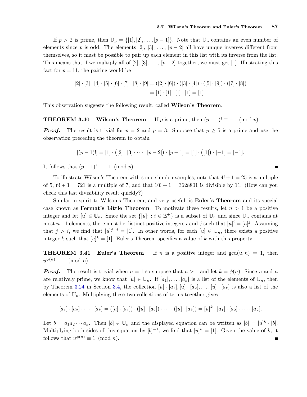If  $p > 2$  is prime, then  $\mathbb{U}_p = \{ [1], [2], \ldots, [p-1] \}$ . Note that  $\mathbb{U}_p$  contains an even number of elements since *p* is odd. The elements  $[2], [3], \ldots, [p-2]$  all have unique inverses different from themselves, so it must be possible to pair up each element in this list with its inverse from the list. This means that if we multiply all of [2], [3],  $\dots$ , [*p* − 2] together, we must get [1]. Illustrating this fact for  $p = 11$ , the pairing would be

$$
[2] \cdot [3] \cdot [4] \cdot [5] \cdot [6] \cdot [7] \cdot [8] \cdot [9] = ([2] \cdot [6]) \cdot ([3] \cdot [4]) \cdot ([5] \cdot [9]) \cdot ([7] \cdot [8])
$$

$$
= [1] \cdot [1] \cdot [1] \cdot [1] = [1].
$$

This observation suggests the following result, called **Wilson's Theorem**.

**THEOREM 3.40** Wilson's Theorem If *p* is a prime, then  $(p-1)! \equiv -1 \pmod{p}$ .

*Proof.* The result is trivial for  $p = 2$  and  $p = 3$ . Suppose that  $p \geq 5$  is a prime and use the observation preceding the theorem to obtain

$$
[(p-1)!]=[1]\cdot ([2]\cdot [3]\cdot \cdots \cdot [p-2])\cdot [p-1]=[1]\cdot ([1])\cdot [-1]=[-1].
$$

It follows that  $(p-1)! \equiv -1 \pmod{p}$ .

To illustrate Wilson's Theorem with some simple examples, note that  $4! + 1 = 25$  is a multiple of 5,  $6! + 1 = 721$  is a multiple of 7, and that  $10! + 1 = 3628801$  is divisible by 11. (How can you check this last divisibility result quickly?)

Similar in spirit to Wilson's Theorem, and very useful, is **Euler's Theorem** and its special case known as **Fermat's Little Theorem**. To motivate these results, let  $n > 1$  be a positive integer and let  $[u] \in \mathbb{U}_n$ . Since the set  $\{[u]^i : i \in \mathbb{Z}^+\}$  is a subset of  $\mathbb{U}_n$  and since  $\mathbb{U}_n$  contains at most *n* − 1 elements, there must be distinct positive integers *i* and *j* such that  $[u]^i = [u]^j$ . Assuming that  $j > i$ , we find that  $[u]^{j-i} = [1]$ . In other words, for each  $[u] \in \mathbb{U}_n$ , there exists a positive integer *k* such that  $[u]^k = [1]$ . Euler's Theorem specifies a value of *k* with this property.

**THEOREM 3.41 Euler's Theorem** If *n* is a positive integer and  $gcd(u, n) = 1$ , then  $u^{\phi(n)} \equiv 1 \pmod{n}$ .

*Proof.* The result is trivial when  $n = 1$  so suppose that  $n > 1$  and let  $k = \phi(n)$ . Since *u* and *n* are relatively prime, we know that  $[u] \in \mathbb{U}_n$ . If  $[a_1], \ldots, [a_k]$  is a list of the elements of  $\mathbb{U}_n$ , then by Theorem [3.24](#page-81-0) in Section [3.4](#page-78-0), the collection  $[u] \cdot [a_1], [u] \cdot [a_2], \ldots, [u] \cdot [a_k]$  is also a list of the elements of  $\mathbb{U}_n$ . Multiplying these two collections of terms together gives

 $[a_1] \cdot [a_2] \cdot \cdots \cdot [a_k] = ([u] \cdot [a_1]) \cdot ([u] \cdot [a_2]) \cdot \cdots \cdot ([u] \cdot [a_k]) = [u]^k \cdot [a_1] \cdot [a_2] \cdot \cdots \cdot [a_k].$ 

Let  $b = a_1 a_2 \cdots a_k$ . Then  $[b] \in \mathbb{U}_n$  and the displayed equation can be written as  $[b] = [u]^k \cdot [b]$ . Multiplying both sides of this equation by  $[b]^{-1}$ , we find that  $[u]^k = [1]$ . Given the value of *k*, it follows that  $u^{\phi(n)} \equiv 1 \pmod{n}$ .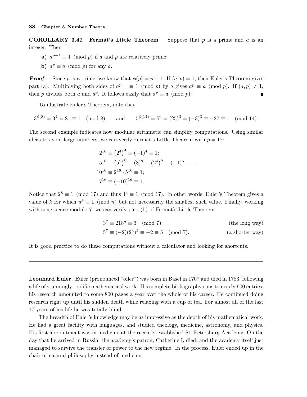**COROLLARY 3.42 Fermat's Little Theorem** Suppose that *p* is a prime and *a* is an integer. Then

- **a**)  $a^{p-1} \equiv 1 \pmod{p}$  if *a* and *p* are relatively prime;
- **b**)  $a^p \equiv a \pmod{p}$  for any *a*.

*Proof.* Since *p* is a prime, we know that  $\phi(p) = p - 1$ . If  $(a, p) = 1$ , then Euler's Theorem gives part (a). Multiplying both sides of  $a^{p-1} \equiv 1 \pmod{p}$  by *a* gives  $a^p \equiv a \pmod{p}$ . If  $(a, p) \neq 1$ , then *p* divides both *a* and  $a^p$ . It follows easily that  $a^p \equiv a \pmod{p}$ .  $\blacksquare$ 

To illustrate Euler's Theorem, note that

 $3^{\phi(8)} = 3^4 = 81 \equiv 1 \pmod{8}$ and  $5^{\phi(14)} = 5^6 = (25)^3 = (-3)^3 \equiv -27 \equiv 1 \pmod{14}$ .

The second example indicates how modular arithmetic can simplify computations. Using similar ideas to avoid large numbers, we can verify Fermat's Little Theorem with  $p = 17$ :

$$
2^{16} \equiv (2^4)^4 \equiv (-1)^4 \equiv 1;
$$
  
\n
$$
5^{16} \equiv (5^2)^8 \equiv (8)^8 \equiv (2^4)^6 \equiv (-1)^6 \equiv 1;
$$
  
\n
$$
10^{16} \equiv 2^{16} \cdot 5^{16} \equiv 1;
$$
  
\n
$$
7^{16} \equiv (-10)^{16} \equiv 1.
$$

Notice that  $2^8 \equiv 1 \pmod{17}$  and thus  $4^4 \equiv 1 \pmod{17}$ . In other words, Euler's Theorem gives a value of *k* for which  $u^k \equiv 1 \pmod{n}$  but not necessarily the smallest such value. Finally, working with congruence modulo 7, we can verify part (b) of Fermat's Little Theorem:

$$
37 \equiv 2187 \equiv 3 \pmod{7};
$$
 (the long way)  

$$
57 \equiv (-2)(23)2 \equiv -2 \equiv 5 \pmod{7}.
$$
 (a shorter way)

It is good practice to do these computations without a calculator and looking for shortcuts.

Leonhard Euler. Euler (pronounced "oiler") was born in Basel in 1707 and died in 1783, following a life of stunningly prolific mathematical work. His complete bibliography runs to nearly 900 entries; his research amounted to some 800 pages a year over the whole of his career. He continued doing research right up until his sudden death while relaxing with a cup of tea. For almost all of the last 17 years of his life he was totally blind.

The breadth of Euler's knowledge may be as impressive as the depth of his mathematical work. He had a great facility with languages, and studied theology, medicine, astronomy, and physics. His first appointment was in medicine at the recently established St. Petersburg Academy. On the day that he arrived in Russia, the academy's patron, Catherine I, died, and the academy itself just managed to survive the transfer of power to the new regime. In the process, Euler ended up in the chair of natural philosophy instead of medicine.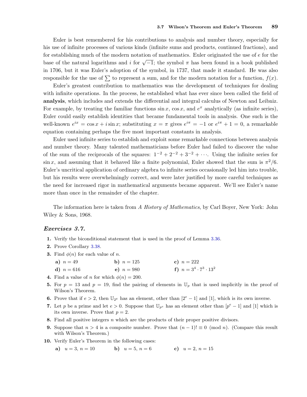Euler is best remembered for his contributions to analysis and number theory, especially for his use of infinite processes of various kinds (infinite sums and products, continued fractions), and for establishing much of the modern notation of mathematics. Euler originated the use of *e* for the base of the natural logarithms and *i* for  $\sqrt{-1}$ ; the symbol  $\pi$  has been found in a book published in 1706, but it was Euler's adoption of the symbol, in 1737, that made it standard. He was also responsible for the use of  $\sum$  to represent a sum, and for the modern notation for a function,  $f(x)$ .

Euler's greatest contribution to mathematics was the development of techniques for dealing with infinite operations. In the process, he established what has ever since been called the field of **analysis**, which includes and extends the differential and integral calculus of Newton and Leibniz. For example, by treating the familiar functions  $\sin x$ ,  $\cos x$ , and  $e^x$  analytically (as infinite series), Euler could easily establish identities that became fundamental tools in analysis. One such is the well-known  $e^{ix} = \cos x + i \sin x$ ; substituting  $x = \pi$  gives  $e^{i\pi} = -1$  or  $e^{i\pi} + 1 = 0$ , a remarkable equation containing perhaps the five most important constants in analysis.

Euler used infinite series to establish and exploit some remarkable connections between analysis and number theory. Many talented mathematicians before Euler had failed to discover the value of the sum of the reciprocals of the squares:  $1^{-2} + 2^{-2} + 3^{-2} + \cdots$ . Using the infinite series for  $\sin x$ , and assuming that it behaved like a finite polynomial, Euler showed that the sum is  $\pi^2/6$ . Euler's uncritical application of ordinary algebra to infinite series occasionally led him into trouble, but his results were overwhelmingly correct, and were later justified by more careful techniques as the need for increased rigor in mathematical arguments became apparent. We'll see Euler's name more than once in the remainder of the chapter.

The information here is taken from *A History of Mathematics*, by Carl Boyer, New York: John Wiley & Sons, 1968.

### *Exercises 3.7.*

- **1.** Verify the biconditional statement that is used in the proof of Lemma [3.36.](#page-88-0)
- **2.** Prove Corollary [3.38](#page-89-0).
- **3.** Find  $\phi(n)$  for each value of *n*.

| a) $n = 49$          | <b>b</b> ) $n = 125$ | c) $n = 222$                      |
|----------------------|----------------------|-----------------------------------|
| <b>d</b> ) $n = 616$ | e) $n = 980$         | f) $n = 3^4 \cdot 7^3 \cdot 13^2$ |

- **4.** Find a value of *n* for which  $\phi(n) = 200$ .
- **5.** For  $p = 13$  and  $p = 19$ , find the pairing of elements in  $\mathbb{U}_p$  that is used implicitly in the proof of Wilson's Theorem.
- **6.** Prove that if  $e > 2$ , then  $\mathbb{U}_{2^e}$  has an element, other than  $[2^e 1]$  and  $[1]$ , which is its own inverse.
- **7.** Let *p* be a prime and let  $e > 0$ . Suppose that  $\mathbb{U}_{p^e}$  has an element other than  $[p^e 1]$  and [1] which is its own inverse. Prove that  $p = 2$ .
- **8.** Find all positive integers *n* which are the products of their proper positive divisors.
- **9.** Suppose that  $n > 4$  is a composite number. Prove that  $(n 1)! \equiv 0 \pmod{n}$ . (Compare this result with Wilson's Theorem.)
- **10.** Verify Euler's Theorem in the following cases:
	- **a**)  $u = 3, n = 10$  **b**)  $u = 5, n = 6$  **c**)  $u = 2, n = 15$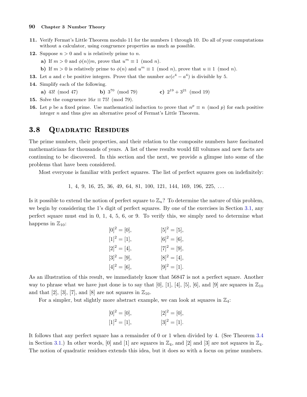- **11.** Verify Fermat's Little Theorem modulo 11 for the numbers 1 through 10. Do all of your computations without a calculator, using congruence properties as much as possible.
- **12.** Suppose  $n > 0$  and  $u$  is relatively prime to  $n$ .
	- **a)** If  $m > 0$  and  $\phi(n)|m$ , prove that  $u^m \equiv 1 \pmod{n}$ .
	- **b)** If  $m > 0$  is relatively prime to  $\phi(n)$  and  $u^m \equiv 1 \pmod{n}$ , prove that  $u \equiv 1 \pmod{n}$ .
- **13.** Let *a* and *c* be positive integers. Prove that the number  $ac(c^4 a^4)$  is divisible by 5.
- **14.** Simplify each of the following.
	- **a**) 43! (mod 47) **b**)  $3^{70}$  (mod 79) c)  $2^{19} + 3^{21} \pmod{19}$
- **15.** Solve the congruence  $16x \equiv 75! \pmod{79}$ .
- **16.** Let *p* be a fixed prime. Use mathematical induction to prove that  $n^p \equiv n \pmod{p}$  for each positive integer *n* and thus give an alternative proof of Fermat's Little Theorem.

# 3.8 QUADRATIC RESIDUES

The prime numbers, their properties, and their relation to the composite numbers have fascinated mathematicians for thousands of years. A list of these results would fill volumes and new facts are continuing to be discovered. In this section and the next, we provide a glimpse into some of the problems that have been considered.

Most everyone is familiar with perfect squares. The list of perfect squares goes on indefinitely:

1*,* 4*,* 9*,* 16*,* 25*,* 36*,* 49*,* 64*,* 81*,* 100*,* 121*,* 144*,* 169*,* 196*,* 225*, . . .*

Is it possible to extend the notion of perfect square to  $\mathbb{Z}_n$ ? To determine the nature of this problem, we begin by considering the 1's digit of perfect squares. By one of the exercises in Section [3.1](#page-66-0), any perfect square must end in 0, 1, 4, 5, 6, or 9. To verify this, we simply need to determine what happens in  $\mathbb{Z}_{10}$ :

| $[0]^2 = [0],$ | $[5]^2 = [5],$ |
|----------------|----------------|
| $[1]^2 = [1],$ | $[6]^2 = [6],$ |
| $[2]^2 = [4],$ | $[7]^2 = [9],$ |
| $[3]^2 = [9],$ | $[8]^2 = [4],$ |
| $[4]^2 = [6],$ | $[9]^2 = [1].$ |

As an illustration of this result, we immediately know that 56847 is not a perfect square. Another way to phrase what we have just done is to say that [0], [1], [4], [5], [6], and [9] are squares in  $\mathbb{Z}_{10}$ and that [2], [3], [7], and [8] are not squares in  $\mathbb{Z}_{10}$ .

For a simpler, but slightly more abstract example, we can look at squares in  $\mathbb{Z}_4$ :

| $[0]^2 = [0],$ | $[2]^2 = [0],$ |
|----------------|----------------|
| $[1]2=[1],$    | $[3]^2 = [1].$ |

It follows that any perfect square has a remainder of 0 or 1 when divided by 4. (See Theorem [3.4](#page-68-0) in Section [3.1](#page-66-0).) In other words, [0] and [1] are squares in  $\mathbb{Z}_4$ , and [2] and [3] are not squares in  $\mathbb{Z}_4$ . The notion of quadratic residues extends this idea, but it does so with a focus on prime numbers.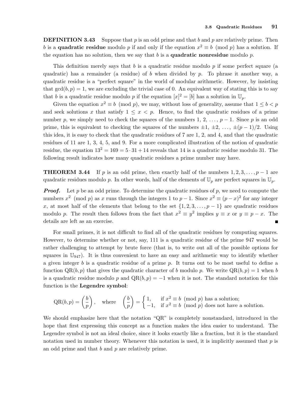<span id="page-94-0"></span>**DEFINITION 3.43** Suppose that *p* is an odd prime and that *b* and *p* are relatively prime. Then *b* is a **quadratic residue** modulo *p* if and only if the equation  $x^2 \equiv b \pmod{p}$  has a solution. If the equation has no solution, then we say that  $b$  is a **quadratic nonresidue** modulo  $p$ .

This definition merely says that *b* is a quadratic residue modulo *p* if some perfect square (a quadratic) has a remainder (a residue) of *b* when divided by *p*. To phrase it another way, a quadratic residue is a "perfect square" in the world of modular arithmetic. However, by insisting that  $gcd(b, p) = 1$ , we are excluding the trivial case of 0. An equivalent way of stating this is to say that *b* is a quadratic residue modulo *p* if the equation  $[x]^2 = [b]$  has a solution in  $\mathbb{U}_p$ .

Given the equation  $x^2 \equiv b \pmod{p}$ , we may, without loss of generality, assume that  $1 \leq b < p$ and seek solutions x that satisfy  $1 \leq x \leq p$ . Hence, to find the quadratic residues of a prime number *p*, we simply need to check the squares of the numbers 1, 2, ...,  $p-1$ . Since *p* is an odd prime, this is equivalent to checking the squares of the numbers  $\pm 1, \pm 2, \ldots, \pm (p-1)/2$ . Using this idea, it is easy to check that the quadratic residues of 7 are 1, 2, and 4, and that the quadratic residues of 11 are 1, 3, 4, 5, and 9. For a more complicated illustration of the notion of quadratic residue, the equation  $13^2 = 169 = 5 \cdot 31 + 14$  reveals that 14 is a quadratic residue modulo 31. The following result indicates how many quadratic residues a prime number may have.

**THEOREM 3.44** If *p* is an odd prime, then exactly half of the numbers  $1, 2, 3, \ldots, p-1$  are quadratic residues modulo p. In other words, half of the elements of  $\mathbb{U}_p$  are perfect squares in  $\mathbb{U}_p$ .

*Proof.* Let *p* be an odd prime. To determine the quadratic residues of *p*, we need to compute the numbers  $x^2 \pmod{p}$  as x runs through the integers 1 to  $p-1$ . Since  $x^2 \equiv (p-x)^2$  for any integer *x*, at most half of the elements that belong to the set  $\{1, 2, 3, \ldots, p-1\}$  are quadratic residues modulo *p*. The result then follows from the fact that  $x^2 \equiv y^2$  implies  $y \equiv x$  or  $y \equiv p - x$ . The details are left as an exercise.  $\blacksquare$ 

For small primes, it is not difficult to find all of the quadratic residues by computing squares. However, to determine whether or not, say, 111 is a quadratic residue of the prime 947 would be rather challenging to attempt by brute force (that is, to write out all of the possible options for squares in  $\mathbb{U}_{947}$ ). It is thus convenient to have an easy and arithmetic way to identify whether a given integer *b* is a quadratic residue of a prime *p*. It turns out to be most useful to define a function  $QR(b, p)$  that gives the quadratic character of *b* modulo *p*. We write  $QR(b, p) = 1$  when *b* is a quadratic residue modulo *p* and  $QR(b, p) = -1$  when it is not. The standard notation for this function is the **Legendre symbol**:

$$
QR(b, p) = \left(\frac{b}{p}\right), \text{ where } \left(\frac{b}{p}\right) = \begin{cases} 1, & \text{if } x^2 \equiv b \pmod{p} \text{ has a solution;} \\ -1, & \text{if } x^2 \equiv b \pmod{p} \text{ does not have a solution.} \end{cases}
$$

We should emphasize here that the notation "QR" is completely nonstandard, introduced in the hope that first expressing this concept as a function makes the idea easier to understand. The Legendre symbol is not an ideal choice, since it looks exactly like a fraction, but it is the standard notation used in number theory. Whenever this notation is used, it is implicitly assumed that *p* is an odd prime and that *b* and *p* are relatively prime.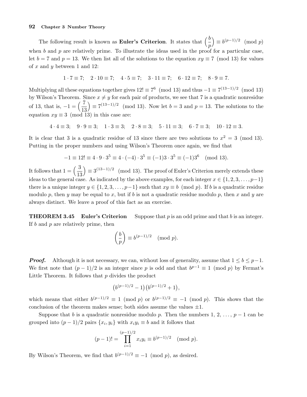The following result is known as **Euler's Criterion**. It states that  $\left(\frac{b}{p}\right)$  $\equiv b^{(p-1)/2} \pmod{p}$ when *b* and  $p$  are relatively prime. To illustrate the ideas used in the proof for a particular case, let *b* = 7 and *p* = 13. We then list all of the solutions to the equation  $xy \equiv 7 \pmod{13}$  for values of *x* and *y* between 1 and 12:

$$
1 \cdot 7 \equiv 7;
$$
  $2 \cdot 10 \equiv 7;$   $4 \cdot 5 \equiv 7;$   $3 \cdot 11 \equiv 7;$   $6 \cdot 12 \equiv 7;$   $8 \cdot 9 \equiv 7.$ 

Multiplying all these equations together gives  $12! \equiv 7^6 \pmod{13}$  and thus  $-1 \equiv 7^{(13-1)/2} \pmod{13}$ by Wilson's Theorem. Since  $x \neq y$  for each pair of products, we see that 7 is a quadratic nonresidue of 13, that is,  $-1 = \left(\frac{7}{13}\right)$  $\equiv 7^{(13-1)/2}$  (mod 13). Now let *b* = 3 and *p* = 13. The solutions to the equation  $xy \equiv 3 \pmod{13}$  in this case are:

 $4 \cdot 4 \equiv 3; \quad 9 \cdot 9 \equiv 3; \quad 1 \cdot 3 \equiv 3; \quad 2 \cdot 8 \equiv 3; \quad 5 \cdot 11 \equiv 3; \quad 6 \cdot 7 \equiv 3; \quad 10 \cdot 12 \equiv 3.$ 

It is clear that 3 is a quadratic residue of 13 since there are two solutions to  $x^2 = 3 \pmod{13}$ . Putting in the proper numbers and using Wilson's Theorem once again, we find that

$$
-1 \equiv 12! \equiv 4 \cdot 9 \cdot 3^5 \equiv 4 \cdot (-4) \cdot 3^5 \equiv (-1)3 \cdot 3^5 \equiv (-1)3^6 \pmod{13}.
$$

It follows that  $1 = \left(\frac{3}{13}\right)$  $\equiv 3^{(13-1)/2}$  (mod 13). The proof of Euler's Criterion merely extends these ideas to the general case. As indicated by the above examples, for each integer  $x \in \{1, 2, 3, \ldots, p-1\}$ there is a unique integer  $y \in \{1, 2, 3, \ldots, p-1\}$  such that  $xy \equiv b \pmod{p}$ . If *b* is a quadratic residue modulo p, then y may be equal to x, but if b is not a quadratic residue modulo p, then x and y are always distinct. We leave a proof of this fact as an exercise.

**THEOREM 3.45 Euler's Criterion** Suppose that *p* is an odd prime and that *b* is an integer. If *b* and *p* are relatively prime, then

$$
\left(\frac{b}{p}\right) \equiv b^{(p-1)/2} \pmod{p}.
$$

*Proof.* Although it is not necessary, we can, without loss of generality, assume that  $1 \leq b \leq p-1$ . We first note that  $(p-1)/2$  is an integer since p is odd and that  $b^{p-1} \equiv 1 \pmod{p}$  by Fermat's Little Theorem. It follows that *p* divides the product

$$
(b^{(p-1)/2}-1)(b^{(p-1)/2}+1),
$$

which means that either  $b^{(p-1)/2} \equiv 1 \pmod{p}$  or  $b^{(p-1)/2} \equiv -1 \pmod{p}$ . This shows that the conclusion of the theorem makes sense; both sides assume the values *±*1.

Suppose that *b* is a quadratic nonresidue modulo *p*. Then the numbers 1, 2,  $\dots$ , *p* − 1 can be grouped into  $(p-1)/2$  pairs  $\{x_i, y_i\}$  with  $x_i y_i \equiv b$  and it follows that

$$
(p-1)! = \prod_{i=1}^{(p-1)/2} x_i y_i \equiv b^{(p-1)/2} \pmod{p}.
$$

By Wilson's Theorem, we find that  $b^{(p-1)/2} \equiv -1 \pmod{p}$ , as desired.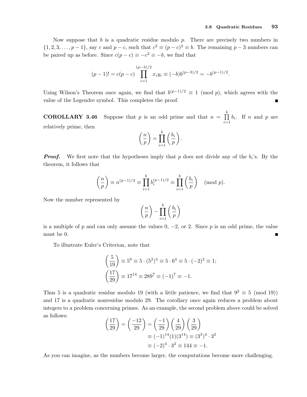Now suppose that *b* is a quadratic residue modulo *p*. There are precisely two numbers in  $\{1,2,3,\ldots,p-1\}$ , say c and  $p-c$ , such that  $c^2 \equiv (p-c)^2 \equiv b$ . The remaining  $p-3$  numbers can be paired up as before. Since  $c(p - c) \equiv -c^2 \equiv -b$ , we find that

$$
(p-1)! = c(p-c) \prod_{i=1}^{(p-3)/2} x_i y_i \equiv (-b) b^{(p-3)/2} = -b^{(p-1)/2}.
$$

Using Wilson's Theorem once again, we find that  $b^{(p-1)/2} \equiv 1 \pmod{p}$ , which agrees with the value of the Legendre symbol. This completes the proof.

**COROLLARY 3.46** Suppose that *p* is an odd prime and that  $n = \prod_{k=1}^{k}$  $\prod_{i=1}$  *b*<sub>*i*</sub>. If *n* and *p* are relatively prime, then

$$
\left(\frac{n}{p}\right) = \prod_{i=1}^k \left(\frac{b_i}{p}\right).
$$

*Proof.* We first note that the hypotheses imply that p does not divide any of the  $b_i$ 's. By the theorem, it follows that

$$
\left(\frac{n}{p}\right) \equiv n^{(p-1)/2} \equiv \prod_{i=1}^k b_i^{(p-1)/2} \equiv \prod_{i=1}^k \left(\frac{b_i}{p}\right) \pmod{p}.
$$

Now the number represented by

$$
\left(\frac{n}{p}\right) - \prod_{i=1}^k \left(\frac{b_i}{p}\right)
$$

is a multiple of *p* and can only assume the values 0, *−*2, or 2. Since *p* is an odd prime, the value must be 0.

To illustrate Euler's Criterion, note that

$$
\left(\frac{5}{19}\right) \equiv 5^9 \equiv 5 \cdot (5^2)^4 \equiv 5 \cdot 6^4 \equiv 5 \cdot (-2)^2 \equiv 1;
$$
  

$$
\left(\frac{17}{29}\right) \equiv 17^{14} \equiv 289^7 \equiv (-1)^7 \equiv -1.
$$

Thus 5 is a quadratic residue modulo 19 (with a little patience, we find that  $9^2 \equiv 5 \pmod{19}$ ) and 17 is a quadratic nonresidue modulo 29. The corollary once again reduces a problem about integers to a problem concerning primes. As an example, the second problem above could be solved as follows:

$$
\begin{aligned}\n\left(\frac{17}{29}\right) &= \left(\frac{-12}{29}\right) = \left(\frac{-1}{29}\right) \left(\frac{4}{29}\right) \left(\frac{3}{29}\right) \\
&\equiv (-1)^{14} (1)(3^{14}) \equiv (3^3)^4 \cdot 3^2 \\
&\equiv (-2)^4 \cdot 3^2 \equiv 144 \equiv -1.\n\end{aligned}
$$

As you can imagine, as the numbers become larger, the computations become more challenging.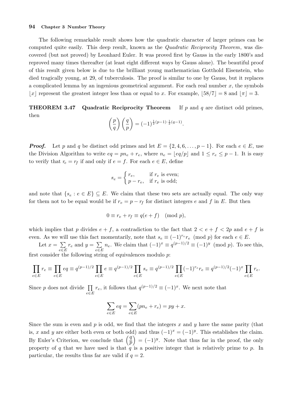<span id="page-97-0"></span>The following remarkable result shows how the quadratic character of larger primes can be computed quite easily. This deep result, known as the *Quadratic Reciprocity Theorem*, was discovered (but not proved) by Leonhard Euler. It was proved first by Gauss in the early 1800's and reproved many times thereafter (at least eight different ways by Gauss alone). The beautiful proof of this result given below is due to the brilliant young mathematician Gotthold Eisenstein, who died tragically young, at 29, of tuberculosis. The proof is similar to one by Gauss, but it replaces a complicated lemma by an ingenious geometrical argument. For each real number *x*, the symbols *fx* represent the greatest integer less than or equal to *x*. For example,  $\frac{58}{7} = 8$  and  $\frac{1}{\pi} = 3$ .

**THEOREM 3.47 Quadratic Reciprocity Theorem** If *p* and *q* are distinct odd primes, then

$$
\left(\frac{p}{q}\right)\left(\frac{q}{p}\right) = (-1)^{\frac{1}{2}(p-1)\cdot\frac{1}{2}(q-1)}.
$$

*Proof.* Let *p* and *q* be distinct odd primes and let  $E = \{2, 4, 6, \ldots, p-1\}$ . For each  $e \in E$ , use the Division Algorithm to write  $eq = p n_e + r_e$ , where  $n_e = \lfloor eq/p \rfloor$  and  $1 \leq r_e \leq p-1$ . It is easy to verify that  $r_e = r_f$  if and only if  $e = f$ . For each  $e \in E$ , define

$$
s_e = \begin{cases} r_e, & \text{if } r_e \text{ is even;} \\ p - r_e, & \text{if } r_e \text{ is odd;} \end{cases}
$$

and note that  $\{s_e : e \in E\} \subseteq E$ . We claim that these two sets are actually equal. The only way for them not to be equal would be if  $r_e = p - r_f$  for distinct integers *e* and *f* in *E*. But then

$$
0 \equiv r_e + r_f \equiv q(e+f) \pmod{p},
$$

which implies that *p* divides  $e + f$ , a contradiction to the fact that  $2 < e + f < 2p$  and  $e + f$  is even. As we will use this fact momentarily, note that  $s_e \equiv (-1)^{r_e} r_e \pmod{p}$  for each  $e \in E$ .

Let  $x = \sum$ *e∈E*  $r_e$  and  $y = \sum$ *e∈E n*<sub>e</sub>. We claim that  $(-1)^x \equiv q^{(p-1)/2} \equiv (-1)^y \pmod{p}$ . To see this,

first consider the following string of equivalences modulo *p*:

$$
\prod_{e \in E} r_e \equiv \prod_{e \in E} eq \equiv q^{(p-1)/2} \prod_{e \in E} e \equiv q^{(p-1)/2} \prod_{e \in E} s_e \equiv q^{(p-1)/2} \prod_{e \in E} (-1)^{r_e} r_e \equiv q^{(p-1)/2} (-1)^x \prod_{e \in E} r_e.
$$

Since  $p$  does not divide  $\prod$ *e∈E r*<sub>*e*</sub>, it follows that  $q^{(p-1)/2} \equiv (-1)^x$ . We next note that

$$
\sum_{e \in E} eq = \sum_{e \in E} (pn_e + r_e) = py + x.
$$

Since the sum is even and *p* is odd, we find that the integers *x* and *y* have the same parity (that is, *x* and *y* are either both even or both odd) and thus  $(-1)^x = (-1)^y$ . This establishes the claim. By Euler's Criterion, we conclude that  $\left(\frac{q}{n}\right)$ *p*  $= (-1)^y$ . Note that thus far in the proof, the only property of  $q$  that we have used is that  $q$  is a positive integer that is relatively prime to  $p$ . In particular, the results thus far are valid if  $q = 2$ .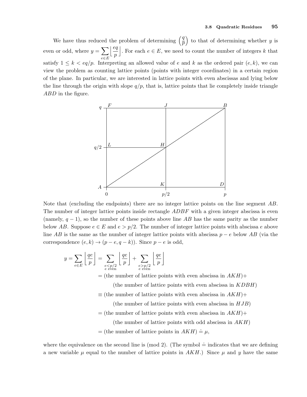We have thus reduced the problem of determining  $\left(\frac{q}{n}\right)$ *p* ) to that of determining whether  $y$  is even or odd, where  $y = \sum$ *e∈E* j *eq p k* For each *e*  $∈$  *E*, we need to count the number of integers *k* that satisfy  $1 \leq k < eq/p$ . Interpreting an allowed value of *e* and *k* as the ordered pair  $(e, k)$ , we can view the problem as counting lattice points (points with integer coordinates) in a certain region of the plane. In particular, we are interested in lattice points with even abscissas and lying below the line through the origin with slope  $q/p$ , that is, lattice points that lie completely inside triangle *ABD* in the figure.



Note that (excluding the endpoints) there are no integer lattice points on the line segment *AB*. The number of integer lattice points inside rectangle *ADBF* with a given integer abscissa is even (namely,  $q - 1$ ), so the number of these points above line AB has the same parity as the number below *AB*. Suppose  $e \in E$  and  $e > p/2$ . The number of integer lattice points with abscissa *e* above line *AB* is the same as the number of integer lattice points with abscissa *p − e* below *AB* (via the correspondence  $(e, k) \rightarrow (p - e, q - k)$ . Since  $p - e$  is odd,

$$
y = \sum_{e \in E} \left\lfloor \frac{qe}{p} \right\rfloor = \sum_{\substack{e < p/2 \\ e \text{ even}}} \left\lfloor \frac{qe}{p} \right\rfloor + \sum_{\substack{e > p/2 \\ e \text{ even}}} \left\lfloor \frac{qe}{p} \right\rfloor
$$

 $=$  (the number of lattice points with even abscissa in  $AKH$ )+

(the number of lattice points with even abscissa in *KDBH*)

*≡* (the number of lattice points with even abscissa in *AKH*)+

(the number of lattice points with even abscissa in *HJB*)

 $=$  (the number of lattice points with even abscissa in  $AKH$ )+

(the number of lattice points with odd abscissa in *AKH*)

 $=$  (the number of lattice points in  $AKH$ )  $\doteq \mu$ ,

where the equivalence on the second line is (mod 2). (The symbol  $\dot{=}$  indicates that we are defining a new variable  $\mu$  equal to the number of lattice points in  $AKH$ .) Since  $\mu$  and  $\gamma$  have the same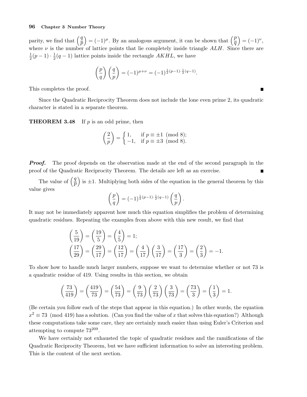<span id="page-99-0"></span>parity, we find that  $\left(\frac{q}{n}\right)$ *p*  $= (-1)^{\mu}$ . By an analogous argument, it can be shown that  $\left(\frac{p}{q}\right)$ *q*  $= (-1)^{\nu}$ , where  $\nu$  is the number of lattice points that lie completely inside triangle  $ALH$ . Since there are 1  $\frac{1}{2}(p-1)\cdot\frac{1}{2}$  $\frac{1}{2}(q-1)$  lattice points inside the rectangle *AKHL*, we have

$$
\left(\frac{p}{q}\right)\left(\frac{q}{p}\right) = (-1)^{\mu+\nu} = (-1)^{\frac{1}{2}(p-1)\cdot\frac{1}{2}(q-1)}.
$$

This completes the proof.

Since the Quadratic Reciprocity Theorem does not include the lone even prime 2, its quadratic character is stated in a separate theorem.

■

**THEOREM 3.48** If *p* is an odd prime, then

$$
\left(\frac{2}{p}\right) = \begin{cases} 1, & \text{if } p \equiv \pm 1 \pmod{8}; \\ -1, & \text{if } p \equiv \pm 3 \pmod{8}. \end{cases}
$$

*Proof.* The proof depends on the observation made at the end of the second paragraph in the proof of the Quadratic Reciprocity Theorem. The details are left as an exercise.

The value of  $\left(\frac{q}{n}\right)$ *p* is  $\pm 1$ . Multiplying both sides of the equation in the general theorem by this value gives

$$
\left(\frac{p}{q}\right) = (-1)^{\frac{1}{2}(p-1)\cdot\frac{1}{2}(q-1)} \left(\frac{q}{p}\right).
$$

It may not be immediately apparent how much this equation simplifies the problem of determining quadratic residues. Repeating the examples from above with this new result, we find that

$$
\left(\frac{5}{19}\right) = \left(\frac{19}{5}\right) = \left(\frac{4}{5}\right) = 1;
$$
\n
$$
\left(\frac{17}{29}\right) = \left(\frac{29}{17}\right) = \left(\frac{12}{17}\right) = \left(\frac{4}{17}\right)\left(\frac{3}{17}\right) = \left(\frac{17}{3}\right) = \left(\frac{2}{3}\right) = -1.
$$

To show how to handle much larger numbers, suppose we want to determine whether or not 73 is a quadratic residue of 419. Using results in this section, we obtain

$$
\left(\frac{73}{419}\right) = \left(\frac{419}{73}\right) = \left(\frac{54}{73}\right) = \left(\frac{9}{73}\right)\left(\frac{2}{73}\right)\left(\frac{3}{73}\right) = \left(\frac{73}{3}\right) = \left(\frac{1}{3}\right) = 1.
$$

(Be certain you follow each of the steps that appear in this equation.) In other words, the equation  $x^2 \equiv 73 \pmod{419}$  has a solution. (Can you find the value of *x* that solves this equation?) Although these computations take some care, they are certainly much easier than using Euler's Criterion and attempting to compute 73<sup>209</sup> .

We have certainly not exhausted the topic of quadratic residues and the ramifications of the Quadratic Reciprocity Theorem, but we have sufficient information to solve an interesting problem. This is the content of the next section.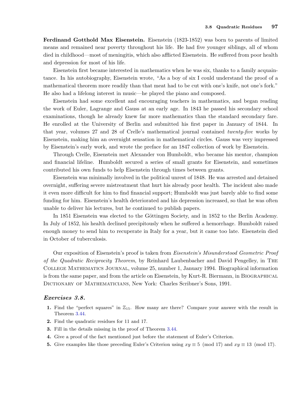**Ferdinand Gotthold Max Eisenstein.** Eisenstein (1823-1852) was born to parents of limited means and remained near poverty throughout his life. He had five younger siblings, all of whom died in childhood—most of meningitis, which also afflicted Eisenstein. He suffered from poor health and depression for most of his life.

Eisenstein first became interested in mathematics when he was six, thanks to a family acquaintance. In his autobiography, Eisenstein wrote, "As a boy of six I could understand the proof of a mathematical theorem more readily than that meat had to be cut with one's knife, not one's fork." He also had a lifelong interest in music—he played the piano and composed.

Eisenstein had some excellent and encouraging teachers in mathematics, and began reading the work of Euler, Lagrange and Gauss at an early age. In 1843 he passed his secondary school examinations, though he already knew far more mathematics than the standard secondary fare. He enrolled at the University of Berlin and submitted his first paper in January of 1844. In that year, volumes 27 and 28 of Crelle's mathematical journal contained *twenty-five* works by Eisenstein, making him an overnight sensation in mathematical circles. Gauss was very impressed by Eisenstein's early work, and wrote the preface for an 1847 collection of work by Eisenstein.

Through Crelle, Eisenstein met Alexander von Humboldt, who became his mentor, champion and financial lifeline. Humboldt secured a series of small grants for Eisenstein, and sometimes contributed his own funds to help Eisenstein through times between grants.

Eisenstein was minimally involved in the political unrest of 1848. He was arrested and detained overnight, suffering severe mistreatment that hurt his already poor health. The incident also made it even more difficult for him to find financial support; Humboldt was just barely able to find some funding for him. Eisenstein's health deteriorated and his depression increased, so that he was often unable to deliver his lectures, but he continued to publish papers.

In 1851 Eisenstein was elected to the Göttingen Society, and in 1852 to the Berlin Academy. In July of 1852, his health declined precipitously when he suffered a hemorrhage. Humboldt raised enough money to send him to recuperate in Italy for a year, but it came too late. Eisenstein died in October of tuberculosis.

Our exposition of Eisenstein's proof is taken from *Eisenstein's Misunderstood Geometric Proof of the Quadratic Reciprocity Theorem*, by Reinhard Laubenbacher and David Pengelley, in The College Mathematics Journal, volume 25, number 1, January 1994. Biographical information is from the same paper, and from the article on Eisenstein, by Kurt-R. Biermann, in Biographical Dictionary of Mathematicians, New York: Charles Scribner's Sons, 1991.

# *Exercises 3.8.*

- **1.** Find the "perfect squares" in  $\mathbb{Z}_{15}$ . How many are there? Compare your answer with the result in Theorem [3.44.](#page-94-0)
- **2.** Find the quadratic residues for 11 and 17.
- **3.** Fill in the details missing in the proof of Theorem [3.44](#page-94-0).
- **4.** Give a proof of the fact mentioned just before the statement of Euler's Criterion.
- **5.** Give examples like those preceding Euler's Criterion using  $xy \equiv 5 \pmod{17}$  and  $xy \equiv 13 \pmod{17}$ .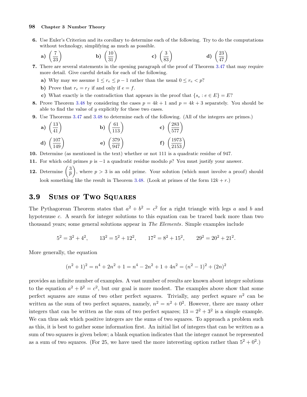**6.** Use Euler's Criterion and its corollary to determine each of the following. Try to do the computations without technology, simplifying as much as possible.

a) 
$$
\left(\frac{7}{23}\right)
$$
 b)  $\left(\frac{10}{31}\right)$  c)  $\left(\frac{3}{83}\right)$  d)  $\left(\frac{23}{47}\right)$ 

- **7.** There are several statements in the opening paragraph of the proof of Theorem [3.47](#page-97-0) that may require more detail. Give careful details for each of the following.
	- **a**) Why may we assume  $1 \leq r_e \leq p-1$  rather than the usual  $0 \leq r_e < p$ ?
	- **b**) Prove that  $r_e = r_f$  if and only if  $e = f$ .
	- **c**) What exactly is the contradiction that appears in the proof that  $\{s_e : e \in E\} = E$ ?
- **8.** Prove Theorem [3.48](#page-99-0) by considering the cases  $p = 4k + 1$  and  $p = 4k + 3$  separately. You should be able to find the value of *y* explicitly for these two cases.
- **9.** Use Theorems [3.47](#page-97-0) and [3.48](#page-99-0) to determine each of the following. (All of the integers are primes.)

| a) $\left(\frac{13}{41}\right)$           | <b>b</b> ) $\left(\frac{61}{113}\right)$ | c) $\left(\frac{283}{577}\right)$   |
|-------------------------------------------|------------------------------------------|-------------------------------------|
| <b>d</b> ) $\left(\frac{107}{149}\right)$ | e) $\left(\frac{379}{947}\right)$        | f) $\left(\frac{1973}{2153}\right)$ |

- **10.** Determine (as mentioned in the text) whether or not 111 is a quadratic residue of 947.
- **11.** For which odd primes *p* is *−*1 a quadratic residue modulo *p*? You must justify your answer.
- **12.** Determine  $\left(\frac{3}{n}\right)$ *p*  $\overline{\phantom{0}}$ , where  $p > 3$  is an odd prime. Your solution (which must involve a proof) should look something like the result in Theorem [3.48.](#page-99-0) (Look at primes of the form  $12k + r$ .)

# 3.9 Sums of Two Squares

The Pythagorean Theorem states that  $a^2 + b^2 = c^2$  for a right triangle with legs *a* and *b* and hypotenuse *c*. A search for integer solutions to this equation can be traced back more than two thousand years; some general solutions appear in *The Elements*. Simple examples include

$$
5^2 = 3^2 + 4^2
$$
,  $13^2 = 5^2 + 12^2$ ,  $17^2 = 8^2 + 15^2$ ,  $29^2 = 20^2 + 21^2$ .

More generally, the equation

$$
(n2 + 1)2 = n4 + 2n2 + 1 = n4 - 2n2 + 1 + 4n2 = (n2 - 1)2 + (2n)2
$$

provides an infinite number of examples. A vast number of results are known about integer solutions to the equation  $a^2 + b^2 = c^2$ , but our goal is more modest. The examples above show that some perfect squares are sums of two other perfect squares. Trivially, any perfect square  $n^2$  can be written as the sum of two perfect squares, namely,  $n^2 = n^2 + 0^2$ . However, there are many other integers that can be written as the sum of two perfect squares;  $13 = 2^2 + 3^2$  is a simple example. We can thus ask which positive integers are the sums of two squares. To approach a problem such as this, it is best to gather some information first. An initial list of integers that can be written as a sum of two squares is given below; a blank equation indicates that the integer cannot be represented as a sum of two squares. (For 25, we have used the more interesting option rather than  $5^2 + 0^2$ .)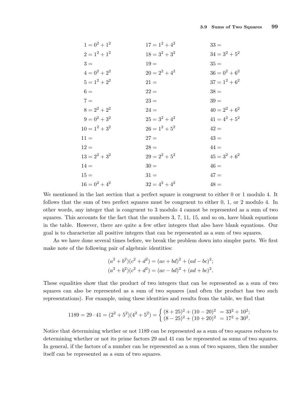| $1 = 0^2 + 1^2$  | $17 = 1^2 + 4^2$ | $33 =$           |
|------------------|------------------|------------------|
| $2 = 1^2 + 1^2$  | $18 = 3^2 + 3^2$ | $34 = 3^2 + 5^2$ |
| $3 =$            | $19 =$           | $35 =$           |
| $4=0^2+2^2$      | $20 = 2^2 + 4^2$ | $36 = 0^2 + 6^2$ |
| $5 = 1^2 + 2^2$  | $21=\,$          | $37 = 1^2 + 6^2$ |
| $6 =$            | $22 =$           | $38 =$           |
| $7 =$            | $23 =$           | $39 =$           |
| $8 = 2^2 + 2^2$  | $24 =$           | $40 = 2^2 + 6^2$ |
| $9 = 0^2 + 3^2$  | $25 = 3^2 + 4^2$ | $41 = 4^2 + 5^2$ |
| $10 = 1^2 + 3^2$ | $26 = 1^2 + 5^2$ | $42 =$           |
| $11 =$           | $27 =$           | $43 =$           |
| $12 =$           | $28 =$           | $44 =$           |
| $13 = 2^2 + 3^2$ | $29 = 2^2 + 5^2$ | $45 = 3^2 + 6^2$ |
| $14 =$           | $30 =$           | $46=$            |
| $15 =$           | $31 =$           | $47 =$           |
| $16 = 0^2 + 4^2$ | $32 = 4^2 + 4^2$ | $48 =$           |

We mentioned in the last section that a perfect square is congruent to either 0 or 1 modulo 4. It follows that the sum of two perfect squares must be congruent to either 0, 1, or 2 modulo 4. In other words, any integer that is congruent to 3 modulo 4 cannot be represented as a sum of two squares. This accounts for the fact that the numbers 3, 7, 11, 15, and so on, have blank equations in the table. However, there are quite a few other integers that also have blank equations. Our goal is to characterize all positive integers that can be represented as a sum of two squares.

As we have done several times before, we break the problem down into simpler parts. We first make note of the following pair of algebraic identities:

$$
(a2 + b2)(c2 + d2) = (ac + bd)2 + (ad - bc)2;
$$
  

$$
(a2 + b2)(c2 + d2) = (ac - bd)2 + (ad + bc)2.
$$

These equalities show that the product of two integers that can be represented as a sum of two squares can also be represented as a sum of two squares (and often the product has two such representations). For example, using these identities and results from the table, we find that

$$
1189 = 29 \cdot 41 = (2^2 + 5^2)(4^2 + 5^2) = \begin{cases} (8 + 25)^2 + (10 - 20)^2 = 33^2 + 10^2; \\ (8 - 25)^2 + (10 + 20)^2 = 17^2 + 30^2. \end{cases}
$$

Notice that determining whether or not 1189 can be represented as a sum of two squares reduces to determining whether or not its prime factors 29 and 41 can be represented as sums of two squares. In general, if the factors of a number can be represented as a sum of two squares, then the number itself can be represented as a sum of two squares.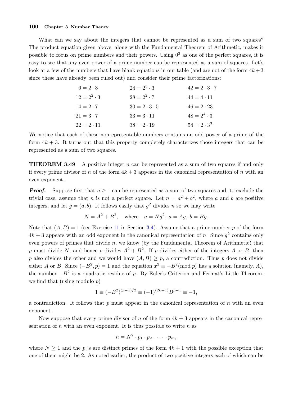<span id="page-103-0"></span>What can we say about the integers that cannot be represented as a sum of two squares? The product equation given above, along with the Fundamental Theorem of Arithmetic, makes it possible to focus on prime numbers and their powers. Using  $0^2$  as one of the perfect squares, it is easy to see that any even power of a prime number can be represented as a sum of squares. Let's look at a few of the numbers that have blank equations in our table (and are not of the form  $4k+3$ since these have already been ruled out) and consider their prime factorizations:

| $6=2\cdot 3$       | $24 = 2^3 \cdot 3$       | $42 = 2 \cdot 3 \cdot 7$ |
|--------------------|--------------------------|--------------------------|
| $12 = 2^2 \cdot 3$ | $28 = 2^2 \cdot 7$       | $44 = 4 \cdot 11$        |
| $14 = 2 \cdot 7$   | $30 = 2 \cdot 3 \cdot 5$ | $46 = 2 \cdot 23$        |
| $21 = 3 \cdot 7$   | $33 = 3 \cdot 11$        | $48 = 2^4 \cdot 3$       |
| $22 = 2 \cdot 11$  | $38 = 2 \cdot 19$        | $54 = 2 \cdot 3^3$       |

We notice that each of these nonrepresentable numbers contains an odd power of a prime of the form  $4k + 3$ . It turns out that this property completely characterizes those integers that can be represented as a sum of two squares.

**THEOREM 3.49** A positive integer *n* can be represented as a sum of two squares if and only if every prime divisor of *n* of the form  $4k + 3$  appears in the canonical representation of *n* with an even exponent.

*Proof.* Suppose first that  $n \geq 1$  can be represented as a sum of two squares and, to exclude the trivial case, assume that *n* is not a perfect square. Let  $n = a^2 + b^2$ , where *a* and *b* are positive integers, and let  $g = (a, b)$ . It follows easily that  $g^2$  divides *n* so we may write

$$
N = A^2 + B^2
$$
, where  $n = Ng^2$ ,  $a = Ag$ ,  $b = Bg$ .

Note that  $(A, B) = 1$  (see Exercise [11](#page-81-0) in Section [3.4\)](#page-78-0). Assume that a prime number *p* of the form  $4k + 3$  appears with an odd exponent in the canonical representation of *n*. Since  $g^2$  contains only even powers of primes that divide *n*, we know (by the Fundamental Theorem of Arithmetic) that p must divide N, and hence p divides  $A^2 + B^2$ . If p divides either of the integers A or B, then *p* also divides the other and we would have  $(A, B) \geq p$ , a contradiction. Thus *p* does not divide either *A* or *B*. Since  $(-B^2, p) = 1$  and the equation  $x^2 \equiv -B^2 \pmod{p}$  has a solution (namely, *A*), the number *−B*<sup>2</sup> is a quadratic residue of *p*. By Euler's Criterion and Fermat's Little Theorem, we find that (using modulo *p*)

$$
1 \equiv (-B^2)^{(p-1)/2} \equiv (-1)^{(2k+1)} B^{p-1} \equiv -1,
$$

a contradiction. It follows that *p* must appear in the canonical representation of *n* with an even exponent.

Now suppose that every prime divisor of *n* of the form 4*k* + 3 appears in the canonical representation of *n* with an even exponent. It is thus possible to write *n* as

$$
n = N^2 \cdot p_1 \cdot p_2 \cdot \cdots \cdot p_m,
$$

where  $N \geq 1$  and the  $p_i$ 's are distinct primes of the form  $4k + 1$  with the possible exception that one of them might be 2. As noted earlier, the product of two positive integers each of which can be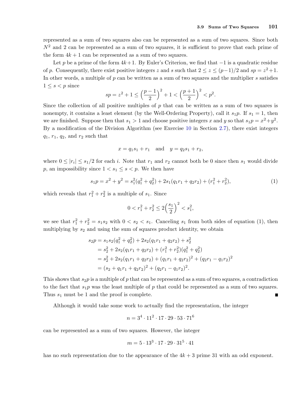represented as a sum of two squares also can be represented as a sum of two squares. Since both  $N^2$  and 2 can be represented as a sum of two squares, it is sufficient to prove that each prime of the form  $4k + 1$  can be represented as a sum of two squares.

Let *p* be a prime of the form 4*k*+1. By Euler's Criterion, we find that *−*1 is a quadratic residue of *p*. Consequently, there exist positive integers *z* and *s* such that  $2 \le z \le (p-1)/2$  and  $sp = z^2 + 1$ . In other words, a multiple of *p* can be written as a sum of two squares and the multiplier *s* satisfies  $1 \leq s < p$  since

$$
sp = z^2 + 1 \le \left(\frac{p-1}{2}\right)^2 + 1 < \left(\frac{p+1}{2}\right)^2 < p^2.
$$

Since the collection of all positive multiples of *p* that can be written as a sum of two squares is nonempty, it contains a least element (by the Well-Ordering Property), call it  $s_1p$ . If  $s_1 = 1$ , then we are finished. Suppose then that  $s_1 > 1$  and choose positive integers *x* and *y* so that  $s_1 p = x^2 + y^2$ . By a modification of the Division Algorithm (see Exercise [10](#page-61-0) in Section [2.7](#page-56-0)), there exist integers  $q_1, r_1, q_2,$  and  $r_2$  such that

$$
x = q_1 s_1 + r_1
$$
 and  $y = q_2 s_1 + r_2$ ,

where  $0 \leq |r_i| \leq s_1/2$  for each *i*. Note that  $r_1$  and  $r_2$  cannot both be 0 since then  $s_1$  would divide *p*, an impossibility since  $1 < s_1 \leq s < p$ . We then have

$$
s_1 p = x^2 + y^2 = s_1^2 (q_1^2 + q_2^2) + 2s_1 (q_1 r_1 + q_2 r_2) + (r_1^2 + r_2^2),
$$
\n(1)

which reveals that  $r_1^2 + r_2^2$  is a multiple of  $s_1$ . Since

$$
0 < r_1^2 + r_2^2 \le 2\left(\frac{s_1}{2}\right)^2 < s_1^2
$$

we see that  $r_1^2 + r_2^2 = s_1 s_2$  with  $0 < s_2 < s_1$ . Canceling  $s_1$  from both sides of equation (1), then multiplying by  $s_2$  and using the sum of squares product identity, we obtain

$$
s_2p = s_1s_2(q_1^2 + q_2^2) + 2s_2(q_1r_1 + q_2r_2) + s_2^2
$$
  
=  $s_2^2 + 2s_2(q_1r_1 + q_2r_2) + (r_1^2 + r_2^2)(q_1^2 + q_2^2)$   
=  $s_2^2 + 2s_2(q_1r_1 + q_2r_2) + (q_1r_1 + q_2r_2)^2 + (q_2r_1 - q_1r_2)^2$   
=  $(s_2 + q_1r_1 + q_2r_2)^2 + (q_2r_1 - q_1r_2)^2$ .

This shows that  $s_2p$  is a multiple of p that can be represented as a sum of two squares, a contradiction to the fact that  $s_1p$  was the least multiple of p that could be represented as a sum of two squares. Thus *s*<sup>1</sup> must be 1 and the proof is complete.

Although it would take some work to actually find the representation, the integer

$$
n = 3^4 \cdot 11^2 \cdot 17 \cdot 29 \cdot 53 \cdot 71^6
$$

can be represented as a sum of two squares. However, the integer

$$
m = 5 \cdot 13^3 \cdot 17 \cdot 29 \cdot 31^5 \cdot 41
$$

has no such representation due to the appearance of the 4*k* + 3 prime 31 with an odd exponent.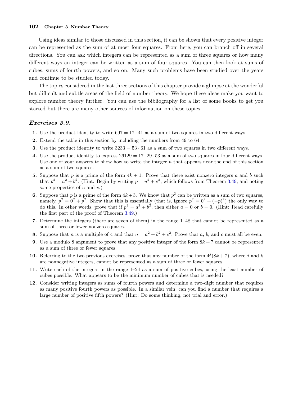Using ideas similar to those discussed in this section, it can be shown that every positive integer can be represented as the sum of at most four squares. From here, you can branch off in several directions. You can ask which integers can be represented as a sum of three squares or how many different ways an integer can be written as a sum of four squares. You can then look at sums of cubes, sums of fourth powers, and so on. Many such problems have been studied over the years and continue to be studied today.

The topics considered in the last three sections of this chapter provide a glimpse at the wonderful but difficult and subtle areas of the field of number theory. We hope these ideas make you want to explore number theory further. You can use the bibliography for a list of some books to get you started but there are many other sources of information on these topics.

### *Exercises 3.9.*

- **1.** Use the product identity to write  $697 = 17 \cdot 41$  as a sum of two squares in two different ways.
- **2.** Extend the table in this section by including the numbers from 49 to 64.
- **3.** Use the product identity to write  $3233 = 53 \cdot 61$  as a sum of two squares in two different ways.
- **4.** Use the product identity to express  $26129 = 17 \cdot 29 \cdot 53$  as a sum of two squares in four different ways. Use one of your answers to show how to write the integer *n* that appears near the end of this section as a sum of two squares.
- **5.** Suppose that *p* is a prime of the form  $4k + 1$ . Prove that there exist nonzero integers *a* and *b* such that  $p^2 = a^2 + b^2$ . (Hint: Begin by writing  $p = u^2 + v^2$ , which follows from Theorem [3.49](#page-103-0), and noting some properties of *u* and *v*.)
- **6.** Suppose that p is a prime of the form  $4k+3$ . We know that  $p^2$  can be written as a sum of two squares, namely,  $p^2 = 0^2 + p^2$ . Show that this is essentially (that is, ignore  $p^2 = 0^2 + (-p)^2$ ) the only way to do this. In other words, prove that if  $p^2 = a^2 + b^2$ , then either  $a = 0$  or  $b = 0$ . (Hint: Read carefully the first part of the proof of Theorem [3.49.](#page-103-0))
- **7.** Determine the integers (there are seven of them) in the range 1–48 that cannot be represented as a sum of three or fewer nonzero squares.
- **8.** Suppose that *n* is a multiple of 4 and that  $n = a^2 + b^2 + c^2$ . Prove that *a*, *b*, and *c* must all be even.
- **9.** Use a modulo 8 argument to prove that any positive integer of the form  $8k + 7$  cannot be represented as a sum of three or fewer squares.
- **10.** Referring to the two previous exercises, prove that any number of the form  $4^{j}(8k+7)$ , where *j* and *k* are nonnegative integers, cannot be represented as a sum of three or fewer squares.
- **11.** Write each of the integers in the range 1–24 as a sum of positive cubes, using the least number of cubes possible. What appears to be the minimum number of cubes that is needed?
- **12.** Consider writing integers as sums of fourth powers and determine a two-digit number that requires as many positive fourth powers as possible. In a similar vein, can you find a number that requires a large number of positive fifth powers? (Hint: Do some thinking, not trial and error.)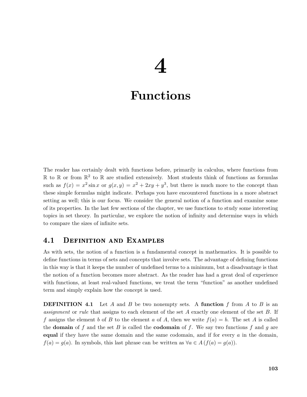# **Functions**

The reader has certainly dealt with functions before, primarily in calculus, where functions from  $\mathbb R$  to  $\mathbb R$  or from  $\mathbb R^2$  to  $\mathbb R$  are studied extensively. Most students think of functions as formulas such as  $f(x) = x^2 \sin x$  or  $g(x, y) = x^2 + 2xy + y^3$ , but there is much more to the concept than these simple formulas might indicate. Perhaps you have encountered functions in a more abstract setting as well; this is our focus. We consider the general notion of a function and examine some of its properties. In the last few sections of the chapter, we use functions to study some interesting topics in set theory. In particular, we explore the notion of infinity and determine ways in which to compare the sizes of infinite sets.

# 4.1 Definition and Examples

As with sets, the notion of a function is a fundamental concept in mathematics. It is possible to define functions in terms of sets and concepts that involve sets. The advantage of defining functions in this way is that it keeps the number of undefined terms to a minimum, but a disadvantage is that the notion of a function becomes more abstract. As the reader has had a great deal of experience with functions, at least real-valued functions, we treat the term "function" as another undefined term and simply explain how the concept is used.

**DEFINITION 4.1** Let *A* and *B* be two nonempty sets. A **function** *f* from *A* to *B* is an *assignment* or *rule* that assigns to each element of the set *A* exactly one element of the set *B*. If *f* assigns the element *b* of *B* to the element *a* of *A*, then we write  $f(a) = b$ . The set *A* is called the **domain** of  $f$  and the set  $B$  is called the **codomain** of  $f$ . We say two functions  $f$  and  $g$  are **equal** if they have the same domain and the same codomain, and if for every *a* in the domain, *f*(*a*) = *g*(*a*). In symbols, this last phrase can be written as  $∀a ∈ A(f(a) = g(a))$ .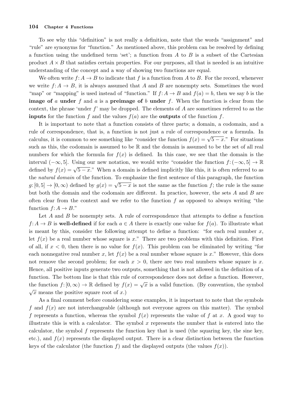#### **104 Chapter 4 Functions**

To see why this "definition" is not really a definition, note that the words "assignment" and "rule" are synonyms for "function." As mentioned above, this problem can be resolved by defining a function using the undefined term 'set'; a function from *A* to *B* is a subset of the Cartesian product  $A \times B$  that satisfies certain properties. For our purposes, all that is needed is an intuitive understanding of the concept and a way of showing two functions are equal.

We often write  $f: A \to B$  to indicate that f is a function from A to B. For the record, whenever we write  $f: A \to B$ , it is always assumed that A and B are nonempty sets. Sometimes the word "map" or "mapping" is used instead of "function." If  $f: A \to B$  and  $f(a) = b$ , then we say *b* is the **image of** *a* **under** *f* and *a* is a **preimage of** *b* **under** *f*. When the function is clear from the context, the phrase 'under *f*' may be dropped. The elements of *A* are sometimes referred to as the **inputs** for the function *f* and the values *f*(*a*) are the **outputs** of the function *f*.

It is important to note that a function consists of three parts; a domain, a codomain, and a rule of correspondence, that is, a function is not just a rule of correspondence or a formula. In calculus, it is common to see something like "consider the function  $f(x) = \sqrt{5-x}$ ." For situations such as this, the codomain is assumed to be  $\mathbb R$  and the domain is assumed to be the set of all real numbers for which the formula for  $f(x)$  is defined. In this case, we see that the domain is the interval (*−∞,* 5]. Using our new notation, we would write "consider the function *f*: (*−∞,* 5] *→* R defined by  $f(x) = \sqrt{5-x}$ ." When a domain is defined implicitly like this, it is often referred to as the *natural domain* of the function. To emphasize the first sentence of this paragraph, the function *g*:  $[0,5] \rightarrow [0,\infty)$  defined by  $g(x) = \sqrt{5-x}$  is not the same as the function *f*; the rule is the same but both the domain and the codomain are different. In practice, however, the sets *A* and *B* are often clear from the context and we refer to the function *f* as opposed to always writing "the function  $f: A \rightarrow B$ ."

Let *A* and *B* be nonempty sets. A rule of correspondence that attempts to define a function  $f: A \to B$  is **well-defined** if for each  $a \in A$  there is exactly one value for  $f(a)$ . To illustrate what is meant by this, consider the following attempt to define a function: "for each real number *x*, let  $f(x)$  be a real number whose square is x." There are two problems with this definition. First of all, if  $x < 0$ , then there is no value for  $f(x)$ . This problem can be eliminated by writing "for each nonnegative real number *x*, let  $f(x)$  be a real number whose square is *x*." However, this does not remove the second problem; for each  $x > 0$ , there are two real numbers whose square is x. Hence, all positive inputs generate two outputs, something that is not allowed in the definition of a function. The bottom line is that this rule of correspondence does not define a function. However, the function  $f: [0, \infty) \to \mathbb{R}$  defined by  $f(x) = \sqrt{x}$  is a valid function. (By convention, the symbol  $\sqrt{x}$  means the positive square root of *x*.)

As a final comment before considering some examples, it is important to note that the symbols  $f$  and  $f(x)$  are not interchangeable (although not everyone agrees on this matter). The symbol *f* represents a function, whereas the symbol  $f(x)$  represents the value of f at x. A good way to illustrate this is with a calculator. The symbol *x* represents the number that is entered into the calculator, the symbol  $f$  represents the function key that is used (the squaring key, the sine key, etc.), and  $f(x)$  represents the displayed output. There is a clear distinction between the function keys of the calculator (the function  $f$ ) and the displayed outputs (the values  $f(x)$ ).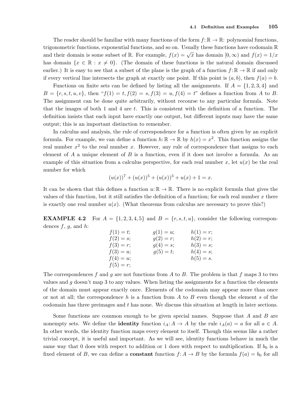<span id="page-108-0"></span>The reader should be familiar with many functions of the form  $f: \mathbb{R} \to \mathbb{R}$ : polynomial functions, trigonometric functions, exponential functions, and so on. Usually these functions have codomain R and their domain is some subset of R. For example,  $f(x) = \sqrt{x}$  has domain  $[0, \infty)$  and  $f(x) = 1/x$ has domain  ${x \in \mathbb{R} : x \neq 0}$ . (The domain of these functions is the natural domain discussed earlier.) It is easy to see that a subset of the plane is the graph of a function  $f: \mathbb{R} \to \mathbb{R}$  if and only if every vertical line intersects the graph at exactly one point. If this point is  $(a, b)$ , then  $f(a) = b$ .

Functions on finite sets can be defined by listing all the assignments. If  $A = \{1, 2, 3, 4\}$  and  $B = \{r, s, t, u, v\}$ , then " $f(1) = t, f(2) = s, f(3) = u, f(4) = t$ " defines a function from *A* to *B*. The assignment can be done quite arbitrarily, without recourse to any particular formula. Note that the images of both 1 and 4 are *t*. This is consistent with the definition of a function. The definition insists that each input have exactly one output, but different inputs may have the same output; this is an important distinction to remember.

In calculus and analysis, the rule of correspondence for a function is often given by an explicit formula. For example, we can define a function  $h: \mathbb{R} \to \mathbb{R}$  by  $h(x) = x^2$ . This function assigns the real number  $x^2$  to the real number  $x$ . However, any rule of correspondence that assigns to each element of *A* a unique element of *B* is a function, even if it does not involve a formula. As an example of this situation from a calculus perspective, for each real number  $x$ , let  $u(x)$  be the real number for which

$$
(u(x))^{7} + (u(x))^{5} + (u(x))^{3} + u(x) + 1 = x.
$$

It can be shown that this defines a function  $u:\mathbb{R}\to\mathbb{R}$ . There is no explicit formula that gives the values of this function, but it still satisfies the definition of a function; for each real number *x* there is exactly one real number  $u(x)$ . (What theorems from calculus are necessary to prove this?)

**EXAMPLE 4.2** For  $A = \{1, 2, 3, 4, 5\}$  and  $B = \{r, s, t, u\}$ , consider the following correspondences *f*, *g*, and *h*:

| $f(1) = t;$ | $g(1) = u;$ | $h(1) = r;$ |
|-------------|-------------|-------------|
| $f(2) = s;$ | $g(2) = r;$ | $h(2) = r;$ |
| $f(3) = r;$ | $g(4) = s;$ | $h(3) = s;$ |
| $f(3) = u;$ | $g(5) = t;$ | $h(4) = s;$ |
| $f(4) = u;$ |             | $h(5) = s.$ |
| $f(5) = r;$ |             |             |

The correspondences *f* and *g* are not functions from *A* to *B*. The problem is that *f* maps 3 to two values and *g* doesn't map 3 to any values. When listing the assignments for a function the elements of the domain must appear exactly once. Elements of the codomain may appear more than once or not at all; the correspondence *h* is a function from *A* to *B* even though the element *s* of the codomain has three preimages and *t* has none. We discuss this situation at length in later sections.

Some functions are common enough to be given special names. Suppose that *A* and *B* are nonempty sets. We define the **identity** function  $i_A: A \to A$  by the rule  $i_A(a) = a$  for all  $a \in A$ . In other words, the identity function maps every element to itself. Though this seems like a rather trivial concept, it is useful and important. As we will see, identity functions behave in much the same way that 0 does with respect to addition or 1 does with respect to multiplication. If  $b_0$  is a fixed element of *B*, we can define a **constant** function  $f: A \to B$  by the formula  $f(a) = b_0$  for all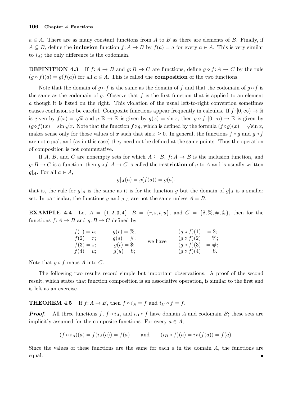<span id="page-109-0"></span> $a \in A$ . There are as many constant functions from *A* to *B* as there are elements of *B*. Finally, if  $A \subseteq B$ , define the **inclusion** function  $f: A \to B$  by  $f(a) = a$  for every  $a \in A$ . This is very similar to *iA*; the only difference is the codomain.

**DEFINITION 4.3** If  $f: A \to B$  and  $g: B \to C$  are functions, define  $g \circ f: A \to C$  by the rule  $(q \circ f)(a) = q(f(a))$  for all  $a \in A$ . This is called the **composition** of the two functions.

Note that the domain of  $g \circ f$  is the same as the domain of *f* and that the codomain of  $g \circ f$  is the same as the codomain of *g*. Observe that *f* is the first function that is applied to an element *a* though it is listed on the right. This violation of the usual left-to-right convention sometimes causes confusion so be careful. Composite functions appear frequently in calculus. If  $f:[0,\infty) \to \mathbb{R}$ is given by  $f(x) = \sqrt{x}$  and  $g: \mathbb{R} \to \mathbb{R}$  is given by  $g(x) = \sin x$ , then  $g \circ f: [0, \infty) \to \mathbb{R}$  is given by (*g*◦*f*)(*x*) = sin  $\sqrt{x}$ . Note that the function *f* ⊙*g*, which is defined by the formula (*f* ⊙*g*)(*x*) =  $\sqrt{\sin x}$ , makes sense only for those values of *x* such that  $\sin x \geq 0$ . In general, the functions  $f \circ g$  and  $g \circ f$ are not equal, and (as in this case) they need not be defined at the same points. Thus the operation of composition is not commutative.

If *A*, *B*, and *C* are nonempty sets for which  $A \subseteq B$ ,  $f: A \rightarrow B$  is the inclusion function, and  $g: B \to C$  is a function, then  $g \circ f: A \to C$  is called the **restriction** of *g* to *A* and is usually written *g*<sup>|</sup>*A*. For all *a* ∈ *A*,

$$
g|_A(a) = g(f(a)) = g(a),
$$

that is, the rule for  $g|_A$  is the same as it is for the function *g* but the domain of  $g|_A$  is a smaller set. In particular, the functions *g* and  $g|_A$  are not the same unless  $A = B$ .

**EXAMPLE 4.4** Let  $A = \{1, 2, 3, 4\}$ ,  $B = \{r, s, t, u\}$ , and  $C = \{\$\%, \%\%, \#$ ,  $\&\}$ , then for the functions  $f: A \to B$  and  $g: B \to C$  defined by

| $f(1) = u;$ | $g(r) = \%;$ |         | $(g \circ f)(1) =$ \$; |  |
|-------------|--------------|---------|------------------------|--|
| $f(2) = r;$ | $g(s) = \#;$ | we have | $(g \circ f)(2) = \%;$ |  |
| $f(3) = s;$ | $g(t) =$ \$; |         | $(g \circ f)(3) = \#;$ |  |
| $f(4) = u;$ | $g(u) = $;$  |         | $(g \circ f)(4) =$ \$. |  |

Note that  $g \circ f$  maps  $A$  into  $C$ .

The following two results record simple but important observations. A proof of the second result, which states that function composition is an associative operation, is similar to the first and is left as an exercise.

### **THEOREM 4.5** If  $f: A \to B$ , then  $f \circ i_A = f$  and  $i_B \circ f = f$ .

*Proof.* All three functions  $f, f \circ i_A$ , and  $i_B \circ f$  have domain *A* and codomain *B*; these sets are implicitly assumed for the composite functions. For every  $a \in A$ ,

$$
(f \circ i_A)(a) = f(i_A(a)) = f(a)
$$
 and  $(i_B \circ f)(a) = i_B(f(a)) = f(a)$ .

Since the values of these functions are the same for each *a* in the domain *A*, the functions are equal.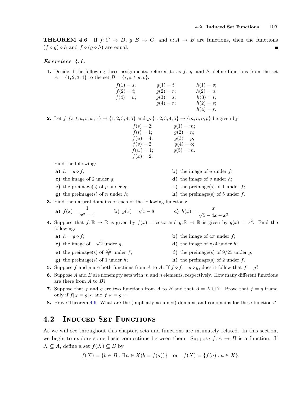**THEOREM 4.6** If  $f: C \to D$ ,  $g: B \to C$ , and  $h: A \to B$  are functions, then the functions  $(f \circ g) \circ h$  and  $f \circ (g \circ h)$  are equal.

#### *Exercises 4.1.*

**1.** Decide if the following three assignments, referred to as *f*, *g*, and *h*, define functions from the set  $A = \{1, 2, 3, 4\}$  to the set  $B = \{r, s, t, u, v\}$ .

| $f(1) = s;$ | $g(1) = t;$ | $h(1) = v;$ |
|-------------|-------------|-------------|
| $f(2) = t;$ | $g(2) = r;$ | $h(2) = u;$ |
| $f(4) = u;$ | $g(3) = s;$ | $h(3) = t;$ |
|             | $q(4) = r;$ | $h(2) = s;$ |
|             |             | $h(4) = r.$ |

**2.** Let  $f: \{s, t, u, v, w, x\} \rightarrow \{1, 2, 3, 4, 5\}$  and  $g: \{1, 2, 3, 4, 5\} \rightarrow \{m, n, o, p\}$  be given by

 $f(s) = 2;$   $g(1) = m;$  $f(t) = 1;$   $g(2) = n;$  $f(u) = 4;$   $g(3) = p;$  $f(v) = 2;$   $g(4) = 0;$  $f(w) = 1;$   $g(5) = m.$  $f(x) = 2;$ 

Find the following:

- -
- **a)**  $h = g \circ f$ ; **b)** the image of *u* under *f*;
- **c**) the image of 2 under *g*; **d**) the image of *v* under *h*;
- **e**) the preimage(s) of *p* under *g*; **f**) the preimage(s) of 1 under *f*;
	-
- 
- **g**) the preimage(s) of *n* under *h*; **h**) the preimage(s) of 5 under *f*.

**3.** Find the natural domains of each of the following functions:

**a)** 
$$
f(x) = \frac{1}{x^2 - x}
$$
 **b)**  $g(x) = \sqrt{x - 8}$  **c)**  $h(x) = \frac{x}{\sqrt{5 - 4x - x^2}}$ 

- **4.** Suppose that  $f: \mathbb{R} \to \mathbb{R}$  is given by  $f(x) = \cos x$  and  $g: \mathbb{R} \to \mathbb{R}$  is given by  $g(x) = x^2$ . Find the following:
	-
	- **a**)  $h = g \circ f$ ; **b**) the image of  $4\pi$  under *f*;
	- **c**) the image of  $-\sqrt{}$ **d**) the image of  $\pi/4$  under *h*;
	- **e**) the preimage(s) of  $\frac{\sqrt{3}}{2}$ **f**) the preimage(s) of  $9/25$  under *g*;
	- **g**) the preimage(s) of 1 under  $h$ ; **h**) the preimage(s) of 2 under  $f$ .
- **5.** Suppose *f* and *g* are both functions from *A* to *A*. If  $f \circ f = g \circ g$ , does it follow that  $f = g$ ?
- **6.** Suppose *A* and *B* are nonempty sets with *m* and *n* elements, respectively. How many different functions are there from *A* to *B*?
- **7.** Suppose that *f* and *g* are two functions from *A* to *B* and that  $A = X \cup Y$ . Prove that  $f = g$  if and only if  $f|_X = g|_X$  and  $f|_Y = g|_Y$ .
- **8.** Prove Theorem 4.6. What are the (implicitly assumed) domains and codomains for these functions?

### 4.2 INDUCED SET FUNCTIONS

As we will see throughout this chapter, sets and functions are intimately related. In this section, we begin to explore some basic connections between them. Suppose  $f: A \rightarrow B$  is a function. If  $X \subseteq A$ , define a set  $f(X) \subseteq B$  by

$$
f(X) = \{b \in B : \exists a \in X(b = f(a))\}
$$
 or  $f(X) = \{f(a) : a \in X\}.$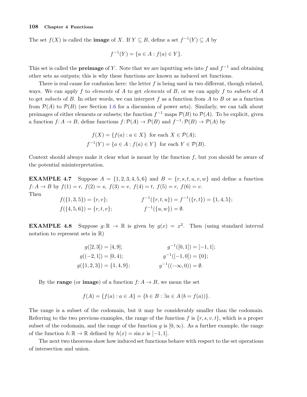<span id="page-111-0"></span>The set  $f(X)$  is called the **image** of *X*. If  $Y \subseteq B$ , define a set  $f^{-1}(Y) \subseteq A$  by

$$
f^{-1}(Y) = \{ a \in A : f(a) \in Y \}.
$$

This set is called the **preimage** of *Y* . Note that we are inputting sets into *f* and *f −*1 and obtaining other sets as outputs; this is why these functions are known as induced set functions.

There is real cause for confusion here: the letter *f* is being used in two different, though related, ways. We can apply *f* to *elements* of *A* to get *elements* of *B*, or we can apply *f* to *subsets* of *A* to get *subsets* of *B*. In other words, we can interpret *f* as a function from *A* to *B* or as a function from  $P(A)$  to  $P(B)$  (see Section [1.6](#page-25-0) for a discussion of power sets). Similarly, we can talk about preimages of either elements or subsets; the function *f <sup>−</sup>*<sup>1</sup> maps *P*(*B*) to *P*(*A*). To be explicit, given a function  $f: A \to B$ , define functions  $f: \mathcal{P}(A) \to \mathcal{P}(B)$  and  $f^{-1}: \mathcal{P}(B) \to \mathcal{P}(A)$  by

$$
f(X) = \{ f(a) : a \in X \} \text{ for each } X \in \mathcal{P}(A);
$$
  

$$
f^{-1}(Y) = \{ a \in A : f(a) \in Y \} \text{ for each } Y \in \mathcal{P}(B).
$$

Context should always make it clear what is meant by the function *f*, but you should be aware of the potential misinterpretation.

**EXAMPLE 4.7** Suppose  $A = \{1, 2, 3, 4, 5, 6\}$  and  $B = \{r, s, t, u, v, w\}$  and define a function  $f: A \to B$  by  $f(1) = r$ ,  $f(2) = s$ ,  $f(3) = v$ ,  $f(4) = t$ ,  $f(5) = r$ ,  $f(6) = v$ . Then

 $f({1, 3, 5}) = {r, v}$ ;  $f^{-1}({r, t, u}) = f^{-1}({r, t}) = {1, 4, 5}$ ;  $f(\{4, 5, 6\}) = \{r, t, v\};$   $f^{-1}(\{u, w\}) = \emptyset.$ 

**EXAMPLE 4.8** Suppose  $g: \mathbb{R} \to \mathbb{R}$  is given by  $g(x) = x^2$ . Then (using standard interval notation to represent sets in  $\mathbb{R}$ )

| $g([2,3]) = [4,9];$         | $g^{-1}([0,1]) = [-1,1];$          |
|-----------------------------|------------------------------------|
| $g((-2, 1]) = [0, 4);$      | $g^{-1}([-1,0]) = \{0\};$          |
| $g({1, 2, 3}) = {1, 4, 9};$ | $g^{-1}((-\infty,0)) = \emptyset.$ |

By the **range** (or **image**) of a function  $f: A \to B$ , we mean the set

$$
f(A) = \{ f(a) : a \in A \} = \{ b \in B : \exists a \in A \ (b = f(a)) \}.
$$

The range is a subset of the codomain, but it may be considerably smaller than the codomain. Referring to the two previous examples, the range of the function  $f$  is  $\{r, s, v, t\}$ , which is a proper subset of the codomain, and the range of the function *g* is  $[0, \infty)$ . As a further example, the range of the function  $h: \mathbb{R} \to \mathbb{R}$  defined by  $h(x) = \sin x$  is  $[-1, 1]$ .

The next two theorems show how induced set functions behave with respect to the set operations of intersection and union.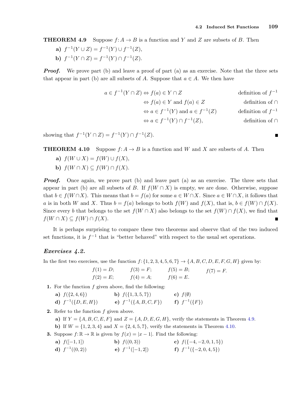Б

<span id="page-112-0"></span>**THEOREM 4.9** Suppose  $f: A \to B$  is a function and *Y* and *Z* are subsets of *B*. Then

a) 
$$
f^{-1}(Y \cup Z) = f^{-1}(Y) \cup f^{-1}(Z)
$$
,

**b**)  $f^{-1}(Y \cap Z) = f^{-1}(Y) \cap f^{-1}(Z)$ .

*Proof.* We prove part (b) and leave a proof of part (a) as an exercise. Note that the three sets that appear in part (b) are all subsets of *A*. Suppose that  $a \in A$ . We then have

> $a \in f^{-1}(Y \cap Z) \Leftrightarrow f(a) \in Y \cap Z$  definition of *f* definition of  $f^{-1}$  $\Leftrightarrow$  *f*(*a*)  $\in$  *Y* and *f*(*a*)  $\in$  *Z* definition of ∩ *⇔ a ∈ f −*1 (*Y* ) and *a ∈ f −*1 (*Z*) definition of *f −*1 *⇔ a ∈ f −*1 (*Y* ) *∩ f −*1 (*Z*)*,* definition of *∩*

showing that  $f^{-1}(Y \cap Z) = f^{-1}(Y) \cap f^{-1}(Z)$ .

**THEOREM 4.10** Suppose  $f: A \rightarrow B$  is a function and *W* and *X* are subsets of *A*. Then

- **a**)  $f(W \cup X) = f(W) \cup f(X)$ ,
- **b)**  $f(W \cap X) \subseteq f(W) \cap f(X)$ .

*Proof.* Once again, we prove part (b) and leave part (a) as an exercise. The three sets that appear in part (b) are all subsets of *B*. If  $f(W \cap X)$  is empty, we are done. Otherwise, suppose that  $b \in f(W \cap X)$ . This means that  $b = f(a)$  for some  $a \in W \cap X$ . Since  $a \in W \cap X$ , it follows that *a* is in both *W* and *X*. Thus  $b = f(a)$  belongs to both  $f(W)$  and  $f(X)$ , that is,  $b \in f(W) \cap f(X)$ . Since every *b* that belongs to the set  $f(W \cap X)$  also belongs to the set  $f(W) \cap f(X)$ , we find that *f*(*W* ∩ *X*)  $\subseteq$  *f*(*W*) ∩ *f*(*X*). Ē

It is perhaps surprising to compare these two theorems and observe that of the two induced set functions, it is  $f^{-1}$  that is "better behaved" with respect to the usual set operations.

#### *Exercises 4.2.*

In the first two exercises, use the function  $f: \{1, 2, 3, 4, 5, 6, 7\} \rightarrow \{A, B, C, D, E, F, G, H\}$  given by:

$$
f(1) = D;
$$
  $f(3) = F;$   $f(5) = B;$   $f(7) = F.$   
\n $f(2) = E;$   $f(4) = A;$   $f(6) = E.$ 

**1.** For the function *f* given above, find the following:

**a)**  $f(\{2, 4, 6\})$  **b)**  $f(\{1, 3, 5, 7\})$  **c)**  $f(\emptyset)$ **d**)  $f^{-1}(\{D, E, H\})$  **e**) *f −*1 (*{A, B, C, F}*) **f)** *f −*1 (*{F}*)

**2.** Refer to the function *f* given above.

- **a)** If  $Y = \{A, B, C, E, F\}$  and  $Z = \{A, D, E, G, H\}$ , verify the statements in Theorem 4.9.
- **b**) If  $W = \{1, 2, 3, 4\}$  and  $X = \{2, 4, 5, 7\}$ , verify the statements in Theorem 4.10.
- **3.** Suppose  $f: \mathbb{R} \to \mathbb{R}$  is given by  $f(x) = |x 1|$ . Find the following:
	- **a)**  $f([-1, 1])$  **b)**  $f((0, 3))$  **c)**  $f({-4, -2, 0, 1, 5})$ **d)** *f −*1 ((0,2)) **e**)  $f^{-1}([-1,2])$  **f**)  $f^{-1}(\{-2,0,4,5\})$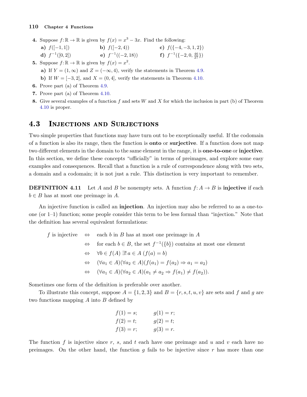- <span id="page-113-0"></span>**4.** Suppose  $f: \mathbb{R} \to \mathbb{R}$  is given by  $f(x) = x^3 - 3x$ . Find the following:
	- **a)**  $f([-1, 1])$  **b)**  $f([-2, 4))$  **c)**  $f({-4, -3, 1, 2})$ **d)** *f −*1 ([0*,* 2]) **e)** *f* **e**)  $f^{-1}((-2, 18))$ ((-2, 18)) **f**)  $f^{-1}(\{-2, 0, \frac{46}{27}\})$
- **5.** Suppose  $f: \mathbb{R} \to \mathbb{R}$  is given by  $f(x) = x^2$ .
	- **a)** If  $Y = (1, \infty)$  and  $Z = (-\infty, 4)$ , verify the statements in Theorem [4.9](#page-112-0).
- **b)** If  $W = [-3, 2]$ , and  $X = (0, 4]$ , verify the statements in Theorem [4.10.](#page-112-0)
- **6.** Prove part (a) of Theorem [4.9](#page-112-0).
- **7.** Prove part (a) of Theorem [4.10](#page-112-0).
- **8.** Give several examples of a function *f* and sets *W* and *X* for which the inclusion in part (b) of Theorem [4.10](#page-112-0) is proper.

### 4.3 Injections and Surjections

Two simple properties that functions may have turn out to be exceptionally useful. If the codomain of a function is also its range, then the function is **onto** or **surjective**. If a function does not map two different elements in the domain to the same element in the range, it is **one-to-one** or **injective**. In this section, we define these concepts "officially" in terms of preimages, and explore some easy examples and consequences. Recall that a function is a rule of correspondence along with two sets, a domain and a codomain; it is not just a rule. This distinction is very important to remember.

**DEFINITION 4.11** Let *A* and *B* be nonempty sets. A function  $f: A \rightarrow B$  is **injective** if each *b ∈ B* has at most one preimage in *A*.

An injective function is called an **injection**. An injection may also be referred to as a one-toone (or 1–1) function; some people consider this term to be less formal than "injection." Note that the definition has several equivalent formulations:

*f* is injective  $\Leftrightarrow$  each *b* in *B* has at most one preimage in *A ⇔* for each *b ∈ B*, the set *f −*1 (*{b}*) contains at most one element *⇔ ∀b ∈ f*(*A*) *∃*! *a ∈ A* (*f*(*a*) = *b*)  $\Leftrightarrow$   $(\forall a_1 \in A)(\forall a_2 \in A)(f(a_1) = f(a_2) \Rightarrow a_1 = a_2)$  $\Leftrightarrow$   $(\forall a_1 \in A)(\forall a_2 \in A)(a_1 \neq a_2 \Rightarrow f(a_1) \neq f(a_2)).$ 

Sometimes one form of the definition is preferable over another.

To illustrate this concept, suppose  $A = \{1, 2, 3\}$  and  $B = \{r, s, t, u, v\}$  are sets and f and g are two functions mapping *A* into *B* defined by

$$
f(1) = s;
$$
  $g(1) = r;$   
\n $f(2) = t;$   $g(2) = t;$   
\n $f(3) = r;$   $g(3) = r.$ 

The function *f* is injective since *r*, *s*, and *t* each have one preimage and *u* and *v* each have no preimages. On the other hand, the function *g* fails to be injective since *r* has more than one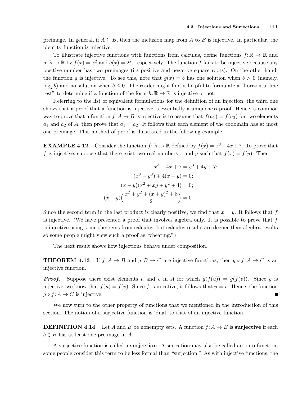<span id="page-114-0"></span>preimage. In general, if  $A \subseteq B$ , then the inclusion map from A to B is injective. In particular, the identity function is injective.

To illustrate injective functions with functions from calculus, define functions  $f: \mathbb{R} \to \mathbb{R}$  and  $g: \mathbb{R} \to \mathbb{R}$  by  $f(x) = x^2$  and  $g(x) = 2^x$ , respectively. The function *f* fails to be injective because any positive number has two preimages (its positive and negative square roots). On the other hand, the function *g* is injective. To see this, note that  $g(x) = b$  has one solution when  $b > 0$  (namely,  $log_2 b$ ) and no solution when  $b \leq 0$ . The reader might find it helpful to formulate a "horizontal line" test" to determine if a function of the form  $h: \mathbb{R} \to \mathbb{R}$  is injective or not.

Referring to the list of equivalent formulations for the definition of an injection, the third one shows that a proof that a function is injective is essentially a uniqueness proof. Hence, a common way to prove that a function  $f: A \to B$  is injective is to assume that  $f(a_1) = f(a_2)$  for two elements  $a_1$  and  $a_2$  of *A*, then prove that  $a_1 = a_2$ . It follows that each element of the codomain has at most one preimage. This method of proof is illustrated in the following example.

**EXAMPLE 4.12** Consider the function  $f: \mathbb{R} \to \mathbb{R}$  defined by  $f(x) = x^3 + 4x + 7$ . To prove that *f* is injective, suppose that there exist two real numbers *x* and *y* such that  $f(x) = f(y)$ . Then

$$
x^{3} + 4x + 7 = y^{3} + 4y + 7;
$$
  
\n
$$
(x^{3} - y^{3}) + 4(x - y) = 0;
$$
  
\n
$$
(x - y)(x^{2} + xy + y^{2} + 4) = 0;
$$
  
\n
$$
(x - y)\left(\frac{x^{2} + y^{2} + (x + y)^{2} + 8}{2}\right) = 0.
$$

Since the second term in the last product is clearly positive, we find that  $x = y$ . It follows that *f* is injective. (We have presented a proof that involves algebra only. It is possible to prove that *f* is injective using some theorems from calculus, but calculus results are deeper than algebra results so some people might view such a proof as "cheating.")

The next result shows how injections behave under composition.

**THEOREM 4.13** If  $f: A \to B$  and  $g: B \to C$  are injective functions, then  $g \circ f: A \to C$  is an injective function.

*Proof.* Suppose there exist elements *u* and *v* in *A* for which  $g(f(u)) = g(f(v))$ . Since *g* is injective, we know that  $f(u) = f(v)$ . Since f is injective, it follows that  $u = v$ . Hence, the function  $g \circ f : A \to C$  is injective. п

We now turn to the other property of functions that we mentioned in the introduction of this section. The notion of a surjective function is 'dual' to that of an injective function.

**DEFINITION 4.14** Let *A* and *B* be nonempty sets. A function  $f: A \rightarrow B$  is surjective if each *b ∈ B* has at least one preimage in *A*.

A surjective function is called a **surjection**. A surjection may also be called an onto function; some people consider this term to be less formal than "surjection." As with injective functions, the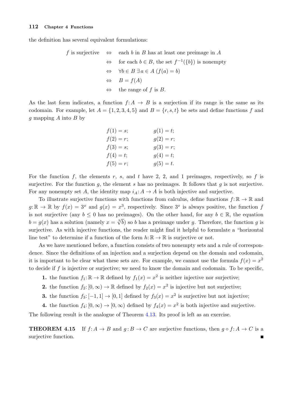<span id="page-115-0"></span>the definition has several equivalent formulations:

$$
f \text{ is surjective} \Leftrightarrow \text{each } b \text{ in } B \text{ has at least one preimage in } A
$$

$$
\Leftrightarrow \text{ for each } b \in B, \text{ the set } f^{-1}(\{b\}) \text{ is nonempty}
$$

$$
\Leftrightarrow \forall b \in B \exists a \in A \ (f(a) = b)
$$

$$
\Leftrightarrow B = f(A)
$$

$$
\Leftrightarrow \text{ the range of } f \text{ is } B.
$$

As the last form indicates, a function  $f: A \to B$  is a surjection if its range is the same as its codomain. For example, let  $A = \{1, 2, 3, 4, 5\}$  and  $B = \{r, s, t\}$  be sets and define functions f and *g* mapping *A* into *B* by

$$
f(1) = s; \t\t g(1) = t; \n f(2) = r; \t\t g(2) = r; \n f(3) = s; \t\t g(3) = r; \n f(4) = t; \t\t g(4) = t; \n f(5) = r; \t\t g(5) = t.
$$

For the function  $f$ , the elements  $r$ ,  $s$ , and  $t$  have 2, 2, and 1 preimages, respectively, so  $f$  is surjective. For the function *g*, the element *s* has no preimages. It follows that *g* is not surjective. For any nonempty set *A*, the identity map  $i_A: A \to A$  is both injective and surjective.

To illustrate surjective functions with functions from calculus, define functions *f*: R *→* R and  $g: \mathbb{R} \to \mathbb{R}$  by  $f(x) = 3^x$  and  $g(x) = x^3$ , respectively. Since  $3^x$  is always positive, the function *f* is not surjective (any  $b \leq 0$  has no preimages). On the other hand, for any  $b \in \mathbb{R}$ , the equation  $b = g(x)$  has a solution (namely  $x = \sqrt[3]{b}$ ) so *b* has a preimage under *g*. Therefore, the function *g* is surjective. As with injective functions, the reader might find it helpful to formulate a "horizontal line test" to determine if a function of the form  $h: \mathbb{R} \to \mathbb{R}$  is surjective or not.

As we have mentioned before, a function consists of two nonempty sets and a rule of correspondence. Since the definitions of an injection and a surjection depend on the domain and codomain, it is important to be clear what these sets are. For example, we cannot use the formula  $f(x) = x^2$ to decide if *f* is injective or surjective; we need to know the domain and codomain. To be specific,

- 1. the function  $f_1: \mathbb{R} \to \mathbb{R}$  defined by  $f_1(x) = x^2$  is neither injective nor surjective;
- **2.** the function  $f_2: [0, \infty) \to \mathbb{R}$  defined by  $f_2(x) = x^2$  is injective but not surjective;
- **3.** the function  $f_3: [-1, 1] \rightarrow [0, 1]$  defined by  $f_3(x) = x^2$  is surjective but not injective;

**4.** the function  $f_4: [0, \infty) \to [0, \infty)$  defined by  $f_4(x) = x^2$  is both injective and surjective.

The following result is the analogue of Theorem [4.13.](#page-114-0) Its proof is left as an exercise.

**THEOREM 4.15** If  $f: A \to B$  and  $g: B \to C$  are surjective functions, then  $g \circ f: A \to C$  is a surjective function.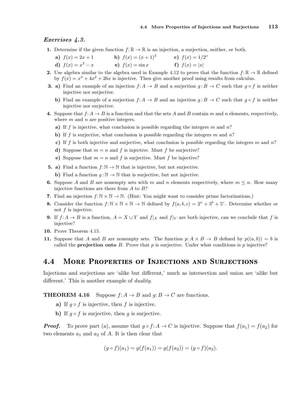#### <span id="page-116-0"></span>*Exercises 4.3.*

- **1.** Determine if the given function  $f: \mathbb{R} \to \mathbb{R}$  is an injection, a surjection, neither, or both.
	- **a**)  $f(x) = 2x + 1$  **b**)  $f(x) = (x + 1)^3$ **c**)  $f(x) = 1/2^x$ **d**)  $f(x) = x^3 - x$ **e**)  $f(x) = \sin x$  **f**)  $f(x) = |x|$
- **2.** Use algebra similar to the algebra used in Example [4.12](#page-114-0) to prove that the function  $f: \mathbb{R} \to \mathbb{R}$  defined by  $f(x) = x^3 + 4x^2 + 26x$  is injective. Then give another proof using results from calculus.
- **3. a)** Find an example of an injection  $f: A \to B$  and a surjection  $g: B \to C$  such that  $g \circ f$  is neither injective nor surjective.
	- **b)** Find an example of a surjection  $f: A \to B$  and an injection  $g: B \to C$  such that  $g \circ f$  is neither injective nor surjective.
- **4.** Suppose that  $f: A \to B$  is a function and that the sets A and B contain m and n elements, respectively, where *m* and *n* are positive integers.
	- **a)** If *f* is injective, what conclusion is possible regarding the integers *m* and *n*?
	- **b)** If *f* is surjective, what conclusion is possible regarding the integers *m* and *n*?
	- **c)** If *f* is both injective and surjective, what conclusion is possible regarding the integers *m* and *n*?
	- **d**) Suppose that  $m = n$  and f is injective. Must f be surjective?
	- **e**) Suppose that  $m = n$  and  $f$  is surjective. Must  $f$  be injective?
- **5. a)** Find a function  $f: \mathbb{N} \to \mathbb{N}$  that is injective, but not surjective.
	- **b)** Find a function  $g : \mathbb{N} \to \mathbb{N}$  that is surjective, but not injective.
- **6.** Suppose *A* and *B* are nonempty sets with *m* and *n* elements respectively, where  $m \leq n$ . How many injective functions are there from *A* to *B*?
- **7.** Find an injection  $f: \mathbb{N} \times \mathbb{N} \to \mathbb{N}$ . (Hint: You might want to consider prime factorizations.)
- **8.** Consider the function  $f: \mathbb{N} \times \mathbb{N} \times \mathbb{N} \to \mathbb{N}$  defined by  $f(a, b, c) = 2^a + 3^b + 5^c$ . Determine whether or not *f* is injective.
- **9.** If  $f: A \to B$  is a function,  $A = X \cup Y$  and  $f|_X$  and  $f|_Y$  are both injective, can we conclude that  $f$  is injective?
- **10.** Prove Theorem [4.15](#page-115-0).
- **11.** Suppose that *A* and *B* are nonempty sets. The function  $p: A \times B \to B$  defined by  $p((a, b)) = b$  is called the **projection onto**  $B$ . Prove that  $p$  is surjective. Under what conditions is  $p$  injective?

### 4.4 More Properties of Injections and Surjections

Injections and surjections are 'alike but different,' much as intersection and union are 'alike but different.' This is another example of *duality.*

**THEOREM 4.16** Suppose  $f: A \rightarrow B$  and  $g: B \rightarrow C$  are functions.

- **a**) If  $g \circ f$  is injective, then  $f$  is injective.
- **b)** If  $g \circ f$  is surjective, then  $g$  is surjective.

*Proof.* To prove part (a), assume that  $g \circ f: A \to C$  is injective. Suppose that  $f(a_1) = f(a_2)$  for two elements  $a_1$  and  $a_2$  of A. It is then clear that

$$
(g \circ f)(a_1) = g(f(a_1)) = g(f(a_2)) = (g \circ f)(a_2).
$$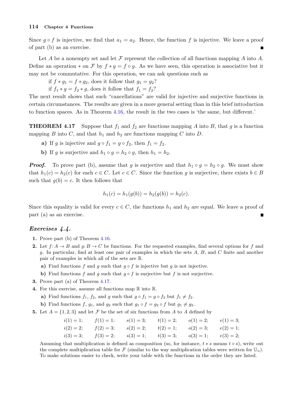<span id="page-117-0"></span>Since  $g \circ f$  is injective, we find that  $a_1 = a_2$ . Hence, the function f is injective. We leave a proof of part (b) as an exercise.

Let *A* be a nonempty set and let  $\mathcal F$  represent the collection of all functions mapping *A* into *A*. Define an operation  $*$  on  $\mathcal F$  by  $f * g = f \circ g$ . As we have seen, this operation is associative but it may not be commutative. For this operation, we can ask questions such as

if  $f * g_1 = f * g_2$ , does it follow that  $g_1 = g_2$ ?

if  $f_1 * g = f_2 * g$ , does it follow that  $f_1 = f_2$ ?

The next result shows that such "cancellations" are valid for injective and surjective functions in certain circumstances. The results are given in a more general setting than in this brief introduction to function spaces. As in Theorem [4.16,](#page-116-0) the result in the two cases is 'the same, but different.'

**THEOREM 4.17** Suppose that  $f_1$  and  $f_2$  are functions mapping A into B, that g is a function mapping *B* into *C*, and that  $h_1$  and  $h_2$  are functions mapping *C* into *D*.

- **a**) If *g* is injective and  $g \circ f_1 = g \circ f_2$ , then  $f_1 = f_2$ .
- **b)** If *g* is surjective and  $h_1 \circ g = h_2 \circ g$ , then  $h_1 = h_2$ .

*Proof.* To prove part (b), assume that *g* is surjective and that  $h_1 \circ g = h_2 \circ g$ . We must show that  $h_1(c) = h_2(c)$  for each  $c \in C$ . Let  $c \in C$ . Since the function g is surjective, there exists  $b \in B$ such that  $g(b) = c$ . It then follows that

$$
h_1(c) = h_1(g(b)) = h_2(g(b)) = h_2(c).
$$

Since this equality is valid for every  $c \in C$ , the functions  $h_1$  and  $h_2$  are equal. We leave a proof of part (a) as an exercise.

### *Exercises 4.4.*

- **1.** Prove part (b) of Theorem [4.16.](#page-116-0)
- **2.** Let  $f: A \rightarrow B$  and  $g: B \rightarrow C$  be functions. For the requested examples, find several options for *f* and *g*. In particular, find at least one pair of examples in which the sets *A*, *B*, and *C* finite and another pair of examples in which all of the sets are R.
	- **a**) Find functions  $f$  and  $g$  such that  $g \circ f$  is injective but  $g$  is not injective.
	- **b)** Find functions  $f$  and  $g$  such that  $g \circ f$  is surjective but  $f$  is not surjective.
- **3.** Prove part (a) of Theorem 4.17.
- **4.** For this exercise, assume all functions map R into R.
	- **a**) Find functions  $f_1$ ,  $f_2$ , and  $g$  such that  $g \circ f_1 = g \circ f_2$  but  $f_1 \neq f_2$ .
	- **b)** Find functions  $f$ ,  $g_1$ , and  $g_2$  such that  $g_1 \circ f = g_2 \circ f$  but  $g_1 \neq g_2$ .
- **5.** Let  $A = \{1, 2, 3\}$  and let  $\mathcal F$  be the set of six functions from A to A defined by

| $i(1) = 1;$ $f(1) = 1;$ $s(1) = 3;$ $t(1) = 2;$ $o(1) = 2;$ $e(1) = 3;$ |  |  |
|-------------------------------------------------------------------------|--|--|
| $i(2) = 2;$ $f(2) = 3;$ $s(2) = 2;$ $t(2) = 1;$ $o(2) = 3;$ $e(2) = 1;$ |  |  |
| $i(3) = 3;$ $f(3) = 2;$ $s(3) = 1;$ $t(3) = 3;$ $o(3) = 1;$ $e(3) = 2;$ |  |  |

Assuming that multiplication is defined as composition (so, for instance, *t ∗ s* means *t ◦ s*), write out the complete multiplication table for  $\mathcal F$  (similar to the way multiplication tables were written for  $\mathbb U_n$ ). To make solutions easier to check, write your table with the functions in the order they are listed.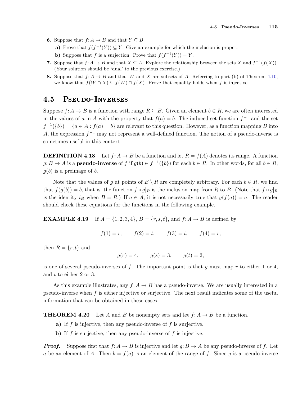- <span id="page-118-0"></span>**6.** Suppose that  $f: A \to B$  and that  $Y \subseteq B$ .
	- **a)** Prove that  $f(f^{-1}(Y))$  ⊆ *Y*. Give an example for which the inclusion is proper.
	- **b)** Suppose that *f* is a surjection. Prove that  $f(f^{-1}(Y)) = Y$ .
- **7.** Suppose that *f* : *A* → *B* and that *X* ⊆ *A*. Explore the relationship between the sets *X* and  $f^{-1}(f(X))$ . (Your solution should be 'dual' to the previous exercise.)
- **8.** Suppose that  $f: A \to B$  and that *W* and *X* are subsets of *A*. Referring to part (b) of Theorem [4.10,](#page-112-0) we know that  $f(W \cap X) \subseteq f(W) \cap f(X)$ . Prove that equality holds when *f* is injective.

### 4.5 Pseudo-Inverses

Suppose  $f: A \to B$  is a function with range  $R \subseteq B$ . Given an element  $b \in R$ , we are often interested in the values of *a* in *A* with the property that  $f(a) = b$ . The induced set function  $f^{-1}$  and the set  $f^{-1}(\{b\}) = \{a \in A : f(a) = b\}$  are relevant to this question. However, as a function mapping *B* into *A*, the expression  $f^{-1}$  may not represent a well-defined function. The notion of a pseudo-inverse is sometimes useful in this context.

**DEFINITION 4.18** Let  $f: A \to B$  be a function and let  $R = f(A)$  denotes its range. A function  $g: B \to A$  is a **pseudo-inverse** of f if  $g(b) \in f^{-1}(\{b\})$  for each  $b \in R$ . In other words, for all  $b \in R$ , *g*(*b*) is a preimage of *b*.

Note that the values of *g* at points of  $B \setminus R$  are completely arbitrary. For each  $b \in R$ , we find that  $f(g(b)) = b$ , that is, the function  $f \circ g|_R$  is the inclusion map from R to B. (Note that  $f \circ g|_R$ is the identity  $i_B$  when  $B = R$ .) If  $a \in A$ , it is not necessarily true that  $g(f(a)) = a$ . The reader should check these equations for the functions in the following example.

**EXAMPLE 4.19** If  $A = \{1, 2, 3, 4\}$ ,  $B = \{r, s, t\}$ , and  $f: A \rightarrow B$  is defined by

 $f(1) = r$ ,  $f(2) = t$ ,  $f(3) = t$ ,  $f(4) = r$ ,

then  $R = \{r, t\}$  and

 $g(r) = 4,$   $g(s) = 3,$   $g(t) = 2,$ 

is one of several pseudo-inverses of *f*. The important point is that *g* must map *r* to either 1 or 4, and *t* to either 2 or 3.

As this example illustrates, any  $f: A \to B$  has a pseudo-inverse. We are usually interested in a pseudo-inverse when *f* is either injective or surjective. The next result indicates some of the useful information that can be obtained in these cases.

**THEOREM 4.20** Let *A* and *B* be nonempty sets and let  $f: A \rightarrow B$  be a function.

- **a)** If *f* is injective, then any pseudo-inverse of *f* is surjective.
- **b)** If *f* is surjective, then any pseudo-inverse of *f* is injective.

*Proof.* Suppose first that  $f: A \to B$  is injective and let  $g: B \to A$  be any pseudo-inverse of f. Let *a* be an element of *A*. Then  $b = f(a)$  is an element of the range of *f*. Since *q* is a pseudo-inverse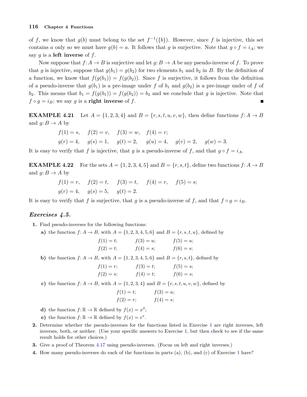<span id="page-119-0"></span>of *f*, we know that  $g(b)$  must belong to the set  $f^{-1}(\{b\})$ . However, since *f* is injective, this set contains *a* only so we must have  $g(b) = a$ . It follows that *g* is surjective. Note that  $g \circ f = i_A$ ; we say *g* is a **left inverse** of *f*.

Now suppose that  $f: A \to B$  is surjective and let  $g: B \to A$  be any pseudo-inverse of f. To prove that *g* is injective, suppose that  $g(b_1) = g(b_2)$  for two elements  $b_1$  and  $b_2$  in *B*. By the definition of a function, we know that  $f(g(b_1)) = f(g(b_2))$ . Since f is surjective, it follows from the definition of a pseudo-inverse that  $g(b_1)$  is a pre-image under f of  $b_1$  and  $g(b_2)$  is a pre-image under of f of *b*<sub>2</sub>. This means that  $b_1 = f(g(b_1)) = f(g(b_2)) = b_2$  and we conclude that *g* is injective. Note that  $f \circ g = i_B$ ; we say *g* is a **right inverse** of *f*.

**EXAMPLE 4.21** Let  $A = \{1, 2, 3, 4\}$  and  $B = \{r, s, t, u, v, w\}$ , then define functions  $f: A \rightarrow B$ and  $g: B \to A$  by

$$
f(1) = s
$$
,  $f(2) = v$ ,  $f(3) = w$ ,  $f(4) = r$ ;  
 $g(r) = 4$ ,  $g(s) = 1$ ,  $g(t) = 2$ ,  $g(u) = 4$ ,  $g(v) = 2$ ,  $g(w) = 3$ .

It is easy to verify that *f* is injective, that *g* is a pseudo-inverse of *f*, and that  $g \circ f = i_A$ .

**EXAMPLE 4.22** For the sets  $A = \{1, 2, 3, 4, 5\}$  and  $B = \{r, s, t\}$ , define two functions  $f: A \rightarrow B$ and  $g: B \to A$  by

$$
f(1) = r
$$
,  $f(2) = t$ ,  $f(3) = t$ ,  $f(4) = r$ ,  $f(5) = s$ ;  
 $g(r) = 4$ ,  $g(s) = 5$ ,  $g(t) = 2$ .

It is easy to verify that *f* is surjective, that *g* is a pseudo-inverse of *f*, and that  $f \circ g = i_B$ .

### *Exercises 4.5.*

- **1.** Find pseudo-inverses for the following functions:
	- **a**) the function  $f: A \rightarrow B$ , with  $A = \{1, 2, 3, 4, 5, 6\}$  and  $B = \{r, s, t, u\}$ , defined by

| $f(1) = t;$ | $f(3) = u;$ | $f(5) = u;$ |
|-------------|-------------|-------------|
| $f(2) = t;$ | $f(4) = s;$ | $f(6) = s;$ |

**b**) the function  $f: A \rightarrow B$ , with  $A = \{1, 2, 3, 4, 5, 6\}$  and  $B = \{r, s, t\}$ , defined by

$$
f(1) = r;
$$
  $f(3) = t;$   $f(5) = s;$   
\n $f(2) = s;$   $f(4) = t;$   $f(6) = s;$ 

**c**) the function  $f: A \to B$ , with  $A = \{1, 2, 3, 4\}$  and  $B = \{r, s, t, u, v, w\}$ , defined by

$$
f(1) = t;
$$
  $f(3) = u;$   
\n $f(2) = r;$   $f(4) = s;$ 

**d**) the function  $f: \mathbb{R} \to \mathbb{R}$  defined by  $f(x) = x^2$ ;

**e**) the function  $f: \mathbb{R} \to \mathbb{R}$  defined by  $f(x) = e^x$ .

- **2.** Determine whether the pseudo-inverses for the functions listed in Exercise 1 are right inverses, left inverses, both, or neither. (Use your specific answers to Exercise 1, but then check to see if the same result holds for other choices.)
- **3.** Give a proof of Theorem [4.17](#page-117-0) using pseudo-inverses. (Focus on left and right inverses.)
- **4.** How many pseudo-inverses do each of the functions in parts (a), (b), and (c) of Exercise 1 have?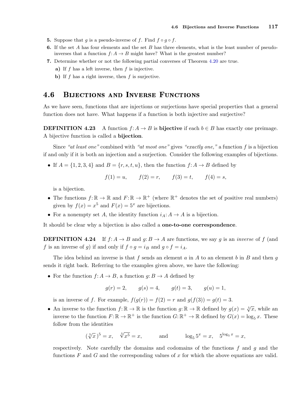- <span id="page-120-0"></span>**5.** Suppose that *g* is a pseudo-inverse of *f*. Find  $f \circ g \circ f$ .
- **6.** If the set *A* has four elements and the set *B* has three elements, what is the least number of pseudoinverses that a function  $f: A \to B$  might have? What is the greatest number?
- **7.** Determine whether or not the following partial converses of Theorem [4.20](#page-118-0) are true.
	- **a)** If *f* has a left inverse, then *f* is injective.
	- **b)** If *f* has a right inverse, then *f* is surjective.

### 4.6 Bijections and Inverse Functions

As we have seen, functions that are injections or surjections have special properties that a general function does not have. What happens if a function is both injective and surjective?

**DEFINITION 4.23** A function  $f: A \to B$  is **bijective** if each  $b \in B$  has exactly one preimage. A bijective function is called a **bijection**.

Since *"at least one"* combined with *"at most one"* gives *"exactly one,"* a function *f* is a bijection if and only if it is both an injection and a surjection. Consider the following examples of bijections.

• If  $A = \{1, 2, 3, 4\}$  and  $B = \{r, s, t, u\}$ , then the function  $f: A \to B$  defined by

$$
f(1) = u,
$$
  $f(2) = r,$   $f(3) = t,$   $f(4) = s,$ 

is a bijection.

- The functions  $f: \mathbb{R} \to \mathbb{R}$  and  $F: \mathbb{R} \to \mathbb{R}^+$  (where  $\mathbb{R}^+$  denotes the set of positive real numbers) given by  $f(x) = x^5$  and  $F(x) = 5^x$  are bijections.
- For a nonempty set *A*, the identity function  $i_A: A \to A$  is a bijection.

It should be clear why a bijection is also called a **one-to-one correspondence**.

**DEFINITION 4.24** If  $f: A \to B$  and  $g: B \to A$  are functions, we say g is an *inverse* of f (and *f* is an inverse of *g*) if and only if  $f \circ g = i_B$  and  $g \circ f = i_A$ .

The idea behind an inverse is that *f* sends an element *a* in *A* to an element *b* in *B* and then *g* sends it right back. Referring to the examples given above, we have the following:

• For the function  $f: A \to B$ , a function  $g: B \to A$  defined by

$$
g(r) = 2,
$$
  $g(s) = 4,$   $g(t) = 3,$   $g(u) = 1,$ 

is an inverse of *f*. For example,  $f(g(r)) = f(2) = r$  and  $g(f(3)) = g(t) = 3$ .

• An inverse to the function  $f: \mathbb{R} \to \mathbb{R}$  is the function  $g: \mathbb{R} \to \mathbb{R}$  defined by  $g(x) = \sqrt[5]{x}$ , while an inverse to the function  $F: \mathbb{R} \to \mathbb{R}^+$  is the function  $G: \mathbb{R}^+ \to \mathbb{R}$  defined by  $G(x) = \log_5 x$ . These follow from the identities

$$
(\sqrt[5]{x})^5 = x
$$
,  $\sqrt[5]{x^5} = x$ , and  $\log_5 5^x = x$ ,  $5^{\log_5 x} = x$ ,

respectively. Note carefully the domains and codomains of the functions *f* and *g* and the functions *F* and *G* and the corresponding values of *x* for which the above equations are valid.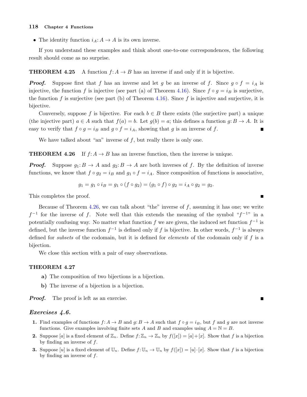<span id="page-121-0"></span>• The identity function  $i_A: A \to A$  is its own inverse.

If you understand these examples and think about one-to-one correspondences, the following result should come as no surprise.

**THEOREM 4.25** A function  $f: A \rightarrow B$  has an inverse if and only if it is bijective.

*Proof.* Suppose first that *f* has an inverse and let *g* be an inverse of *f*. Since  $g \circ f = i_A$  is injective, the function *f* is injective (see part (a) of Theorem [4.16](#page-116-0)). Since  $f \circ g = i_B$  is surjective, the function  $f$  is surjective (see part (b) of Theorem [4.16\)](#page-116-0). Since  $f$  is injective and surjective, it is bijective.

Conversely, suppose f is bijective. For each  $b \in B$  there exists (the surjective part) a unique (the injective part)  $a \in A$  such that  $f(a) = b$ . Let  $g(b) = a$ ; this defines a function  $g: B \to A$ . It is easy to verify that  $f \circ g = i_B$  and  $g \circ f = i_A$ , showing that  $g$  is an inverse of  $f$ .

We have talked about "an" inverse of *f*, but really there is only one.

**THEOREM 4.26** If  $f: A \to B$  has an inverse function, then the inverse is unique.

*Proof.* Suppose  $g_1: B \to A$  and  $g_2: B \to A$  are both inverses of *f*. By the definition of inverse functions, we know that  $f \circ g_2 = i_B$  and  $g_1 \circ f = i_A$ . Since composition of functions is associative,

$$
g_1 = g_1 \circ i_B = g_1 \circ (f \circ g_2) = (g_1 \circ f) \circ g_2 = i_A \circ g_2 = g_2.
$$

This completes the proof.

Because of Theorem 4.26, we can talk about "the" inverse of *f*, assuming it has one; we write  $f^{-1}$  for the inverse of *f*. Note well that this extends the meaning of the symbol " $f^{-1}$ " in a potentially confusing way. No matter what function *f* we are given, the induced set function *f −*1 is defined, but the inverse function *f −*1 is defined only if *f* is bijective. In other words, *f −*1 is always defined for *subsets* of the codomain, but it is defined for *elements* of the codomain only if *f* is a bijection.

We close this section with a pair of easy observations.

#### **THEOREM 4.27**

- **a)** The composition of two bijections is a bijection.
- **b)** The inverse of a bijection is a bijection.

*Proof.* The proof is left as an exercise.

#### *Exercises 4.6.*

- **1.** Find examples of functions  $f: A \to B$  and  $g: B \to A$  such that  $f \circ g = i_B$ , but  $f$  and  $g$  are not inverse functions. Give examples involving finite sets *A* and *B* and examples using  $A = N = B$ .
- **2.** Suppose [*a*] is a fixed element of  $\mathbb{Z}_n$ . Define  $f: \mathbb{Z}_n \to \mathbb{Z}_n$  by  $f([x]) = [a] + [x]$ . Show that *f* is a bijection by finding an inverse of *f*.
- **3.** Suppose [*u*] is a fixed element of  $\mathbb{U}_n$ . Define  $f: \mathbb{U}_n \to \mathbb{U}_n$  by  $f([x]) = [u] \cdot [x]$ . Show that f is a bijection by finding an inverse of *f*.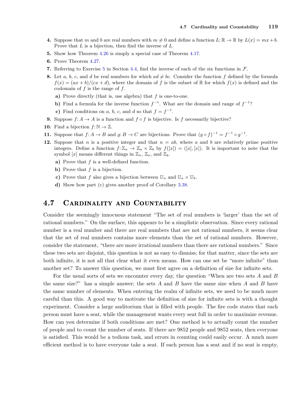- **4.** Suppose that *m* and *b* are real numbers with  $m \neq 0$  and define a function  $L: \mathbb{R} \to \mathbb{R}$  by  $L(x) = mx + b$ . Prove that *L* is a bijection, then find the inverse of *L*.
- **5.** Show how Theorem [4.26](#page-121-0) is simply a special case of Theorem [4.17.](#page-117-0)
- **6.** Prove Theorem [4.27](#page-121-0).
- **7.** Referring to Exercise [5](#page-117-0) in Section [4.4,](#page-116-0) find the inverse of each of the six functions in *F*.
- **8.** Let *a*, *b*, *c*, and *d* be real numbers for which  $ad \neq bc$ . Consider the function *f* defined by the formula  $f(x) = (ax + b)/(cx + d)$ , where the domain of f is the subset of R for which  $f(x)$  is defined and the codomain of *f* is the range of *f*.
	- **a)** Prove directly (that is, use algebra) that *f* is one-to-one.
	- **b**) Find a formula for the inverse function  $f^{-1}$ . What are the domain and range of  $f^{-1}$ ?
	- **c**) Find conditions on *a*, *b*, *c*, and *d* so that  $f = f^{-1}$ .
- **9.** Suppose  $f: A \to A$  is a function and  $f \circ f$  is bijective. Is  $f$  necessarily bijective?
- **10.** Find a bijection  $f: \mathbb{N} \to \mathbb{Z}$ .
- **11.** Suppose that  $f: A \to B$  and  $g: B \to C$  are bijections. Prove that  $(g \circ f)^{-1} = f^{-1} \circ g^{-1}$ .
- **12.** Suppose that *n* is a positive integer and that  $n = ab$ , where *a* and *b* are relatively prime positive integers. Define a function  $f: \mathbb{Z}_n \to \mathbb{Z}_a \times \mathbb{Z}_b$  by  $f([x]) = ([x], [x])$ . It is important to note that the symbol [x] means different things in  $\mathbb{Z}_n$ ,  $\mathbb{Z}_a$ , and  $\mathbb{Z}_b$ .
	- **a)** Prove that *f* is a well-defined function.
	- **b)** Prove that *f* is a bijection.
	- **c)** Prove that *f* also gives a bijection between  $\mathbb{U}_n$  and  $\mathbb{U}_a \times \mathbb{U}_b$ .
	- **d)** Show how part (c) gives another proof of Corollary [3.38](#page-89-0).

### 4.7 Cardinality and Countability

Consider the seemingly innocuous statement "The set of real numbers is 'larger' than the set of rational numbers." On the surface, this appears to be a simplistic observation. Since every rational number is a real number and there are real numbers that are not rational numbers, it seems clear that the set of real numbers contains more elements than the set of rational numbers. However, consider the statement, "there are more irrational numbers than there are rational numbers." Since these two sets are disjoint, this question is not as easy to dismiss; for that matter, since the sets are both infinite, it is not all that clear what it even means. How can one set be "more infinite" than another set? To answer this question, we must first agree on a definition of size for infinite sets.

For the usual sorts of sets we encounter every day, the question "When are two sets *A* and *B* the same size?" has a simple answer; the sets *A* and *B* have the same size when *A* and *B* have the same number of elements. When entering the realm of infinite sets, we need to be much more careful than this. A good way to motivate the definition of size for infinite sets is with a thought experiment. Consider a large auditorium that is filled with people. The fire code states that each person must have a seat, while the management wants every seat full in order to maximize revenue. How can you determine if both conditions are met? One method is to actually count the number of people and to count the number of seats. If there are 9852 people and 9852 seats, then everyone is satisfied. This would be a tedious task, and errors in counting could easily occur. A much more efficient method is to have everyone take a seat. If each person has a seat and if no seat is empty,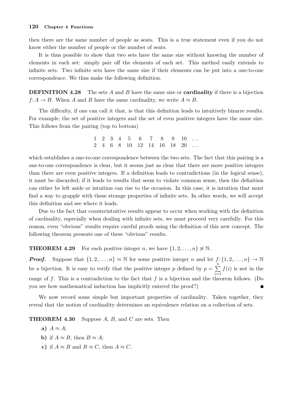<span id="page-123-0"></span>then there are the same number of people as seats. This is a true statement even if you do not know either the number of people or the number of seats.

It is thus possible to show that two sets have the same size without knowing the number of elements in each set: simply pair off the elements of each set. This method easily extends to infinite sets. Two infinite sets have the same size if their elements can be put into a one-to-one correspondence. We thus make the following definition.

**DEFINITION 4.28** The sets *A* and *B* have the same size or **cardinality** if there is a bijection  $f: A \to B$ . When *A* and *B* have the same cardinality, we write  $A \approx B$ .

The difficulty, if one can call it that, is that this definition leads to intuitively bizarre results. For example, the set of positive integers and the set of even positive integers have the same size. This follows from the pairing (top to bottom)

> 1 2 3 4 5 6 7 8 9 10 *. . .* 2 4 6 8 10 12 14 16 18 20 *. . .*

which establishes a one-to-one correspondence between the two sets. The fact that this pairing is a one-to-one correspondence is clear, but it seems just as clear that there are more positive integers than there are even positive integers. If a definition leads to contradictions (in the logical sense), it must be discarded; if it leads to results that seem to violate common sense, then the definition can either be left aside or intuition can rise to the occasion. In this case, it is intuition that must find a way to grapple with these strange properties of infinite sets. In other words, we will accept this definition and see where it leads.

Due to the fact that counterintuitive results appear to occur when working with the definition of cardinality, especially when dealing with infinite sets, we must proceed very carefully. For this reason, even "obvious" results require careful proofs using the definition of this new concept. The following theorem presents one of these "obvious" results.

**THEOREM 4.29** For each positive integer *n*, we have  $\{1, 2, \ldots, n\} \not\approx \mathbb{N}$ .

*Proof.* Suppose that  $\{1, 2, ..., n\} \approx \mathbb{N}$  for some positive integer *n* and let  $f: \{1, 2, ..., n\} \to \mathbb{N}$ be a bijection. It is easy to verify that the positive integer *p* defined by  $p = \sum_{n=1}^{n}$  $f(i)$  is not in the *i*=1 range of *f*. This is a contradiction to the fact that *f* is a bijection and the theorem follows. (Do you see how mathematical induction has implicitly entered the proof?)  $\blacksquare$ 

We now record some simple but important properties of cardinality. Taken together, they reveal that the notion of cardinality determines an equivalence relation on a collection of sets.

**THEOREM 4.30** Suppose *A*, *B*, and *C* are sets. Then

- **a)**  $A \approx A$ ;
- **b**) if  $A \approx B$ , then  $B \approx A$ ;
- **c**) if  $A \approx B$  and  $B \approx C$ , then  $A \approx C$ .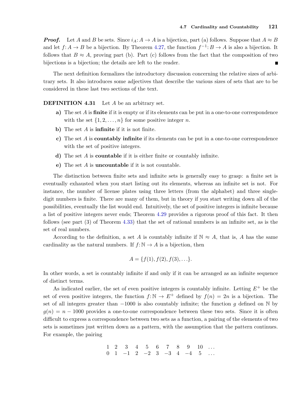<span id="page-124-0"></span>*Proof.* Let *A* and *B* be sets. Since  $i_A: A \to A$  is a bijection, part (a) follows. Suppose that  $A \approx B$ and let  $f: A \to B$  be a bijection. By Theorem [4.27](#page-121-0), the function  $f^{-1}: B \to A$  is also a bijection. It follows that  $B \approx A$ , proving part (b). Part (c) follows from the fact that the composition of two bijections is a bijection; the details are left to the reader. П

The next definition formalizes the introductory discussion concerning the relative sizes of arbitrary sets. It also introduces some adjectives that describe the various sizes of sets that are to be considered in these last two sections of the text.

#### **DEFINITION 4.31** Let *A* be an arbitrary set.

- **a)** The set *A* is **finite** if it is empty or if its elements can be put in a one-to-one correspondence with the set  $\{1, 2, \ldots, n\}$  for some positive integer *n*.
- **b)** The set *A* is **infinite** if it is not finite.
- **c)** The set *A* is **countably infinite** if its elements can be put in a one-to-one correspondence with the set of positive integers.
- **d)** The set *A* is **countable** if it is either finite or countably infinite.
- **e)** The set *A* is **uncountable** if it is not countable.

The distinction between finite sets and infinite sets is generally easy to grasp: a finite set is eventually exhausted when you start listing out its elements, whereas an infinite set is not. For instance, the number of license plates using three letters (from the alphabet) and three singledigit numbers is finite. There are many of them, but in theory if you start writing down all of the possibilities, eventually the list would end. Intuitively, the set of positive integers is infinite because a list of positive integers never ends; Theorem [4.29](#page-123-0) provides a rigorous proof of this fact. It then follows (see part (3) of Theorem [4.33\)](#page-126-0) that the set of rational numbers is an infinite set, as is the set of real numbers.

According to the definition, a set *A* is countably infinite if  $\mathbb{N} \approx A$ , that is, *A* has the same cardinality as the natural numbers. If  $f: \mathbb{N} \to A$  is a bijection, then

$$
A = \{f(1), f(2), f(3), \ldots\}.
$$

In other words, a set is countably infinite if and only if it can be arranged as an infinite sequence of distinct terms.

As indicated earlier, the set of even positive integers is countably infinite. Letting  $E^+$  be the set of even positive integers, the function  $f:\mathbb{N} \to E^+$  defined by  $f(n) = 2n$  is a bijection. The set of all integers greater than *−*1000 is also countably infinite; the function *g* defined on N by  $g(n) = n - 1000$  provides a one-to-one correspondence between these two sets. Since it is often difficult to express a correspondence between two sets as a function, a pairing of the elements of two sets is sometimes just written down as a pattern, with the assumption that the pattern continues. For example, the pairing

$$
\begin{array}{cccccccccccc}\n1 & 2 & 3 & 4 & 5 & 6 & 7 & 8 & 9 & 10 & \dots \\
0 & 1 & -1 & 2 & -2 & 3 & -3 & 4 & -4 & 5 & \dots\n\end{array}
$$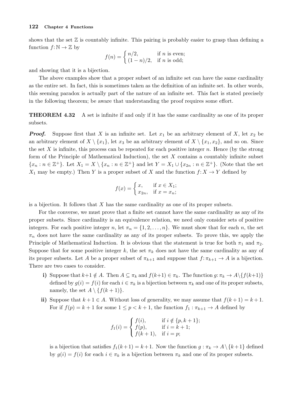<span id="page-125-0"></span>shows that the set  $\mathbb Z$  is countably infinite. This pairing is probably easier to grasp than defining a function  $f: \mathbb{N} \to \mathbb{Z}$  by

$$
f(n) = \begin{cases} n/2, & \text{if } n \text{ is even;} \\ (1-n)/2, & \text{if } n \text{ is odd;} \end{cases}
$$

and showing that it is a bijection.

The above examples show that a proper subset of an infinite set can have the same cardinality as the entire set. In fact, this is sometimes taken as the definition of an infinite set. In other words, this seeming paradox is actually part of the nature of an infinite set. This fact is stated precisely in the following theorem; be aware that understanding the proof requires some effort.

**THEOREM 4.32** A set is infinite if and only if it has the same cardinality as one of its proper subsets.

*Proof.* Suppose first that *X* is an infinite set. Let  $x_1$  be an arbitrary element of *X*, let  $x_2$  be an arbitrary element of  $X \setminus \{x_1\}$ , let  $x_3$  be an arbitrary element of  $X \setminus \{x_1, x_2\}$ , and so on. Since the set  $X$  is infinite, this process can be repeated for each positive integer  $n$ . Hence (by the strong form of the Principle of Mathematical Induction), the set *X* contains a countably infinite subset  $\{x_n : n \in \mathbb{Z}^+\}$ . Let  $X_1 = X \setminus \{x_n : n \in \mathbb{Z}^+\}$  and let  $Y = X_1 \cup \{x_{2n} : n \in \mathbb{Z}^+\}$ . (Note that the set *X*<sub>1</sub> may be empty.) Then *Y* is a proper subset of *X* and the function  $f: X \to Y$  defined by

$$
f(x) = \begin{cases} x, & \text{if } x \in X_1; \\ x_{2n}, & \text{if } x = x_n; \end{cases}
$$

is a bijection. It follows that *X* has the same cardinality as one of its proper subsets.

For the converse, we must prove that a finite set cannot have the same cardinality as any of its proper subsets. Since cardinality is an equivalence relation, we need only consider sets of positive integers. For each positive integer *n*, let  $\pi_n = \{1, 2, \ldots, n\}$ . We must show that for each *n*, the set  $\pi_n$  does not have the same cardinality as any of its proper subsets. To prove this, we apply the Principle of Mathematical Induction. It is obvious that the statement is true for both  $\pi_1$  and  $\pi_2$ . Suppose that for some positive integer  $k$ , the set  $\pi_k$  does not have the same cardinality as any of its proper subsets. Let *A* be a proper subset of  $\pi_{k+1}$  and suppose that  $f: \pi_{k+1} \to A$  is a bijection. There are two cases to consider.

- i) Suppose that  $k+1 \notin A$ . Then  $A \subseteq \pi_k$  and  $f(k+1) \in \pi_k$ . The function  $g: \pi_k \to A \setminus \{f(k+1)\}\$ defined by  $g(i) = f(i)$  for each  $i \in \pi_k$  is a bijection between  $\pi_k$  and one of its proper subsets, namely, the set  $A \setminus \{f(k+1)\}.$
- **ii**) Suppose that  $k+1 \in A$ . Without loss of generality, we may assume that  $f(k+1) = k+1$ . For if  $f(p) = k + 1$  for some  $1 \leq p < k + 1$ , the function  $f_1 : \pi_{k+1} \to A$  defined by

$$
f_1(i) = \begin{cases} f(i), & \text{if } i \notin \{p, k+1\}; \\ f(p), & \text{if } i = k+1; \\ f(k+1), & \text{if } i = p; \end{cases}
$$

is a bijection that satisfies  $f_1(k+1) = k+1$ . Now the function  $g : \pi_k \to A \setminus \{k+1\}$  defined by  $g(i) = f(i)$  for each  $i \in \pi_k$  is a bijection between  $\pi_k$  and one of its proper subsets.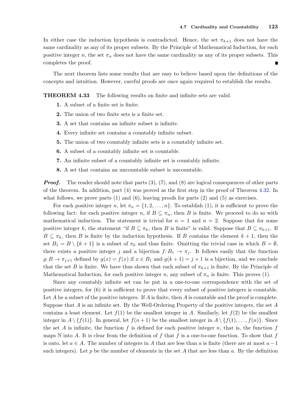<span id="page-126-0"></span>In either case the induction hypothesis is contradicted. Hence, the set  $\pi_{k+1}$  does not have the same cardinality as any of its proper subsets. By the Principle of Mathematical Induction, for each positive integer *n*, the set  $\pi_n$  does not have the same cardinality as any of its proper subsets. This completes the proof. П

The next theorem lists some results that are easy to believe based upon the definitions of the concepts and intuition. However, careful proofs are once again required to establish the results.

#### **THEOREM 4.33** The following results on finite and infinite sets are valid.

- **1.** A subset of a finite set is finite.
- **2.** The union of two finite sets is a finite set.
- **3.** A set that contains an infinite subset is infinite.
- **4.** Every infinite set contains a countably infinite subset.
- **5.** The union of two countably infinite sets is a countably infinite set.
- **6.** A subset of a countably infinite set is countable.
- **7.** An infinite subset of a countably infinite set is countably infinite.
- **8.** A set that contains an uncountable subset is uncountable.

*Proof.* The reader should note that parts  $(3)$ ,  $(7)$ , and  $(8)$  are logical consequences of other parts of the theorem. In addition, part (4) was proved as the first step in the proof of Theorem [4.32.](#page-125-0) In what follows, we prove parts  $(1)$  and  $(6)$ , leaving proofs for parts  $(2)$  and  $(5)$  as exercises.

For each positive integer *n*, let  $\pi_n = \{1, 2, \ldots, n\}$ . To establish (1), it is sufficient to prove the following fact: for each positive integer *n*, if  $B \subseteq \pi_n$ , then *B* is finite. We proceed to do so with mathematical induction. The statement is trivial for  $n = 1$  and  $n = 2$ . Suppose that for some positive integer *k*, the statement "if  $B \subseteq \pi_k$ , then *B* is finite" is valid. Suppose that  $B \subseteq \pi_{k+1}$ . If  $B \subseteq \pi_k$ , then *B* is finite by the induction hypothesis. If *B* contains the element  $k + 1$ , then the set  $B_1 = B \setminus \{k+1\}$  is a subset of  $\pi_k$  and thus finite. Omitting the trivial case in which  $B = \emptyset$ , there exists a positive integer *j* and a bijection  $f: B_1 \to \pi_j$ . It follows easily that the function  $g: B \to \pi_{j+1}$  defined by  $g(x) = f(x)$  if  $x \in B_1$  and  $g(k+1) = j+1$  is a bijection, and we conclude that the set *B* is finite. We have thus shown that each subset of  $\pi_{k+1}$  is finite. By the Principle of Mathematical Induction, for each positive integer *n*, any subset of  $\pi_n$  is finite. This proves (1).

Since any countably infinite set can be put in a one-to-one correspondence with the set of positive integers, for (6) it is sufficient to prove that every subset of positive integers is countable. Let *A* be a subset of the positive integers. If *A* is finite, then *A* is countable and the proof is complete. Suppose that *A* is an infinite set. By the Well-Ordering Property of the positive integers, the set *A* contains a least element. Let  $f(1)$  be the smallest integer in *A*. Similarly, let  $f(2)$  be the smallest integer in  $A \setminus \{f(1)\}$ . In general, let  $f(n+1)$  be the smallest integer in  $A \setminus \{f(1), \ldots, f(n)\}$ . Since the set *A* is infinite, the function  $f$  is defined for each positive integer  $n$ , that is, the function  $f$ maps N into *A*. It is clear from the definition of *f* that *f* is a one-to-one function. To show that *f* is onto, let  $a \in A$ . The number of integers in A that are less than a is finite (there are at most  $a-1$ such integers). Let *p* be the number of elements in the set *A* that are less than *a*. By the definition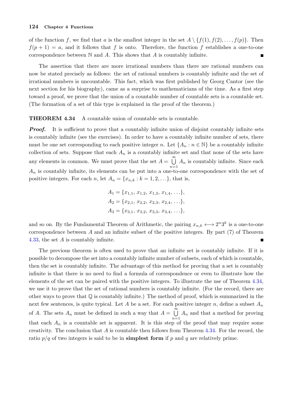<span id="page-127-0"></span>of the function *f*, we find that *a* is the smallest integer in the set  $A \setminus \{f(1), f(2), \ldots, f(p)\}$ . Then  $f(p+1) = a$ , and it follows that *f* is onto. Therefore, the function *f* establishes a one-to-one correspondence between N and *A*. This shows that *A* is countably infinite. Ē

The assertion that there are more irrational numbers than there are rational numbers can now be stated precisely as follows: the set of rational numbers is countably infinite and the set of irrational numbers is uncountable. This fact, which was first published by Georg Cantor (see the next section for his biography), came as a surprise to mathematicians of the time. As a first step toward a proof, we prove that the union of a countable number of countable sets is a countable set. (The formation of a set of this type is explained in the proof of the theorem.)

**THEOREM 4.34** A countable union of countable sets is countable.

*Proof.* It is sufficient to prove that a countably infinite union of disjoint countably infinite sets is countably infinite (see the exercises). In order to have a countably infinite number of sets, there must be one set corresponding to each positive integer *n*. Let  $\{A_n : n \in \mathbb{N}\}\$  be a countably infinite collection of sets. Suppose that each  $A_n$  is a countably infinite set and that none of the sets have any elements in common. We must prove that the set  $A = \bigcup_{n=1}^{\infty} A_n$  $\bigcup_{n=1} A_n$  is countably infinite. Since each  $A_n$  is countably infinite, its elements can be put into a one-to-one correspondence with the set of positive integers. For each *n*, let  $A_n = \{x_{n,k} : k = 1, 2, \ldots\}$ , that is,

$$
A_1 = \{x_{1,1}, x_{1,2}, x_{1,3}, x_{1,4}, \ldots\},
$$
  
\n
$$
A_2 = \{x_{2,1}, x_{2,2}, x_{2,3}, x_{2,4}, \ldots\},
$$
  
\n
$$
A_3 = \{x_{3,1}, x_{3,2}, x_{3,3}, x_{3,4}, \ldots\},
$$

and so on. By the Fundamental Theorem of Arithmetic, the pairing  $x_{n,k} \longleftrightarrow 2^n 3^k$  is a one-to-one correspondence between *A* and an infinite subset of the positive integers. By part (7) of Theorem [4.33,](#page-126-0) the set *A* is countably infinite.

The previous theorem is often used to prove that an infinite set is countably infinite. If it is possible to decompose the set into a countably infinite number of subsets, each of which is countable, then the set is countably infinite. The advantage of this method for proving that a set is countably infinite is that there is no need to find a formula of correspondence or even to illustrate how the elements of the set can be paired with the positive integers. To illustrate the use of Theorem 4.34, we use it to prove that the set of rational numbers is countably infinite. (For the record, there are other ways to prove that  $\mathbb Q$  is countably infinite.) The method of proof, which is summarized in the next few sentences, is quite typical. Let *A* be a set. For each positive integer *n*, define a subset *A<sup>n</sup>* of *A*. The sets  $A_n$  must be defined in such a way that  $A = \bigcup_{n=1}^{\infty} A_n$  $\bigcup_{n=1}$   $A_n$  and that a method for proving that each  $A_n$  is a countable set is apparent. It is this step of the proof that may require some creativity. The conclusion that *A* is countable then follows from Theorem 4.34. For the record, the ratio  $p/q$  of two integers is said to be in **simplest form** if  $p$  and  $q$  are relatively prime.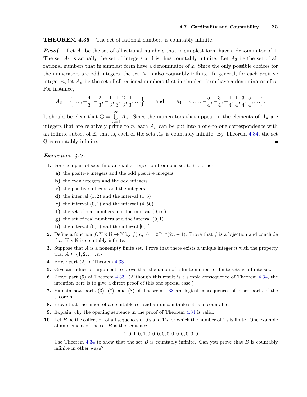<span id="page-128-0"></span>**THEOREM 4.35** The set of rational numbers is countably infinite.

*Proof.* Let  $A_1$  be the set of all rational numbers that in simplest form have a denominator of 1. The set  $A_1$  is actually the set of integers and is thus countably infinite. Let  $A_2$  be the set of all rational numbers that in simplest form have a denominator of 2. Since the only possible choices for the numerators are odd integers, the set  $A_2$  is also countably infinite. In general, for each positive integer *n*, let  $A_n$  be the set of all rational numbers that in simplest form have a denominator of *n*. For instance,

$$
A_3 = \left\{ \ldots, -\frac{4}{3}, -\frac{2}{3}, -\frac{1}{3}, \frac{1}{3}, \frac{2}{3}, \frac{4}{3}, \ldots \right\} \quad \text{and} \quad A_4 = \left\{ \ldots, -\frac{5}{4}, -\frac{3}{4}, -\frac{1}{4}, \frac{1}{4}, \frac{3}{4}, \frac{5}{4}, \ldots \right\}.
$$

It should be clear that  $\mathbb{Q} = \bigcup_{n=1}^{\infty}$  $\bigcup_{n=1} A_n$ . Since the numerators that appear in the elements of  $A_n$  are integers that are relatively prime to  $n$ , each  $A_n$  can be put into a one-to-one correspondence with an infinite subset of  $\mathbb{Z}$ , that is, each of the sets  $A_n$  is countably infinite. By Theorem [4.34,](#page-127-0) the set Q is countably infinite.

#### *Exercises 4.7.*

- **1.** For each pair of sets, find an explicit bijection from one set to the other.
	- **a)** the positive integers and the odd positive integers
	- **b)** the even integers and the odd integers
	- **c)** the positive integers and the integers
	- **d**) the interval  $(1, 2)$  and the interval  $(1, 6)$
	- **e**) the interval  $(0, 1)$  and the interval  $(4, 50)$
	- **f**) the set of real numbers and the interval  $(0, \infty)$
	- **g)** the set of real numbers and the interval (0*,* 1)
	- **h**) the interval  $(0, 1)$  and the interval  $[0, 1]$
- **2.** Define a function  $f: \mathbb{N} \times \mathbb{N} \to \mathbb{N}$  by  $f(m, n) = 2^{m-1}(2n-1)$ . Prove that f is a bijection and conclude that  $\mathbb{N} \times \mathbb{N}$  is countably infinite.
- **3.** Suppose that *A* is a nonempty finite set. Prove that there exists a unique integer *n* with the property that  $A \approx \{1, 2, ..., n\}$ .
- **4.** Prove part (2) of Theorem [4.33.](#page-126-0)
- **5.** Give an induction argument to prove that the union of a finite number of finite sets is a finite set.
- **6.** Prove part (5) of Theorem [4.33](#page-126-0). (Although this result is a simple consequence of Theorem [4.34,](#page-127-0) the intention here is to give a direct proof of this one special case.)
- **7.** Explain how parts (3), (7), and (8) of Theorem [4.33](#page-126-0) are logical consequences of other parts of the theorem.
- **8.** Prove that the union of a countable set and an uncountable set is uncountable.
- **9.** Explain why the opening sentence in the proof of Theorem [4.34](#page-127-0) is valid.
- **10.** Let *B* be the collection of all sequences of 0's and 1's for which the number of 1's is finite. One example of an element of the set *B* is the sequence

1*,* 0*,* 1*,* 0*,* 1*,* 0*,* 0*,* 0*,* 0*,* 0*,* 0*,* 0*,* 0*,* 0*,* 0*,* 0*, . . . .*

Use Theorem [4.34](#page-127-0) to show that the set  $B$  is countably infinite. Can you prove that  $B$  is countably infinite in other ways?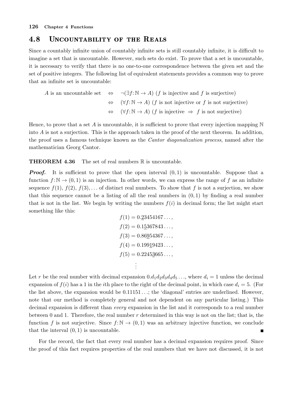### <span id="page-129-0"></span>4.8 Uncountability of the Reals

Since a countably infinite union of countably infinite sets is still countably infinite, it is difficult to imagine a set that is uncountable. However, such sets do exist. To prove that a set is uncountable, it is necessary to verify that there is no one-to-one correspondence between the given set and the set of positive integers. The following list of equivalent statements provides a common way to prove that an infinite set is uncountable:

A is an uncountable set 
$$
\Leftrightarrow \neg(\exists f:\mathbb{N}\to A)
$$
 (f is injective and f is surjective)  
 $\Leftrightarrow (\forall f:\mathbb{N}\to A)$  (f is not injective or f is not surjective)  
 $\Leftrightarrow (\forall f:\mathbb{N}\to A)$  (f is injective  $\Rightarrow f$  is not surjective)

Hence, to prove that a set  $A$  is uncountable, it is sufficient to prove that every injection mapping  $N$ into *A* is not a surjection. This is the approach taken in the proof of the next theorem. In addition, the proof uses a famous technique known as the *Cantor diagonalization process*, named after the mathematician Georg Cantor.

**THEOREM 4.36** The set of real numbers R is uncountable.

*Proof.* It is sufficient to prove that the open interval  $(0, 1)$  is uncountable. Suppose that a function  $f: \mathbb{N} \to (0,1)$  is an injection. In other words, we can express the range of f as an infinite sequence  $f(1)$ ,  $f(2)$ ,  $f(3)$ , ... of distinct real numbers. To show that f is not a surjection, we show that this sequence cannot be a listing of all the real numbers in  $(0,1)$  by finding a real number that is not in the list. We begin by writing the numbers  $f(i)$  in decimal form; the list might start something like this:

$$
f(1) = 0.23454167...,
$$
  
\n
$$
f(2) = 0.15367843...,
$$
  
\n
$$
f(3) = 0.86954367...,
$$
  
\n
$$
f(4) = 0.19919423...,
$$
  
\n
$$
f(5) = 0.22453665...,
$$
  
\n...

Let r be the real number with decimal expansion  $0.d_1d_2d_3d_4d_5\ldots$ , where  $d_i = 1$  unless the decimal expansion of  $f(i)$  has a 1 in the *i*th place to the right of the decimal point, in which case  $d_i = 5$ . (For the list above, the expansion would be 0*.*11151 *. . .*; the 'diagonal' entries are underlined. However, note that our method is completely general and not dependent on any particular listing.) This decimal expansion is different than *every* expansion in the list and it corresponds to a real number between 0 and 1. Therefore, the real number *r* determined in this way is not on the list; that is, the function *f* is not surjective. Since  $f: \mathbb{N} \to (0,1)$  was an arbitrary injective function, we conclude that the interval (0*,* 1) is uncountable.

For the record, the fact that every real number has a decimal expansion requires proof. Since the proof of this fact requires properties of the real numbers that we have not discussed, it is not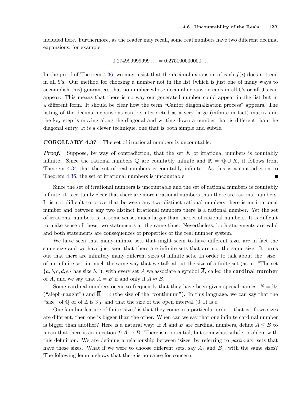<span id="page-130-0"></span>included here. Furthermore, as the reader may recall, some real numbers have two different decimal expansions; for example,

#### $0.27499999999999... = 0.275000000000...$

In the proof of Theorem [4.36](#page-129-0), we may insist that the decimal expansion of each  $f(i)$  does not end in all 9's. Our method for choosing a number not in the list (which is just one of many ways to accomplish this) guarantees that no number whose decimal expansion ends in all 0's or all 9's can appear. This means that there is no way our generated number could appear in the list but in a different form. It should be clear how the term "Cantor diagonalization process" appears. The listing of the decimal expansions can be interpreted as a very large (infinite in fact) matrix and the key step is moving along the diagonal and writing down a number that is different than the diagonal entry. It is a clever technique, one that is both simple and subtle.

**COROLLARY 4.37** The set of irrational numbers is uncountable.

*Proof.* Suppose, by way of contradiction, that the set K of irrational numbers is countably infinite. Since the rational numbers  $\mathbb Q$  are countably infinite and  $\mathbb R = \mathbb Q \cup K$ , it follows from Theorem [4.34](#page-127-0) that the set of real numbers is countably infinite. As this is a contradiction to Theorem [4.36,](#page-129-0) the set of irrational numbers is uncountable.

Since the set of irrational numbers is uncountable and the set of rational numbers is countably infinite, it is certainly clear that there are more irrational numbers than there are rational numbers. It is not difficult to prove that between any two distinct rational numbers there is an irrational number and between any two distinct irrational numbers there is a rational number. Yet the set of irrational numbers is, in some sense, much larger than the set of rational numbers. It is difficult to make sense of these two statements at the same time. Nevertheless, both statements are valid and both statements are consequences of properties of the real number system.

We have seen that many infinite sets that might seem to have different sizes are in fact the same size and we have just seen that there are infinite sets that are not the same size. It turns out that there are infinitely many different sizes of infinite sets. In order to talk about the "size" of an infinite set, in much the same way that we talk about the size of a finite set (as in, "The set  ${a, b, c, d, e}$  has size 5."), with every set *A* we associate a symbol  $\overline{A}$ , called the **cardinal number** of *A*, and we say that  $\overline{A} = \overline{B}$  if and only if  $A \approx B$ .

Some cardinal numbers occur so frequently that they have been given special names:  $\overline{N} = \aleph_0$ ("aleph-naught") and  $\overline{\mathbb{R}} = c$  (the size of the "continuum"). In this language, we can say that the "size" of  $\mathbb Q$  or of  $\mathbb Z$  is  $\aleph_0$ , and that the size of the open interval  $(0, 1)$  is *c*.

One familiar feature of finite 'sizes' is that they come in a particular order—that is, if two sizes are different, then one is bigger than the other. When can we say that one infinite cardinal number is bigger than another? Here is a natural way: If  $\overline{A}$  and  $\overline{B}$  are cardinal numbers, define  $\overline{A} \leq \overline{B}$  to mean that there is an injection  $f: A \to B$ . There is a potential, but somewhat subtle, problem with this definition. We are defining a relationship between 'sizes' by referring to *particular* sets that have those sizes. What if we were to choose different sets, say *A*<sup>1</sup> and *B*1, with the same sizes? The following lemma shows that there is no cause for concern.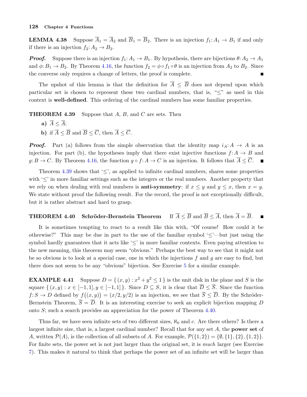<span id="page-131-0"></span>**LEMMA 4.38** Suppose  $\overline{A}_1 = \overline{A}_2$  and  $\overline{B}_1 = \overline{B}_2$ . There is an injection  $f_1: A_1 \to B_1$  if and only if there is an injection  $f_2: A_2 \to B_2$ .

*Proof.* Suppose there is an injection  $f_1: A_1 \to B_1$ . By hypothesis, there are bijections  $\theta: A_2 \to A_1$ and  $\phi: B_1 \to B_2$ . By Theorem [4.16](#page-116-0), the function  $f_2 = \phi \circ f_1 \circ \theta$  is an injection from  $A_2$  to  $B_2$ . Since the converse only requires a change of letters, the proof is complete.

The upshot of this lemma is that the definition for  $\overline{A} \leq \overline{B}$  does not depend upon which particular set is chosen to represent these two cardinal numbers, that is, "*≤*" as used in this context is **well-defined**. This ordering of the cardinal numbers has some familiar properties.

**THEOREM 4.39** Suppose that *A*, *B*, and *C* are sets. Then

- **a**)  $\overline{A} < \overline{A}$ ;
- **b**) if  $\overline{A} < \overline{B}$  and  $\overline{B} < \overline{C}$ , then  $\overline{A} < \overline{C}$ .

*Proof.* Part (a) follows from the simple observation that the identity map  $i_A: A \rightarrow A$  is an injection. For part (b), the hypotheses imply that there exist injective functions  $f: A \rightarrow B$  and *g*: *B*  $\rightarrow$  *C*. By Theorem [4.16,](#page-116-0) the function *g*  $\circ$  *f*: *A*  $\rightarrow$  *C* is an injection. It follows that  $\overline{A} \leq \overline{C}$ .  $\blacksquare$ 

Theorem 4.39 shows that '*≤*', as applied to infinite cardinal numbers, shares some properties with '*≤*' in more familiar settings such as the integers or the real numbers. Another property that we rely on when dealing with real numbers is **anti-symmetry**: if  $x \leq y$  and  $y \leq x$ , then  $x = y$ . We state without proof the following result. For the record, the proof is not exceptionally difficult, but it is rather abstract and hard to grasp.

#### **THEOREM 4.40** Schröder-Bernstein Theorem If  $\overline{A} \leq \overline{B}$  and  $\overline{B} \leq \overline{A}$ , then  $\overline{A} = \overline{B}$ .  $\blacksquare$

It is sometimes tempting to react to a result like this with, "Of course! How could it be otherwise?" This may be due in part to the use of the familiar symbol '*≤*'—but just using the symbol hardly guarantees that it acts like '*≤*' in more familiar contexts. Even paying attention to the new meaning, this theorem may seem "obvious." Perhaps the best way to see that it might not be so obvious is to look at a special case, one in which the injections *f* and *g* are easy to find, but there does not seem to be any "obvious" bijection. See Exercise [5](#page-134-0) for a similar example.

**EXAMPLE 4.41** Suppose  $D = \{(x, y) : x^2 + y^2 \le 1\}$  is the unit disk in the plane and *S* is the square  $\{(x, y) : x \in [-1, 1], y \in [-1, 1]\}$ . Since  $D \subseteq S$ , it is clear that  $\overline{D} \leq \overline{S}$ . Since the function  $f: S \to D$  defined by  $f((x, y)) = (x/2, y/2)$  is an injection, we see that  $\overline{S} \leq \overline{D}$ . By the Schröder-Bernstein Theorem,  $\overline{S} = \overline{D}$ . It is an interesting exercise to seek an explicit bijection mapping *D* onto *S*; such a search provides an appreciation for the power of Theorem 4.40.

Thus far, we have seen infinite sets of two different sizes,  $\aleph_0$  and c. Are there others? Is there a largest infinite size, that is, a largest cardinal number? Recall that for any set *A*, the **power set** of A, written  $\mathcal{P}(A)$ , is the collection of all subsets of A. For example,  $\mathcal{P}(\{1,2\}) = \{\emptyset, \{1\}, \{2\}, \{1,2\}\}.$ For finite sets, the power set is not just larger than the original set, it is *much* larger (see Exercise [7](#page-134-0)). This makes it natural to think that perhaps the power set of an infinite set will be larger than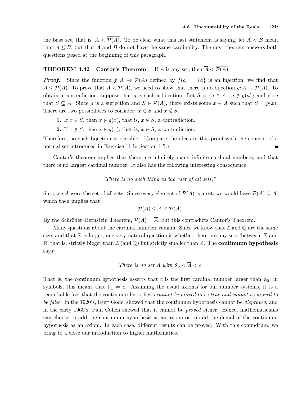<span id="page-132-0"></span>the base set, that is,  $\overline{A} < \overline{\mathcal{P}(A)}$ . To be clear what this last statement is saying, let  $\overline{A} < \overline{B}$  mean that  $\overline{A} \leq \overline{B}$ , but that *A* and *B* do not have the same cardinality. The next theorem answers both questions posed at the beginning of this paragraph.

### **THEOREM 4.42** Cantor's Theorem If *A* is any set, then  $\overline{A} < \overline{\mathcal{P}(A)}$ .

*Proof.* Since the function  $f: A \to \mathcal{P}(A)$  defined by  $f(a) = \{a\}$  is an injection, we find that  $\overline{A} \leq \overline{\mathcal{P}(A)}$ . To prove that  $\overline{A} < \overline{\mathcal{P}(A)}$ , we need to show that there is no bijection *g*:  $A \to \mathcal{P}(A)$ . To obtain a contradiction, suppose that *g* is such a bijection. Let  $S = \{a \in A : a \notin g(a)\}\$ and note that  $S \subseteq A$ . Since *g* is a surjection and  $S \in \mathcal{P}(A)$ , there exists some  $x \in A$  such that  $S = g(x)$ . There are two possibilities to consider:  $x \in S$  and  $x \notin S$ .

- **1.** If  $x \in S$ , then  $x \notin g(x)$ , that is,  $x \notin S$ , a contradiction.
- **2.** If  $x \notin S$ , then  $x \in g(x)$ , that is,  $x \in S$ , a contradiction.

Therefore, no such bijection is possible. (Compare the ideas in this proof with the concept of a normal set introduced in Exercise [11](#page-24-0) in Section 1.5.)

Cantor's theorem implies that there are infinitely many infinite cardinal numbers, and that there is no largest cardinal number. It also has the following interesting consequence:

### *There is no such thing as the "set of all sets."*

Suppose *A* were the set of all sets. Since every element of  $\mathcal{P}(A)$  is a set, we would have  $\mathcal{P}(A) \subseteq A$ , which then implies that

$$
\overline{\mathcal{P}(A)} \leq \overline{A} \leq \overline{\mathcal{P}(A)}.
$$

By the Schröder–Bernstein Theorem,  $\overline{\mathcal{P}(A)} = \overline{A}$ , but this contradicts Cantor's Theorem.

Many questions about the cardinal numbers remain. Since we know that  $\mathbb Z$  and  $\mathbb Q$  are the same size, and that  $\mathbb R$  is larger, one very natural question is whether there are any sets 'between'  $\mathbb Z$  and  $\mathbb{R}$ , that is, strictly bigger than  $\mathbb{Z}$  (and  $\mathbb{Q}$ ) but strictly smaller than  $\mathbb{R}$ . The **continuum hypothesis** says:

*There is no set A with*  $\aleph_0 < \overline{A} < c$ .

That is, the continuum hypothesis asserts that *c* is the first cardinal number larger than  $\aleph_0$ ; in symbols, this means that  $\aleph_1 = c$ . Assuming the usual axioms for our number systems, it is a remarkable fact that the continuum hypothesis *cannot be proved to be true and cannot be proved to be false.* In the 1920's, Kurt Gödel showed that the continuum hypothesis cannot be *disproved*, and in the early 1960's, Paul Cohen showed that it cannot be *proved* either. Hence, mathematicians can choose to add the continuum hypothesis as an axiom or to add the denial of the continuum hypothesis as an axiom. In each case, different results can be proved. With this conundrum, we bring to a close our introduction to higher mathematics.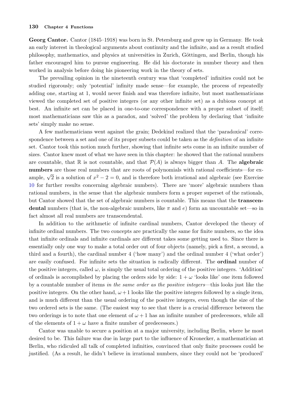<span id="page-133-0"></span>**Georg Cantor.** Cantor (1845–1918) was born in St. Petersburg and grew up in Germany. He took an early interest in theological arguments about continuity and the infinite, and as a result studied philosophy, mathematics, and physics at universities in Zurich, Göttingen, and Berlin, though his father encouraged him to pursue engineering. He did his doctorate in number theory and then worked in analysis before doing his pioneering work in the theory of sets.

The prevailing opinion in the nineteenth century was that 'completed' infinities could not be studied rigorously; only 'potential' infinity made sense—for example, the process of repeatedly adding one, starting at 1, would never finish and was therefore infinite, but most mathematicians viewed the completed set of positive integers (or any other infinite set) as a dubious concept at best. An infinite set can be placed in one-to-one correspondence with a proper subset of itself; most mathematicians saw this as a paradox, and 'solved' the problem by declaring that 'infinite sets' simply make no sense.

A few mathematicians went against the grain; Dedekind realized that the 'paradoxical' correspondence between a set and one of its proper subsets could be taken as the *definition* of an infinite set. Cantor took this notion much further, showing that infinite sets come in an infinite number of sizes. Cantor knew most of what we have seen in this chapter: he showed that the rational numbers are countable, that  $\mathbb{R}$  is not countable, and that  $\mathcal{P}(A)$  is always bigger than A. The **algebraic numbers** are those real numbers that are roots of polynomials with rational coefficients—for example,  $\sqrt{2}$  is a solution of  $x^2 - 2 = 0$ , and is therefore both irrational and algebraic (see Exercise [10](#page-135-0) for further results concerning algebraic numbers). There are 'more' algebraic numbers than rational numbers, in the sense that the algebraic numbers form a proper superset of the rationals, but Cantor showed that the set of algebraic numbers is countable. This means that the **transcendental** numbers (that is, the non-algebraic numbers, like *π* and *e*) form an uncountable set—so in fact almost all real numbers are transcendental.

In addition to the arithmetic of infinite cardinal numbers, Cantor developed the theory of infinite ordinal numbers. The two concepts are practically the same for finite numbers, so the idea that infinite ordinals and infinite cardinals are different takes some getting used to. Since there is essentially only one way to make a total order out of four objects (namely, pick a first, a second, a third and a fourth), the cardinal number 4 ('how many') and the ordinal number 4 ('what order') are easily confused. For infinite sets the situation is radically different. The **ordinal** number of the positive integers, called  $\omega$ , is simply the usual total ordering of the positive integers. 'Addition' of ordinals is accomplished by placing the orders side by side:  $1 + \omega$  'looks like' one item followed by a countable number of items *in the same order as the positive integers*—this looks just like the positive integers. On the other hand,  $\omega + 1$  looks like the positive integers followed by a single item, and is much different than the usual ordering of the positive integers, even though the size of the two ordered sets is the same. (The easiest way to see that there is a crucial difference between the two orderings is to note that one element of  $\omega + 1$  has an infinite number of predecessors, while all of the elements of  $1 + \omega$  have a finite number of predecessors.)

Cantor was unable to secure a position at a major university, including Berlin, where he most desired to be. This failure was due in large part to the influence of Kronecker, a mathematician at Berlin, who ridiculed all talk of completed infinities, convinced that only finite processes could be justified. (As a result, he didn't believe in irrational numbers, since they could not be 'produced'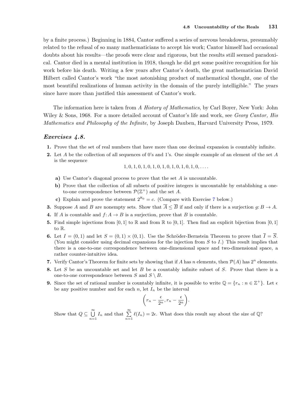<span id="page-134-0"></span>by a finite process.) Beginning in 1884, Cantor suffered a series of nervous breakdowns, presumably related to the refusal of so many mathematicians to accept his work; Cantor himself had occasional doubts about his results—the proofs were clear and rigorous, but the results still seemed paradoxical. Cantor died in a mental institution in 1918, though he did get some positive recognition for his work before his death. Writing a few years after Cantor's death, the great mathematician David Hilbert called Cantor's work "the most astonishing product of mathematical thought, one of the most beautiful realizations of human activity in the domain of the purely intelligible." The years since have more than justified this assessment of Cantor's work.

The information here is taken from *A History of Mathematics*, by Carl Boyer, New York: John Wiley & Sons, 1968. For a more detailed account of Cantor's life and work, see *Georg Cantor, His Mathematics and Philosophy of the Infinite*, by Joseph Dauben, Harvard University Press, 1979.

#### *Exercises 4.8.*

- **1.** Prove that the set of real numbers that have more than one decimal expansion is countably infinite.
- **2.** Let *A* be the collection of all sequences of 0's and 1's. One simple example of an element of the set *A* is the sequence

1*,* 0*,* 1*,* 0*,* 1*,* 0*,* 1*,* 0*,* 1*,* 0*,* 1*,* 0*,* 1*,* 0*,* 1*,* 0*, . . . .*

- **a)** Use Cantor's diagonal process to prove that the set *A* is uncountable.
- **b**) Prove that the collection of all subsets of positive integers is uncountable by establishing a oneto-one correspondence between  $\mathcal{P}(\mathbb{Z}^+)$  and the set A.
- **c)** Explain and prove the statement  $2^{\aleph_0} = c$ . (Compare with Exercise 7 below.)
- **3.** Suppose *A* and *B* are nonempty sets. Show that  $\overline{A} \leq \overline{B}$  if and only if there is a surjection  $g: B \to A$ .
- **4.** If *A* is countable and  $f: A \rightarrow B$  is a surjection, prove that *B* is countable.
- **5.** Find simple injections from  $[0,1]$  to  $\mathbb{R}$  and from  $\mathbb{R}$  to  $[0,1]$ . Then find an explicit bijection from  $[0,1]$ to R.
- **6.** Let  $I = (0,1)$  and let  $S = (0,1) \times (0,1)$ . Use the Schröder-Bernstein Theorem to prove that  $\overline{I} = \overline{S}$ . (You might consider using decimal expansions for the injection from *S* to *I*.) This result implies that there is a one-to-one correspondence between one-dimensional space and two-dimensional space, a rather counter-intuitive idea.
- **7.** Verify Cantor's Theorem for finite sets by showing that if *A* has *n* elements, then  $P(A)$  has  $2^n$  elements.
- **8.** Let *S* be an uncountable set and let *B* be a countably infinite subset of *S*. Prove that there is a one-to-one correspondence between  $S$  and  $S \setminus B$ .
- **9.** Since the set of rational number is countably infinite, it is possible to write  $\mathbb{Q} = \{r_n : n \in \mathbb{Z}^+\}$ . Let  $\epsilon$ be any positive number and for each  $n$ , let  $I_n$  be the interval

$$
\left(r_n - \frac{\epsilon}{2^n}, r_n - \frac{\epsilon}{2^n}\right).
$$

Show that  $Q \subseteq \bigcup^{\infty}$  $\bigcup_{n=1}^{\infty} I_n$  and that  $\sum_{n=1}^{\infty} \ell(I_n) = 2\epsilon$ . What does this result say about the size of Q?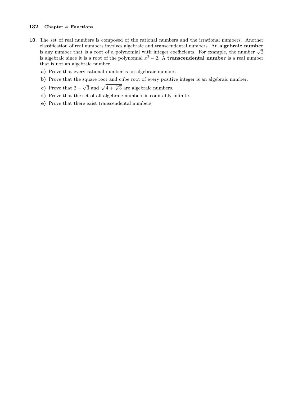- <span id="page-135-0"></span>**10.** The set of real numbers is composed of the rational numbers and the irrational numbers. Another classification of real numbers involves algebraic and transcendental numbers. An **algebraic number** classification of real numbers involves algebraic and transcendental numbers. An **algebraic number**  $\sqrt{2}$  is any number that is a root of a polynomial with integer coefficients. For example, the number  $\sqrt{2}$ is algebraic since it is a root of the polynomial  $x^2 - 2$ . A **transcendental number** is a real number that is not an algebraic number.
	- **a)** Prove that every rational number is an algebraic number.
	- **b)** Prove that the square root and cube root of every positive integer is an algebraic number.
	- **c**) Prove that  $2 \sqrt{3}$  and  $\sqrt{4 + \sqrt[3]{3}}$  are algebraic numbers.
	- **d)** Prove that the set of all algebraic numbers is countably infinite.
	- **e)** Prove that there exist transcendental numbers.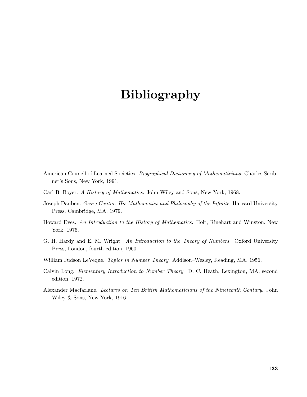## **Bibliography**

- American Council of Learned Societies. *Biographical Dictionary of Mathematicians*. Charles Scribner's Sons, New York, 1991.
- Carl B. Boyer. *A History of Mathematics*. John Wiley and Sons, New York, 1968.
- Joseph Dauben. *Georg Cantor, His Mathematics and Philosophy of the Infinite*. Harvard University Press, Cambridge, MA, 1979.
- Howard Eves. *An Introduction to the History of Mathematics*. Holt, Rinehart and Winston, New York, 1976.
- G. H. Hardy and E. M. Wright. *An Introduction to the Theory of Numbers*. Oxford University Press, London, fourth edition, 1960.
- William Judson LeVeque. *Topics in Number Theory*. Addison–Wesley, Reading, MA, 1956.
- Calvin Long. *Elementary Introduction to Number Theory*. D. C. Heath, Lexington, MA, second edition, 1972.
- Alexander Macfarlane. *Lectures on Ten British Mathematicians of the Nineteenth Century*. John Wiley & Sons, New York, 1916.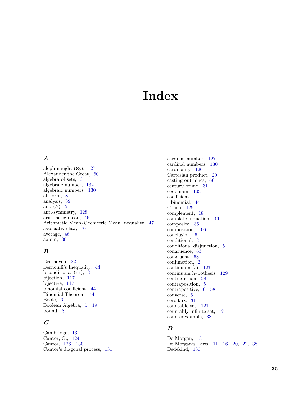# **Index**

### *A*

aleph-naught (*ℵ*0), [127](#page-130-0) Alexander the Great, [60](#page-63-0) algebra of sets, [6](#page-9-0) algebraic number, [132](#page-135-0) algebraic numbers, [130](#page-133-0) all form, [8](#page-11-0) analysis, [89](#page-92-0) and (*∧*), [2](#page-5-0) anti-symmetry, [128](#page-131-0) arithmetic mean, [46](#page-49-0) Arithmetic Mean/Geometric Mean Inequality, [47](#page-50-0) associative law, [70](#page-73-0) average, [46](#page-49-0) axiom, [30](#page-33-0)

### *B*

Beethoven, [22](#page-25-0) Bernoulli's Inequality, [44](#page-47-0) biconditional (*⇔*), [3](#page-6-0) bijection, [117](#page-120-0) bijective, [117](#page-120-0) binomial coefficient, [44](#page-47-0) Binomial Theorem, [44](#page-47-0) Boole, [6](#page-9-0) Boolean Algebra, [5](#page-8-0), [19](#page-22-0) bound, [8](#page-11-0)

### *C*

Cambridge, [13](#page-16-0) Cantor, G., [124](#page-127-0) Cantor, [126,](#page-129-0) [130](#page-133-0) Cantor's diagonal process, [131](#page-134-0) cardinal number, [127](#page-130-0) cardinal numbers, [130](#page-133-0) cardinality, [120](#page-123-0) Cartesian product, [20](#page-23-0) casting out nines, [66](#page-69-0) century prime, [31](#page-34-0) codomain, [103](#page-106-0) coefficient binomial, [44](#page-47-0) Cohen, [129](#page-132-0) complement, [18](#page-21-0) complete induction, [49](#page-52-0) composite, [36](#page-39-0) composition, [106](#page-109-0) conclusion, [6](#page-9-0) conditional, [3](#page-6-0) conditional disjunction, [5](#page-8-0) congruence, [63](#page-66-0) congruent, [63](#page-66-0) conjunction, [2](#page-5-0) continuum (*c*), [127](#page-130-0) continuum hypothesis, [129](#page-132-0) contradiction, [58](#page-61-0) contraposition, [5](#page-8-0) contrapositive, [6,](#page-9-0) [58](#page-61-0) converse, [6](#page-9-0) corollary, [31](#page-34-0) countable set, [121](#page-124-0) countably infinite set, [121](#page-124-0) counterexample, [38](#page-41-0)

### *D*

De Morgan, [13](#page-16-0) De Morgan's Laws, [11](#page-14-0), [16,](#page-19-0) [20](#page-23-0), [22,](#page-25-0) [38](#page-41-0) Dedekind, [130](#page-133-0)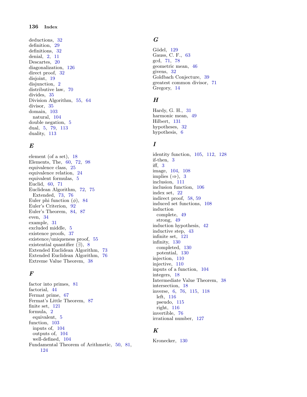deductions, [32](#page-35-0) definition, [29](#page-32-0) definitions, [32](#page-35-0) denial, [2,](#page-5-0) [11](#page-14-0) Descartes, [20](#page-23-0) diagonalization, [126](#page-129-0) direct proof, [32](#page-35-0) disjoint, [19](#page-22-0) disjunction, [2](#page-5-0) distributive law, [70](#page-73-0) divides, [35](#page-38-0) Division Algorithm, [55,](#page-58-0) [64](#page-67-0) divisor, [35](#page-38-0) domain, [103](#page-106-0) natural, [104](#page-107-0) double negation, [5](#page-8-0) dual, [5](#page-8-0), [79,](#page-82-0) [113](#page-116-0) duality, [113](#page-116-0)

### *E*

element (of a set), [18](#page-21-0) Elements, The, [60](#page-63-0), [72,](#page-75-0) [98](#page-101-0) equivalence class, [25](#page-28-0) equivalence relation, [24](#page-27-0) equivalent formulas, [5](#page-8-0) Euclid, [60](#page-63-0), [71](#page-74-0) Euclidean Algorithm, [72](#page-75-0), [75](#page-78-0) Extended, [73,](#page-76-0) [76](#page-79-0) Euler phi function  $(\phi)$ , [84](#page-87-0) Euler's Criterion, [92](#page-95-0) Euler's Theorem, [84](#page-87-0), [87](#page-90-0) even, [34](#page-37-0) example, [31](#page-34-0) excluded middle, [5](#page-8-0) existence proofs, [37](#page-40-0) existence/uniqueness proof, [55](#page-58-0) existential quantifier (*∃*), [8](#page-11-0) Extended Euclidean Algorithm, [73](#page-76-0) Extended Euclidean Algorithm, [76](#page-79-0) Extreme Value Theorem, [38](#page-41-0)

### *F*

factor into primes, [81](#page-84-0) factorial, [44](#page-47-0) Fermat prime, [67](#page-70-0) Fermat's Little Theorem, [87](#page-90-0) finite set, [121](#page-124-0) formula, [2](#page-5-0) equivalent, [5](#page-8-0) function, [103](#page-106-0) inputs of, [104](#page-107-0) outputs of, [104](#page-107-0) well-defined, [104](#page-107-0) Fundamental Theorem of Arithmetic, [50](#page-53-0), [81,](#page-84-0) [124](#page-127-0)

### *G*

Gödel, [129](#page-132-0) Gauss, C. F., [63](#page-66-0) gcd, [71](#page-74-0), [78](#page-81-0) geometric mean, [46](#page-49-0) givens, [32](#page-35-0) Goldbach Conjecture, [39](#page-42-0) greatest common divisor, [71](#page-74-0) Gregory, [14](#page-17-0)

### *H*

Hardy, G. H., [31](#page-34-0) harmonic mean, [49](#page-52-0) Hilbert, [131](#page-134-0) hypotheses, [32](#page-35-0) hypothesis, [6](#page-9-0)

### *I*

identity function, [105,](#page-108-0) [112](#page-115-0), [128](#page-131-0) if-then, [3](#page-6-0) iff, [3](#page-6-0) image, [104](#page-107-0), [108](#page-111-0) implies  $(\Rightarrow)$ , [3](#page-6-0) inclusion, [111](#page-114-0) inclusion function, [106](#page-109-0) index set, [22](#page-25-0) indirect proof, [58](#page-61-0), [59](#page-62-0) induced set functions, [108](#page-111-0) induction complete, [49](#page-52-0) strong, [49](#page-52-0) induction hypothesis, [42](#page-45-0) inductive step, [43](#page-46-0) infinite set, [121](#page-124-0) infinity, [130](#page-133-0) completed, [130](#page-133-0) potential, [130](#page-133-0) injection, [110](#page-113-0) injective, [110](#page-113-0) inputs of a function, [104](#page-107-0) integers, [18](#page-21-0) Intermediate Value Theorem, [38](#page-41-0) intersection, [18](#page-21-0) inverse, [6](#page-9-0), [76,](#page-79-0) [115,](#page-118-0) [118](#page-121-0) left, [116](#page-119-0) pseudo, [115](#page-118-0) right, [116](#page-119-0) invertible, [76](#page-79-0) irrational number, [127](#page-130-0)

### *K*

Kronecker, [130](#page-133-0)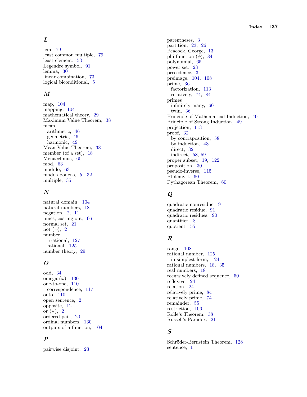### *L*

lcm, [79](#page-82-0) least common multiple, [79](#page-82-0) least element, [53](#page-56-0) Legendre symbol, [91](#page-94-0) lemma, [30](#page-33-0) linear combination, [73](#page-76-0) logical biconditional, [5](#page-8-0)

### *M*

map, [104](#page-107-0) mapping, [104](#page-107-0) mathematical theory, [29](#page-32-0) Maximum Value Theorem, [38](#page-41-0) mean arithmetic, [46](#page-49-0) geometric, [46](#page-49-0) harmonic, [49](#page-52-0) Mean Value Theorem, [38](#page-41-0) member (of a set), [18](#page-21-0) Menaechmus, [60](#page-63-0) mod, [63](#page-66-0) modulo, [63](#page-66-0) modus ponens, [5](#page-8-0) , [32](#page-35-0) multiple, [35](#page-38-0)

### *N*

natural domain, [104](#page-107-0) natural numbers, [18](#page-21-0) negation, [2](#page-5-0) , [11](#page-14-0) nines, casting out, [66](#page-69-0) normal set, [21](#page-24-0) not ( *¬*), [2](#page-5-0) number irrational, [127](#page-130-0) rational, [125](#page-128-0) number theory, [29](#page-32-0)

### *O*

odd, [34](#page-37-0) omega ( *ω*), [130](#page-133-0) one-to-one, [110](#page-113-0) correspondence, [117](#page-120-0) onto, [110](#page-113-0) open sentence, [2](#page-5-0) opposite, [12](#page-15-0) or ( *∨*), [2](#page-5-0) ordered pair, [20](#page-23-0) ordinal numbers, [130](#page-133-0) outputs of a function, [104](#page-107-0)

### *P*

pairwise disjoint, [23](#page-26-0)

parentheses, [3](#page-6-0) partition, [23](#page-26-0) , [26](#page-29-0) Peacock, George, [13](#page-16-0) phi function ( *φ*), [84](#page-87-0) polynomial, [65](#page-68-0) power set, [23](#page-26-0) precedence, [3](#page-6-0) preimage, [104](#page-107-0) , [108](#page-111-0) prime, [36](#page-39-0) factorization, [113](#page-116-0) relatively, [74](#page-77-0) , [84](#page-87-0) primes infinitely many, [60](#page-63-0) twin, [36](#page-39-0) Principle of Mathematical Induction, [40](#page-43-0) Principle of Strong Induction, [49](#page-52-0) projection, [113](#page-116-0) proof, [32](#page-35-0) by contraposition, [58](#page-61-0) by induction, [43](#page-46-0) direct, [32](#page-35-0) indirect, [58](#page-61-0) , [59](#page-62-0) proper subset, [19](#page-22-0) , [122](#page-125-0) proposition, [30](#page-33-0) pseudo-inverse, [115](#page-118-0) Ptolemy I, [60](#page-63-0) Pythagorean Theorem, [60](#page-63-0)

## *Q*

quadratic nonresidue, [91](#page-94-0) quadratic residue, [91](#page-94-0) quadratic residues, [90](#page-93-0) quantifier, [8](#page-11-0) quotient, [55](#page-58-0)

### *R*

range, [108](#page-111-0) rational number, [125](#page-128-0) in simplest form, [124](#page-127-0) rational numbers, [18](#page-21-0) , [35](#page-38-0) real numbers, [18](#page-21-0) recursively defined sequence, [50](#page-53-0) reflexive, [24](#page-27-0) relation, [24](#page-27-0) relatively prime, [84](#page-87-0) relatively prime, [74](#page-77-0) remainder, [55](#page-58-0) restriction, [106](#page-109-0) Rolle's Theorem, [38](#page-41-0) Russell's Paradox, [21](#page-24-0)

### *S*

Schröder-Bernstein Theorem, [128](#page-131-0) sentence, [1](#page-4-0)